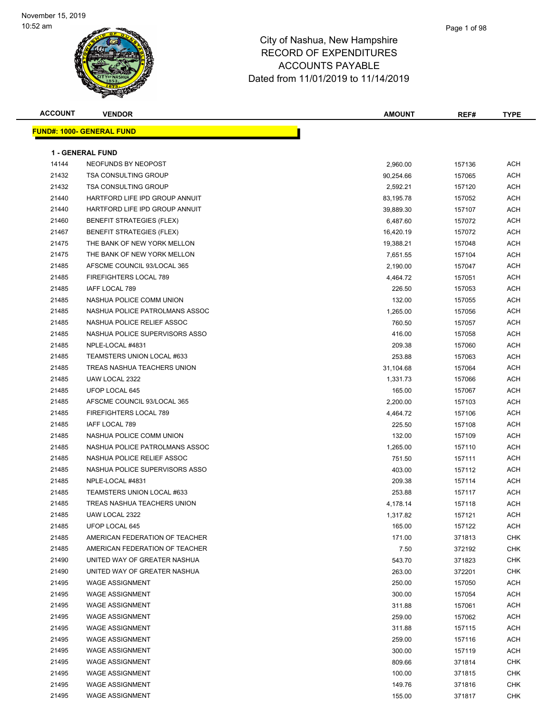| <b>ACCOUNT</b> | <b>VENDOR</b>                    | <b>AMOUNT</b> | REF#   | <b>TYPE</b> |
|----------------|----------------------------------|---------------|--------|-------------|
|                | <b>FUND#: 1000- GENERAL FUND</b> |               |        |             |
|                |                                  |               |        |             |
|                | <b>1 - GENERAL FUND</b>          |               |        |             |
| 14144          | NEOFUNDS BY NEOPOST              | 2,960.00      | 157136 | ACH         |
| 21432          | <b>TSA CONSULTING GROUP</b>      | 90,254.66     | 157065 | ACH         |
| 21432          | <b>TSA CONSULTING GROUP</b>      | 2,592.21      | 157120 | ACH         |
| 21440          | HARTFORD LIFE IPD GROUP ANNUIT   | 83,195.78     | 157052 | ACH         |
| 21440          | HARTFORD LIFE IPD GROUP ANNUIT   | 39,889.30     | 157107 | ACH         |
| 21460          | <b>BENEFIT STRATEGIES (FLEX)</b> | 6,487.60      | 157072 | ACH         |
| 21467          | <b>BENEFIT STRATEGIES (FLEX)</b> | 16,420.19     | 157072 | ACH         |
| 21475          | THE BANK OF NEW YORK MELLON      | 19,388.21     | 157048 | <b>ACH</b>  |
| 21475          | THE BANK OF NEW YORK MELLON      | 7,651.55      | 157104 | <b>ACH</b>  |
| 21485          | AFSCME COUNCIL 93/LOCAL 365      | 2,190.00      | 157047 | <b>ACH</b>  |
| 21485          | FIREFIGHTERS LOCAL 789           | 4,464.72      | 157051 | ACH         |
| 21485          | IAFF LOCAL 789                   | 226.50        | 157053 | ACH         |
| 21485          | NASHUA POLICE COMM UNION         | 132.00        | 157055 | ACH         |
| 21485          | NASHUA POLICE PATROLMANS ASSOC   | 1,265.00      | 157056 | ACH         |
| 21485          | NASHUA POLICE RELIEF ASSOC       | 760.50        | 157057 | ACH         |
| 21485          | NASHUA POLICE SUPERVISORS ASSO   | 416.00        | 157058 | ACH         |
| 21485          | NPLE-LOCAL #4831                 | 209.38        | 157060 | ACH         |
| 21485          | TEAMSTERS UNION LOCAL #633       | 253.88        | 157063 | <b>ACH</b>  |
| 21485          | TREAS NASHUA TEACHERS UNION      | 31,104.68     | 157064 | <b>ACH</b>  |
| 21485          | UAW LOCAL 2322                   | 1,331.73      | 157066 | <b>ACH</b>  |
| 21485          | UFOP LOCAL 645                   | 165.00        | 157067 | ACH         |
| 21485          | AFSCME COUNCIL 93/LOCAL 365      | 2,200.00      | 157103 | ACH         |
| 21485          | FIREFIGHTERS LOCAL 789           | 4,464.72      | 157106 | ACH         |
| 21485          | IAFF LOCAL 789                   | 225.50        | 157108 | <b>ACH</b>  |
| 21485          | NASHUA POLICE COMM UNION         | 132.00        | 157109 | ACH         |
| 21485          | NASHUA POLICE PATROLMANS ASSOC   | 1,265.00      | 157110 | ACH         |
| 21485          | NASHUA POLICE RELIEF ASSOC       | 751.50        | 157111 | ACH         |
| 21485          | NASHUA POLICE SUPERVISORS ASSO   | 403.00        | 157112 | ACH         |
| 21485          | NPLE-LOCAL #4831                 | 209.38        | 157114 | <b>ACH</b>  |
| 21485          | TEAMSTERS UNION LOCAL #633       | 253.88        | 157117 | <b>ACH</b>  |
| 21485          | TREAS NASHUA TEACHERS UNION      | 4,178.14      | 157118 | <b>ACH</b>  |
| 21485          | UAW LOCAL 2322                   | 1,317.82      | 157121 | ACH         |
| 21485          | UFOP LOCAL 645                   | 165.00        | 157122 | ACH         |
| 21485          | AMERICAN FEDERATION OF TEACHER   | 171.00        | 371813 | <b>CHK</b>  |
| 21485          | AMERICAN FEDERATION OF TEACHER   | 7.50          | 372192 | <b>CHK</b>  |
| 21490          | UNITED WAY OF GREATER NASHUA     | 543.70        | 371823 | <b>CHK</b>  |
| 21490          | UNITED WAY OF GREATER NASHUA     | 263.00        | 372201 | <b>CHK</b>  |
| 21495          | <b>WAGE ASSIGNMENT</b>           | 250.00        | 157050 | ACH         |
| 21495          | <b>WAGE ASSIGNMENT</b>           | 300.00        | 157054 | <b>ACH</b>  |
| 21495          | <b>WAGE ASSIGNMENT</b>           | 311.88        | 157061 | <b>ACH</b>  |
| 21495          | <b>WAGE ASSIGNMENT</b>           | 259.00        | 157062 | ACH         |
| 21495          | <b>WAGE ASSIGNMENT</b>           | 311.88        | 157115 | <b>ACH</b>  |
| 21495          | <b>WAGE ASSIGNMENT</b>           | 259.00        | 157116 | <b>ACH</b>  |
| 21495          | <b>WAGE ASSIGNMENT</b>           | 300.00        | 157119 | <b>ACH</b>  |
| 21495          | <b>WAGE ASSIGNMENT</b>           | 809.66        | 371814 | <b>CHK</b>  |
| 21495          | <b>WAGE ASSIGNMENT</b>           | 100.00        | 371815 | <b>CHK</b>  |
| 21495          | <b>WAGE ASSIGNMENT</b>           | 149.76        | 371816 | <b>CHK</b>  |
| 21495          | <b>WAGE ASSIGNMENT</b>           | 155.00        | 371817 | <b>CHK</b>  |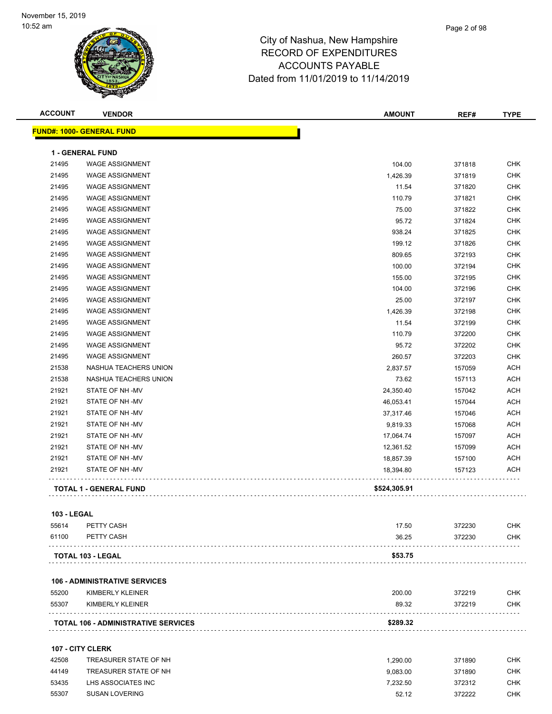| <b>ACCOUNT</b> | <b>VENDOR</b>                              | <b>AMOUNT</b> | REF#   | <b>TYPE</b> |
|----------------|--------------------------------------------|---------------|--------|-------------|
|                | <b>FUND#: 1000- GENERAL FUND</b>           |               |        |             |
|                | <b>1 - GENERAL FUND</b>                    |               |        |             |
| 21495          | <b>WAGE ASSIGNMENT</b>                     | 104.00        | 371818 | <b>CHK</b>  |
| 21495          | <b>WAGE ASSIGNMENT</b>                     | 1,426.39      | 371819 | CHK         |
| 21495          | <b>WAGE ASSIGNMENT</b>                     | 11.54         | 371820 | <b>CHK</b>  |
| 21495          | <b>WAGE ASSIGNMENT</b>                     | 110.79        | 371821 | <b>CHK</b>  |
| 21495          | <b>WAGE ASSIGNMENT</b>                     | 75.00         | 371822 | <b>CHK</b>  |
| 21495          | <b>WAGE ASSIGNMENT</b>                     | 95.72         | 371824 | <b>CHK</b>  |
| 21495          | <b>WAGE ASSIGNMENT</b>                     | 938.24        | 371825 | <b>CHK</b>  |
| 21495          | <b>WAGE ASSIGNMENT</b>                     | 199.12        | 371826 | <b>CHK</b>  |
| 21495          | <b>WAGE ASSIGNMENT</b>                     | 809.65        | 372193 | <b>CHK</b>  |
| 21495          | <b>WAGE ASSIGNMENT</b>                     | 100.00        | 372194 | <b>CHK</b>  |
| 21495          | <b>WAGE ASSIGNMENT</b>                     | 155.00        | 372195 | <b>CHK</b>  |
| 21495          | <b>WAGE ASSIGNMENT</b>                     | 104.00        | 372196 | <b>CHK</b>  |
| 21495          | <b>WAGE ASSIGNMENT</b>                     | 25.00         | 372197 | <b>CHK</b>  |
| 21495          | <b>WAGE ASSIGNMENT</b>                     | 1,426.39      | 372198 | <b>CHK</b>  |
| 21495          | <b>WAGE ASSIGNMENT</b>                     | 11.54         | 372199 | <b>CHK</b>  |
| 21495          | <b>WAGE ASSIGNMENT</b>                     | 110.79        | 372200 | <b>CHK</b>  |
| 21495          | <b>WAGE ASSIGNMENT</b>                     | 95.72         | 372202 | <b>CHK</b>  |
| 21495          | <b>WAGE ASSIGNMENT</b>                     | 260.57        | 372203 | <b>CHK</b>  |
| 21538          | NASHUA TEACHERS UNION                      | 2,837.57      | 157059 | <b>ACH</b>  |
| 21538          | NASHUA TEACHERS UNION                      | 73.62         | 157113 | <b>ACH</b>  |
| 21921          | STATE OF NH-MV                             | 24,350.40     | 157042 | <b>ACH</b>  |
| 21921          | STATE OF NH-MV                             | 46,053.41     | 157044 | <b>ACH</b>  |
| 21921          | STATE OF NH-MV                             | 37,317.46     | 157046 | <b>ACH</b>  |
| 21921          | STATE OF NH-MV                             | 9,819.33      | 157068 | <b>ACH</b>  |
| 21921          | STATE OF NH-MV                             | 17,064.74     | 157097 | <b>ACH</b>  |
| 21921          | STATE OF NH-MV                             | 12,361.52     | 157099 | <b>ACH</b>  |
| 21921          | STATE OF NH-MV                             | 18,857.39     | 157100 | <b>ACH</b>  |
| 21921          | STATE OF NH-MV                             | 18,394.80     | 157123 | <b>ACH</b>  |
|                | <b>TOTAL 1 - GENERAL FUND</b>              | \$524,305.91  |        |             |
| 103 - LEGAL    |                                            |               |        |             |
| 55614          | PETTY CASH                                 | 17.50         | 372230 | <b>CHK</b>  |
| 61100          | PETTY CASH                                 | 36.25         | 372230 | <b>CHK</b>  |
|                | TOTAL 103 - LEGAL                          | \$53.75       |        |             |
|                |                                            |               |        |             |
|                | <b>106 - ADMINISTRATIVE SERVICES</b>       |               |        |             |
| 55200          | KIMBERLY KLEINER                           | 200.00        | 372219 | <b>CHK</b>  |
| 55307          | KIMBERLY KLEINER                           | 89.32         | 372219 | <b>CHK</b>  |
|                | <b>TOTAL 106 - ADMINISTRATIVE SERVICES</b> | \$289.32      |        |             |
|                | 107 - CITY CLERK                           |               |        |             |
| 42508          | TREASURER STATE OF NH                      | 1,290.00      | 371890 | <b>CHK</b>  |
| 44149          | TREASURER STATE OF NH                      | 9,083.00      | 371890 | <b>CHK</b>  |
| 53435          | LHS ASSOCIATES INC                         | 7,232.50      | 372312 | CHK         |

55307 SUSAN LOVERING **52.12** 52.12 572222 CHK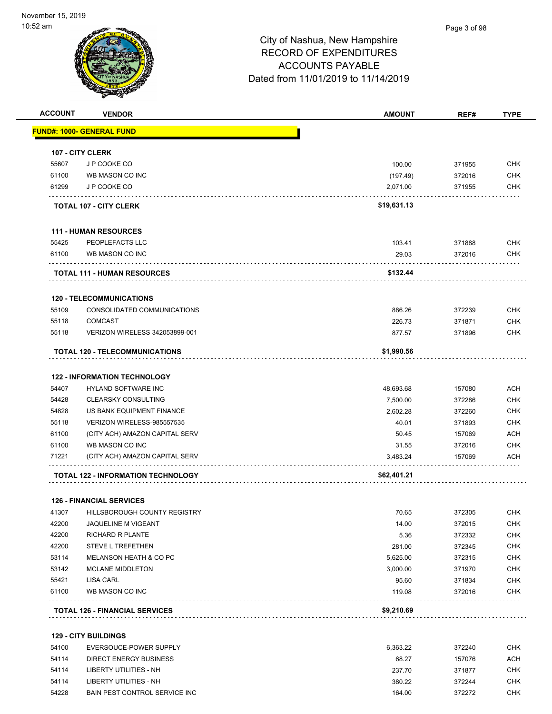

| <b>ACCOUNT</b> | <b>VENDOR</b>                                              | <b>AMOUNT</b>   | REF#             | <b>TYPE</b>              |
|----------------|------------------------------------------------------------|-----------------|------------------|--------------------------|
|                | <b>FUND#: 1000- GENERAL FUND</b>                           |                 |                  |                          |
|                | <b>107 - CITY CLERK</b>                                    |                 |                  |                          |
| 55607          | J P COOKE CO                                               | 100.00          | 371955           | <b>CHK</b>               |
| 61100          | <b>WB MASON CO INC</b>                                     | (197.49)        | 372016           | <b>CHK</b>               |
| 61299          | J P COOKE CO                                               | 2,071.00        | 371955           | <b>CHK</b>               |
|                | <b>TOTAL 107 - CITY CLERK</b>                              | \$19,631.13     |                  |                          |
|                |                                                            |                 |                  |                          |
|                | <b>111 - HUMAN RESOURCES</b>                               |                 |                  |                          |
| 55425          | PEOPLEFACTS LLC                                            | 103.41          | 371888           | CHK                      |
| 61100          | WB MASON CO INC                                            | 29.03           | 372016           | <b>CHK</b>               |
|                | <b>TOTAL 111 - HUMAN RESOURCES</b>                         | \$132.44        |                  |                          |
|                | <b>120 - TELECOMMUNICATIONS</b>                            |                 |                  |                          |
| 55109          | CONSOLIDATED COMMUNICATIONS                                | 886.26          | 372239           | <b>CHK</b>               |
| 55118          | <b>COMCAST</b>                                             | 226.73          | 371871           | <b>CHK</b>               |
| 55118          | VERIZON WIRELESS 342053899-001                             | 877.57          | 371896           | <b>CHK</b>               |
|                | TOTAL 120 - TELECOMMUNICATIONS                             | \$1,990.56      |                  |                          |
|                |                                                            |                 |                  |                          |
| 54407          | <b>122 - INFORMATION TECHNOLOGY</b><br>HYLAND SOFTWARE INC | 48,693.68       | 157080           | <b>ACH</b>               |
| 54428          | <b>CLEARSKY CONSULTING</b>                                 | 7,500.00        | 372286           | <b>CHK</b>               |
| 54828          | US BANK EQUIPMENT FINANCE                                  | 2,602.28        | 372260           | <b>CHK</b>               |
| 55118          | VERIZON WIRELESS-985557535                                 | 40.01           | 371893           | <b>CHK</b>               |
| 61100          | (CITY ACH) AMAZON CAPITAL SERV                             | 50.45           | 157069           | <b>ACH</b>               |
| 61100          | WB MASON CO INC                                            | 31.55           | 372016           | <b>CHK</b>               |
| 71221          | (CITY ACH) AMAZON CAPITAL SERV                             | 3,483.24        | 157069           | <b>ACH</b>               |
|                | <b>TOTAL 122 - INFORMATION TECHNOLOGY</b>                  | \$62,401.21     |                  |                          |
|                |                                                            |                 |                  |                          |
|                | <b>126 - FINANCIAL SERVICES</b>                            |                 |                  |                          |
| 41307          | HILLSBOROUGH COUNTY REGISTRY                               | 70.65           | 372305           | CHK                      |
| 42200          | JAQUELINE M VIGEANT                                        | 14.00           | 372015           | <b>CHK</b>               |
| 42200          | RICHARD R PLANTE                                           | 5.36            | 372332           | <b>CHK</b>               |
| 42200          | <b>STEVE L TREFETHEN</b>                                   | 281.00          | 372345           | <b>CHK</b>               |
| 53114          | MELANSON HEATH & CO PC                                     | 5,625.00        | 372315           | CHK                      |
| 53142          | <b>MCLANE MIDDLETON</b>                                    | 3,000.00        | 371970           | <b>CHK</b>               |
| 55421<br>61100 | <b>LISA CARL</b><br>WB MASON CO INC                        | 95.60<br>119.08 | 371834<br>372016 | <b>CHK</b><br><b>CHK</b> |
|                |                                                            |                 |                  |                          |
|                | <b>TOTAL 126 - FINANCIAL SERVICES</b>                      | \$9,210.69      |                  |                          |
|                | <b>129 - CITY BUILDINGS</b>                                |                 |                  |                          |
| 54100          | EVERSOUCE-POWER SUPPLY                                     | 6,363.22        | 372240           | <b>CHK</b>               |
| 54114          | <b>DIRECT ENERGY BUSINESS</b>                              | 68.27           | 157076           | <b>ACH</b>               |

| 54114 | LIBERTY UTILITIES - NH               | 237.70 | 371877 | снк |
|-------|--------------------------------------|--------|--------|-----|
| 54114 | LIBERTY UTILITIES - NH               | 380.22 | 372244 | снк |
| 54228 | <b>BAIN PEST CONTROL SERVICE INC</b> | 164.00 | 372272 | снк |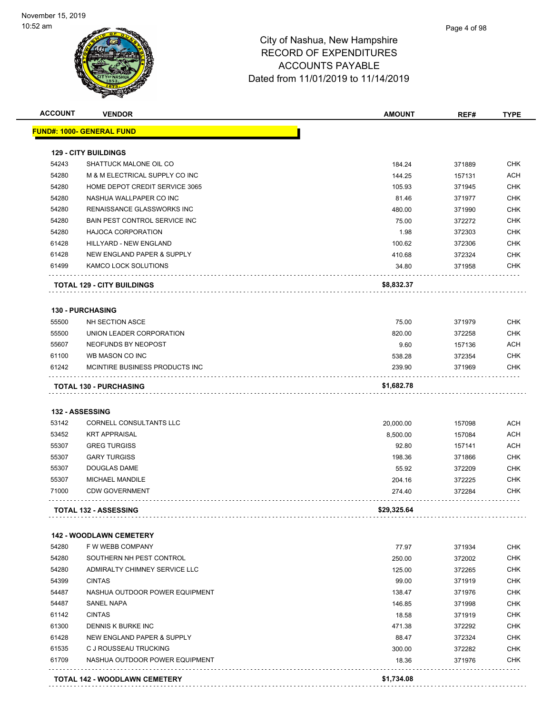| <b>ACCOUNT</b> | <b>VENDOR</b>                        | <b>AMOUNT</b> | REF#   | <b>TYPE</b> |
|----------------|--------------------------------------|---------------|--------|-------------|
|                | <u> FUND#: 1000- GENERAL FUND</u>    |               |        |             |
|                |                                      |               |        |             |
| 54243          | <b>129 - CITY BUILDINGS</b>          | 184.24        |        | <b>CHK</b>  |
|                | SHATTUCK MALONE OIL CO               |               | 371889 |             |
| 54280          | M & M ELECTRICAL SUPPLY CO INC       | 144.25        | 157131 | <b>ACH</b>  |
| 54280          | HOME DEPOT CREDIT SERVICE 3065       | 105.93        | 371945 | <b>CHK</b>  |
| 54280          | NASHUA WALLPAPER CO INC              | 81.46         | 371977 | <b>CHK</b>  |
| 54280          | <b>RENAISSANCE GLASSWORKS INC</b>    | 480.00        | 371990 | <b>CHK</b>  |
| 54280          | BAIN PEST CONTROL SERVICE INC        | 75.00         | 372272 | <b>CHK</b>  |
| 54280          | <b>HAJOCA CORPORATION</b>            | 1.98          | 372303 | <b>CHK</b>  |
| 61428          | HILLYARD - NEW ENGLAND               | 100.62        | 372306 | <b>CHK</b>  |
| 61428          | NEW ENGLAND PAPER & SUPPLY           | 410.68        | 372324 | <b>CHK</b>  |
| 61499          | KAMCO LOCK SOLUTIONS                 | 34.80         | 371958 | CHK         |
|                | <b>TOTAL 129 - CITY BUILDINGS</b>    | \$8,832.37    |        |             |
|                | <b>130 - PURCHASING</b>              |               |        |             |
| 55500          | NH SECTION ASCE                      | 75.00         | 371979 | <b>CHK</b>  |
| 55500          | UNION LEADER CORPORATION             | 820.00        | 372258 | <b>CHK</b>  |
| 55607          | NEOFUNDS BY NEOPOST                  | 9.60          | 157136 | <b>ACH</b>  |
| 61100          | WB MASON CO INC                      | 538.28        | 372354 | <b>CHK</b>  |
| 61242          | MCINTIRE BUSINESS PRODUCTS INC       | 239.90        | 371969 | <b>CHK</b>  |
|                | <b>TOTAL 130 - PURCHASING</b>        | \$1,682.78    |        |             |
|                |                                      |               |        |             |
|                | <b>132 - ASSESSING</b>               |               |        |             |
| 53142          | CORNELL CONSULTANTS LLC              | 20,000.00     | 157098 | ACH         |
| 53452          | <b>KRT APPRAISAL</b>                 | 8,500.00      | 157084 | <b>ACH</b>  |
| 55307          | <b>GREG TURGISS</b>                  | 92.80         | 157141 | <b>ACH</b>  |
| 55307          | <b>GARY TURGISS</b>                  | 198.36        | 371866 | <b>CHK</b>  |
| 55307          | <b>DOUGLAS DAME</b>                  | 55.92         | 372209 | <b>CHK</b>  |
| 55307          | <b>MICHAEL MANDILE</b>               | 204.16        | 372225 | <b>CHK</b>  |
| 71000          | <b>CDW GOVERNMENT</b>                | 274.40        | 372284 | CHK         |
|                | <b>TOTAL 132 - ASSESSING</b>         | \$29,325.64   |        |             |
|                | <b>142 - WOODLAWN CEMETERY</b>       |               |        |             |
| 54280          | F W WEBB COMPANY                     | 77.97         | 371934 | <b>CHK</b>  |
| 54280          | SOUTHERN NH PEST CONTROL             | 250.00        | 372002 | <b>CHK</b>  |
| 54280          | ADMIRALTY CHIMNEY SERVICE LLC        | 125.00        | 372265 | <b>CHK</b>  |
| 54399          | <b>CINTAS</b>                        | 99.00         | 371919 | <b>CHK</b>  |
| 54487          | NASHUA OUTDOOR POWER EQUIPMENT       | 138.47        | 371976 | <b>CHK</b>  |
| 54487          | <b>SANEL NAPA</b>                    | 146.85        | 371998 | <b>CHK</b>  |
| 61142          | <b>CINTAS</b>                        | 18.58         | 371919 | <b>CHK</b>  |
| 61300          | <b>DENNIS K BURKE INC</b>            | 471.38        | 372292 | <b>CHK</b>  |
| 61428          | NEW ENGLAND PAPER & SUPPLY           | 88.47         | 372324 | <b>CHK</b>  |
|                |                                      |               |        |             |
| 61535          | C J ROUSSEAU TRUCKING                | 300.00        | 372282 | <b>CHK</b>  |
| 61709          | NASHUA OUTDOOR POWER EQUIPMENT       | 18.36         | 371976 | <b>CHK</b>  |
|                | <b>TOTAL 142 - WOODLAWN CEMETERY</b> | \$1,734.08    |        |             |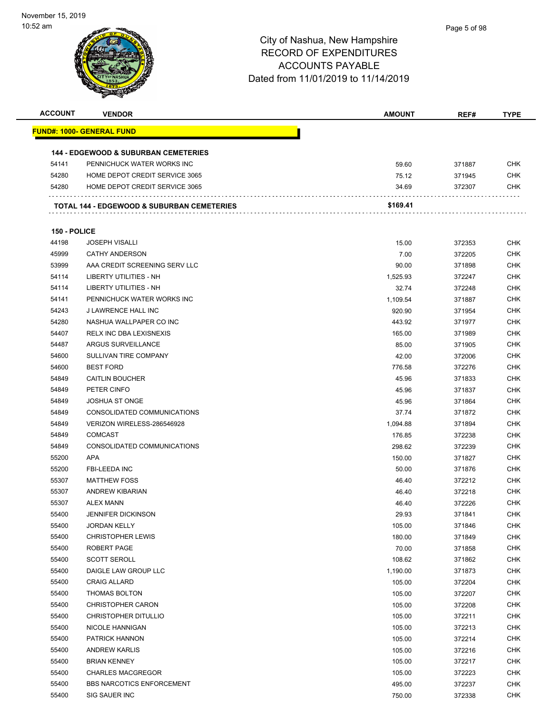| <b>ACCOUNT</b> | <b>VENDOR</b>                                         | <b>AMOUNT</b> | REF#   | <b>TYPE</b>              |
|----------------|-------------------------------------------------------|---------------|--------|--------------------------|
|                | <u> FUND#: 1000- GENERAL FUND</u>                     |               |        |                          |
|                |                                                       |               |        |                          |
|                | <b>144 - EDGEWOOD &amp; SUBURBAN CEMETERIES</b>       |               |        |                          |
| 54141          | PENNICHUCK WATER WORKS INC                            | 59.60         | 371887 | <b>CHK</b>               |
| 54280          | HOME DEPOT CREDIT SERVICE 3065                        | 75.12         | 371945 | <b>CHK</b>               |
| 54280          | HOME DEPOT CREDIT SERVICE 3065                        | 34.69         | 372307 | <b>CHK</b>               |
|                | <b>TOTAL 144 - EDGEWOOD &amp; SUBURBAN CEMETERIES</b> | \$169.41      |        |                          |
|                |                                                       |               |        |                          |
| 150 - POLICE   |                                                       |               |        |                          |
| 44198          | <b>JOSEPH VISALLI</b>                                 | 15.00         | 372353 | <b>CHK</b>               |
| 45999          | <b>CATHY ANDERSON</b>                                 | 7.00          | 372205 | <b>CHK</b>               |
| 53999          | AAA CREDIT SCREENING SERV LLC                         | 90.00         | 371898 | <b>CHK</b>               |
| 54114          | LIBERTY UTILITIES - NH                                | 1,525.93      | 372247 | <b>CHK</b>               |
| 54114          | LIBERTY UTILITIES - NH                                | 32.74         | 372248 | <b>CHK</b>               |
| 54141          | PENNICHUCK WATER WORKS INC                            | 1,109.54      | 371887 | <b>CHK</b>               |
| 54243          | J LAWRENCE HALL INC                                   | 920.90        | 371954 | <b>CHK</b>               |
| 54280          | NASHUA WALLPAPER CO INC                               | 443.92        | 371977 | <b>CHK</b>               |
| 54407          | RELX INC DBA LEXISNEXIS                               | 165.00        | 371989 | <b>CHK</b>               |
| 54487          | ARGUS SURVEILLANCE                                    | 85.00         | 371905 | <b>CHK</b>               |
| 54600          | SULLIVAN TIRE COMPANY                                 | 42.00         | 372006 | <b>CHK</b>               |
| 54600          | <b>BEST FORD</b>                                      | 776.58        | 372276 | <b>CHK</b>               |
| 54849          | <b>CAITLIN BOUCHER</b>                                | 45.96         | 371833 | <b>CHK</b>               |
| 54849          | PETER CINFO                                           | 45.96         | 371837 | <b>CHK</b>               |
| 54849          | <b>JOSHUA ST ONGE</b>                                 | 45.96         | 371864 | <b>CHK</b>               |
| 54849          | CONSOLIDATED COMMUNICATIONS                           | 37.74         | 371872 | <b>CHK</b>               |
| 54849          | VERIZON WIRELESS-286546928                            | 1,094.88      | 371894 | <b>CHK</b>               |
| 54849          | <b>COMCAST</b>                                        | 176.85        | 372238 | <b>CHK</b>               |
| 54849          | CONSOLIDATED COMMUNICATIONS                           | 298.62        | 372239 | <b>CHK</b>               |
| 55200          | APA                                                   |               |        | <b>CHK</b>               |
| 55200          | <b>FBI-LEEDA INC</b>                                  | 150.00        | 371827 |                          |
|                | <b>MATTHEW FOSS</b>                                   | 50.00         | 371876 | <b>CHK</b><br><b>CHK</b> |
| 55307          |                                                       | 46.40         | 372212 |                          |
| 55307          | <b>ANDREW KIBARIAN</b>                                | 46.40         | 372218 | <b>CHK</b>               |
| 55307          | <b>ALEX MANN</b>                                      | 46.40         | 372226 | <b>CHK</b>               |
| 55400          | JENNIFER DICKINSON                                    | 29.93         | 371841 | <b>CHK</b>               |
| 55400          | <b>JORDAN KELLY</b>                                   | 105.00        | 371846 | <b>CHK</b>               |
| 55400          | <b>CHRISTOPHER LEWIS</b>                              | 180.00        | 371849 | <b>CHK</b>               |
| 55400          | ROBERT PAGE                                           | 70.00         | 371858 | <b>CHK</b>               |
| 55400          | <b>SCOTT SEROLL</b>                                   | 108.62        | 371862 | <b>CHK</b>               |
| 55400          | DAIGLE LAW GROUP LLC                                  | 1,190.00      | 371873 | <b>CHK</b>               |
| 55400          | <b>CRAIG ALLARD</b>                                   | 105.00        | 372204 | <b>CHK</b>               |
| 55400          | THOMAS BOLTON                                         | 105.00        | 372207 | <b>CHK</b>               |
| 55400          | <b>CHRISTOPHER CARON</b>                              | 105.00        | 372208 | <b>CHK</b>               |
| 55400          | <b>CHRISTOPHER DITULLIO</b>                           | 105.00        | 372211 | <b>CHK</b>               |
| 55400          | NICOLE HANNIGAN                                       | 105.00        | 372213 | <b>CHK</b>               |
| 55400          | PATRICK HANNON                                        | 105.00        | 372214 | <b>CHK</b>               |
| 55400          | <b>ANDREW KARLIS</b>                                  | 105.00        | 372216 | <b>CHK</b>               |
| 55400          | <b>BRIAN KENNEY</b>                                   | 105.00        | 372217 | <b>CHK</b>               |
| 55400          | <b>CHARLES MACGREGOR</b>                              | 105.00        | 372223 | <b>CHK</b>               |
| 55400          | <b>BBS NARCOTICS ENFORCEMENT</b>                      | 495.00        | 372237 | <b>CHK</b>               |
| 55400          | SIG SAUER INC                                         | 750.00        | 372338 | <b>CHK</b>               |
|                |                                                       |               |        |                          |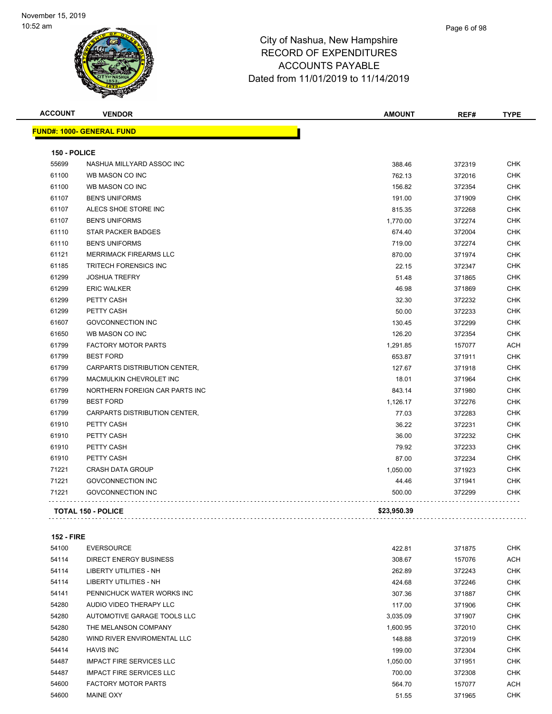| <b>ACCOUNT</b> | <b>VENDOR</b>                    | <b>AMOUNT</b> | REF#   | <b>TYPE</b> |
|----------------|----------------------------------|---------------|--------|-------------|
|                | <b>FUND#: 1000- GENERAL FUND</b> |               |        |             |
| 150 - POLICE   |                                  |               |        |             |
| 55699          | NASHUA MILLYARD ASSOC INC        | 388.46        | 372319 | <b>CHK</b>  |
| 61100          | WB MASON CO INC                  | 762.13        | 372016 | <b>CHK</b>  |
| 61100          | WB MASON CO INC                  | 156.82        | 372354 | <b>CHK</b>  |
| 61107          | <b>BEN'S UNIFORMS</b>            | 191.00        | 371909 | <b>CHK</b>  |
| 61107          | ALECS SHOE STORE INC             | 815.35        | 372268 | <b>CHK</b>  |
| 61107          | <b>BEN'S UNIFORMS</b>            | 1,770.00      | 372274 | <b>CHK</b>  |
| 61110          | <b>STAR PACKER BADGES</b>        | 674.40        | 372004 | <b>CHK</b>  |
| 61110          | <b>BEN'S UNIFORMS</b>            | 719.00        | 372274 | <b>CHK</b>  |
| 61121          | <b>MERRIMACK FIREARMS LLC</b>    | 870.00        | 371974 | <b>CHK</b>  |
| 61185          | <b>TRITECH FORENSICS INC</b>     | 22.15         | 372347 | <b>CHK</b>  |
| 61299          | <b>JOSHUA TREFRY</b>             | 51.48         | 371865 | CHK         |
| 61299          | <b>ERIC WALKER</b>               | 46.98         | 371869 | <b>CHK</b>  |
| 61299          | PETTY CASH                       | 32.30         | 372232 | <b>CHK</b>  |
| 61299          | PETTY CASH                       | 50.00         | 372233 | CHK         |
| 61607          | <b>GOVCONNECTION INC</b>         | 130.45        | 372299 | <b>CHK</b>  |
| 61650          | WB MASON CO INC                  | 126.20        | 372354 | <b>CHK</b>  |
| 61799          | <b>FACTORY MOTOR PARTS</b>       | 1,291.85      | 157077 | ACH         |
| 61799          | <b>BEST FORD</b>                 | 653.87        | 371911 | <b>CHK</b>  |
| 61799          | CARPARTS DISTRIBUTION CENTER,    | 127.67        | 371918 | <b>CHK</b>  |
| 61799          | MACMULKIN CHEVROLET INC          | 18.01         | 371964 | <b>CHK</b>  |
| 61799          | NORTHERN FOREIGN CAR PARTS INC   | 843.14        | 371980 | <b>CHK</b>  |
| 61799          | <b>BEST FORD</b>                 | 1,126.17      | 372276 | <b>CHK</b>  |
| 61799          | CARPARTS DISTRIBUTION CENTER,    | 77.03         | 372283 | <b>CHK</b>  |
| 61910          | PETTY CASH                       | 36.22         | 372231 | <b>CHK</b>  |
| 61910          | PETTY CASH                       | 36.00         | 372232 | <b>CHK</b>  |
| 61910          | PETTY CASH                       | 79.92         | 372233 | CHK         |
| 61910          | PETTY CASH                       | 87.00         | 372234 | <b>CHK</b>  |
| 71221          | <b>CRASH DATA GROUP</b>          | 1,050.00      | 371923 | <b>CHK</b>  |
| 71221          | <b>GOVCONNECTION INC</b>         | 44.46         | 371941 | <b>CHK</b>  |
| 71221          | <b>GOVCONNECTION INC</b>         | 500.00        | 372299 | <b>CHK</b>  |
|                | <b>TOTAL 150 - POLICE</b>        | \$23,950.39   |        |             |

**152 - FIRE**

| 54100 | <b>EVERSOURCE</b>               | 422.81   | 371875 | <b>CHK</b> |
|-------|---------------------------------|----------|--------|------------|
| 54114 | <b>DIRECT ENERGY BUSINESS</b>   | 308.67   | 157076 | <b>ACH</b> |
| 54114 | LIBERTY UTILITIES - NH          | 262.89   | 372243 | <b>CHK</b> |
| 54114 | LIBERTY UTILITIES - NH          | 424.68   | 372246 | <b>CHK</b> |
| 54141 | PENNICHUCK WATER WORKS INC      | 307.36   | 371887 | <b>CHK</b> |
| 54280 | AUDIO VIDEO THERAPY LLC         | 117.00   | 371906 | <b>CHK</b> |
| 54280 | AUTOMOTIVE GARAGE TOOLS LLC     | 3,035.09 | 371907 | <b>CHK</b> |
| 54280 | THE MELANSON COMPANY            | 1,600.95 | 372010 | <b>CHK</b> |
| 54280 | WIND RIVER ENVIROMENTAL LLC     | 148.88   | 372019 | <b>CHK</b> |
| 54414 | <b>HAVIS INC</b>                | 199.00   | 372304 | <b>CHK</b> |
| 54487 | <b>IMPACT FIRE SERVICES LLC</b> | 1.050.00 | 371951 | <b>CHK</b> |
| 54487 | <b>IMPACT FIRE SERVICES LLC</b> | 700.00   | 372308 | <b>CHK</b> |
| 54600 | <b>FACTORY MOTOR PARTS</b>      | 564.70   | 157077 | <b>ACH</b> |
| 54600 | <b>MAINE OXY</b>                | 51.55    | 371965 | <b>CHK</b> |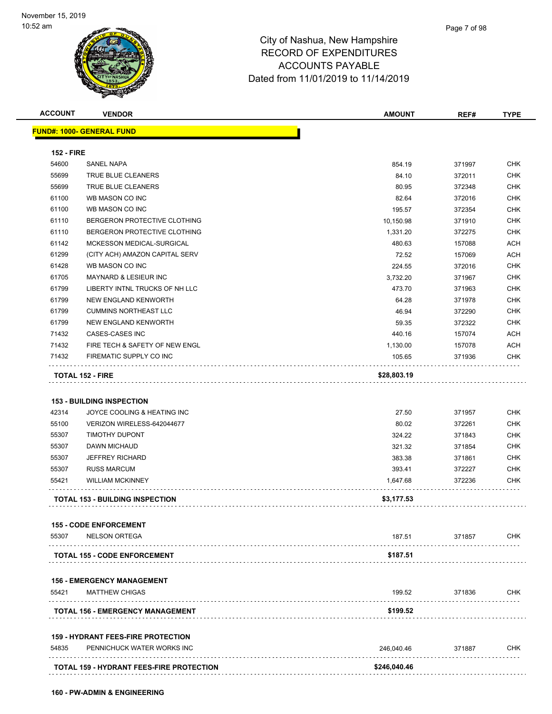| <b>ACCOUNT</b>    | <b>VENDOR</b>                                   | <b>AMOUNT</b> | REF#   | <b>TYPE</b> |
|-------------------|-------------------------------------------------|---------------|--------|-------------|
|                   | <b>FUND#: 1000- GENERAL FUND</b>                |               |        |             |
|                   |                                                 |               |        |             |
| <b>152 - FIRE</b> |                                                 |               |        |             |
| 54600             | SANEL NAPA                                      | 854.19        | 371997 | <b>CHK</b>  |
| 55699             | TRUE BLUE CLEANERS                              | 84.10         | 372011 | <b>CHK</b>  |
| 55699             | TRUE BLUE CLEANERS                              | 80.95         | 372348 | <b>CHK</b>  |
| 61100             | WB MASON CO INC                                 | 82.64         | 372016 | <b>CHK</b>  |
| 61100             | WB MASON CO INC                                 | 195.57        | 372354 | <b>CHK</b>  |
| 61110             | BERGERON PROTECTIVE CLOTHING                    | 10,150.98     | 371910 | <b>CHK</b>  |
| 61110             | BERGERON PROTECTIVE CLOTHING                    | 1,331.20      | 372275 | <b>CHK</b>  |
| 61142             | MCKESSON MEDICAL-SURGICAL                       | 480.63        | 157088 | <b>ACH</b>  |
| 61299             | (CITY ACH) AMAZON CAPITAL SERV                  | 72.52         | 157069 | ACH         |
| 61428             | WB MASON CO INC                                 | 224.55        | 372016 | <b>CHK</b>  |
| 61705             | <b>MAYNARD &amp; LESIEUR INC</b>                | 3,732.20      | 371967 | <b>CHK</b>  |
| 61799             | LIBERTY INTNL TRUCKS OF NH LLC                  | 473.70        | 371963 | <b>CHK</b>  |
| 61799             | NEW ENGLAND KENWORTH                            | 64.28         | 371978 | <b>CHK</b>  |
| 61799             | <b>CUMMINS NORTHEAST LLC</b>                    | 46.94         | 372290 | CHK         |
| 61799             | NEW ENGLAND KENWORTH                            | 59.35         | 372322 | <b>CHK</b>  |
| 71432             | CASES-CASES INC                                 | 440.16        | 157074 | <b>ACH</b>  |
| 71432             | FIRE TECH & SAFETY OF NEW ENGL                  | 1,130.00      | 157078 | <b>ACH</b>  |
| 71432             | FIREMATIC SUPPLY CO INC                         | 105.65        | 371936 | CHK         |
|                   | <b>TOTAL 152 - FIRE</b>                         | \$28,803.19   |        |             |
|                   |                                                 |               |        |             |
|                   | <b>153 - BUILDING INSPECTION</b>                |               |        |             |
| 42314             | JOYCE COOLING & HEATING INC                     | 27.50         | 371957 | <b>CHK</b>  |
| 55100             | VERIZON WIRELESS-642044677                      | 80.02         | 372261 | <b>CHK</b>  |
| 55307             | <b>TIMOTHY DUPONT</b>                           | 324.22        | 371843 | <b>CHK</b>  |
| 55307             | <b>DAWN MICHAUD</b>                             | 321.32        | 371854 | <b>CHK</b>  |
| 55307             | <b>JEFFREY RICHARD</b>                          | 383.38        | 371861 | <b>CHK</b>  |
| 55307             | <b>RUSS MARCUM</b>                              | 393.41        | 372227 | <b>CHK</b>  |
| 55421             | WILLIAM MCKINNEY                                |               |        | CHK         |
|                   |                                                 | 1,647.68      | 372236 |             |
|                   | <b>TOTAL 153 - BUILDING INSPECTION</b>          | \$3,177.53    |        |             |
|                   |                                                 |               |        |             |
|                   | <b>155 - CODE ENFORCEMENT</b>                   |               |        |             |
| 55307             | <b>NELSON ORTEGA</b>                            | 187.51        | 371857 | CHK         |
|                   | <b>TOTAL 155 - CODE ENFORCEMENT</b>             | \$187.51      |        |             |
|                   |                                                 |               |        |             |
|                   | <b>156 - EMERGENCY MANAGEMENT</b>               |               |        |             |
| 55421             | <b>MATTHEW CHIGAS</b>                           | 199.52        | 371836 | <b>CHK</b>  |
|                   | TOTAL 156 - EMERGENCY MANAGEMENT                | \$199.52      |        |             |
|                   |                                                 |               |        |             |
|                   | <b>159 - HYDRANT FEES-FIRE PROTECTION</b>       |               |        |             |
| 54835             | PENNICHUCK WATER WORKS INC                      | 246,040.46    | 371887 | CHK         |
|                   | <b>TOTAL 159 - HYDRANT FEES-FIRE PROTECTION</b> | \$246,040.46  |        |             |
|                   |                                                 |               |        |             |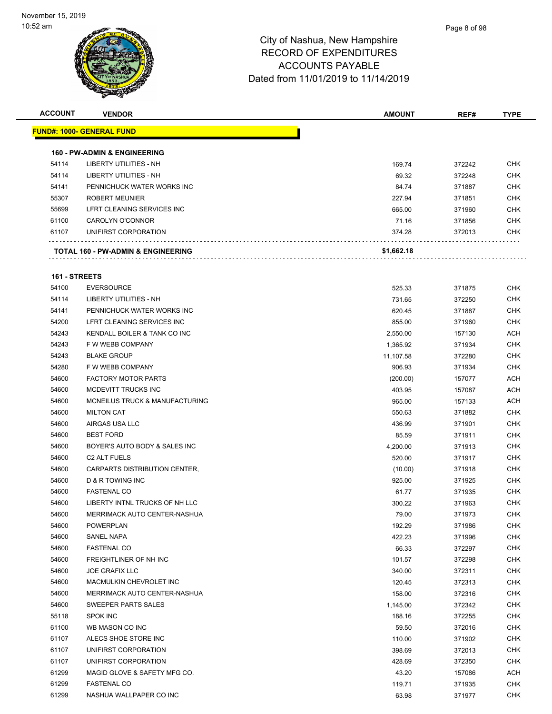| <b>ACCOUNT</b> | <b>VENDOR</b>                           | <b>AMOUNT</b> | REF#   | <b>TYPE</b> |
|----------------|-----------------------------------------|---------------|--------|-------------|
|                | <u> FUND#: 1000- GENERAL FUND</u>       |               |        |             |
|                |                                         |               |        |             |
|                | <b>160 - PW-ADMIN &amp; ENGINEERING</b> |               |        |             |
| 54114          | LIBERTY UTILITIES - NH                  | 169.74        | 372242 | <b>CHK</b>  |
| 54114          | <b>LIBERTY UTILITIES - NH</b>           | 69.32         | 372248 | <b>CHK</b>  |
| 54141          | PENNICHUCK WATER WORKS INC              | 84.74         | 371887 | <b>CHK</b>  |
| 55307          | <b>ROBERT MEUNIER</b>                   | 227.94        | 371851 | <b>CHK</b>  |
| 55699          | LFRT CLEANING SERVICES INC              | 665.00        | 371960 | <b>CHK</b>  |
| 61100          | CAROLYN O'CONNOR                        | 71.16         | 371856 | <b>CHK</b>  |
| 61107          | UNIFIRST CORPORATION                    | 374.28        | 372013 | CHK         |
|                | TOTAL 160 - PW-ADMIN & ENGINEERING      | \$1,662.18    |        |             |
| 161 - STREETS  |                                         |               |        |             |
| 54100          | <b>EVERSOURCE</b>                       | 525.33        | 371875 | <b>CHK</b>  |
| 54114          | <b>LIBERTY UTILITIES - NH</b>           | 731.65        | 372250 | <b>CHK</b>  |
| 54141          | PENNICHUCK WATER WORKS INC              | 620.45        | 371887 | <b>CHK</b>  |
| 54200          | LFRT CLEANING SERVICES INC              | 855.00        | 371960 | <b>CHK</b>  |
| 54243          | KENDALL BOILER & TANK CO INC            | 2,550.00      | 157130 | <b>ACH</b>  |
| 54243          | F W WEBB COMPANY                        | 1,365.92      | 371934 | <b>CHK</b>  |
| 54243          | <b>BLAKE GROUP</b>                      | 11,107.58     | 372280 | <b>CHK</b>  |
| 54280          | F W WEBB COMPANY                        | 906.93        | 371934 | <b>CHK</b>  |
| 54600          | <b>FACTORY MOTOR PARTS</b>              |               |        | <b>ACH</b>  |
|                |                                         | (200.00)      | 157077 |             |
| 54600          | MCDEVITT TRUCKS INC                     | 403.95        | 157087 | <b>ACH</b>  |
| 54600          | MCNEILUS TRUCK & MANUFACTURING          | 965.00        | 157133 | <b>ACH</b>  |
| 54600          | <b>MILTON CAT</b>                       | 550.63        | 371882 | <b>CHK</b>  |
| 54600          | AIRGAS USA LLC                          | 436.99        | 371901 | <b>CHK</b>  |
| 54600          | <b>BEST FORD</b>                        | 85.59         | 371911 | <b>CHK</b>  |
| 54600          | BOYER'S AUTO BODY & SALES INC           | 4,200.00      | 371913 | <b>CHK</b>  |
| 54600          | C <sub>2</sub> ALT FUELS                | 520.00        | 371917 | <b>CHK</b>  |
| 54600          | CARPARTS DISTRIBUTION CENTER,           | (10.00)       | 371918 | <b>CHK</b>  |
| 54600          | D & R TOWING INC                        | 925.00        | 371925 | <b>CHK</b>  |
| 54600          | <b>FASTENAL CO</b>                      | 61.77         | 371935 | CHK         |
| 54600          | LIBERTY INTNL TRUCKS OF NH LLC          | 300.22        | 371963 | <b>CHK</b>  |
| 54600          | MERRIMACK AUTO CENTER-NASHUA            | 79.00         | 371973 | <b>CHK</b>  |
| 54600          | <b>POWERPLAN</b>                        | 192.29        | 371986 | <b>CHK</b>  |
| 54600          | SANEL NAPA                              | 422.23        | 371996 | <b>CHK</b>  |
| 54600          | <b>FASTENAL CO</b>                      | 66.33         | 372297 | <b>CHK</b>  |
| 54600          | <b>FREIGHTLINER OF NH INC</b>           | 101.57        | 372298 | <b>CHK</b>  |
| 54600          | <b>JOE GRAFIX LLC</b>                   | 340.00        | 372311 | <b>CHK</b>  |
| 54600          | MACMULKIN CHEVROLET INC                 | 120.45        | 372313 | <b>CHK</b>  |
| 54600          | MERRIMACK AUTO CENTER-NASHUA            | 158.00        | 372316 | <b>CHK</b>  |
| 54600          | SWEEPER PARTS SALES                     | 1,145.00      | 372342 | <b>CHK</b>  |
| 55118          | <b>SPOK INC</b>                         | 188.16        | 372255 | <b>CHK</b>  |
| 61100          | WB MASON CO INC                         | 59.50         | 372016 | <b>CHK</b>  |
| 61107          | ALECS SHOE STORE INC                    | 110.00        | 371902 | <b>CHK</b>  |
| 61107          | UNIFIRST CORPORATION                    | 398.69        | 372013 | <b>CHK</b>  |
| 61107          | UNIFIRST CORPORATION                    | 428.69        | 372350 | <b>CHK</b>  |
| 61299          | MAGID GLOVE & SAFETY MFG CO.            | 43.20         | 157086 | <b>ACH</b>  |
| 61299          |                                         |               |        | <b>CHK</b>  |
|                | <b>FASTENAL CO</b>                      | 119.71        | 371935 |             |
| 61299          | NASHUA WALLPAPER CO INC                 | 63.98         | 371977 | <b>CHK</b>  |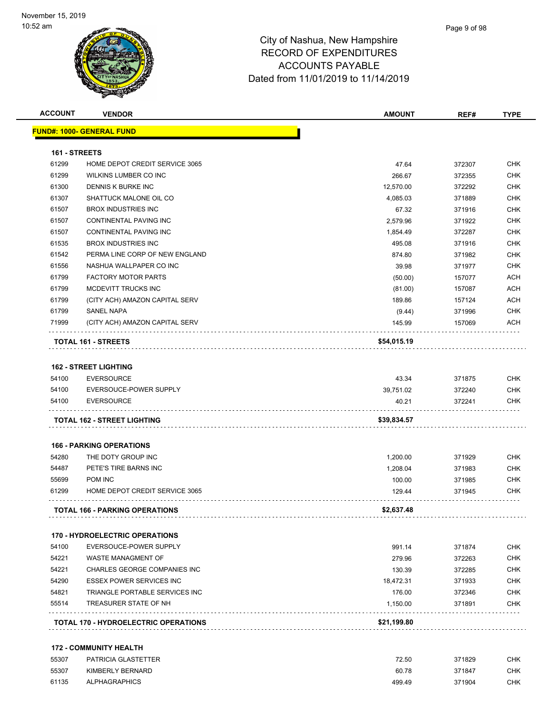| <b>ACCOUNT</b> | <b>VENDOR</b>                               | AMOUNT      | REF#   | <b>TYPE</b> |
|----------------|---------------------------------------------|-------------|--------|-------------|
|                | <u> FUND#: 1000- GENERAL FUND</u>           |             |        |             |
|                |                                             |             |        |             |
| 161 - STREETS  |                                             |             |        |             |
| 61299          | HOME DEPOT CREDIT SERVICE 3065              | 47.64       | 372307 | <b>CHK</b>  |
| 61299          | <b>WILKINS LUMBER CO INC</b>                | 266.67      | 372355 | <b>CHK</b>  |
| 61300          | DENNIS K BURKE INC                          | 12,570.00   | 372292 | <b>CHK</b>  |
| 61307          | SHATTUCK MALONE OIL CO                      | 4,085.03    | 371889 | <b>CHK</b>  |
| 61507          | <b>BROX INDUSTRIES INC</b>                  | 67.32       | 371916 | <b>CHK</b>  |
| 61507          | CONTINENTAL PAVING INC                      | 2,579.96    | 371922 | <b>CHK</b>  |
| 61507          | CONTINENTAL PAVING INC                      | 1,854.49    | 372287 | <b>CHK</b>  |
| 61535          | <b>BROX INDUSTRIES INC</b>                  | 495.08      | 371916 | <b>CHK</b>  |
| 61542          | PERMA LINE CORP OF NEW ENGLAND              | 874.80      | 371982 | <b>CHK</b>  |
| 61556          | NASHUA WALLPAPER CO INC                     | 39.98       | 371977 | <b>CHK</b>  |
| 61799          | <b>FACTORY MOTOR PARTS</b>                  | (50.00)     | 157077 | <b>ACH</b>  |
| 61799          | MCDEVITT TRUCKS INC                         | (81.00)     | 157087 | ACH         |
| 61799          | (CITY ACH) AMAZON CAPITAL SERV              | 189.86      | 157124 | ACH         |
| 61799          | <b>SANEL NAPA</b>                           | (9.44)      | 371996 | <b>CHK</b>  |
| 71999          | (CITY ACH) AMAZON CAPITAL SERV              | 145.99      | 157069 | <b>ACH</b>  |
|                | TOTAL 161 - STREETS                         | \$54,015.19 |        |             |
|                | <b>162 - STREET LIGHTING</b>                |             |        |             |
| 54100          | <b>EVERSOURCE</b>                           | 43.34       | 371875 | CHK         |
| 54100          | EVERSOUCE-POWER SUPPLY                      | 39,751.02   | 372240 | <b>CHK</b>  |
| 54100          | <b>EVERSOURCE</b>                           | 40.21       | 372241 | CHK         |
|                |                                             |             |        |             |
|                | TOTAL 162 - STREET LIGHTING                 | \$39,834.57 |        |             |
|                | <b>166 - PARKING OPERATIONS</b>             |             |        |             |
| 54280          | THE DOTY GROUP INC                          | 1,200.00    | 371929 | <b>CHK</b>  |
| 54487          | PETE'S TIRE BARNS INC                       | 1,208.04    | 371983 | <b>CHK</b>  |
| 55699          | POM INC                                     | 100.00      | 371985 | <b>CHK</b>  |
| 61299          | HOME DEPOT CREDIT SERVICE 3065              | 129.44      | 371945 | CHK         |
|                | <b>TOTAL 166 - PARKING OPERATIONS</b>       | \$2,637.48  |        |             |
|                |                                             |             |        |             |
|                | <b>170 - HYDROELECTRIC OPERATIONS</b>       |             |        |             |
| 54100          | EVERSOUCE-POWER SUPPLY                      | 991.14      | 371874 | <b>CHK</b>  |
| 54221          | WASTE MANAGMENT OF                          | 279.96      | 372263 | <b>CHK</b>  |
| 54221          | CHARLES GEORGE COMPANIES INC                | 130.39      | 372285 | CHK         |
| 54290          | <b>ESSEX POWER SERVICES INC</b>             | 18,472.31   | 371933 | <b>CHK</b>  |
| 54821          | TRIANGLE PORTABLE SERVICES INC.             | 176.00      | 372346 | <b>CHK</b>  |
| 55514          | TREASURER STATE OF NH                       | 1,150.00    | 371891 | CHK         |
|                | <b>TOTAL 170 - HYDROELECTRIC OPERATIONS</b> | \$21,199.80 |        |             |
|                | <b>172 - COMMUNITY HEALTH</b>               |             |        |             |
| 55307          | PATRICIA GLASTETTER                         | 72.50       | 371829 | <b>CHK</b>  |
| 55307          | KIMBERLY BERNARD                            | 60.78       | 371847 | CHK         |
| 61135          | <b>ALPHAGRAPHICS</b>                        | 499.49      | 371904 | <b>CHK</b>  |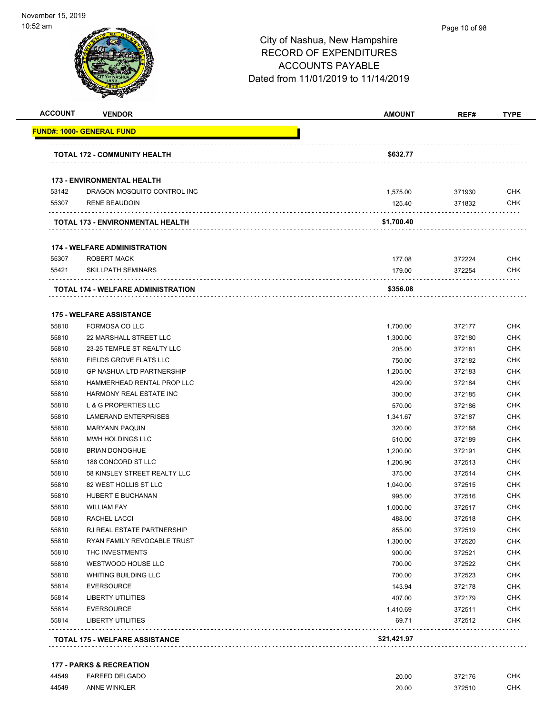| <b>ACCOUNT</b> | <b>VENDOR</b>                           | <b>AMOUNT</b> | REF#   | <b>TYPE</b> |
|----------------|-----------------------------------------|---------------|--------|-------------|
|                | <u> FUND#: 1000- GENERAL FUND</u>       |               |        |             |
|                |                                         |               |        |             |
|                | <b>TOTAL 172 - COMMUNITY HEALTH</b>     | \$632.77      |        |             |
|                | <b>173 - ENVIRONMENTAL HEALTH</b>       |               |        |             |
| 53142          | DRAGON MOSQUITO CONTROL INC             | 1,575.00      | 371930 | <b>CHK</b>  |
| 55307          | <b>RENE BEAUDOIN</b>                    | 125.40        | 371832 | CHK         |
|                | <b>TOTAL 173 - ENVIRONMENTAL HEALTH</b> | \$1,700.40    |        |             |
|                | <b>174 - WELFARE ADMINISTRATION</b>     |               |        |             |
| 55307          | <b>ROBERT MACK</b>                      | 177.08        | 372224 | <b>CHK</b>  |
| 55421          | <b>SKILLPATH SEMINARS</b>               | 179.00        | 372254 | <b>CHK</b>  |
|                | TOTAL 174 - WELFARE ADMINISTRATION      | \$356.08      |        |             |
|                | <b>175 - WELFARE ASSISTANCE</b>         |               |        |             |
| 55810          | FORMOSA CO LLC                          | 1,700.00      | 372177 | <b>CHK</b>  |
| 55810          | 22 MARSHALL STREET LLC                  | 1,300.00      | 372180 | <b>CHK</b>  |
| 55810          | 23-25 TEMPLE ST REALTY LLC              | 205.00        | 372181 | <b>CHK</b>  |
| 55810          | FIELDS GROVE FLATS LLC                  | 750.00        | 372182 | <b>CHK</b>  |
| 55810          | <b>GP NASHUA LTD PARTNERSHIP</b>        | 1,205.00      | 372183 | <b>CHK</b>  |
| 55810          | HAMMERHEAD RENTAL PROP LLC              | 429.00        | 372184 | <b>CHK</b>  |
| 55810          | HARMONY REAL ESTATE INC                 | 300.00        | 372185 | <b>CHK</b>  |
| 55810          | L & G PROPERTIES LLC                    | 570.00        | 372186 | <b>CHK</b>  |
| 55810          | <b>LAMERAND ENTERPRISES</b>             | 1,341.67      | 372187 | <b>CHK</b>  |
| 55810          | <b>MARYANN PAQUIN</b>                   | 320.00        | 372188 | <b>CHK</b>  |
| 55810          | MWH HOLDINGS LLC                        | 510.00        | 372189 | <b>CHK</b>  |
| 55810          | <b>BRIAN DONOGHUE</b>                   | 1,200.00      | 372191 | <b>CHK</b>  |
| 55810          | 188 CONCORD ST LLC                      | 1,206.96      | 372513 | <b>CHK</b>  |
| 55810          | 58 KINSLEY STREET REALTY LLC            | 375.00        | 372514 | <b>CHK</b>  |
| 55810          | 82 WEST HOLLIS ST LLC                   | 1,040.00      | 372515 | <b>CHK</b>  |
| 55810          | <b>HUBERT E BUCHANAN</b>                | 995.00        | 372516 | <b>CHK</b>  |
| 55810          | <b>WILLIAM FAY</b>                      | 1,000.00      | 372517 | <b>CHK</b>  |
| 55810          | RACHEL LACCI                            | 488.00        | 372518 | CHK         |
| 55810          | RJ REAL ESTATE PARTNERSHIP              | 855.00        | 372519 | CHK         |
| 55810          | RYAN FAMILY REVOCABLE TRUST             | 1,300.00      | 372520 | <b>CHK</b>  |
| 55810          | THC INVESTMENTS                         | 900.00        | 372521 | <b>CHK</b>  |
| 55810          | WESTWOOD HOUSE LLC                      | 700.00        | 372522 | <b>CHK</b>  |
| 55810          | <b>WHITING BUILDING LLC</b>             | 700.00        | 372523 | <b>CHK</b>  |
| 55814          | <b>EVERSOURCE</b>                       | 143.94        | 372178 | <b>CHK</b>  |
| 55814          | <b>LIBERTY UTILITIES</b>                | 407.00        | 372179 | <b>CHK</b>  |
| 55814          | <b>EVERSOURCE</b>                       | 1,410.69      | 372511 | <b>CHK</b>  |
| 55814          | <b>LIBERTY UTILITIES</b>                | 69.71         | 372512 | <b>CHK</b>  |
|                |                                         | \$21,421.97   |        |             |

### **177 - PARKS & RECREATION**

| 44549 | <b>FAREED DELGADO</b> | 20.00<br>. | 372176 | CHK. |
|-------|-----------------------|------------|--------|------|
| 44549 | <b>ANNE WINKLER</b>   | 20.00      | 372510 | СНК  |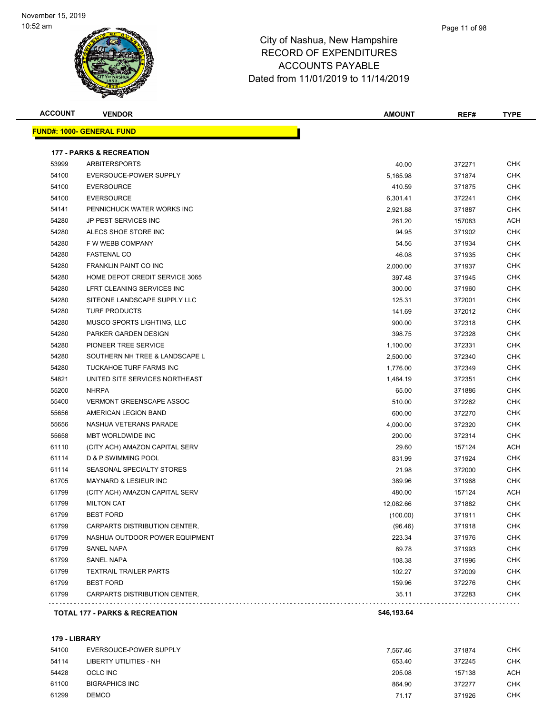### Page 11 of 98

### City of Nashua, New Hampshire RECORD OF EXPENDITURES ACCOUNTS PAYABLE Dated from 11/01/2019 to 11/14/2019

| <b>ACCOUNT</b> | <b>VENDOR</b>                       | <b>AMOUNT</b> | REF#   | <b>TYPE</b> |
|----------------|-------------------------------------|---------------|--------|-------------|
|                | <u> FUND#: 1000- GENERAL FUND</u>   |               |        |             |
|                | <b>177 - PARKS &amp; RECREATION</b> |               |        |             |
| 53999          | <b>ARBITERSPORTS</b>                | 40.00         | 372271 | CHK         |
| 54100          | EVERSOUCE-POWER SUPPLY              | 5,165.98      | 371874 | CHK         |
| 54100          | <b>EVERSOURCE</b>                   | 410.59        | 371875 | <b>CHK</b>  |
| 54100          | <b>EVERSOURCE</b>                   | 6,301.41      | 372241 | <b>CHK</b>  |
| 54141          | PENNICHUCK WATER WORKS INC          | 2,921.88      | 371887 | <b>CHK</b>  |
| 54280          | JP PEST SERVICES INC                | 261.20        | 157083 | ACH         |
| 54280          | ALECS SHOE STORE INC                | 94.95         | 371902 | CHK         |
| 54280          | F W WEBB COMPANY                    | 54.56         | 371934 | <b>CHK</b>  |
| 54280          | <b>FASTENAL CO</b>                  | 46.08         | 371935 | <b>CHK</b>  |
| 54280          | FRANKLIN PAINT CO INC               | 2,000.00      | 371937 | CHK         |
| 54280          | HOME DEPOT CREDIT SERVICE 3065      | 397.48        | 371945 | CHK         |
| 54280          | LFRT CLEANING SERVICES INC          | 300.00        | 371960 | CHK         |
| 54280          | SITEONE LANDSCAPE SUPPLY LLC        | 125.31        | 372001 | CHK         |
| 54280          | <b>TURF PRODUCTS</b>                | 141.69        | 372012 | <b>CHK</b>  |
| 54280          | MUSCO SPORTS LIGHTING, LLC          | 900.00        | 372318 | <b>CHK</b>  |
| 54280          | PARKER GARDEN DESIGN                | 398.75        | 372328 | CHK         |
| 54280          | PIONEER TREE SERVICE                | 1,100.00      | 372331 | <b>CHK</b>  |
| 54280          | SOUTHERN NH TREE & LANDSCAPE L      | 2,500.00      | 372340 | CHK         |
| 54280          | TUCKAHOE TURF FARMS INC             | 1,776.00      | 372349 | <b>CHK</b>  |
| 54821          | UNITED SITE SERVICES NORTHEAST      | 1,484.19      | 372351 | <b>CHK</b>  |
| 55200          | <b>NHRPA</b>                        | 65.00         | 371886 | CHK         |
| 55400          | <b>VERMONT GREENSCAPE ASSOC</b>     | 510.00        | 372262 | CHK         |
| 55656          | AMERICAN LEGION BAND                | 600.00        | 372270 | CHK         |
| 55656          | NASHUA VETERANS PARADE              | 4,000.00      | 372320 | CHK         |
| 55658          | MBT WORLDWIDE INC                   | 200.00        | 372314 | <b>CHK</b>  |
| 61110          | (CITY ACH) AMAZON CAPITAL SERV      | 29.60         | 157124 | ACH         |
| 61114          | D & P SWIMMING POOL                 | 831.99        | 371924 | <b>CHK</b>  |
| 61114          | SEASONAL SPECIALTY STORES           | 21.98         | 372000 | <b>CHK</b>  |
| 61705          | MAYNARD & LESIEUR INC               | 389.96        | 371968 | CHK         |
| 61799          | (CITY ACH) AMAZON CAPITAL SERV      | 480.00        | 157124 | ACH         |
| 61799          | <b>MILTON CAT</b>                   | 12,082.66     | 371882 | <b>CHK</b>  |
| 61799          | <b>BEST FORD</b>                    | (100.00)      | 371911 | <b>CHK</b>  |
| 61799          | CARPARTS DISTRIBUTION CENTER,       | (96.46)       | 371918 | CHK         |
| 61799          | NASHUA OUTDOOR POWER EQUIPMENT      | 223.34        | 371976 | CHK         |
| 61799          | SANEL NAPA                          | 89.78         | 371993 | CHK         |
| 61799          | <b>SANEL NAPA</b>                   | 108.38        | 371996 | <b>CHK</b>  |
| 61799          | <b>TEXTRAIL TRAILER PARTS</b>       | 102.27        | 372009 | CHK         |
| 61799          | <b>BEST FORD</b>                    | 159.96        | 372276 | CHK         |
| 61799          | CARPARTS DISTRIBUTION CENTER,       | 35.11         | 372283 | CHK         |
|                |                                     |               |        |             |

### **179 - LIBRARY**

| 54100 | EVERSOUCE-POWER SUPPLY | 7.567.46 | 371874 | снк |
|-------|------------------------|----------|--------|-----|
| 54114 | LIBERTY UTILITIES - NH | 653.40   | 372245 | СНК |
| 54428 | OCLC INC               | 205.08   | 157138 | ACH |
| 61100 | <b>BIGRAPHICS INC</b>  | 864.90   | 372277 | снк |
| 61299 | <b>DEMCO</b>           | 71.17    | 371926 | снк |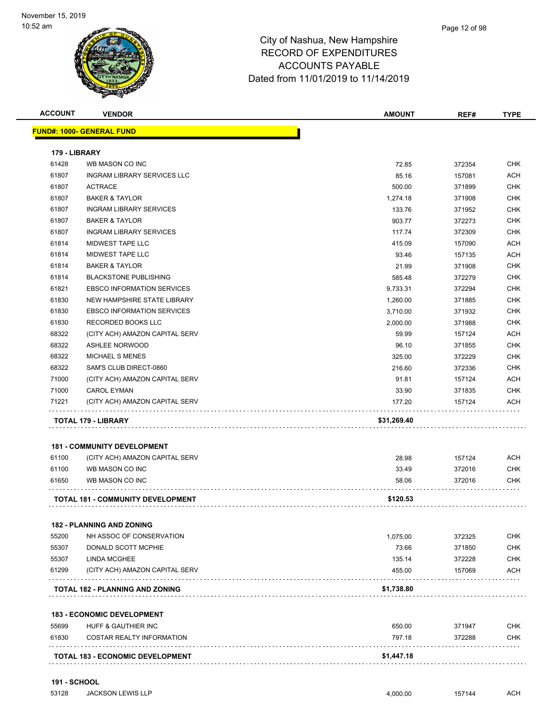| <b>ACCOUNT</b> | <b>VENDOR</b>                           | <b>AMOUNT</b> | REF#   | <b>TYPE</b> |
|----------------|-----------------------------------------|---------------|--------|-------------|
|                | <b>FUND#: 1000- GENERAL FUND</b>        |               |        |             |
| 179 - LIBRARY  |                                         |               |        |             |
| 61428          | WB MASON CO INC                         | 72.85         | 372354 | <b>CHK</b>  |
| 61807          | INGRAM LIBRARY SERVICES LLC             | 85.16         | 157081 | <b>ACH</b>  |
| 61807          | <b>ACTRACE</b>                          | 500.00        | 371899 | <b>CHK</b>  |
| 61807          | <b>BAKER &amp; TAYLOR</b>               | 1,274.18      | 371908 | <b>CHK</b>  |
| 61807          | <b>INGRAM LIBRARY SERVICES</b>          | 133.76        | 371952 | <b>CHK</b>  |
| 61807          | <b>BAKER &amp; TAYLOR</b>               | 903.77        | 372273 | <b>CHK</b>  |
| 61807          | <b>INGRAM LIBRARY SERVICES</b>          | 117.74        | 372309 | <b>CHK</b>  |
| 61814          | MIDWEST TAPE LLC                        | 415.09        | 157090 | <b>ACH</b>  |
| 61814          | MIDWEST TAPE LLC                        | 93.46         | 157135 | <b>ACH</b>  |
| 61814          | <b>BAKER &amp; TAYLOR</b>               | 21.99         | 371908 | <b>CHK</b>  |
| 61814          | <b>BLACKSTONE PUBLISHING</b>            | 585.48        | 372279 | <b>CHK</b>  |
| 61821          | <b>EBSCO INFORMATION SERVICES</b>       | 9,733.31      | 372294 | CHK         |
| 61830          | NEW HAMPSHIRE STATE LIBRARY             | 1,260.00      | 371885 | <b>CHK</b>  |
| 61830          | <b>EBSCO INFORMATION SERVICES</b>       | 3,710.00      | 371932 | <b>CHK</b>  |
| 61830          | RECORDED BOOKS LLC                      | 2,000.00      | 371988 | <b>CHK</b>  |
| 68322          | (CITY ACH) AMAZON CAPITAL SERV          | 59.99         | 157124 | <b>ACH</b>  |
| 68322          | <b>ASHLEE NORWOOD</b>                   | 96.10         | 371855 | <b>CHK</b>  |
| 68322          | <b>MICHAEL S MENES</b>                  | 325.00        | 372229 | <b>CHK</b>  |
| 68322          | SAM'S CLUB DIRECT-0860                  | 216.60        | 372336 | <b>CHK</b>  |
| 71000          | (CITY ACH) AMAZON CAPITAL SERV          | 91.81         | 157124 | <b>ACH</b>  |
| 71000          | <b>CAROL EYMAN</b>                      | 33.90         | 371835 | <b>CHK</b>  |
| 71221          | (CITY ACH) AMAZON CAPITAL SERV          | 177.20        | 157124 | ACH         |
|                | TOTAL 179 - LIBRARY                     | \$31,269.40   |        |             |
|                | <b>181 - COMMUNITY DEVELOPMENT</b>      |               |        |             |
| 61100          | (CITY ACH) AMAZON CAPITAL SERV          | 28.98         | 157124 | <b>ACH</b>  |
| 61100          | WB MASON CO INC                         | 33.49         | 372016 | <b>CHK</b>  |
| 61650          | WB MASON CO INC                         | 58.06         | 372016 | <b>CHK</b>  |
|                | TOTAL 181 - COMMUNITY DEVELOPMENT       | \$120.53      |        |             |
|                | <b>182 - PLANNING AND ZONING</b>        |               |        |             |
| 55200          | NH ASSOC OF CONSERVATION                | 1,075.00      | 372325 | <b>CHK</b>  |
| 55307          | DONALD SCOTT MCPHIE                     | 73.66         | 371850 | <b>CHK</b>  |
| 55307          | LINDA MCGHEE                            | 135.14        | 372228 | <b>CHK</b>  |
| 61299          | (CITY ACH) AMAZON CAPITAL SERV          | 455.00        | 157069 | ACH         |
|                | <b>TOTAL 182 - PLANNING AND ZONING</b>  | \$1,738.80    |        |             |
|                | <b>183 - ECONOMIC DEVELOPMENT</b>       |               |        |             |
| 55699          | HUFF & GAUTHIER INC                     | 650.00        | 371947 | <b>CHK</b>  |
| 61830          | <b>COSTAR REALTY INFORMATION</b>        | 797.18        | 372288 | CHK         |
|                | <b>TOTAL 183 - ECONOMIC DEVELOPMENT</b> | \$1,447.18    |        |             |
|                |                                         |               |        |             |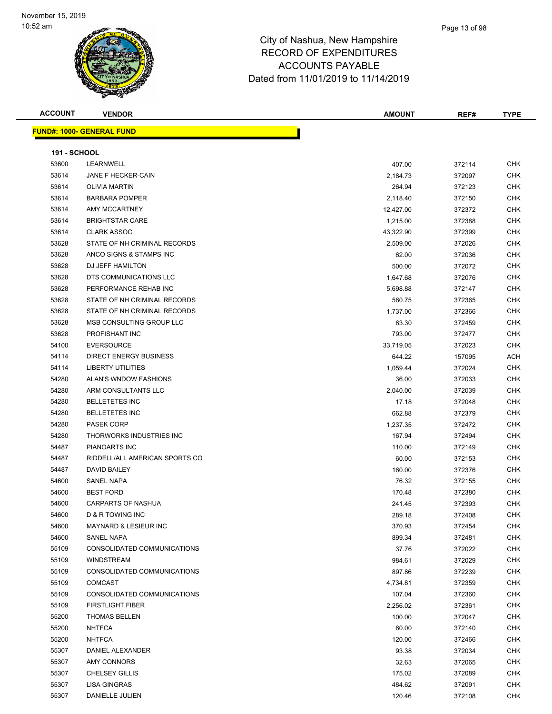| <b>ACCOUNT</b>      | <b>VENDOR</b>                    | <b>AMOUNT</b> | REF#   | <b>TYPE</b> |
|---------------------|----------------------------------|---------------|--------|-------------|
|                     | FUND#: 1000- GENERAL FUND        |               |        |             |
|                     |                                  |               |        |             |
| <b>191 - SCHOOL</b> |                                  |               |        |             |
| 53600               | LEARNWELL                        | 407.00        | 372114 | <b>CHK</b>  |
| 53614               | JANE F HECKER-CAIN               | 2,184.73      | 372097 | <b>CHK</b>  |
| 53614               | <b>OLIVIA MARTIN</b>             | 264.94        | 372123 | <b>CHK</b>  |
| 53614               | <b>BARBARA POMPER</b>            | 2,118.40      | 372150 | <b>CHK</b>  |
| 53614               | AMY MCCARTNEY                    | 12,427.00     | 372372 | <b>CHK</b>  |
| 53614               | <b>BRIGHTSTAR CARE</b>           | 1,215.00      | 372388 | <b>CHK</b>  |
| 53614               | <b>CLARK ASSOC</b>               | 43,322.90     | 372399 | <b>CHK</b>  |
| 53628               | STATE OF NH CRIMINAL RECORDS     | 2,509.00      | 372026 | <b>CHK</b>  |
| 53628               | ANCO SIGNS & STAMPS INC          | 62.00         | 372036 | <b>CHK</b>  |
| 53628               | DJ JEFF HAMILTON                 | 500.00        | 372072 | <b>CHK</b>  |
| 53628               | DTS COMMUNICATIONS LLC           | 1,647.68      | 372076 | <b>CHK</b>  |
| 53628               | PERFORMANCE REHAB INC            | 5,698.88      | 372147 | <b>CHK</b>  |
| 53628               | STATE OF NH CRIMINAL RECORDS     | 580.75        | 372365 | <b>CHK</b>  |
| 53628               | STATE OF NH CRIMINAL RECORDS     | 1,737.00      | 372366 | CHK         |
| 53628               | MSB CONSULTING GROUP LLC         | 63.30         | 372459 | <b>CHK</b>  |
| 53628               | PROFISHANT INC                   | 793.00        | 372477 | <b>CHK</b>  |
| 54100               | <b>EVERSOURCE</b>                | 33,719.05     | 372023 | <b>CHK</b>  |
| 54114               | <b>DIRECT ENERGY BUSINESS</b>    | 644.22        | 157095 | <b>ACH</b>  |
| 54114               | LIBERTY UTILITIES                | 1,059.44      | 372024 | <b>CHK</b>  |
| 54280               | ALAN'S WNDOW FASHIONS            | 36.00         | 372033 | <b>CHK</b>  |
| 54280               | ARM CONSULTANTS LLC              | 2,040.00      | 372039 | <b>CHK</b>  |
| 54280               | <b>BELLETETES INC</b>            | 17.18         | 372048 | <b>CHK</b>  |
| 54280               | <b>BELLETETES INC</b>            | 662.88        | 372379 | <b>CHK</b>  |
| 54280               | <b>PASEK CORP</b>                | 1,237.35      | 372472 | <b>CHK</b>  |
| 54280               | THORWORKS INDUSTRIES INC         | 167.94        | 372494 | <b>CHK</b>  |
| 54487               | PIANOARTS INC                    | 110.00        | 372149 | <b>CHK</b>  |
| 54487               | RIDDELL/ALL AMERICAN SPORTS CO   | 60.00         | 372153 | <b>CHK</b>  |
| 54487               | DAVID BAILEY                     | 160.00        | 372376 | <b>CHK</b>  |
| 54600               | <b>SANEL NAPA</b>                | 76.32         | 372155 | <b>CHK</b>  |
| 54600               | <b>BEST FORD</b>                 | 170.48        | 372380 | <b>CHK</b>  |
| 54600               | <b>CARPARTS OF NASHUA</b>        | 241.45        | 372393 | <b>CHK</b>  |
| 54600               | <b>D &amp; R TOWING INC</b>      | 289.18        | 372408 | <b>CHK</b>  |
| 54600               | <b>MAYNARD &amp; LESIEUR INC</b> | 370.93        | 372454 | <b>CHK</b>  |
| 54600               | SANEL NAPA                       | 899.34        | 372481 | <b>CHK</b>  |
| 55109               | CONSOLIDATED COMMUNICATIONS      | 37.76         | 372022 | <b>CHK</b>  |
| 55109               | <b>WINDSTREAM</b>                | 984.61        | 372029 | <b>CHK</b>  |
| 55109               | CONSOLIDATED COMMUNICATIONS      | 897.86        | 372239 | <b>CHK</b>  |
| 55109               | <b>COMCAST</b>                   | 4,734.81      | 372359 | <b>CHK</b>  |
| 55109               | CONSOLIDATED COMMUNICATIONS      | 107.04        | 372360 | <b>CHK</b>  |
| 55109               | <b>FIRSTLIGHT FIBER</b>          | 2,256.02      | 372361 | <b>CHK</b>  |

 THOMAS BELLEN 100.00 372047 CHK NHTFCA 60.00 372140 CHK NHTFCA 120.00 372466 CHK DANIEL ALEXANDER 93.38 372034 CHK AMY CONNORS 32.63 372065 CHK CHELSEY GILLIS 175.02 372089 CHK LISA GINGRAS 484.62 372091 CHK DANIELLE JULIEN 120.46 372108 CHK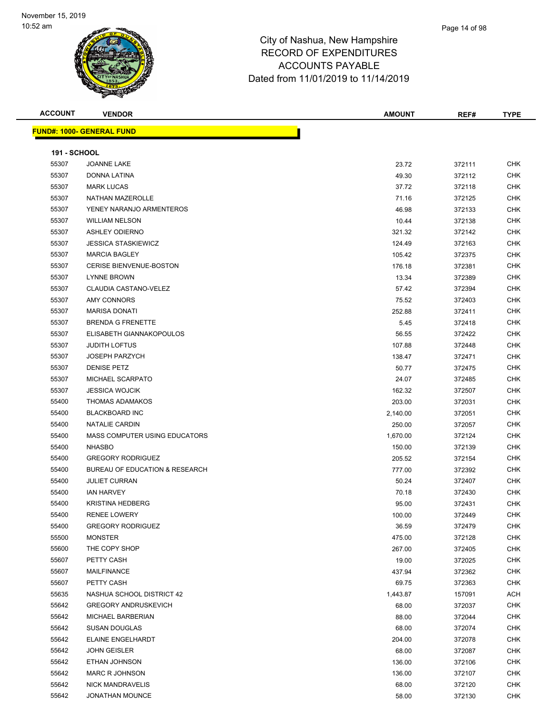| <b>ACCOUNT</b>      | <b>VENDOR</b>                        | <b>AMOUNT</b> | REF#   | <b>TYPE</b> |
|---------------------|--------------------------------------|---------------|--------|-------------|
|                     | <b>FUND#: 1000- GENERAL FUND</b>     |               |        |             |
|                     |                                      |               |        |             |
| <b>191 - SCHOOL</b> |                                      |               |        |             |
| 55307               | <b>JOANNE LAKE</b>                   | 23.72         | 372111 | <b>CHK</b>  |
| 55307               | DONNA LATINA                         | 49.30         | 372112 | <b>CHK</b>  |
| 55307               | <b>MARK LUCAS</b>                    | 37.72         | 372118 | <b>CHK</b>  |
| 55307               | <b>NATHAN MAZEROLLE</b>              | 71.16         | 372125 | <b>CHK</b>  |
| 55307               | YENEY NARANJO ARMENTEROS             | 46.98         | 372133 | <b>CHK</b>  |
| 55307               | <b>WILLIAM NELSON</b>                | 10.44         | 372138 | <b>CHK</b>  |
| 55307               | <b>ASHLEY ODIERNO</b>                | 321.32        | 372142 | CHK         |
| 55307               | <b>JESSICA STASKIEWICZ</b>           | 124.49        | 372163 | CHK         |
| 55307               | <b>MARCIA BAGLEY</b>                 | 105.42        | 372375 | <b>CHK</b>  |
| 55307               | <b>CERISE BIENVENUE-BOSTON</b>       | 176.18        | 372381 | <b>CHK</b>  |
| 55307               | <b>LYNNE BROWN</b>                   | 13.34         | 372389 | CHK         |
| 55307               | CLAUDIA CASTANO-VELEZ                | 57.42         | 372394 | <b>CHK</b>  |
| 55307               | AMY CONNORS                          | 75.52         | 372403 | <b>CHK</b>  |
| 55307               | <b>MARISA DONATI</b>                 | 252.88        | 372411 | CHK         |
| 55307               | <b>BRENDA G FRENETTE</b>             | 5.45          | 372418 | CHK         |
| 55307               | ELISABETH GIANNAKOPOULOS             | 56.55         | 372422 | <b>CHK</b>  |
| 55307               | <b>JUDITH LOFTUS</b>                 | 107.88        | 372448 | <b>CHK</b>  |
| 55307               | <b>JOSEPH PARZYCH</b>                | 138.47        | 372471 | <b>CHK</b>  |
| 55307               | <b>DENISE PETZ</b>                   | 50.77         | 372475 | <b>CHK</b>  |
| 55307               | MICHAEL SCARPATO                     | 24.07         | 372485 | <b>CHK</b>  |
| 55307               | <b>JESSICA WOJCIK</b>                | 162.32        | 372507 | <b>CHK</b>  |
| 55400               | <b>THOMAS ADAMAKOS</b>               | 203.00        | 372031 | <b>CHK</b>  |
| 55400               | <b>BLACKBOARD INC</b>                | 2,140.00      | 372051 | <b>CHK</b>  |
| 55400               | NATALIE CARDIN                       | 250.00        | 372057 | <b>CHK</b>  |
| 55400               | <b>MASS COMPUTER USING EDUCATORS</b> | 1,670.00      | 372124 | <b>CHK</b>  |
| 55400               | <b>NHASBO</b>                        | 150.00        | 372139 | CHK         |
| 55400               | <b>GREGORY RODRIGUEZ</b>             | 205.52        | 372154 | <b>CHK</b>  |
| 55400               | BUREAU OF EDUCATION & RESEARCH       | 777.00        | 372392 | <b>CHK</b>  |
| 55400               | <b>JULIET CURRAN</b>                 | 50.24         | 372407 | CHK         |
| 55400               | <b>IAN HARVEY</b>                    | 70.18         | 372430 | CHK         |
| 55400               | <b>KRISTINA HEDBERG</b>              | 95.00         | 372431 | <b>CHK</b>  |
| 55400               | <b>RENEE LOWERY</b>                  | 100.00        | 372449 | CHK         |
| 55400               | <b>GREGORY RODRIGUEZ</b>             | 36.59         | 372479 | <b>CHK</b>  |
| 55500               | <b>MONSTER</b>                       | 475.00        | 372128 | <b>CHK</b>  |
| 55600               | THE COPY SHOP                        | 267.00        | 372405 | <b>CHK</b>  |
| 55607               | PETTY CASH                           | 19.00         | 372025 | <b>CHK</b>  |
| 55607               | <b>MAILFINANCE</b>                   | 437.94        | 372362 | <b>CHK</b>  |
| 55607               | PETTY CASH                           | 69.75         | 372363 | <b>CHK</b>  |
| 55635               | NASHUA SCHOOL DISTRICT 42            | 1,443.87      | 157091 | <b>ACH</b>  |
| 55642               | <b>GREGORY ANDRUSKEVICH</b>          | 68.00         | 372037 | CHK         |
| 55642               | MICHAEL BARBERIAN                    | 88.00         | 372044 | CHK         |
| 55642               | <b>SUSAN DOUGLAS</b>                 | 68.00         | 372074 | <b>CHK</b>  |
| 55642               | ELAINE ENGELHARDT                    | 204.00        | 372078 | CHK         |
| 55642               | <b>JOHN GEISLER</b>                  | 68.00         | 372087 | <b>CHK</b>  |
| 55642               | ETHAN JOHNSON                        | 136.00        | 372106 | <b>CHK</b>  |
| 55642               | <b>MARC R JOHNSON</b>                | 136.00        | 372107 | CHK         |
| 55642               | NICK MANDRAVELIS                     | 68.00         | 372120 | CHK         |
| 55642               | <b>JONATHAN MOUNCE</b>               | 58.00         | 372130 | <b>CHK</b>  |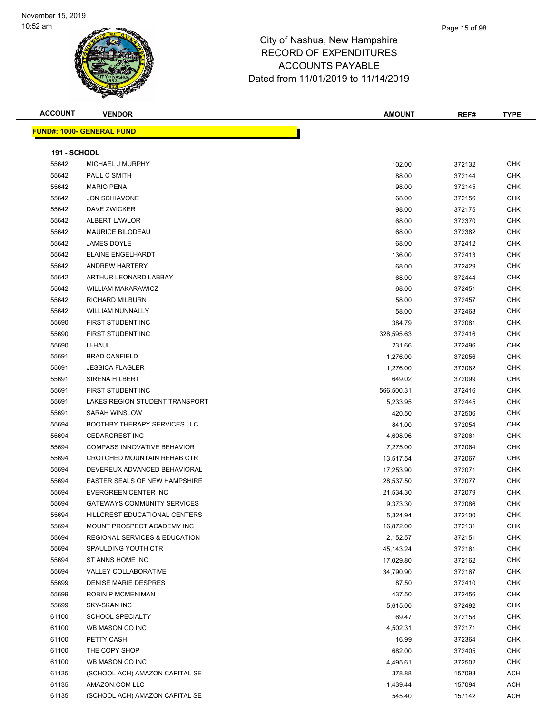| <b>ACCOUNT</b>      | <b>VENDOR</b>                            | <b>AMOUNT</b> | REF#   | <b>TYPE</b> |
|---------------------|------------------------------------------|---------------|--------|-------------|
|                     | <b>FUND#: 1000- GENERAL FUND</b>         |               |        |             |
|                     |                                          |               |        |             |
| <b>191 - SCHOOL</b> |                                          |               |        |             |
| 55642               | MICHAEL J MURPHY                         | 102.00        | 372132 | <b>CHK</b>  |
| 55642               | PAUL C SMITH                             | 88.00         | 372144 | <b>CHK</b>  |
| 55642               | <b>MARIO PENA</b>                        | 98.00         | 372145 | CHK         |
| 55642               | <b>JON SCHIAVONE</b>                     | 68.00         | 372156 | CHK         |
| 55642               | <b>DAVE ZWICKER</b>                      | 98.00         | 372175 | <b>CHK</b>  |
| 55642               | <b>ALBERT LAWLOR</b>                     | 68.00         | 372370 | <b>CHK</b>  |
| 55642               | <b>MAURICE BILODEAU</b>                  | 68.00         | 372382 | <b>CHK</b>  |
| 55642               | JAMES DOYLE                              | 68.00         | 372412 | <b>CHK</b>  |
| 55642               | ELAINE ENGELHARDT                        | 136.00        | 372413 | <b>CHK</b>  |
| 55642               | <b>ANDREW HARTERY</b>                    | 68.00         | 372429 | <b>CHK</b>  |
| 55642               | ARTHUR LEONARD LABBAY                    | 68.00         | 372444 | <b>CHK</b>  |
| 55642               | <b>WILLIAM MAKARAWICZ</b>                | 68.00         | 372451 | <b>CHK</b>  |
| 55642               | <b>RICHARD MILBURN</b>                   | 58.00         | 372457 | <b>CHK</b>  |
| 55642               | <b>WILLIAM NUNNALLY</b>                  | 58.00         | 372468 | CHK         |
| 55690               | FIRST STUDENT INC                        | 384.79        | 372081 | <b>CHK</b>  |
| 55690               | FIRST STUDENT INC                        | 328,595.63    | 372416 | <b>CHK</b>  |
| 55690               | U-HAUL                                   | 231.66        | 372496 | <b>CHK</b>  |
| 55691               | <b>BRAD CANFIELD</b>                     | 1,276.00      | 372056 | <b>CHK</b>  |
| 55691               | <b>JESSICA FLAGLER</b>                   | 1,276.00      | 372082 | <b>CHK</b>  |
| 55691               | <b>SIRENA HILBERT</b>                    | 649.02        | 372099 | <b>CHK</b>  |
| 55691               | FIRST STUDENT INC                        | 566,500.31    | 372416 | CHK         |
| 55691               | LAKES REGION STUDENT TRANSPORT           | 5,233.95      | 372445 | <b>CHK</b>  |
| 55691               | SARAH WINSLOW                            | 420.50        | 372506 | <b>CHK</b>  |
| 55694               | <b>BOOTHBY THERAPY SERVICES LLC</b>      | 841.00        | 372054 | CHK         |
| 55694               | <b>CEDARCREST INC</b>                    | 4,608.96      | 372061 | CHK         |
| 55694               | <b>COMPASS INNOVATIVE BEHAVIOR</b>       | 7,275.00      | 372064 | <b>CHK</b>  |
| 55694               | <b>CROTCHED MOUNTAIN REHAB CTR</b>       | 13,517.54     | 372067 | <b>CHK</b>  |
| 55694               | DEVEREUX ADVANCED BEHAVIORAL             | 17,253.90     | 372071 | <b>CHK</b>  |
| 55694               | <b>EASTER SEALS OF NEW HAMPSHIRE</b>     | 28,537.50     | 372077 | <b>CHK</b>  |
| 55694               | EVERGREEN CENTER INC                     | 21,534.30     | 372079 | <b>CHK</b>  |
| 55694               | <b>GATEWAYS COMMUNITY SERVICES</b>       | 9,373.30      | 372086 | <b>CHK</b>  |
| 55694               | HILLCREST EDUCATIONAL CENTERS            | 5,324.94      | 372100 | <b>CHK</b>  |
| 55694               | MOUNT PROSPECT ACADEMY INC               | 16,872.00     | 372131 | <b>CHK</b>  |
| 55694               | <b>REGIONAL SERVICES &amp; EDUCATION</b> | 2,152.57      | 372151 | <b>CHK</b>  |
| 55694               | SPAULDING YOUTH CTR                      | 45,143.24     | 372161 | CHK         |
| 55694               | ST ANNS HOME INC                         | 17,029.80     | 372162 | CHK         |
| 55694               | VALLEY COLLABORATIVE                     | 34,790.90     | 372167 | CHK         |
| 55699               | DENISE MARIE DESPRES                     | 87.50         | 372410 | <b>CHK</b>  |
| 55699               | ROBIN P MCMENIMAN                        | 437.50        | 372456 | <b>CHK</b>  |
| 55699               | <b>SKY-SKAN INC</b>                      | 5,615.00      | 372492 | <b>CHK</b>  |
| 61100               | <b>SCHOOL SPECIALTY</b>                  | 69.47         | 372158 | <b>CHK</b>  |
| 61100               | WB MASON CO INC                          | 4,502.31      | 372171 | <b>CHK</b>  |
| 61100               | PETTY CASH                               | 16.99         | 372364 | CHK         |
| 61100               | THE COPY SHOP                            | 682.00        | 372405 | CHK         |
| 61100               | WB MASON CO INC                          | 4,495.61      | 372502 | <b>CHK</b>  |
| 61135               | (SCHOOL ACH) AMAZON CAPITAL SE           | 378.88        | 157093 | ACH         |
| 61135               | AMAZON.COM LLC                           | 1,439.44      | 157094 | ACH         |
| 61135               | (SCHOOL ACH) AMAZON CAPITAL SE           | 545.40        | 157142 | ACH         |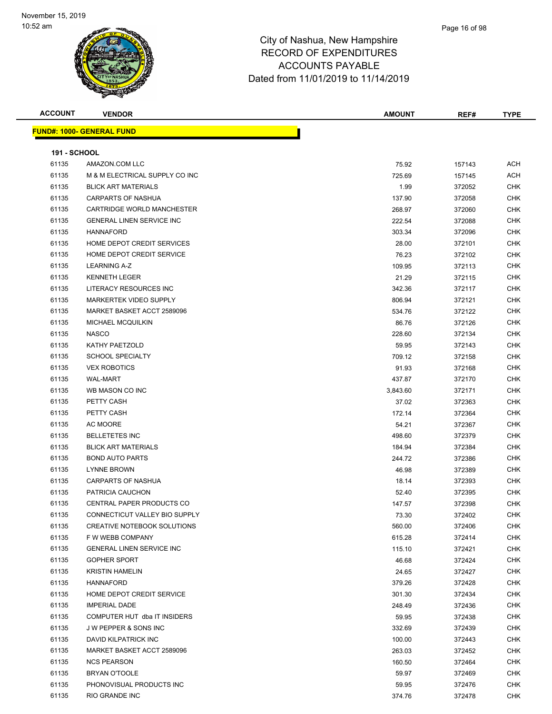| <b>ACCOUNT</b>      | <b>VENDOR</b>                     | <b>AMOUNT</b> | REF#   | <b>TYPE</b>              |
|---------------------|-----------------------------------|---------------|--------|--------------------------|
|                     | <u> FUND#: 1000- GENERAL FUND</u> |               |        |                          |
|                     |                                   |               |        |                          |
| <b>191 - SCHOOL</b> |                                   |               |        |                          |
| 61135               | AMAZON.COM LLC                    | 75.92         | 157143 | <b>ACH</b>               |
| 61135               | M & M ELECTRICAL SUPPLY CO INC    | 725.69        | 157145 | ACH                      |
| 61135               | <b>BLICK ART MATERIALS</b>        | 1.99          | 372052 | <b>CHK</b>               |
| 61135               | <b>CARPARTS OF NASHUA</b>         | 137.90        | 372058 | <b>CHK</b>               |
| 61135               | CARTRIDGE WORLD MANCHESTER        | 268.97        | 372060 | <b>CHK</b>               |
| 61135               | <b>GENERAL LINEN SERVICE INC</b>  | 222.54        | 372088 | <b>CHK</b>               |
| 61135               | <b>HANNAFORD</b>                  | 303.34        | 372096 | <b>CHK</b>               |
| 61135               | HOME DEPOT CREDIT SERVICES        | 28.00         | 372101 | <b>CHK</b>               |
| 61135               | HOME DEPOT CREDIT SERVICE         | 76.23         | 372102 | <b>CHK</b>               |
| 61135               | <b>LEARNING A-Z</b>               | 109.95        | 372113 | CHK                      |
| 61135               | <b>KENNETH LEGER</b>              | 21.29         | 372115 | <b>CHK</b>               |
| 61135               | LITERACY RESOURCES INC            | 342.36        | 372117 | <b>CHK</b>               |
| 61135               | MARKERTEK VIDEO SUPPLY            | 806.94        | 372121 | <b>CHK</b>               |
| 61135               | MARKET BASKET ACCT 2589096        | 534.76        | 372122 | <b>CHK</b>               |
| 61135               | <b>MICHAEL MCQUILKIN</b>          | 86.76         | 372126 | <b>CHK</b>               |
| 61135               | <b>NASCO</b>                      | 228.60        | 372134 | <b>CHK</b>               |
| 61135               | KATHY PAETZOLD                    | 59.95         | 372143 | <b>CHK</b>               |
| 61135               | <b>SCHOOL SPECIALTY</b>           | 709.12        | 372158 | <b>CHK</b>               |
| 61135               | <b>VEX ROBOTICS</b>               | 91.93         | 372168 | <b>CHK</b>               |
| 61135               | WAL-MART                          | 437.87        | 372170 | <b>CHK</b>               |
| 61135               | WB MASON CO INC                   |               |        | CHK                      |
| 61135               | PETTY CASH                        | 3,843.60      | 372171 |                          |
| 61135               |                                   | 37.02         | 372363 | <b>CHK</b><br><b>CHK</b> |
|                     | PETTY CASH                        | 172.14        | 372364 |                          |
| 61135               | AC MOORE                          | 54.21         | 372367 | <b>CHK</b>               |
| 61135               | <b>BELLETETES INC</b>             | 498.60        | 372379 | <b>CHK</b>               |
| 61135               | <b>BLICK ART MATERIALS</b>        | 184.94        | 372384 | <b>CHK</b>               |
| 61135               | <b>BOND AUTO PARTS</b>            | 244.72        | 372386 | <b>CHK</b>               |
| 61135               | <b>LYNNE BROWN</b>                | 46.98         | 372389 | <b>CHK</b>               |
| 61135               | <b>CARPARTS OF NASHUA</b>         | 18.14         | 372393 | <b>CHK</b>               |
| 61135               | PATRICIA CAUCHON                  | 52.40         | 372395 | <b>CHK</b>               |
| 61135               | CENTRAL PAPER PRODUCTS CO         | 147.57        | 372398 | <b>CHK</b>               |
| 61135               | CONNECTICUT VALLEY BIO SUPPLY     | 73.30         | 372402 | <b>CHK</b>               |
| 61135               | CREATIVE NOTEBOOK SOLUTIONS       | 560.00        | 372406 | <b>CHK</b>               |
| 61135               | F W WEBB COMPANY                  | 615.28        | 372414 | <b>CHK</b>               |
| 61135               | GENERAL LINEN SERVICE INC         | 115.10        | 372421 | <b>CHK</b>               |
| 61135               | <b>GOPHER SPORT</b>               | 46.68         | 372424 | <b>CHK</b>               |
| 61135               | <b>KRISTIN HAMELIN</b>            | 24.65         | 372427 | <b>CHK</b>               |
| 61135               | HANNAFORD                         | 379.26        | 372428 | <b>CHK</b>               |
| 61135               | HOME DEPOT CREDIT SERVICE         | 301.30        | 372434 | <b>CHK</b>               |
| 61135               | <b>IMPERIAL DADE</b>              | 248.49        | 372436 | <b>CHK</b>               |
| 61135               | COMPUTER HUT dba IT INSIDERS      | 59.95         | 372438 | <b>CHK</b>               |
| 61135               | J W PEPPER & SONS INC             | 332.69        | 372439 | <b>CHK</b>               |
| 61135               | DAVID KILPATRICK INC              | 100.00        | 372443 | <b>CHK</b>               |
| 61135               | MARKET BASKET ACCT 2589096        | 263.03        | 372452 | <b>CHK</b>               |
| 61135               | <b>NCS PEARSON</b>                | 160.50        | 372464 | <b>CHK</b>               |
| 61135               | BRYAN O'TOOLE                     | 59.97         | 372469 | <b>CHK</b>               |
| 61135               | PHONOVISUAL PRODUCTS INC          | 59.95         | 372476 | <b>CHK</b>               |
| 61135               | RIO GRANDE INC                    | 374.76        | 372478 | <b>CHK</b>               |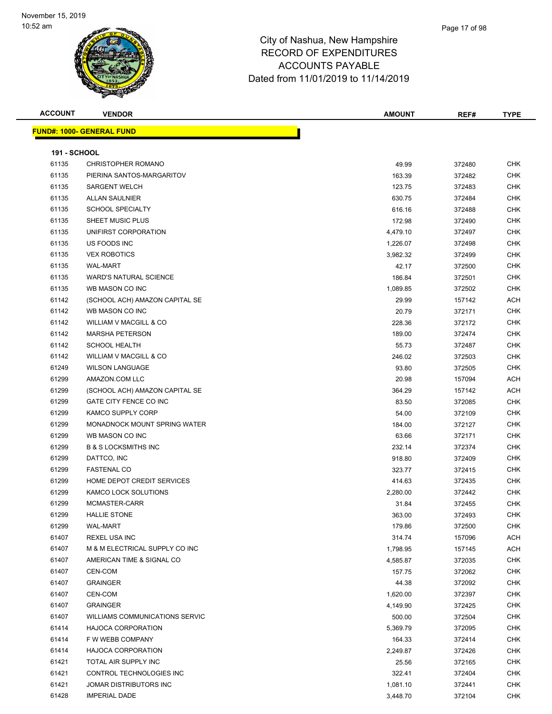| <b>ACCOUNT</b>      | <b>VENDOR</b>                         | <b>AMOUNT</b> | REF#   | <b>TYPE</b> |
|---------------------|---------------------------------------|---------------|--------|-------------|
|                     | <b>FUND#: 1000- GENERAL FUND</b>      |               |        |             |
|                     |                                       |               |        |             |
| <b>191 - SCHOOL</b> |                                       |               |        |             |
| 61135               | <b>CHRISTOPHER ROMANO</b>             | 49.99         | 372480 | <b>CHK</b>  |
| 61135               | PIERINA SANTOS-MARGARITOV             | 163.39        | 372482 | <b>CHK</b>  |
| 61135               | <b>SARGENT WELCH</b>                  | 123.75        | 372483 | <b>CHK</b>  |
| 61135               | <b>ALLAN SAULNIER</b>                 | 630.75        | 372484 | <b>CHK</b>  |
| 61135               | <b>SCHOOL SPECIALTY</b>               | 616.16        | 372488 | <b>CHK</b>  |
| 61135               | SHEET MUSIC PLUS                      | 172.98        | 372490 | <b>CHK</b>  |
| 61135               | UNIFIRST CORPORATION                  | 4,479.10      | 372497 | <b>CHK</b>  |
| 61135               | US FOODS INC                          | 1,226.07      | 372498 | <b>CHK</b>  |
| 61135               | <b>VEX ROBOTICS</b>                   | 3,982.32      | 372499 | <b>CHK</b>  |
| 61135               | <b>WAL-MART</b>                       | 42.17         | 372500 | <b>CHK</b>  |
| 61135               | <b>WARD'S NATURAL SCIENCE</b>         | 186.84        | 372501 | <b>CHK</b>  |
| 61135               | WB MASON CO INC                       | 1,089.85      | 372502 | <b>CHK</b>  |
| 61142               | (SCHOOL ACH) AMAZON CAPITAL SE        | 29.99         | 157142 | <b>ACH</b>  |
| 61142               | WB MASON CO INC                       | 20.79         | 372171 | <b>CHK</b>  |
| 61142               | <b>WILLIAM V MACGILL &amp; CO</b>     | 228.36        | 372172 | <b>CHK</b>  |
| 61142               | <b>MARSHA PETERSON</b>                | 189.00        | 372474 | <b>CHK</b>  |
| 61142               | <b>SCHOOL HEALTH</b>                  | 55.73         | 372487 | <b>CHK</b>  |
| 61142               | <b>WILLIAM V MACGILL &amp; CO</b>     | 246.02        | 372503 | <b>CHK</b>  |
| 61249               | <b>WILSON LANGUAGE</b>                | 93.80         | 372505 | <b>CHK</b>  |
| 61299               | AMAZON.COM LLC                        | 20.98         | 157094 | <b>ACH</b>  |
| 61299               | (SCHOOL ACH) AMAZON CAPITAL SE        | 364.29        | 157142 | ACH         |
| 61299               | GATE CITY FENCE CO INC                | 83.50         | 372085 | <b>CHK</b>  |
| 61299               | KAMCO SUPPLY CORP                     | 54.00         | 372109 | <b>CHK</b>  |
| 61299               | MONADNOCK MOUNT SPRING WATER          | 184.00        | 372127 | <b>CHK</b>  |
| 61299               | WB MASON CO INC                       | 63.66         | 372171 | <b>CHK</b>  |
| 61299               | <b>B &amp; S LOCKSMITHS INC</b>       | 232.14        | 372374 | <b>CHK</b>  |
| 61299               | DATTCO, INC                           | 918.80        | 372409 | <b>CHK</b>  |
| 61299               | <b>FASTENAL CO</b>                    | 323.77        | 372415 | <b>CHK</b>  |
| 61299               | HOME DEPOT CREDIT SERVICES            | 414.63        | 372435 | <b>CHK</b>  |
| 61299               | KAMCO LOCK SOLUTIONS                  | 2,280.00      | 372442 | <b>CHK</b>  |
| 61299               | MCMASTER-CARR                         | 31.84         | 372455 | <b>CHK</b>  |
| 61299               | HALLIE STONE                          | 363.00        | 372493 | <b>CHK</b>  |
| 61299               | <b>WAL-MART</b>                       | 179.86        | 372500 | <b>CHK</b>  |
| 61407               | <b>REXEL USA INC</b>                  | 314.74        | 157096 | <b>ACH</b>  |
| 61407               | M & M ELECTRICAL SUPPLY CO INC        | 1,798.95      | 157145 | ACH         |
| 61407               | AMERICAN TIME & SIGNAL CO             | 4,585.87      | 372035 | <b>CHK</b>  |
| 61407               | CEN-COM                               | 157.75        | 372062 | <b>CHK</b>  |
| 61407               | <b>GRAINGER</b>                       | 44.38         | 372092 | CHK         |
| 61407               | CEN-COM                               | 1,620.00      | 372397 | <b>CHK</b>  |
| 61407               | <b>GRAINGER</b>                       | 4,149.90      | 372425 | <b>CHK</b>  |
| 61407               | <b>WILLIAMS COMMUNICATIONS SERVIC</b> | 500.00        | 372504 | <b>CHK</b>  |
| 61414               | <b>HAJOCA CORPORATION</b>             | 5,369.79      | 372095 | <b>CHK</b>  |
| 61414               | F W WEBB COMPANY                      | 164.33        | 372414 | <b>CHK</b>  |
| 61414               | <b>HAJOCA CORPORATION</b>             | 2,249.87      | 372426 | <b>CHK</b>  |
| 61421               | TOTAL AIR SUPPLY INC                  | 25.56         | 372165 | <b>CHK</b>  |
| 61421               | CONTROL TECHNOLOGIES INC              | 322.41        | 372404 | CHK         |
| 61421               | JOMAR DISTRIBUTORS INC                | 1,081.10      | 372441 | CHK         |
| 61428               | <b>IMPERIAL DADE</b>                  | 3,448.70      | 372104 | <b>CHK</b>  |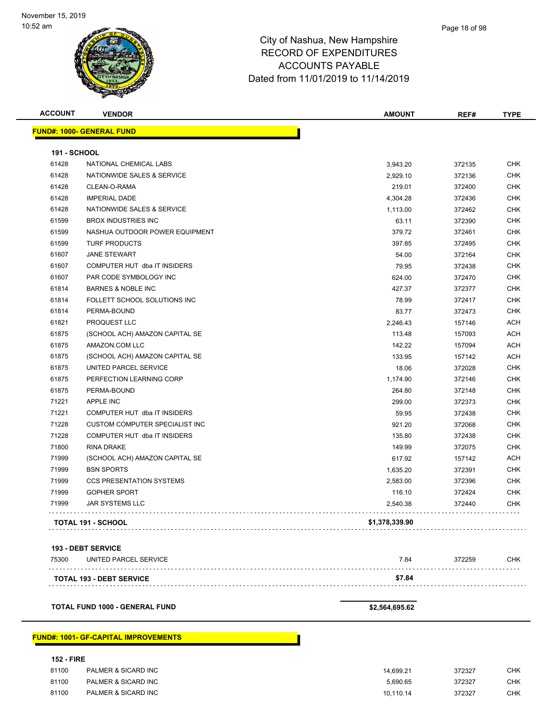| <b>191 - SCHOOL</b><br>61428<br>61428<br>61428<br>61428<br>61428 | <b>FUND#: 1000- GENERAL FUND</b><br>NATIONAL CHEMICAL LABS<br>NATIONWIDE SALES & SERVICE<br>CLEAN-O-RAMA<br><b>IMPERIAL DADE</b><br>NATIONWIDE SALES & SERVICE | 3,943.20<br>2,929.10<br>219.01<br>4,304.28 | 372135<br>372136 | <b>CHK</b> |
|------------------------------------------------------------------|----------------------------------------------------------------------------------------------------------------------------------------------------------------|--------------------------------------------|------------------|------------|
|                                                                  |                                                                                                                                                                |                                            |                  |            |
|                                                                  |                                                                                                                                                                |                                            |                  |            |
|                                                                  |                                                                                                                                                                |                                            |                  |            |
|                                                                  |                                                                                                                                                                |                                            |                  | <b>CHK</b> |
|                                                                  |                                                                                                                                                                |                                            | 372400           | <b>CHK</b> |
|                                                                  |                                                                                                                                                                |                                            | 372436           | <b>CHK</b> |
|                                                                  |                                                                                                                                                                | 1,113.00                                   | 372462           | CHK        |
| 61599                                                            | <b>BROX INDUSTRIES INC</b>                                                                                                                                     | 63.11                                      | 372390           | CHK        |
| 61599                                                            | NASHUA OUTDOOR POWER EQUIPMENT                                                                                                                                 | 379.72                                     | 372461           | <b>CHK</b> |
| 61599                                                            | <b>TURF PRODUCTS</b>                                                                                                                                           | 397.85                                     | 372495           | <b>CHK</b> |
| 61607                                                            | <b>JANE STEWART</b>                                                                                                                                            | 54.00                                      | 372164           | <b>CHK</b> |
| 61607                                                            | COMPUTER HUT dba IT INSIDERS                                                                                                                                   | 79.95                                      | 372438           | <b>CHK</b> |
| 61607                                                            | PAR CODE SYMBOLOGY INC                                                                                                                                         | 624.00                                     | 372470           | <b>CHK</b> |
| 61814                                                            | <b>BARNES &amp; NOBLE INC</b>                                                                                                                                  | 427.37                                     | 372377           | <b>CHK</b> |
| 61814                                                            | FOLLETT SCHOOL SOLUTIONS INC                                                                                                                                   | 78.99                                      | 372417           | <b>CHK</b> |
| 61814                                                            | PERMA-BOUND                                                                                                                                                    | 83.77                                      | 372473           | CHK        |
| 61821                                                            | PROQUEST LLC                                                                                                                                                   | 2,246.43                                   | 157146           | ACH        |
| 61875                                                            | (SCHOOL ACH) AMAZON CAPITAL SE                                                                                                                                 | 113.48                                     | 157093           | ACH        |
| 61875                                                            | AMAZON.COM LLC                                                                                                                                                 | 142.22                                     | 157094           | ACH        |
| 61875                                                            | (SCHOOL ACH) AMAZON CAPITAL SE                                                                                                                                 | 133.95                                     | 157142           | ACH        |
| 61875                                                            | UNITED PARCEL SERVICE                                                                                                                                          | 18.06                                      | 372028           | <b>CHK</b> |
| 61875                                                            | PERFECTION LEARNING CORP                                                                                                                                       | 1,174.90                                   | 372146           | <b>CHK</b> |
| 61875                                                            | PERMA-BOUND                                                                                                                                                    | 264.80                                     | 372148           | <b>CHK</b> |
| 71221                                                            | APPLE INC                                                                                                                                                      | 299.00                                     | 372373           | <b>CHK</b> |
| 71221                                                            | COMPUTER HUT dba IT INSIDERS                                                                                                                                   | 59.95                                      | 372438           | <b>CHK</b> |
| 71228                                                            | <b>CUSTOM COMPUTER SPECIALIST INC</b>                                                                                                                          | 921.20                                     | 372068           | <b>CHK</b> |
| 71228                                                            | COMPUTER HUT dba IT INSIDERS                                                                                                                                   | 135.80                                     | 372438           | CHK        |
| 71800                                                            | RINA DRAKE                                                                                                                                                     | 149.99                                     | 372075           | CHK        |
| 71999                                                            | (SCHOOL ACH) AMAZON CAPITAL SE                                                                                                                                 | 617.92                                     | 157142           | ACH        |
| 71999                                                            | <b>BSN SPORTS</b>                                                                                                                                              | 1,635.20                                   | 372391           | CHK        |
| 71999                                                            | <b>CCS PRESENTATION SYSTEMS</b>                                                                                                                                | 2,583.00                                   | 372396           | <b>CHK</b> |
| 71999                                                            | <b>GOPHER SPORT</b>                                                                                                                                            | 116.10                                     | 372424           | <b>CHK</b> |
| 71999                                                            | JAR SYSTEMS LLC                                                                                                                                                | 2,540.38                                   | 372440           | <b>CHK</b> |
|                                                                  | TOTAL 191 - SCHOOL                                                                                                                                             | \$1,378,339.90                             |                  |            |
|                                                                  | <b>193 - DEBT SERVICE</b>                                                                                                                                      |                                            |                  |            |
| 75300                                                            | UNITED PARCEL SERVICE                                                                                                                                          | 7.84                                       | 372259           | <b>CHK</b> |
|                                                                  | TOTAL 193 - DEBT SERVICE                                                                                                                                       | \$7.84                                     |                  |            |

**TOTAL FUND 1000 - GENERAL FUND \$2,564,695.62** 

### **FUND#: 1001- GF-CAPITAL IMPROVEMENTS**

### **152 - FIRE**

| 81100 | PALMER & SICARD INC | 14.699.21 | 372327 | снк |
|-------|---------------------|-----------|--------|-----|
| 81100 | PALMER & SICARD INC | 5.690.65  | 372327 | снк |
| 81100 | PALMER & SICARD INC | 10.110.14 | 372327 | СНК |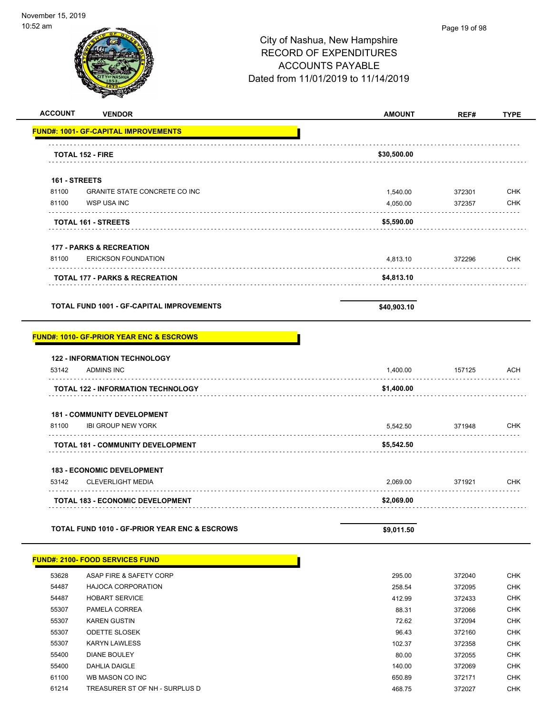—

| alli عن                                                                    | City of Nashua, New Hampshire<br><b>RECORD OF EXPENDITURES</b><br><b>ACCOUNTS PAYABLE</b><br>Dated from 11/01/2019 to 11/14/2019 | Page 19 of 98 |             |
|----------------------------------------------------------------------------|----------------------------------------------------------------------------------------------------------------------------------|---------------|-------------|
| <b>ACCOUNT</b><br><b>VENDOR</b>                                            | <b>AMOUNT</b>                                                                                                                    | REF#          | <b>TYPE</b> |
| <b>FUND#: 1001- GF-CAPITAL IMPROVEMENTS</b>                                |                                                                                                                                  |               |             |
| <b>TOTAL 152 - FIRE</b>                                                    | \$30,500.00                                                                                                                      |               |             |
| 161 - STREETS                                                              |                                                                                                                                  |               |             |
| 81100<br><b>GRANITE STATE CONCRETE CO INC</b>                              | 1,540.00                                                                                                                         | 372301        | <b>CHK</b>  |
| 81100<br>WSP USA INC                                                       | 4,050.00                                                                                                                         | 372357        | <b>CHK</b>  |
| TOTAL 161 - STREETS                                                        | \$5,590.00                                                                                                                       |               |             |
| <b>177 - PARKS &amp; RECREATION</b><br>81100<br><b>ERICKSON FOUNDATION</b> | 4,813.10                                                                                                                         | 372296        | <b>CHK</b>  |
| TOTAL 177 - PARKS & RECREATION                                             | \$4,813.10                                                                                                                       |               |             |
| <b>TOTAL FUND 1001 - GF-CAPITAL IMPROVEMENTS</b>                           | \$40,903.10                                                                                                                      |               |             |
| <b>FUND#: 1010- GF-PRIOR YEAR ENC &amp; ESCROWS</b>                        |                                                                                                                                  |               |             |
| <b>122 - INFORMATION TECHNOLOGY</b><br><b>ADMINS INC</b><br>53142          | 1,400.00                                                                                                                         | 157125        | ACH         |
| TOTAL 122 - INFORMATION TECHNOLOGY                                         | \$1,400.00                                                                                                                       |               |             |
| <b>181 - COMMUNITY DEVELOPMENT</b>                                         |                                                                                                                                  |               |             |
| 81100<br><b>IBI GROUP NEW YORK</b>                                         | 5,542.50                                                                                                                         | 371948        | <b>CHK</b>  |
| TOTAL 181 - COMMUNITY DEVELOPMENT                                          | \$5,542.50                                                                                                                       |               |             |
| <b>183 - ECONOMIC DEVELOPMENT</b>                                          |                                                                                                                                  |               |             |
| 53142<br><b>CLEVERLIGHT MEDIA</b>                                          | 2,069.00                                                                                                                         | 371921        | <b>CHK</b>  |
| <b>TOTAL 183 - ECONOMIC DEVELOPMENT</b>                                    | \$2,069.00                                                                                                                       |               |             |
|                                                                            |                                                                                                                                  |               |             |

|       | <b>FUND#: 2100- FOOD SERVICES FUND</b> |        |        |     |
|-------|----------------------------------------|--------|--------|-----|
| 53628 | ASAP FIRE & SAFETY CORP                | 295.00 | 372040 | CHK |
| 54487 | <b>HAJOCA CORPORATION</b>              | 258.54 | 372095 | CHK |
| 54487 | <b>HOBART SERVICE</b>                  | 412.99 | 372433 | CHK |
| 55307 | PAMELA CORREA                          | 88.31  | 372066 | CHK |
| 55307 | <b>KAREN GUSTIN</b>                    | 72.62  | 372094 | CHK |
| 55307 | <b>ODETTE SLOSEK</b>                   | 96.43  | 372160 | CHK |
| 55307 | <b>KARYN LAWLESS</b>                   | 102.37 | 372358 | CHK |
| 55400 | <b>DIANE BOULEY</b>                    | 80.00  | 372055 | CHK |
| 55400 | <b>DAHLIA DAIGLE</b>                   | 140.00 | 372069 | CHK |
| 61100 | WB MASON CO INC                        | 650.89 | 372171 | CHK |
| 61214 | TREASURER ST OF NH - SURPLUS D         | 468.75 | 372027 | CHK |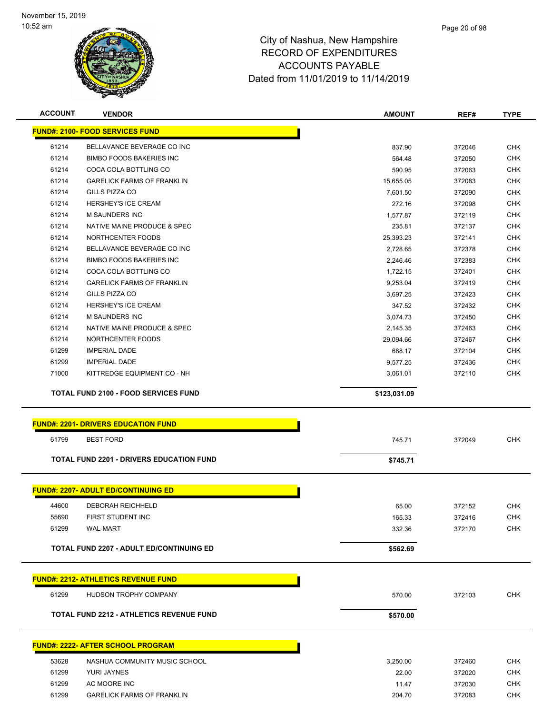

| <b>ACCOUNT</b> | <b>VENDOR</b>                                   | <b>AMOUNT</b>    | REF#             | <b>TYPE</b> |
|----------------|-------------------------------------------------|------------------|------------------|-------------|
|                | <b>FUND#: 2100- FOOD SERVICES FUND</b>          |                  |                  |             |
| 61214          | BELLAVANCE BEVERAGE CO INC                      | 837.90           | 372046           | <b>CHK</b>  |
| 61214          | <b>BIMBO FOODS BAKERIES INC</b>                 | 564.48           | 372050           | <b>CHK</b>  |
| 61214          | COCA COLA BOTTLING CO                           | 590.95           | 372063           | <b>CHK</b>  |
| 61214          | <b>GARELICK FARMS OF FRANKLIN</b>               | 15,655.05        | 372083           | <b>CHK</b>  |
| 61214          | GILLS PIZZA CO                                  | 7,601.50         | 372090           | <b>CHK</b>  |
| 61214          | HERSHEY'S ICE CREAM                             | 272.16           | 372098           | <b>CHK</b>  |
| 61214          | <b>M SAUNDERS INC</b>                           | 1,577.87         | 372119           | <b>CHK</b>  |
| 61214          | NATIVE MAINE PRODUCE & SPEC                     | 235.81           | 372137           | <b>CHK</b>  |
| 61214          | NORTHCENTER FOODS                               | 25,393.23        | 372141           | <b>CHK</b>  |
| 61214          | BELLAVANCE BEVERAGE CO INC                      | 2,728.65         | 372378           | <b>CHK</b>  |
| 61214          | <b>BIMBO FOODS BAKERIES INC</b>                 | 2,246.46         | 372383           | <b>CHK</b>  |
| 61214          | COCA COLA BOTTLING CO                           | 1,722.15         | 372401           | <b>CHK</b>  |
| 61214          | <b>GARELICK FARMS OF FRANKLIN</b>               | 9,253.04         | 372419           | <b>CHK</b>  |
| 61214          | GILLS PIZZA CO                                  | 3,697.25         | 372423           | <b>CHK</b>  |
| 61214          | <b>HERSHEY'S ICE CREAM</b>                      | 347.52           | 372432           | <b>CHK</b>  |
| 61214          | <b>M SAUNDERS INC</b>                           | 3,074.73         | 372450           | <b>CHK</b>  |
| 61214          | NATIVE MAINE PRODUCE & SPEC                     | 2,145.35         | 372463           | <b>CHK</b>  |
| 61214          | NORTHCENTER FOODS                               | 29,094.66        | 372467           | <b>CHK</b>  |
| 61299          | <b>IMPERIAL DADE</b>                            | 688.17           | 372104           | <b>CHK</b>  |
| 61299          | <b>IMPERIAL DADE</b>                            | 9,577.25         | 372436           | <b>CHK</b>  |
| 71000          | KITTREDGE EQUIPMENT CO - NH                     | 3,061.01         | 372110           | <b>CHK</b>  |
|                | <b>TOTAL FUND 2100 - FOOD SERVICES FUND</b>     | \$123,031.09     |                  |             |
|                |                                                 |                  |                  |             |
|                | <b>FUND#: 2201- DRIVERS EDUCATION FUND</b>      |                  |                  |             |
| 61799          | <b>BEST FORD</b>                                | 745.71           | 372049           | <b>CHK</b>  |
|                | <b>TOTAL FUND 2201 - DRIVERS EDUCATION FUND</b> | \$745.71         |                  |             |
|                |                                                 |                  |                  |             |
|                | <b>FUND#: 2207- ADULT ED/CONTINUING ED</b>      |                  |                  |             |
| 44600          | DEBORAH REICHHELD                               | 65.00            | 372152           | <b>CHK</b>  |
| 55690          | FIRST STUDENT INC                               |                  |                  | <b>CHK</b>  |
| 61299          | <b>WAL-MART</b>                                 | 165.33<br>332.36 | 372416<br>372170 | <b>CHK</b>  |
|                |                                                 |                  |                  |             |
|                | <b>TOTAL FUND 2207 - ADULT ED/CONTINUING ED</b> | \$562.69         |                  |             |
|                |                                                 |                  |                  |             |
|                | <u> FUND#: 2212- ATHLETICS REVENUE FUND</u>     |                  |                  |             |
| 61299          | HUDSON TROPHY COMPANY                           | 570.00           | 372103           | <b>CHK</b>  |
|                | <b>TOTAL FUND 2212 - ATHLETICS REVENUE FUND</b> | \$570.00         |                  |             |
|                |                                                 |                  |                  |             |
|                | FUND#: 2222- AFTER SCHOOL PROGRAM               |                  |                  |             |
| 53628          | NASHUA COMMUNITY MUSIC SCHOOL                   | 3,250.00         | 372460           | <b>CHK</b>  |
|                |                                                 |                  |                  |             |
| 61299          | YURI JAYNES                                     | 22.00            | 372020           | <b>CHK</b>  |
| 61299          | AC MOORE INC                                    | 11.47            | 372030           | <b>CHK</b>  |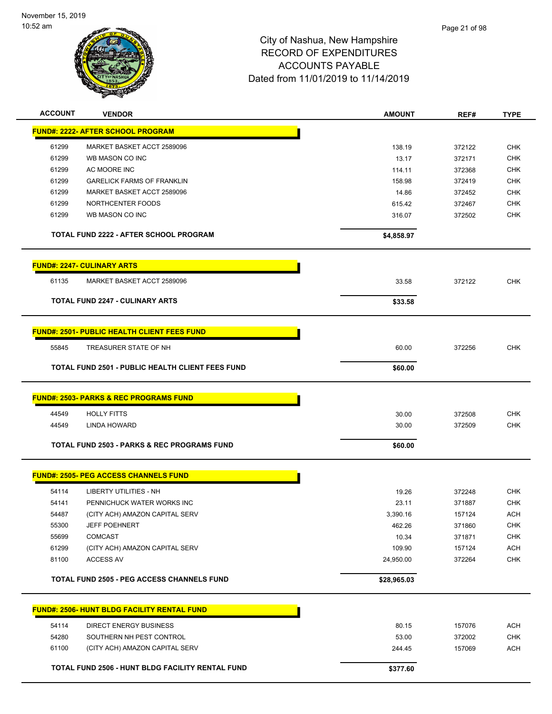

| <b>ACCOUNT</b> | <b>VENDOR</b>                                           | <b>AMOUNT</b> | REF#   | <b>TYPE</b> |
|----------------|---------------------------------------------------------|---------------|--------|-------------|
|                | <b>FUND#: 2222- AFTER SCHOOL PROGRAM</b>                |               |        |             |
| 61299          | MARKET BASKET ACCT 2589096                              | 138.19        | 372122 | <b>CHK</b>  |
| 61299          | WB MASON CO INC                                         | 13.17         | 372171 | <b>CHK</b>  |
| 61299          | AC MOORE INC                                            | 114.11        | 372368 | <b>CHK</b>  |
| 61299          | <b>GARELICK FARMS OF FRANKLIN</b>                       | 158.98        | 372419 | <b>CHK</b>  |
| 61299          | MARKET BASKET ACCT 2589096                              | 14.86         | 372452 | CHK         |
| 61299          | NORTHCENTER FOODS                                       | 615.42        | 372467 | <b>CHK</b>  |
| 61299          | WB MASON CO INC                                         | 316.07        | 372502 | <b>CHK</b>  |
|                | <b>TOTAL FUND 2222 - AFTER SCHOOL PROGRAM</b>           | \$4,858.97    |        |             |
|                | <b>FUND#: 2247- CULINARY ARTS</b>                       |               |        |             |
| 61135          | MARKET BASKET ACCT 2589096                              | 33.58         | 372122 | <b>CHK</b>  |
|                | <b>TOTAL FUND 2247 - CULINARY ARTS</b>                  | \$33.58       |        |             |
|                | <b>FUND#: 2501- PUBLIC HEALTH CLIENT FEES FUND</b>      |               |        |             |
|                |                                                         |               |        |             |
| 55845          | TREASURER STATE OF NH                                   | 60.00         | 372256 | <b>CHK</b>  |
|                | <b>TOTAL FUND 2501 - PUBLIC HEALTH CLIENT FEES FUND</b> | \$60.00       |        |             |
|                | <u> FUND#: 2503- PARKS &amp; REC PROGRAMS FUND</u>      |               |        |             |
| 44549          | <b>HOLLY FITTS</b>                                      | 30.00         | 372508 | <b>CHK</b>  |
| 44549          | LINDA HOWARD                                            | 30.00         | 372509 | <b>CHK</b>  |
|                | <b>TOTAL FUND 2503 - PARKS &amp; REC PROGRAMS FUND</b>  | \$60.00       |        |             |
|                | <b>FUND#: 2505- PEG ACCESS CHANNELS FUND</b>            |               |        |             |
| 54114          | LIBERTY UTILITIES - NH                                  | 19.26         | 372248 | <b>CHK</b>  |
| 54141          | PENNICHUCK WATER WORKS INC                              | 23.11         | 371887 | <b>CHK</b>  |
| 54487          | (CITY ACH) AMAZON CAPITAL SERV                          | 3,390.16      | 157124 | <b>ACH</b>  |
| 55300          | <b>JEFF POEHNERT</b>                                    | 462.26        | 371860 | <b>CHK</b>  |
| 55699          | <b>COMCAST</b>                                          | 10.34         | 371871 | <b>CHK</b>  |
| 61299          | (CITY ACH) AMAZON CAPITAL SERV                          | 109.90        | 157124 | <b>ACH</b>  |
| 81100          | <b>ACCESS AV</b>                                        | 24,950.00     | 372264 | CHK         |
|                | <b>TOTAL FUND 2505 - PEG ACCESS CHANNELS FUND</b>       | \$28,965.03   |        |             |
|                | FUND#: 2506- HUNT BLDG FACILITY RENTAL FUND             |               |        |             |
| 54114          | <b>DIRECT ENERGY BUSINESS</b>                           | 80.15         | 157076 | <b>ACH</b>  |
| 54280          | SOUTHERN NH PEST CONTROL                                | 53.00         | 372002 | CHK         |
| 61100          | (CITY ACH) AMAZON CAPITAL SERV                          | 244.45        | 157069 | ACH         |
|                | TOTAL FUND 2506 - HUNT BLDG FACILITY RENTAL FUND        | \$377.60      |        |             |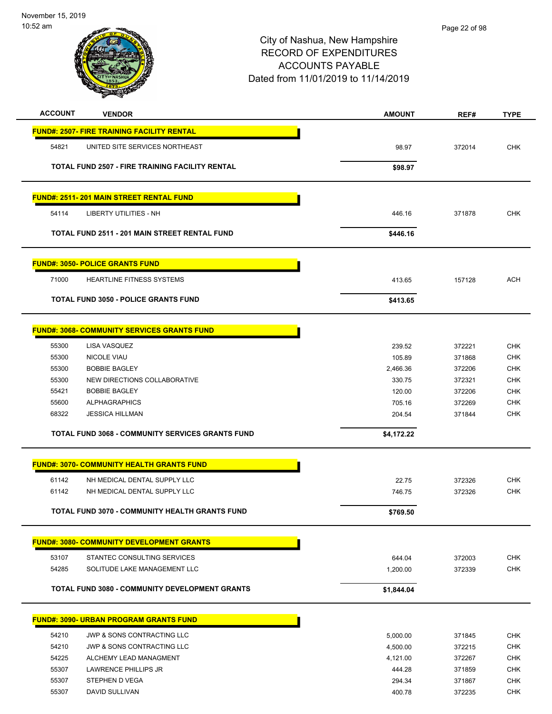

| <b>ACCOUNT</b> | <b>VENDOR</b>                                           | <b>AMOUNT</b> | REF#   | <b>TYPE</b> |
|----------------|---------------------------------------------------------|---------------|--------|-------------|
|                | <u> FUND#: 2507- FIRE TRAINING FACILITY RENTAL</u>      |               |        |             |
| 54821          | UNITED SITE SERVICES NORTHEAST                          | 98.97         | 372014 | <b>CHK</b>  |
|                |                                                         |               |        |             |
|                | TOTAL FUND 2507 - FIRE TRAINING FACILITY RENTAL         | \$98.97       |        |             |
|                | <b>FUND#: 2511-201 MAIN STREET RENTAL FUND</b>          |               |        |             |
| 54114          | LIBERTY UTILITIES - NH                                  | 446.16        | 371878 | <b>CHK</b>  |
|                | <b>TOTAL FUND 2511 - 201 MAIN STREET RENTAL FUND</b>    | \$446.16      |        |             |
|                | <u> FUND#: 3050- POLICE GRANTS FUND</u>                 |               |        |             |
| 71000          | <b>HEARTLINE FITNESS SYSTEMS</b>                        | 413.65        | 157128 | <b>ACH</b>  |
|                | <b>TOTAL FUND 3050 - POLICE GRANTS FUND</b>             | \$413.65      |        |             |
|                | <u> FUND#: 3068- COMMUNITY SERVICES GRANTS FUND</u>     |               |        |             |
| 55300          | LISA VASQUEZ                                            | 239.52        | 372221 | <b>CHK</b>  |
| 55300          | NICOLE VIAU                                             | 105.89        | 371868 | <b>CHK</b>  |
| 55300          | <b>BOBBIE BAGLEY</b>                                    | 2,466.36      | 372206 | <b>CHK</b>  |
| 55300          | NEW DIRECTIONS COLLABORATIVE                            | 330.75        | 372321 | <b>CHK</b>  |
| 55421          | <b>BOBBIE BAGLEY</b>                                    | 120.00        | 372206 | <b>CHK</b>  |
| 55600          | <b>ALPHAGRAPHICS</b>                                    | 705.16        | 372269 | <b>CHK</b>  |
| 68322          | <b>JESSICA HILLMAN</b>                                  | 204.54        | 371844 | <b>CHK</b>  |
|                | <b>TOTAL FUND 3068 - COMMUNITY SERVICES GRANTS FUND</b> | \$4,172.22    |        |             |
|                | <u> FUND#: 3070- COMMUNITY HEALTH GRANTS FUND</u>       |               |        |             |
| 61142          | NH MEDICAL DENTAL SUPPLY LLC                            | 22.75         | 372326 | <b>CHK</b>  |
| 61142          | NH MEDICAL DENTAL SUPPLY LLC                            | 746.75        | 372326 | <b>CHK</b>  |
|                | TOTAL FUND 3070 - COMMUNITY HEALTH GRANTS FUND          | \$769.50      |        |             |
|                |                                                         |               |        |             |
|                | <b>FUND#: 3080- COMMUNITY DEVELOPMENT GRANTS</b>        |               |        |             |
| 53107          | STANTEC CONSULTING SERVICES                             | 644.04        | 372003 | <b>CHK</b>  |
| 54285          | SOLITUDE LAKE MANAGEMENT LLC                            | 1,200.00      | 372339 | CHK         |
|                | <b>TOTAL FUND 3080 - COMMUNITY DEVELOPMENT GRANTS</b>   | \$1,844.04    |        |             |
|                | <b>FUND#: 3090- URBAN PROGRAM GRANTS FUND</b>           |               |        |             |
| 54210          | JWP & SONS CONTRACTING LLC                              | 5,000.00      | 371845 | <b>CHK</b>  |
| 54210          | JWP & SONS CONTRACTING LLC                              | 4,500.00      | 372215 | CHK         |
| 54225          | ALCHEMY LEAD MANAGMENT                                  | 4,121.00      | 372267 | <b>CHK</b>  |
| 55307          | LAWRENCE PHILLIPS JR                                    | 444.28        | 371859 | <b>CHK</b>  |
| 55307          | STEPHEN D VEGA                                          | 294.34        | 371867 | <b>CHK</b>  |
| 55307          | DAVID SULLIVAN                                          | 400.78        | 372235 | <b>CHK</b>  |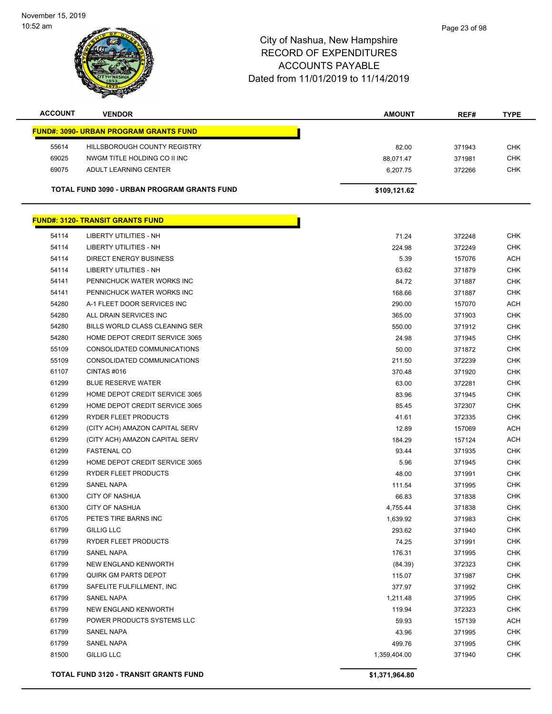November 15, 2019 10:52 am

### City of Nashua, New Hampshire RECORD OF EXPENDITURES ACCOUNTS PAYABLE Dated from 11/01/2019 to 11/14/2019

| <b>ACCOUNT</b> | <b>VENDOR</b>                                      | <b>AMOUNT</b> | REF#   | <b>TYPE</b> |
|----------------|----------------------------------------------------|---------------|--------|-------------|
|                | <b>FUND#: 3090- URBAN PROGRAM GRANTS FUND</b>      |               |        |             |
| 55614          | <b>HILLSBOROUGH COUNTY REGISTRY</b>                | 82.00         | 371943 | <b>CHK</b>  |
| 69025          | NWGM TITLE HOLDING CO II INC                       | 88,071.47     | 371981 | <b>CHK</b>  |
| 69075          | ADULT LEARNING CENTER                              | 6,207.75      | 372266 | <b>CHK</b>  |
|                | <b>TOTAL FUND 3090 - URBAN PROGRAM GRANTS FUND</b> | \$109,121.62  |        |             |
|                | <b>FUND#: 3120- TRANSIT GRANTS FUND</b>            |               |        |             |
| 54114          | LIBERTY UTILITIES - NH                             | 71.24         | 372248 | <b>CHK</b>  |
| 54114          | LIBERTY UTILITIES - NH                             | 224.98        | 372249 | <b>CHK</b>  |
| 54114          | <b>DIRECT ENERGY BUSINESS</b>                      | 5.39          | 157076 | <b>ACH</b>  |
| <b>54114</b>   | I IREDTV I ITII ITIES NH                           | co co         | 271070 | <b>CHIL</b> |

|       |                                | ັບ.ບ∪        | ,,,,,, | $\cdots$   |
|-------|--------------------------------|--------------|--------|------------|
| 54114 | LIBERTY UTILITIES - NH         | 63.62        | 371879 | <b>CHK</b> |
| 54141 | PENNICHUCK WATER WORKS INC     | 84.72        | 371887 | CHK        |
| 54141 | PENNICHUCK WATER WORKS INC     | 168.66       | 371887 | <b>CHK</b> |
| 54280 | A-1 FLEET DOOR SERVICES INC    | 290.00       | 157070 | ACH        |
| 54280 | ALL DRAIN SERVICES INC         | 365.00       | 371903 | <b>CHK</b> |
| 54280 | BILLS WORLD CLASS CLEANING SER | 550.00       | 371912 | <b>CHK</b> |
| 54280 | HOME DEPOT CREDIT SERVICE 3065 | 24.98        | 371945 | <b>CHK</b> |
| 55109 | CONSOLIDATED COMMUNICATIONS    | 50.00        | 371872 | <b>CHK</b> |
| 55109 | CONSOLIDATED COMMUNICATIONS    | 211.50       | 372239 | <b>CHK</b> |
| 61107 | CINTAS #016                    | 370.48       | 371920 | CHK        |
| 61299 | <b>BLUE RESERVE WATER</b>      | 63.00        | 372281 | <b>CHK</b> |
| 61299 | HOME DEPOT CREDIT SERVICE 3065 | 83.96        | 371945 | <b>CHK</b> |
| 61299 | HOME DEPOT CREDIT SERVICE 3065 | 85.45        | 372307 | <b>CHK</b> |
| 61299 | RYDER FLEET PRODUCTS           | 41.61        | 372335 | <b>CHK</b> |
| 61299 | (CITY ACH) AMAZON CAPITAL SERV | 12.89        | 157069 | ACH        |
| 61299 | (CITY ACH) AMAZON CAPITAL SERV | 184.29       | 157124 | ACH        |
| 61299 | <b>FASTENAL CO</b>             | 93.44        | 371935 | <b>CHK</b> |
| 61299 | HOME DEPOT CREDIT SERVICE 3065 | 5.96         | 371945 | <b>CHK</b> |
| 61299 | RYDER FLEET PRODUCTS           | 48.00        | 371991 | <b>CHK</b> |
| 61299 | <b>SANEL NAPA</b>              | 111.54       | 371995 | <b>CHK</b> |
| 61300 | <b>CITY OF NASHUA</b>          | 66.83        | 371838 | <b>CHK</b> |
| 61300 | <b>CITY OF NASHUA</b>          | 4,755.44     | 371838 | <b>CHK</b> |
| 61705 | PETE'S TIRE BARNS INC          | 1,639.92     | 371983 | <b>CHK</b> |
| 61799 | <b>GILLIG LLC</b>              | 293.62       | 371940 | <b>CHK</b> |
| 61799 | RYDER FLEET PRODUCTS           | 74.25        | 371991 | <b>CHK</b> |
| 61799 | <b>SANEL NAPA</b>              | 176.31       | 371995 | <b>CHK</b> |
| 61799 | NEW ENGLAND KENWORTH           | (84.39)      | 372323 | <b>CHK</b> |
| 61799 | <b>QUIRK GM PARTS DEPOT</b>    | 115.07       | 371987 | <b>CHK</b> |
| 61799 | SAFELITE FULFILLMENT, INC      | 377.97       | 371992 | <b>CHK</b> |
| 61799 | <b>SANEL NAPA</b>              | 1,211.48     | 371995 | <b>CHK</b> |
| 61799 | NEW ENGLAND KENWORTH           | 119.94       | 372323 | <b>CHK</b> |
| 61799 | POWER PRODUCTS SYSTEMS LLC     | 59.93        | 157139 | <b>ACH</b> |
| 61799 | SANEL NAPA                     | 43.96        | 371995 | <b>CHK</b> |
| 61799 | <b>SANEL NAPA</b>              | 499.76       | 371995 | <b>CHK</b> |
| 81500 | <b>GILLIG LLC</b>              | 1,359,404.00 | 371940 | <b>CHK</b> |

**TOTAL FUND 3120 - TRANSIT GRANTS FUND \$1,371,964.80**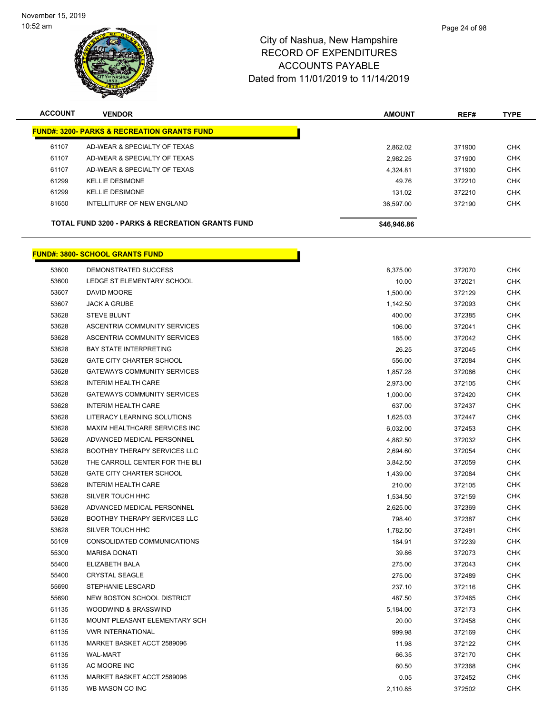

**FUND#: 3800- SCHOOL GRANTS FUND**

## City of Nashua, New Hampshire RECORD OF EXPENDITURES ACCOUNTS PAYABLE Dated from 11/01/2019 to 11/14/2019

| <b>ACCOUNT</b> | <b>VENDOR</b>                                               | <b>AMOUNT</b> | REF#   | <b>TYPE</b> |
|----------------|-------------------------------------------------------------|---------------|--------|-------------|
|                | <b>FUND#: 3200- PARKS &amp; RECREATION GRANTS FUND</b>      |               |        |             |
| 61107          | AD-WEAR & SPECIALTY OF TEXAS                                | 2.862.02      | 371900 | <b>CHK</b>  |
| 61107          | AD-WEAR & SPECIALTY OF TEXAS                                | 2,982.25      | 371900 | <b>CHK</b>  |
| 61107          | AD-WEAR & SPECIALTY OF TEXAS                                | 4.324.81      | 371900 | <b>CHK</b>  |
| 61299          | <b>KELLIE DESIMONE</b>                                      | 49.76         | 372210 | <b>CHK</b>  |
| 61299          | <b>KELLIE DESIMONE</b>                                      | 131.02        | 372210 | <b>CHK</b>  |
| 81650          | INTELLITURF OF NEW ENGLAND                                  | 36.597.00     | 372190 | <b>CHK</b>  |
|                | <b>TOTAL FUND 3200 - PARKS &amp; RECREATION GRANTS FUND</b> | \$46,946.86   |        |             |
|                |                                                             |               |        |             |

h

| 53600 | DEMONSTRATED SUCCESS                | 8,375.00 | 372070 | <b>CHK</b> |
|-------|-------------------------------------|----------|--------|------------|
| 53600 | LEDGE ST ELEMENTARY SCHOOL          | 10.00    | 372021 | <b>CHK</b> |
| 53607 | DAVID MOORE                         | 1,500.00 | 372129 | <b>CHK</b> |
| 53607 | <b>JACK A GRUBE</b>                 | 1,142.50 | 372093 | <b>CHK</b> |
| 53628 | <b>STEVE BLUNT</b>                  | 400.00   | 372385 | <b>CHK</b> |
| 53628 | ASCENTRIA COMMUNITY SERVICES        | 106.00   | 372041 | <b>CHK</b> |
| 53628 | ASCENTRIA COMMUNITY SERVICES        | 185.00   | 372042 | <b>CHK</b> |
| 53628 | <b>BAY STATE INTERPRETING</b>       | 26.25    | 372045 | <b>CHK</b> |
| 53628 | <b>GATE CITY CHARTER SCHOOL</b>     | 556.00   | 372084 | <b>CHK</b> |
| 53628 | <b>GATEWAYS COMMUNITY SERVICES</b>  | 1,857.28 | 372086 | <b>CHK</b> |
| 53628 | <b>INTERIM HEALTH CARE</b>          | 2,973.00 | 372105 | <b>CHK</b> |
| 53628 | <b>GATEWAYS COMMUNITY SERVICES</b>  | 1,000.00 | 372420 | <b>CHK</b> |
| 53628 | <b>INTERIM HEALTH CARE</b>          | 637.00   | 372437 | <b>CHK</b> |
| 53628 | LITERACY LEARNING SOLUTIONS         | 1,625.03 | 372447 | <b>CHK</b> |
| 53628 | MAXIM HEALTHCARE SERVICES INC       | 6,032.00 | 372453 | <b>CHK</b> |
| 53628 | ADVANCED MEDICAL PERSONNEL          | 4,882.50 | 372032 | <b>CHK</b> |
| 53628 | BOOTHBY THERAPY SERVICES LLC        | 2,694.60 | 372054 | <b>CHK</b> |
| 53628 | THE CARROLL CENTER FOR THE BLI      | 3,842.50 | 372059 | <b>CHK</b> |
| 53628 | <b>GATE CITY CHARTER SCHOOL</b>     | 1,439.00 | 372084 | <b>CHK</b> |
| 53628 | <b>INTERIM HEALTH CARE</b>          | 210.00   | 372105 | <b>CHK</b> |
| 53628 | SILVER TOUCH HHC                    | 1,534.50 | 372159 | <b>CHK</b> |
| 53628 | ADVANCED MEDICAL PERSONNEL          | 2,625.00 | 372369 | <b>CHK</b> |
| 53628 | <b>BOOTHBY THERAPY SERVICES LLC</b> | 798.40   | 372387 | <b>CHK</b> |
| 53628 | SILVER TOUCH HHC                    | 1,782.50 | 372491 | <b>CHK</b> |
| 55109 | CONSOLIDATED COMMUNICATIONS         | 184.91   | 372239 | <b>CHK</b> |
| 55300 | <b>MARISA DONATI</b>                | 39.86    | 372073 | <b>CHK</b> |
| 55400 | <b>ELIZABETH BALA</b>               | 275.00   | 372043 | <b>CHK</b> |
| 55400 | <b>CRYSTAL SEAGLE</b>               | 275.00   | 372489 | <b>CHK</b> |
| 55690 | <b>STEPHANIE LESCARD</b>            | 237.10   | 372116 | <b>CHK</b> |
| 55690 | NEW BOSTON SCHOOL DISTRICT          | 487.50   | 372465 | <b>CHK</b> |
| 61135 | WOODWIND & BRASSWIND                | 5,184.00 | 372173 | <b>CHK</b> |
| 61135 | MOUNT PLEASANT ELEMENTARY SCH       | 20.00    | 372458 | <b>CHK</b> |
| 61135 | <b>VWR INTERNATIONAL</b>            | 999.98   | 372169 | <b>CHK</b> |
| 61135 | MARKET BASKET ACCT 2589096          | 11.98    | 372122 | <b>CHK</b> |
| 61135 | <b>WAL-MART</b>                     | 66.35    | 372170 | <b>CHK</b> |
| 61135 | AC MOORE INC                        | 60.50    | 372368 | <b>CHK</b> |
| 61135 | MARKET BASKET ACCT 2589096          | 0.05     | 372452 | <b>CHK</b> |
| 61135 | WB MASON CO INC                     | 2,110.85 | 372502 | <b>CHK</b> |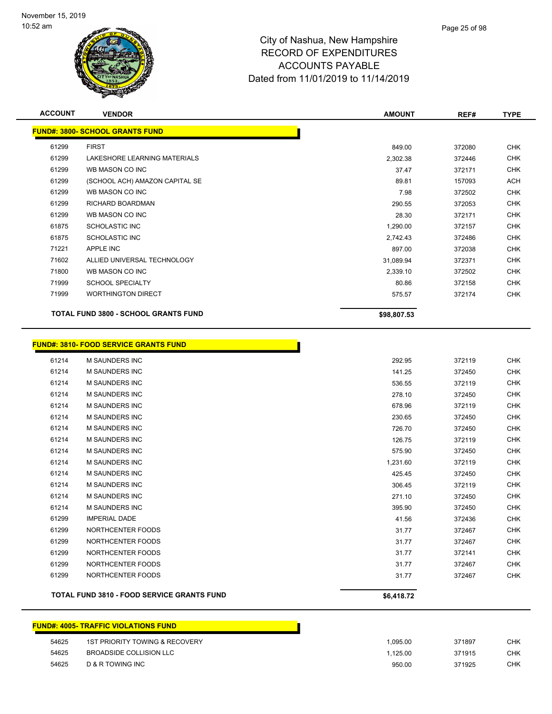

| <b>ACCOUNT</b> | <b>VENDOR</b>                               | <b>AMOUNT</b> | REF#   | <b>TYPE</b> |
|----------------|---------------------------------------------|---------------|--------|-------------|
|                | <b>FUND#: 3800- SCHOOL GRANTS FUND</b>      |               |        |             |
| 61299          | <b>FIRST</b>                                | 849.00        | 372080 | <b>CHK</b>  |
| 61299          | LAKESHORE LEARNING MATERIALS                | 2,302.38      | 372446 | <b>CHK</b>  |
| 61299          | WB MASON CO INC                             | 37.47         | 372171 | <b>CHK</b>  |
| 61299          | (SCHOOL ACH) AMAZON CAPITAL SE              | 89.81         | 157093 | <b>ACH</b>  |
| 61299          | WB MASON CO INC                             | 7.98          | 372502 | <b>CHK</b>  |
| 61299          | <b>RICHARD BOARDMAN</b>                     | 290.55        | 372053 | <b>CHK</b>  |
| 61299          | WB MASON CO INC                             | 28.30         | 372171 | <b>CHK</b>  |
| 61875          | <b>SCHOLASTIC INC</b>                       | 1,290.00      | 372157 | <b>CHK</b>  |
| 61875          | <b>SCHOLASTIC INC</b>                       | 2,742.43      | 372486 | <b>CHK</b>  |
| 71221          | APPLE INC                                   | 897.00        | 372038 | <b>CHK</b>  |
| 71602          | ALLIED UNIVERSAL TECHNOLOGY                 | 31,089.94     | 372371 | <b>CHK</b>  |
| 71800          | WB MASON CO INC                             | 2,339.10      | 372502 | <b>CHK</b>  |
| 71999          | <b>SCHOOL SPECIALTY</b>                     | 80.86         | 372158 | CHK         |
| 71999          | <b>WORTHINGTON DIRECT</b>                   | 575.57        | 372174 | <b>CHK</b>  |
|                | <b>TOTAL FUND 3800 - SCHOOL GRANTS FUND</b> | \$98,807.53   |        |             |

# **FUND#: 3810- FOOD SERVICE GRANTS FUND**

|       | <b>TOTAL FUND 3810 - FOOD SERVICE GRANTS FUND</b> | \$6,418.72 |        |            |
|-------|---------------------------------------------------|------------|--------|------------|
|       |                                                   |            |        |            |
| 61299 | NORTHCENTER FOODS                                 | 31.77      | 372467 | <b>CHK</b> |
| 61299 | NORTHCENTER FOODS                                 | 31.77      | 372467 | <b>CHK</b> |
| 61299 | NORTHCENTER FOODS                                 | 31.77      | 372141 | <b>CHK</b> |
| 61299 | NORTHCENTER FOODS                                 | 31.77      | 372467 | <b>CHK</b> |
| 61299 | NORTHCENTER FOODS                                 | 31.77      | 372467 | <b>CHK</b> |
| 61299 | <b>IMPERIAL DADE</b>                              | 41.56      | 372436 | <b>CHK</b> |
| 61214 | <b>M SAUNDERS INC</b>                             | 395.90     | 372450 | <b>CHK</b> |
| 61214 | <b>M SAUNDERS INC</b>                             | 271.10     | 372450 | <b>CHK</b> |
| 61214 | <b>M SAUNDERS INC</b>                             | 306.45     | 372119 | <b>CHK</b> |
| 61214 | <b>M SAUNDERS INC</b>                             | 425.45     | 372450 | <b>CHK</b> |
| 61214 | <b>M SAUNDERS INC</b>                             | 1,231.60   | 372119 | <b>CHK</b> |
| 61214 | <b>M SAUNDERS INC</b>                             | 575.90     | 372450 | <b>CHK</b> |
| 61214 | <b>M SAUNDERS INC</b>                             | 126.75     | 372119 | <b>CHK</b> |
| 61214 | <b>M SAUNDERS INC</b>                             | 726.70     | 372450 | <b>CHK</b> |
| 61214 | <b>M SAUNDERS INC</b>                             | 230.65     | 372450 | <b>CHK</b> |
| 61214 | <b>M SAUNDERS INC</b>                             | 678.96     | 372119 | <b>CHK</b> |
| 61214 | <b>M SAUNDERS INC</b>                             | 278.10     | 372450 | <b>CHK</b> |
| 61214 | <b>M SAUNDERS INC</b>                             | 536.55     | 372119 | <b>CHK</b> |
| 61214 | <b>M SAUNDERS INC</b>                             | 141.25     | 372450 | <b>CHK</b> |
| 61214 | <b>M SAUNDERS INC</b>                             | 292.95     | 372119 | <b>CHK</b> |

Г

### **FUND#: 4005- TRAFFIC VIOLATIONS FUND**

| 54625 | 1ST PRIORITY TOWING & RECOVERY | .095.00 | 371897 | СНК |
|-------|--------------------------------|---------|--------|-----|
| 54625 | BROADSIDE COLLISION LLC        | .125.00 | 371915 | СНК |
| 54625 | D & R TOWING INC               | 950.00  | 371925 | СНК |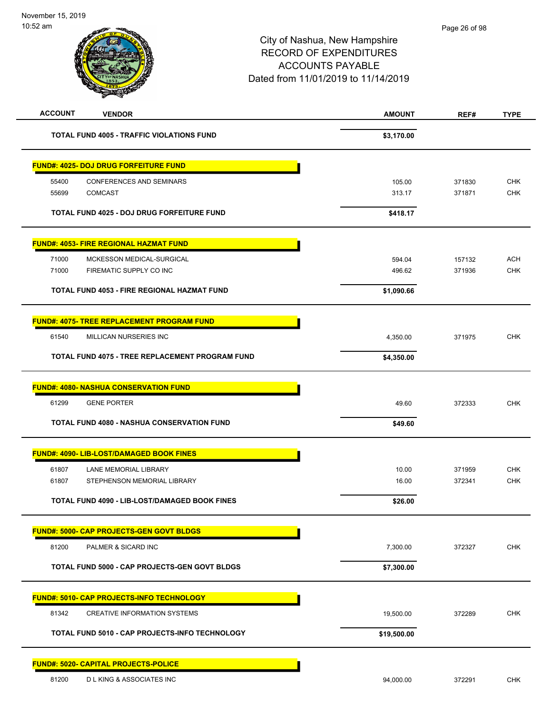| <b>ACCOUNT</b><br><b>VENDOR</b>                      | <b>AMOUNT</b> | REF#   | <b>TYPE</b> |
|------------------------------------------------------|---------------|--------|-------------|
| <b>TOTAL FUND 4005 - TRAFFIC VIOLATIONS FUND</b>     | \$3,170.00    |        |             |
| <u> FUND#: 4025- DOJ DRUG FORFEITURE FUND</u>        |               |        |             |
| <b>CONFERENCES AND SEMINARS</b><br>55400             | 105.00        | 371830 | <b>CHK</b>  |
| 55699<br><b>COMCAST</b>                              | 313.17        | 371871 | <b>CHK</b>  |
| TOTAL FUND 4025 - DOJ DRUG FORFEITURE FUND           | \$418.17      |        |             |
| <u> FUND#: 4053- FIRE REGIONAL HAZMAT FUND</u>       |               |        |             |
| 71000<br>MCKESSON MEDICAL-SURGICAL                   | 594.04        | 157132 | <b>ACH</b>  |
| 71000<br>FIREMATIC SUPPLY CO INC                     | 496.62        | 371936 | <b>CHK</b>  |
| TOTAL FUND 4053 - FIRE REGIONAL HAZMAT FUND          | \$1,090.66    |        |             |
| <b>FUND#: 4075- TREE REPLACEMENT PROGRAM FUND</b>    |               |        |             |
| 61540<br>MILLICAN NURSERIES INC                      | 4,350.00      | 371975 | <b>CHK</b>  |
| TOTAL FUND 4075 - TREE REPLACEMENT PROGRAM FUND      | \$4,350.00    |        |             |
| <u> FUND#: 4080- NASHUA CONSERVATION FUND</u>        |               |        |             |
| 61299<br><b>GENE PORTER</b>                          | 49.60         | 372333 | <b>CHK</b>  |
| TOTAL FUND 4080 - NASHUA CONSERVATION FUND           | \$49.60       |        |             |
| FUND#: 4090- LIB-LOST/DAMAGED BOOK FINES             |               |        |             |
| 61807<br>LANE MEMORIAL LIBRARY                       | 10.00         | 371959 | <b>CHK</b>  |
| STEPHENSON MEMORIAL LIBRARY<br>61807                 | 16.00         | 372341 | <b>CHK</b>  |
| <b>TOTAL FUND 4090 - LIB-LOST/DAMAGED BOOK FINES</b> | \$26.00       |        |             |
| <u> FUND#: 5000- CAP PROJECTS-GEN GOVT BLDGS</u>     |               |        |             |
| 81200<br>PALMER & SICARD INC                         | 7,300.00      | 372327 | <b>CHK</b>  |
| <b>TOTAL FUND 5000 - CAP PROJECTS-GEN GOVT BLDGS</b> | \$7,300.00    |        |             |
| <u> FUND#: 5010- CAP PROJECTS-INFO TECHNOLOGY</u>    |               |        |             |
| 81342<br>CREATIVE INFORMATION SYSTEMS                | 19,500.00     | 372289 | <b>CHK</b>  |
| TOTAL FUND 5010 - CAP PROJECTS-INFO TECHNOLOGY       | \$19,500.00   |        |             |
| <b>FUND#: 5020- CAPITAL PROJECTS-POLICE</b>          |               |        |             |
| 81200<br><b>DLKING &amp; ASSOCIATES INC</b>          | 94,000.00     | 372291 | CHK         |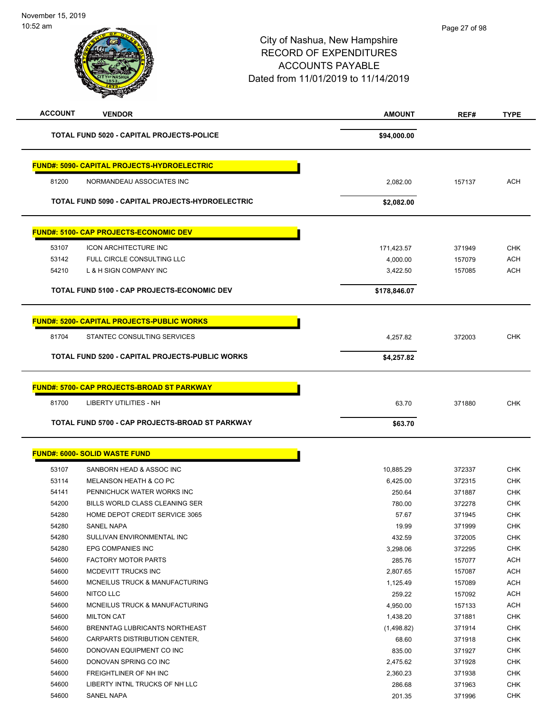| <b>ACCOUNT</b> | <b>VENDOR</b>                                           | <b>AMOUNT</b> | REF#   | <b>TYPE</b> |
|----------------|---------------------------------------------------------|---------------|--------|-------------|
|                | TOTAL FUND 5020 - CAPITAL PROJECTS-POLICE               | \$94,000.00   |        |             |
|                | FUND#: 5090- CAPITAL PROJECTS-HYDROELECTRIC             |               |        |             |
| 81200          | NORMANDEAU ASSOCIATES INC                               | 2,082.00      | 157137 | <b>ACH</b>  |
|                | <b>TOTAL FUND 5090 - CAPITAL PROJECTS-HYDROELECTRIC</b> | \$2,082.00    |        |             |
|                | <b>FUND#: 5100- CAP PROJECTS-ECONOMIC DEV</b>           |               |        |             |
| 53107          | <b>ICON ARCHITECTURE INC</b>                            | 171,423.57    | 371949 | <b>CHK</b>  |
| 53142          | FULL CIRCLE CONSULTING LLC                              | 4,000.00      | 157079 | ACH         |
| 54210          | L & H SIGN COMPANY INC                                  | 3,422.50      | 157085 | ACH         |
|                | <b>TOTAL FUND 5100 - CAP PROJECTS-ECONOMIC DEV</b>      | \$178,846.07  |        |             |
|                | <b>FUND#: 5200- CAPITAL PROJECTS-PUBLIC WORKS</b>       |               |        |             |
| 81704          | STANTEC CONSULTING SERVICES                             | 4,257.82      | 372003 | <b>CHK</b>  |
|                | TOTAL FUND 5200 - CAPITAL PROJECTS-PUBLIC WORKS         | \$4,257.82    |        |             |
|                |                                                         |               |        |             |
|                | <b>FUND#: 5700- CAP PROJECTS-BROAD ST PARKWAY</b>       |               |        |             |
| 81700          | LIBERTY UTILITIES - NH                                  | 63.70         | 371880 | <b>CHK</b>  |
|                | TOTAL FUND 5700 - CAP PROJECTS-BROAD ST PARKWAY         | \$63.70       |        |             |
|                | <b>FUND#: 6000- SOLID WASTE FUND</b>                    |               |        |             |
| 53107          | SANBORN HEAD & ASSOC INC                                | 10,885.29     | 372337 | <b>CHK</b>  |
| 53114          | MELANSON HEATH & CO PC                                  | 6,425.00      | 372315 | <b>CHK</b>  |
| 54141          | PENNICHUCK WATER WORKS INC                              | 250.64        | 371887 | <b>CHK</b>  |
| 54200          | BILLS WORLD CLASS CLEANING SER                          | 780.00        | 372278 | <b>CHK</b>  |
| 54280          | HOME DEPOT CREDIT SERVICE 3065                          | 57.67         | 371945 | CHK         |
| 54280          | SANEL NAPA                                              | 19.99         | 371999 | <b>CHK</b>  |
| 54280          | SULLIVAN ENVIRONMENTAL INC                              | 432.59        | 372005 | <b>CHK</b>  |
| 54280          | EPG COMPANIES INC                                       | 3,298.06      | 372295 | <b>CHK</b>  |
| 54600          | <b>FACTORY MOTOR PARTS</b>                              | 285.76        | 157077 | <b>ACH</b>  |
| 54600          | MCDEVITT TRUCKS INC                                     | 2,807.65      | 157087 | <b>ACH</b>  |
| 54600          | MCNEILUS TRUCK & MANUFACTURING                          | 1,125.49      | 157089 | <b>ACH</b>  |
| 54600          | NITCO LLC                                               | 259.22        | 157092 | <b>ACH</b>  |
| 54600          | MCNEILUS TRUCK & MANUFACTURING                          | 4,950.00      | 157133 | <b>ACH</b>  |
| 54600          | <b>MILTON CAT</b>                                       | 1,438.20      | 371881 | <b>CHK</b>  |
| 54600          | BRENNTAG LUBRICANTS NORTHEAST                           | (1,498.82)    | 371914 | <b>CHK</b>  |
| 54600          | CARPARTS DISTRIBUTION CENTER,                           | 68.60         | 371918 | <b>CHK</b>  |
| 54600          | DONOVAN EQUIPMENT CO INC                                | 835.00        | 371927 | <b>CHK</b>  |
| 54600          | DONOVAN SPRING CO INC                                   | 2,475.62      | 371928 | <b>CHK</b>  |
| 54600          | FREIGHTLINER OF NH INC                                  | 2,360.23      | 371938 | <b>CHK</b>  |
| 54600          | LIBERTY INTNL TRUCKS OF NH LLC                          | 286.68        | 371963 | <b>CHK</b>  |
| 54600          | SANEL NAPA                                              | 201.35        | 371996 | <b>CHK</b>  |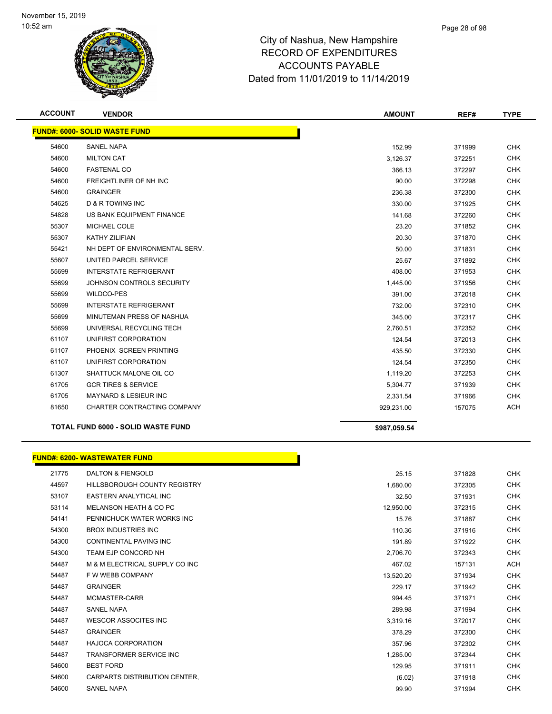

| <b>ACCOUNT</b> | <b>VENDOR</b>                             | <b>AMOUNT</b> | REF#   | <b>TYPE</b> |
|----------------|-------------------------------------------|---------------|--------|-------------|
|                | <b>FUND#: 6000- SOLID WASTE FUND</b>      |               |        |             |
| 54600          | <b>SANEL NAPA</b>                         | 152.99        | 371999 | <b>CHK</b>  |
| 54600          | <b>MILTON CAT</b>                         | 3,126.37      | 372251 | <b>CHK</b>  |
| 54600          | <b>FASTENAL CO</b>                        | 366.13        | 372297 | <b>CHK</b>  |
| 54600          | FREIGHTLINER OF NH INC                    | 90.00         | 372298 | <b>CHK</b>  |
| 54600          | <b>GRAINGER</b>                           | 236.38        | 372300 | <b>CHK</b>  |
| 54625          | <b>D &amp; R TOWING INC</b>               | 330.00        | 371925 | <b>CHK</b>  |
| 54828          | US BANK EQUIPMENT FINANCE                 | 141.68        | 372260 | <b>CHK</b>  |
| 55307          | <b>MICHAEL COLE</b>                       | 23.20         | 371852 | <b>CHK</b>  |
| 55307          | <b>KATHY ZILIFIAN</b>                     | 20.30         | 371870 | <b>CHK</b>  |
| 55421          | NH DEPT OF ENVIRONMENTAL SERV.            | 50.00         | 371831 | <b>CHK</b>  |
| 55607          | UNITED PARCEL SERVICE                     | 25.67         | 371892 | <b>CHK</b>  |
| 55699          | <b>INTERSTATE REFRIGERANT</b>             | 408.00        | 371953 | <b>CHK</b>  |
| 55699          | JOHNSON CONTROLS SECURITY                 | 1,445.00      | 371956 | <b>CHK</b>  |
| 55699          | <b>WILDCO-PES</b>                         | 391.00        | 372018 | <b>CHK</b>  |
| 55699          | <b>INTERSTATE REFRIGERANT</b>             | 732.00        | 372310 | <b>CHK</b>  |
| 55699          | MINUTEMAN PRESS OF NASHUA                 | 345.00        | 372317 | <b>CHK</b>  |
| 55699          | UNIVERSAL RECYCLING TECH                  | 2,760.51      | 372352 | <b>CHK</b>  |
| 61107          | UNIFIRST CORPORATION                      | 124.54        | 372013 | <b>CHK</b>  |
| 61107          | PHOENIX SCREEN PRINTING                   | 435.50        | 372330 | <b>CHK</b>  |
| 61107          | UNIFIRST CORPORATION                      | 124.54        | 372350 | <b>CHK</b>  |
| 61307          | SHATTUCK MALONE OIL CO                    | 1,119.20      | 372253 | <b>CHK</b>  |
| 61705          | <b>GCR TIRES &amp; SERVICE</b>            | 5,304.77      | 371939 | <b>CHK</b>  |
| 61705          | <b>MAYNARD &amp; LESIEUR INC</b>          | 2,331.54      | 371966 | <b>CHK</b>  |
| 81650          | CHARTER CONTRACTING COMPANY               | 929,231.00    | 157075 | <b>ACH</b>  |
|                | <b>TOTAL FUND 6000 - SOLID WASTE FUND</b> | \$987,059.54  |        |             |

|       | <b>FUND#: 6200- WASTEWATER FUND</b> |           |        |            |
|-------|-------------------------------------|-----------|--------|------------|
| 21775 | <b>DALTON &amp; FIENGOLD</b>        | 25.15     | 371828 | <b>CHK</b> |
| 44597 | <b>HILLSBOROUGH COUNTY REGISTRY</b> | 1,680.00  | 372305 | <b>CHK</b> |
| 53107 | EASTERN ANALYTICAL INC              | 32.50     | 371931 | <b>CHK</b> |
| 53114 | MELANSON HEATH & CO PC              | 12,950.00 | 372315 | <b>CHK</b> |
| 54141 | PENNICHUCK WATER WORKS INC          | 15.76     | 371887 | <b>CHK</b> |
| 54300 | <b>BROX INDUSTRIES INC</b>          | 110.36    | 371916 | <b>CHK</b> |
| 54300 | CONTINENTAL PAVING INC              | 191.89    | 371922 | <b>CHK</b> |
| 54300 | TEAM EJP CONCORD NH                 | 2,706.70  | 372343 | <b>CHK</b> |
| 54487 | M & M ELECTRICAL SUPPLY CO INC      | 467.02    | 157131 | <b>ACH</b> |
| 54487 | F W WEBB COMPANY                    | 13,520.20 | 371934 | CHK        |
| 54487 | <b>GRAINGER</b>                     | 229.17    | 371942 | <b>CHK</b> |
| 54487 | MCMASTER-CARR                       | 994.45    | 371971 | <b>CHK</b> |
| 54487 | <b>SANEL NAPA</b>                   | 289.98    | 371994 | <b>CHK</b> |
| 54487 | <b>WESCOR ASSOCITES INC</b>         | 3,319.16  | 372017 | <b>CHK</b> |
| 54487 | <b>GRAINGER</b>                     | 378.29    | 372300 | <b>CHK</b> |
| 54487 | <b>HAJOCA CORPORATION</b>           | 357.96    | 372302 | <b>CHK</b> |
| 54487 | <b>TRANSFORMER SERVICE INC</b>      | 1,285.00  | 372344 | <b>CHK</b> |
| 54600 | <b>BEST FORD</b>                    | 129.95    | 371911 | <b>CHK</b> |
| 54600 | CARPARTS DISTRIBUTION CENTER.       | (6.02)    | 371918 | <b>CHK</b> |
| 54600 | <b>SANEL NAPA</b>                   | 99.90     | 371994 | <b>CHK</b> |

L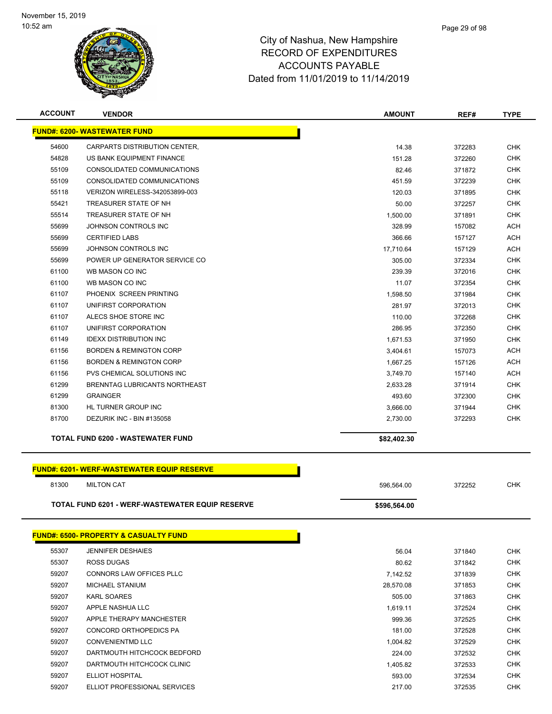

| <b>ACCOUNT</b> | <b>VENDOR</b>                                          | <b>AMOUNT</b> | REF#   | TYPE       |
|----------------|--------------------------------------------------------|---------------|--------|------------|
|                | <b>FUND#: 6200- WASTEWATER FUND</b>                    |               |        |            |
| 54600          | CARPARTS DISTRIBUTION CENTER,                          | 14.38         | 372283 | <b>CHK</b> |
| 54828          | US BANK EQUIPMENT FINANCE                              | 151.28        | 372260 | <b>CHK</b> |
| 55109          | CONSOLIDATED COMMUNICATIONS                            | 82.46         | 371872 | <b>CHK</b> |
| 55109          | CONSOLIDATED COMMUNICATIONS                            | 451.59        | 372239 | <b>CHK</b> |
| 55118          | VERIZON WIRELESS-342053899-003                         | 120.03        | 371895 | <b>CHK</b> |
| 55421          | TREASURER STATE OF NH                                  | 50.00         | 372257 | <b>CHK</b> |
| 55514          | TREASURER STATE OF NH                                  | 1,500.00      | 371891 | <b>CHK</b> |
| 55699          | JOHNSON CONTROLS INC                                   | 328.99        | 157082 | <b>ACH</b> |
| 55699          | <b>CERTIFIED LABS</b>                                  | 366.66        | 157127 | <b>ACH</b> |
| 55699          | JOHNSON CONTROLS INC                                   | 17,710.64     | 157129 | <b>ACH</b> |
| 55699          | POWER UP GENERATOR SERVICE CO                          | 305.00        | 372334 | <b>CHK</b> |
| 61100          | WB MASON CO INC                                        | 239.39        | 372016 | <b>CHK</b> |
| 61100          | WB MASON CO INC                                        | 11.07         | 372354 | <b>CHK</b> |
| 61107          | PHOENIX SCREEN PRINTING                                | 1,598.50      | 371984 | <b>CHK</b> |
| 61107          | UNIFIRST CORPORATION                                   | 281.97        | 372013 | <b>CHK</b> |
| 61107          | ALECS SHOE STORE INC                                   | 110.00        | 372268 | <b>CHK</b> |
| 61107          | UNIFIRST CORPORATION                                   | 286.95        | 372350 | <b>CHK</b> |
| 61149          | <b>IDEXX DISTRIBUTION INC</b>                          | 1,671.53      | 371950 | <b>CHK</b> |
| 61156          | <b>BORDEN &amp; REMINGTON CORP</b>                     | 3,404.61      | 157073 | <b>ACH</b> |
| 61156          | <b>BORDEN &amp; REMINGTON CORP</b>                     | 1,667.25      | 157126 | <b>ACH</b> |
| 61156          | PVS CHEMICAL SOLUTIONS INC                             | 3,749.70      | 157140 | <b>ACH</b> |
| 61299          | BRENNTAG LUBRICANTS NORTHEAST                          | 2,633.28      | 371914 | <b>CHK</b> |
| 61299          | <b>GRAINGER</b>                                        | 493.60        | 372300 | <b>CHK</b> |
| 81300          | HL TURNER GROUP INC                                    | 3,666.00      | 371944 | <b>CHK</b> |
| 81700          | DEZURIK INC - BIN #135058                              | 2,730.00      | 372293 | <b>CHK</b> |
|                |                                                        |               |        |            |
|                | <b>TOTAL FUND 6200 - WASTEWATER FUND</b>               | \$82,402.30   |        |            |
|                |                                                        |               |        |            |
|                | <b>FUND#: 6201- WERF-WASTEWATER EQUIP RESERVE</b>      |               |        |            |
| 81300          | <b>MILTON CAT</b>                                      | 596,564.00    | 372252 | <b>CHK</b> |
|                | <b>TOTAL FUND 6201 - WERF-WASTEWATER EQUIP RESERVE</b> | \$596,564.00  |        |            |
|                |                                                        |               |        |            |
|                | <b>FUND#: 6500- PROPERTY &amp; CASUALTY FUND</b>       |               |        |            |
| 55307          | <b>JENNIFER DESHAIES</b>                               | 56.04         | 371840 | <b>CHK</b> |
| 55307          | ROSS DUGAS                                             | 80.62         | 371842 | <b>CHK</b> |
| 59207          | CONNORS LAW OFFICES PLLC                               | 7,142.52      | 371839 | <b>CHK</b> |
| 59207          | <b>MICHAEL STANIUM</b>                                 | 28,570.08     | 371853 | CHK        |
| 59207          | <b>KARL SOARES</b>                                     | 505.00        | 371863 | <b>CHK</b> |
| 59207          | APPLE NASHUA LLC                                       | 1,619.11      | 372524 | <b>CHK</b> |
| 59207          | APPLE THERAPY MANCHESTER                               | 999.36        | 372525 | <b>CHK</b> |
| 59207          | CONCORD ORTHOPEDICS PA                                 | 181.00        | 372528 | <b>CHK</b> |
| 59207          | <b>CONVENIENTMD LLC</b>                                | 1,004.82      | 372529 | <b>CHK</b> |
| 59207          | DARTMOUTH HITCHCOCK BEDFORD                            | 224.00        | 372532 | <b>CHK</b> |
| 59207          | DARTMOUTH HITCHCOCK CLINIC                             | 1,405.82      | 372533 | <b>CHK</b> |
| 59207          | <b>ELLIOT HOSPITAL</b>                                 | 593.00        | 372534 | CHK        |

ELLIOT PROFESSIONAL SERVICES 217.00 372535 CHK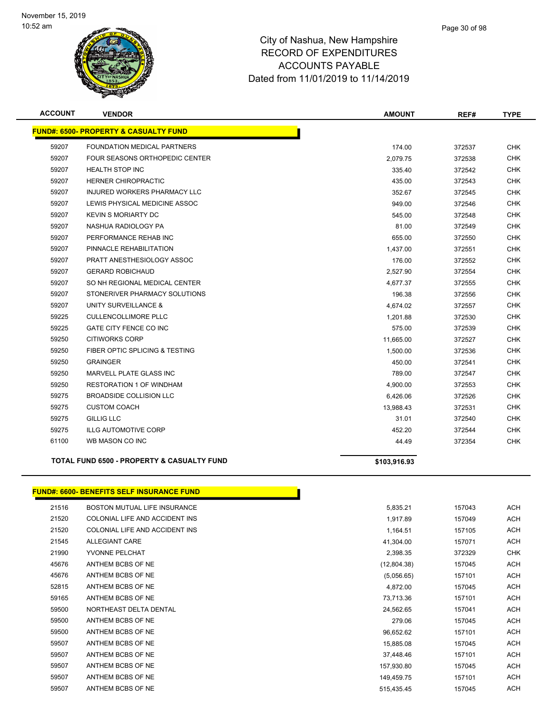

| <b>ACCOUNT</b> | <b>VENDOR</b>                                         | <b>AMOUNT</b> | REF#   | <b>TYPE</b> |
|----------------|-------------------------------------------------------|---------------|--------|-------------|
|                | <b>FUND#: 6500- PROPERTY &amp; CASUALTY FUND</b>      |               |        |             |
| 59207          | <b>FOUNDATION MEDICAL PARTNERS</b>                    | 174.00        | 372537 | <b>CHK</b>  |
| 59207          | FOUR SEASONS ORTHOPEDIC CENTER                        | 2,079.75      | 372538 | <b>CHK</b>  |
| 59207          | <b>HEALTH STOP INC</b>                                | 335.40        | 372542 | <b>CHK</b>  |
| 59207          | <b>HERNER CHIROPRACTIC</b>                            | 435.00        | 372543 | <b>CHK</b>  |
| 59207          | <b>INJURED WORKERS PHARMACY LLC</b>                   | 352.67        | 372545 | <b>CHK</b>  |
| 59207          | LEWIS PHYSICAL MEDICINE ASSOC                         | 949.00        | 372546 | <b>CHK</b>  |
| 59207          | <b>KEVIN S MORIARTY DC</b>                            | 545.00        | 372548 | <b>CHK</b>  |
| 59207          | NASHUA RADIOLOGY PA                                   | 81.00         | 372549 | <b>CHK</b>  |
| 59207          | PERFORMANCE REHAB INC                                 | 655.00        | 372550 | <b>CHK</b>  |
| 59207          | PINNACLE REHABILITATION                               | 1,437.00      | 372551 | <b>CHK</b>  |
| 59207          | PRATT ANESTHESIOLOGY ASSOC                            | 176.00        | 372552 | <b>CHK</b>  |
| 59207          | <b>GERARD ROBICHAUD</b>                               | 2,527.90      | 372554 | <b>CHK</b>  |
| 59207          | SO NH REGIONAL MEDICAL CENTER                         | 4,677.37      | 372555 | <b>CHK</b>  |
| 59207          | STONERIVER PHARMACY SOLUTIONS                         | 196.38        | 372556 | <b>CHK</b>  |
| 59207          | UNITY SURVEILLANCE &                                  | 4,674.02      | 372557 | <b>CHK</b>  |
| 59225          | <b>CULLENCOLLIMORE PLLC</b>                           | 1.201.88      | 372530 | <b>CHK</b>  |
| 59225          | GATE CITY FENCE CO INC                                | 575.00        | 372539 | <b>CHK</b>  |
| 59250          | <b>CITIWORKS CORP</b>                                 | 11,665.00     | 372527 | <b>CHK</b>  |
| 59250          | FIBER OPTIC SPLICING & TESTING                        | 1,500.00      | 372536 | <b>CHK</b>  |
| 59250          | <b>GRAINGER</b>                                       | 450.00        | 372541 | <b>CHK</b>  |
| 59250          | MARVELL PLATE GLASS INC                               | 789.00        | 372547 | <b>CHK</b>  |
| 59250          | <b>RESTORATION 1 OF WINDHAM</b>                       | 4,900.00      | 372553 | <b>CHK</b>  |
| 59275          | <b>BROADSIDE COLLISION LLC</b>                        | 6,426.06      | 372526 | <b>CHK</b>  |
| 59275          | <b>CUSTOM COACH</b>                                   | 13.988.43     | 372531 | <b>CHK</b>  |
| 59275          | <b>GILLIG LLC</b>                                     | 31.01         | 372540 | <b>CHK</b>  |
| 59275          | <b>ILLG AUTOMOTIVE CORP</b>                           | 452.20        | 372544 | <b>CHK</b>  |
| 61100          | WB MASON CO INC                                       | 44.49         | 372354 | <b>CHK</b>  |
|                | <b>TOTAL FUND 6500 - PROPERTY &amp; CASUALTY FUND</b> | \$103,916.93  |        |             |

### **FUND#: 6600- BENEFITS SELF INSURANCE FUND**

| 21516 | BOSTON MUTUAL LIFE INSURANCE   | 5,835.21    | 157043 | ACH        |
|-------|--------------------------------|-------------|--------|------------|
| 21520 | COLONIAL LIFE AND ACCIDENT INS | 1,917.89    | 157049 | <b>ACH</b> |
| 21520 | COLONIAL LIFE AND ACCIDENT INS | 1,164.51    | 157105 | ACH        |
| 21545 | ALLEGIANT CARE                 | 41,304.00   | 157071 | ACH        |
| 21990 | YVONNE PELCHAT                 | 2,398.35    | 372329 | <b>CHK</b> |
| 45676 | ANTHEM BCBS OF NE              | (12,804.38) | 157045 | <b>ACH</b> |
| 45676 | ANTHEM BCBS OF NE              | (5,056.65)  | 157101 | <b>ACH</b> |
| 52815 | ANTHEM BCBS OF NE              | 4,872.00    | 157045 | <b>ACH</b> |
| 59165 | ANTHEM BCBS OF NE              | 73,713.36   | 157101 | ACH        |
| 59500 | NORTHEAST DELTA DENTAL         | 24,562.65   | 157041 | ACH        |
| 59500 | ANTHEM BCBS OF NE              | 279.06      | 157045 | ACH        |
| 59500 | ANTHEM BCBS OF NE              | 96,652.62   | 157101 | <b>ACH</b> |
| 59507 | ANTHEM BCBS OF NE              | 15,885.08   | 157045 | ACH        |
| 59507 | ANTHEM BCBS OF NE              | 37,448.46   | 157101 | ACH        |
| 59507 | ANTHEM BCBS OF NE              | 157,930.80  | 157045 | <b>ACH</b> |
| 59507 | ANTHEM BCBS OF NE              | 149,459.75  | 157101 | <b>ACH</b> |
| 59507 | ANTHEM BCBS OF NE              | 515,435.45  | 157045 | ACH        |

Г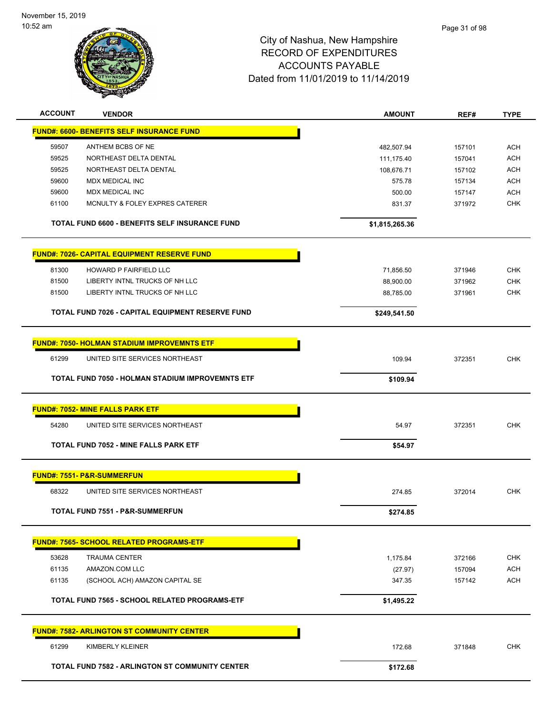

| <b>ACCOUNT</b> | <b>VENDOR</b>                                          | <b>AMOUNT</b>  | REF#   | <b>TYPE</b> |
|----------------|--------------------------------------------------------|----------------|--------|-------------|
|                | <u> FUND#: 6600- BENEFITS SELF INSURANCE FUND</u>      |                |        |             |
| 59507          | ANTHEM BCBS OF NE                                      | 482,507.94     | 157101 | <b>ACH</b>  |
| 59525          | NORTHEAST DELTA DENTAL                                 | 111,175.40     | 157041 | <b>ACH</b>  |
| 59525          | NORTHEAST DELTA DENTAL                                 | 108,676.71     | 157102 | <b>ACH</b>  |
| 59600          | <b>MDX MEDICAL INC</b>                                 | 575.78         | 157134 | <b>ACH</b>  |
| 59600          | <b>MDX MEDICAL INC</b>                                 | 500.00         | 157147 | <b>ACH</b>  |
| 61100          | MCNULTY & FOLEY EXPRES CATERER                         | 831.37         | 371972 | <b>CHK</b>  |
|                | <b>TOTAL FUND 6600 - BENEFITS SELF INSURANCE FUND</b>  | \$1,815,265.36 |        |             |
|                | <b>FUND#: 7026- CAPITAL EQUIPMENT RESERVE FUND</b>     |                |        |             |
| 81300          | HOWARD P FAIRFIELD LLC                                 | 71,856.50      | 371946 | <b>CHK</b>  |
| 81500          | LIBERTY INTNL TRUCKS OF NH LLC                         | 88,900.00      | 371962 | <b>CHK</b>  |
| 81500          | LIBERTY INTNL TRUCKS OF NH LLC                         | 88,785.00      | 371961 | <b>CHK</b>  |
|                | TOTAL FUND 7026 - CAPITAL EQUIPMENT RESERVE FUND       | \$249,541.50   |        |             |
|                | <b>FUND#: 7050- HOLMAN STADIUM IMPROVEMNTS ETF</b>     |                |        |             |
| 61299          | UNITED SITE SERVICES NORTHEAST                         | 109.94         | 372351 | <b>CHK</b>  |
|                | TOTAL FUND 7050 - HOLMAN STADIUM IMPROVEMNTS ETF       | \$109.94       |        |             |
|                |                                                        |                |        |             |
|                | <b>FUND#: 7052- MINE FALLS PARK ETF</b>                |                |        |             |
| 54280          | UNITED SITE SERVICES NORTHEAST                         | 54.97          | 372351 | <b>CHK</b>  |
|                | TOTAL FUND 7052 - MINE FALLS PARK ETF                  | \$54.97        |        |             |
|                | <b>FUND#: 7551- P&amp;R-SUMMERFUN</b>                  |                |        |             |
| 68322          | UNITED SITE SERVICES NORTHEAST                         | 274.85         | 372014 | <b>CHK</b>  |
|                | TOTAL FUND 7551 - P&R-SUMMERFUN                        | \$274.85       |        |             |
|                | <b>FUND#: 7565- SCHOOL RELATED PROGRAMS-ETF</b>        |                |        |             |
| 53628          | <b>TRAUMA CENTER</b>                                   | 1,175.84       | 372166 | <b>CHK</b>  |
| 61135          | AMAZON.COM LLC                                         | (27.97)        | 157094 | <b>ACH</b>  |
| 61135          | (SCHOOL ACH) AMAZON CAPITAL SE                         | 347.35         | 157142 | <b>ACH</b>  |
|                |                                                        |                |        |             |
|                | TOTAL FUND 7565 - SCHOOL RELATED PROGRAMS-ETF          | \$1,495.22     |        |             |
|                | <b>FUND#: 7582- ARLINGTON ST COMMUNITY CENTER</b>      |                |        |             |
| 61299          | KIMBERLY KLEINER                                       | 172.68         | 371848 | <b>CHK</b>  |
|                | <b>TOTAL FUND 7582 - ARLINGTON ST COMMUNITY CENTER</b> | \$172.68       |        |             |
|                |                                                        |                |        |             |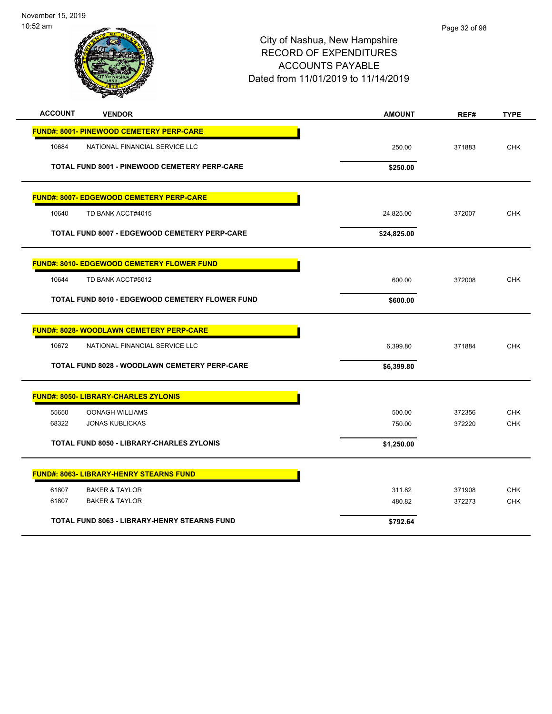| <b>ACCOUNT</b> | <b>VENDOR</b>                                        | <b>AMOUNT</b> | REF#   | <b>TYPE</b> |
|----------------|------------------------------------------------------|---------------|--------|-------------|
|                | <b>FUND#: 8001- PINEWOOD CEMETERY PERP-CARE</b>      |               |        |             |
| 10684          | NATIONAL FINANCIAL SERVICE LLC                       | 250.00        | 371883 | <b>CHK</b>  |
|                | TOTAL FUND 8001 - PINEWOOD CEMETERY PERP-CARE        | \$250.00      |        |             |
|                | <b>FUND#: 8007- EDGEWOOD CEMETERY PERP-CARE</b>      |               |        |             |
| 10640          | TD BANK ACCT#4015                                    | 24,825.00     | 372007 | <b>CHK</b>  |
|                | <b>TOTAL FUND 8007 - EDGEWOOD CEMETERY PERP-CARE</b> | \$24,825.00   |        |             |
|                | <u> FUND#: 8010- EDGEWOOD CEMETERY FLOWER FUND</u>   |               |        |             |
| 10644          | TD BANK ACCT#5012                                    | 600.00        | 372008 | <b>CHK</b>  |
|                | TOTAL FUND 8010 - EDGEWOOD CEMETERY FLOWER FUND      | \$600.00      |        |             |
|                | <b>FUND#: 8028- WOODLAWN CEMETERY PERP-CARE</b>      |               |        |             |
| 10672          | NATIONAL FINANCIAL SERVICE LLC                       | 6,399.80      | 371884 | <b>CHK</b>  |
|                | TOTAL FUND 8028 - WOODLAWN CEMETERY PERP-CARE        | \$6,399.80    |        |             |
|                | <b>FUND#: 8050- LIBRARY-CHARLES ZYLONIS</b>          |               |        |             |
| 55650          | <b>OONAGH WILLIAMS</b>                               | 500.00        | 372356 | <b>CHK</b>  |
| 68322          | <b>JONAS KUBLICKAS</b>                               | 750.00        | 372220 | <b>CHK</b>  |
|                | TOTAL FUND 8050 - LIBRARY-CHARLES ZYLONIS            | \$1,250.00    |        |             |
|                | <b>FUND#: 8063- LIBRARY-HENRY STEARNS FUND</b>       |               |        |             |
| 61807          | <b>BAKER &amp; TAYLOR</b>                            | 311.82        | 371908 | <b>CHK</b>  |
| 61807          | <b>BAKER &amp; TAYLOR</b>                            | 480.82        | 372273 | <b>CHK</b>  |
|                | TOTAL FUND 8063 - LIBRARY-HENRY STEARNS FUND         | \$792.64      |        |             |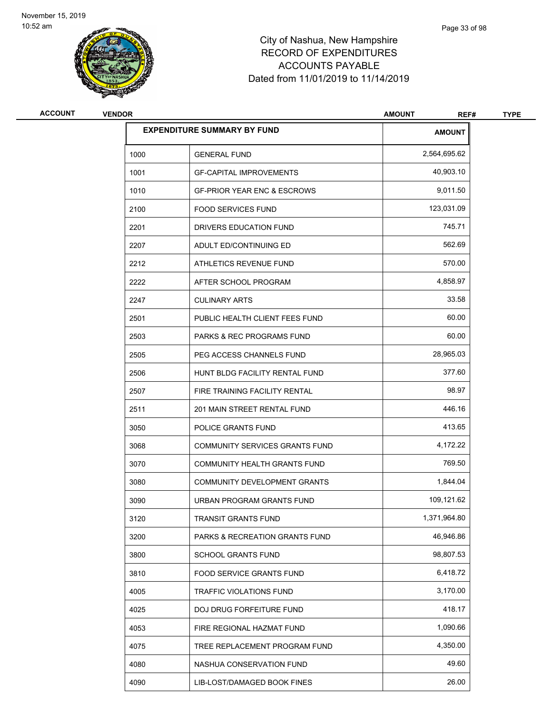

| <b>ACCOUNT</b> | <b>VENDOR</b> |                                        | <b>AMOUNT</b><br>REF# | <b>TYPE</b> |
|----------------|---------------|----------------------------------------|-----------------------|-------------|
|                |               | <b>EXPENDITURE SUMMARY BY FUND</b>     | <b>AMOUNT</b>         |             |
|                | 1000          | <b>GENERAL FUND</b>                    | 2,564,695.62          |             |
|                | 1001          | <b>GF-CAPITAL IMPROVEMENTS</b>         | 40,903.10             |             |
|                | 1010          | <b>GF-PRIOR YEAR ENC &amp; ESCROWS</b> | 9,011.50              |             |
|                | 2100          | <b>FOOD SERVICES FUND</b>              | 123,031.09            |             |
|                | 2201          | DRIVERS EDUCATION FUND                 | 745.71                |             |
|                | 2207          | ADULT ED/CONTINUING ED                 | 562.69                |             |
|                | 2212          | ATHLETICS REVENUE FUND                 | 570.00                |             |
|                | 2222          | AFTER SCHOOL PROGRAM                   | 4,858.97              |             |
|                | 2247          | <b>CULINARY ARTS</b>                   | 33.58                 |             |
|                | 2501          | PUBLIC HEALTH CLIENT FEES FUND         | 60.00                 |             |
|                | 2503          | <b>PARKS &amp; REC PROGRAMS FUND</b>   | 60.00                 |             |
|                | 2505          | PEG ACCESS CHANNELS FUND               | 28,965.03             |             |
|                | 2506          | HUNT BLDG FACILITY RENTAL FUND         | 377.60                |             |
|                | 2507          | FIRE TRAINING FACILITY RENTAL          | 98.97                 |             |
|                | 2511          | 201 MAIN STREET RENTAL FUND            | 446.16                |             |
|                | 3050          | POLICE GRANTS FUND                     | 413.65                |             |
|                | 3068          | COMMUNITY SERVICES GRANTS FUND         | 4,172.22              |             |
|                | 3070          | <b>COMMUNITY HEALTH GRANTS FUND</b>    | 769.50                |             |
|                | 3080          | <b>COMMUNITY DEVELOPMENT GRANTS</b>    | 1,844.04              |             |
|                | 3090          | URBAN PROGRAM GRANTS FUND              | 109,121.62            |             |
|                | 3120          | TRANSIT GRANTS FUND                    | 1,371,964.80          |             |
|                | 3200          | PARKS & RECREATION GRANTS FUND         | 46,946.86             |             |
|                | 3800          | SCHOOL GRANTS FUND                     | 98,807.53             |             |
|                | 3810          | <b>FOOD SERVICE GRANTS FUND</b>        | 6,418.72              |             |
|                | 4005          | TRAFFIC VIOLATIONS FUND                | 3,170.00              |             |
|                | 4025          | DOJ DRUG FORFEITURE FUND               | 418.17                |             |
|                | 4053          | FIRE REGIONAL HAZMAT FUND              | 1,090.66              |             |
|                | 4075          | TREE REPLACEMENT PROGRAM FUND          | 4,350.00              |             |
|                | 4080          | NASHUA CONSERVATION FUND               | 49.60                 |             |
|                | 4090          | LIB-LOST/DAMAGED BOOK FINES            | 26.00                 |             |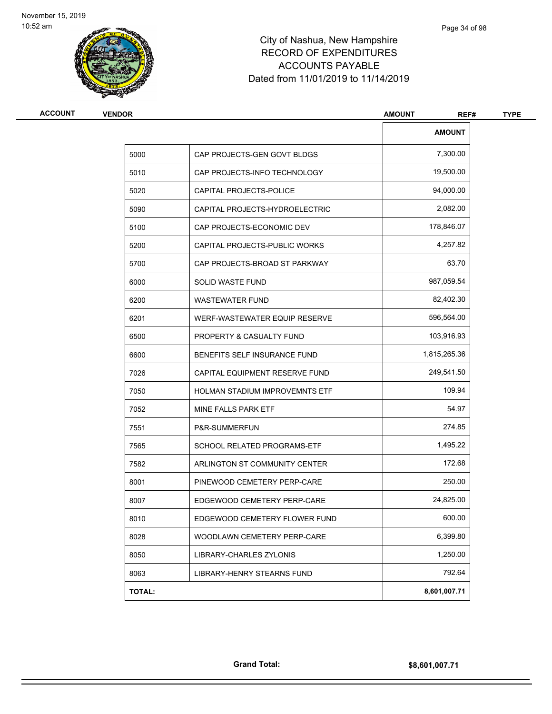

| <b>VENDOR</b> |                                       | <b>AMOUNT</b><br>REF# |
|---------------|---------------------------------------|-----------------------|
|               |                                       | <b>AMOUNT</b>         |
| 5000          | CAP PROJECTS-GEN GOVT BLDGS           | 7,300.00              |
| 5010          | CAP PROJECTS-INFO TECHNOLOGY          | 19,500.00             |
| 5020          | CAPITAL PROJECTS-POLICE               | 94,000.00             |
| 5090          | CAPITAL PROJECTS-HYDROELECTRIC        | 2,082.00              |
| 5100          | CAP PROJECTS-ECONOMIC DEV             | 178,846.07            |
| 5200          | CAPITAL PROJECTS-PUBLIC WORKS         | 4,257.82              |
| 5700          | CAP PROJECTS-BROAD ST PARKWAY         | 63.70                 |
| 6000          | SOLID WASTE FUND                      | 987,059.54            |
| 6200          | <b>WASTEWATER FUND</b>                | 82,402.30             |
| 6201          | WERF-WASTEWATER EQUIP RESERVE         | 596,564.00            |
| 6500          | PROPERTY & CASUALTY FUND              | 103,916.93            |
| 6600          | BENEFITS SELF INSURANCE FUND          | 1,815,265.36          |
| 7026          | CAPITAL EQUIPMENT RESERVE FUND        | 249,541.50            |
| 7050          | <b>HOLMAN STADIUM IMPROVEMNTS ETF</b> | 109.94                |
| 7052          | MINE FALLS PARK ETF                   | 54.97                 |
| 7551          | P&R-SUMMERFUN                         | 274.85                |
| 7565          | SCHOOL RELATED PROGRAMS-ETF           | 1,495.22              |
| 7582          | ARLINGTON ST COMMUNITY CENTER         | 172.68                |
| 8001          | PINEWOOD CEMETERY PERP-CARE           | 250.00                |
| 8007          | EDGEWOOD CEMETERY PERP-CARE           | 24,825.00             |
| 8010          | EDGEWOOD CEMETERY FLOWER FUND         | 600.00                |
| 8028          | WOODLAWN CEMETERY PERP-CARE           | 6,399.80              |
| 8050          | LIBRARY-CHARLES ZYLONIS               | 1,250.00              |
| 8063          | LIBRARY-HENRY STEARNS FUND            | 792.64                |
| <b>TOTAL:</b> |                                       | 8,601,007.71          |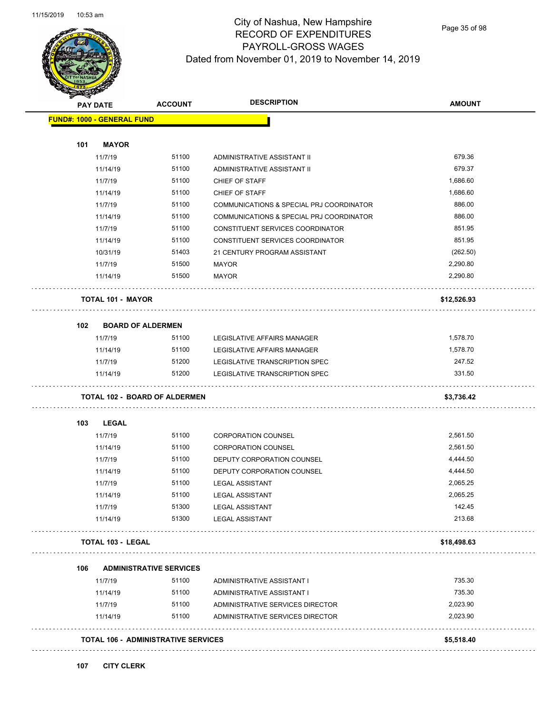

### City of Nashua, New Hampshire RECORD OF EXPENDITURES PAYROLL-GROSS WAGES Dated from November 01, 2019 to November 14, 2019

Page 35 of 98

|     | <b>PAY DATE</b>                   | <b>ACCOUNT</b>                       | <b>DESCRIPTION</b>                       | <b>AMOUNT</b> |
|-----|-----------------------------------|--------------------------------------|------------------------------------------|---------------|
|     | <b>FUND#: 1000 - GENERAL FUND</b> |                                      |                                          |               |
| 101 | <b>MAYOR</b>                      |                                      |                                          |               |
|     | 11/7/19                           | 51100                                | ADMINISTRATIVE ASSISTANT II              | 679.36        |
|     | 11/14/19                          | 51100                                | ADMINISTRATIVE ASSISTANT II              | 679.37        |
|     | 11/7/19                           | 51100                                | CHIEF OF STAFF                           | 1,686.60      |
|     | 11/14/19                          | 51100                                | CHIEF OF STAFF                           | 1,686.60      |
|     | 11/7/19                           | 51100                                | COMMUNICATIONS & SPECIAL PRJ COORDINATOR | 886.00        |
|     | 11/14/19                          | 51100                                | COMMUNICATIONS & SPECIAL PRJ COORDINATOR | 886.00        |
|     | 11/7/19                           | 51100                                | CONSTITUENT SERVICES COORDINATOR         | 851.95        |
|     | 11/14/19                          | 51100                                | CONSTITUENT SERVICES COORDINATOR         | 851.95        |
|     | 10/31/19                          | 51403                                | 21 CENTURY PROGRAM ASSISTANT             | (262.50)      |
|     | 11/7/19                           | 51500                                | <b>MAYOR</b>                             | 2,290.80      |
|     | 11/14/19                          | 51500                                | <b>MAYOR</b>                             | 2,290.80      |
|     | <b>TOTAL 101 - MAYOR</b>          |                                      |                                          | \$12,526.93   |
| 102 | <b>BOARD OF ALDERMEN</b>          |                                      |                                          |               |
|     | 11/7/19                           | 51100                                | LEGISLATIVE AFFAIRS MANAGER              | 1,578.70      |
|     | 11/14/19                          | 51100                                | LEGISLATIVE AFFAIRS MANAGER              | 1,578.70      |
|     | 11/7/19                           | 51200                                | LEGISLATIVE TRANSCRIPTION SPEC           | 247.52        |
|     |                                   |                                      |                                          |               |
|     | 11/14/19                          | 51200                                | LEGISLATIVE TRANSCRIPTION SPEC           | 331.50        |
|     |                                   | <b>TOTAL 102 - BOARD OF ALDERMEN</b> |                                          | \$3,736.42    |
| 103 | <b>LEGAL</b>                      |                                      |                                          |               |
|     | 11/7/19                           | 51100                                | <b>CORPORATION COUNSEL</b>               | 2,561.50      |
|     | 11/14/19                          | 51100                                | <b>CORPORATION COUNSEL</b>               | 2,561.50      |
|     | 11/7/19                           | 51100                                | DEPUTY CORPORATION COUNSEL               | 4,444.50      |
|     | 11/14/19                          | 51100                                | DEPUTY CORPORATION COUNSEL               | 4,444.50      |
|     | 11/7/19                           | 51100                                | <b>LEGAL ASSISTANT</b>                   | 2,065.25      |
|     | 11/14/19                          | 51100                                | <b>LEGAL ASSISTANT</b>                   | 2,065.25      |
|     | 11/7/19                           | 51300                                | <b>LEGAL ASSISTANT</b>                   | 142.45        |
|     | 11/14/19                          | 51300                                | <b>LEGAL ASSISTANT</b>                   | 213.68        |
|     | TOTAL 103 - LEGAL                 |                                      |                                          | \$18,498.63   |
| 106 |                                   | <b>ADMINISTRATIVE SERVICES</b>       |                                          |               |
|     | 11/7/19                           | 51100                                | ADMINISTRATIVE ASSISTANT I               | 735.30        |
|     | 11/14/19                          | 51100                                | ADMINISTRATIVE ASSISTANT I               | 735.30        |
|     | 11/7/19                           | 51100                                | ADMINISTRATIVE SERVICES DIRECTOR         | 2,023.90      |
|     | 11/14/19                          | 51100                                | ADMINISTRATIVE SERVICES DIRECTOR         | 2,023.90      |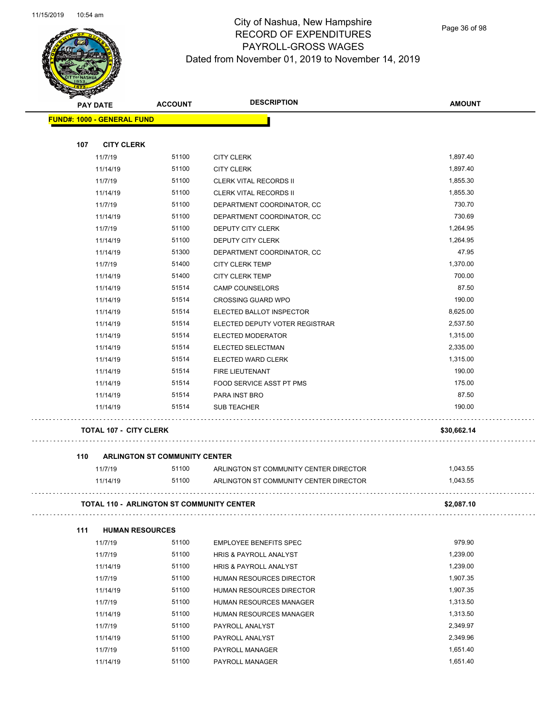

### City of Nashua, New Hampshire RECORD OF EXPENDITURES PAYROLL-GROSS WAGES Dated from November 01, 2019 to November 14, 2019

| <b>SANGRAP</b> |                                                  |                                      |                                        |               |
|----------------|--------------------------------------------------|--------------------------------------|----------------------------------------|---------------|
|                | <b>PAY DATE</b>                                  |                                      | <b>DESCRIPTION</b>                     | <b>AMOUNT</b> |
|                | <b>FUND#: 1000 - GENERAL FUND</b>                |                                      |                                        |               |
|                |                                                  |                                      |                                        |               |
| 107            | <b>CITY CLERK</b>                                |                                      |                                        |               |
|                | 11/7/19                                          | 51100                                | <b>CITY CLERK</b>                      | 1,897.40      |
|                | 11/14/19                                         | 51100                                | <b>CITY CLERK</b>                      | 1,897.40      |
|                | 11/7/19                                          | 51100                                | <b>CLERK VITAL RECORDS II</b>          | 1,855.30      |
|                | 11/14/19                                         | 51100                                | <b>CLERK VITAL RECORDS II</b>          | 1,855.30      |
|                | 11/7/19                                          | 51100                                | DEPARTMENT COORDINATOR, CC             | 730.70        |
|                | 11/14/19                                         | 51100                                | DEPARTMENT COORDINATOR, CC             | 730.69        |
|                | 11/7/19                                          | 51100                                | DEPUTY CITY CLERK                      | 1,264.95      |
|                | 11/14/19                                         | 51100                                | DEPUTY CITY CLERK                      | 1,264.95      |
|                | 11/14/19                                         | 51300                                | DEPARTMENT COORDINATOR, CC             | 47.95         |
|                | 11/7/19                                          | 51400                                | <b>CITY CLERK TEMP</b>                 | 1,370.00      |
|                | 11/14/19                                         | 51400                                | <b>CITY CLERK TEMP</b>                 | 700.00        |
|                | 11/14/19                                         | 51514                                | <b>CAMP COUNSELORS</b>                 | 87.50         |
|                | 11/14/19                                         | 51514                                | <b>CROSSING GUARD WPO</b>              | 190.00        |
|                | 11/14/19                                         | 51514                                | ELECTED BALLOT INSPECTOR               | 8,625.00      |
|                | 11/14/19                                         | 51514                                | ELECTED DEPUTY VOTER REGISTRAR         | 2,537.50      |
|                | 11/14/19                                         | 51514                                | ELECTED MODERATOR                      | 1,315.00      |
|                | 11/14/19                                         | 51514                                | ELECTED SELECTMAN                      | 2,335.00      |
|                | 11/14/19                                         | 51514                                | ELECTED WARD CLERK                     | 1,315.00      |
|                | 11/14/19                                         | 51514                                | FIRE LIEUTENANT                        | 190.00        |
|                | 11/14/19                                         | 51514                                | FOOD SERVICE ASST PT PMS               | 175.00        |
|                | 11/14/19                                         | 51514                                | PARA INST BRO                          | 87.50         |
|                | 11/14/19                                         | 51514                                | <b>SUB TEACHER</b>                     | 190.00        |
|                | <b>TOTAL 107 - CITY CLERK</b>                    |                                      |                                        | \$30,662.14   |
| 110            |                                                  | <b>ARLINGTON ST COMMUNITY CENTER</b> |                                        |               |
|                | 11/7/19                                          | 51100                                | ARLINGTON ST COMMUNITY CENTER DIRECTOR | 1,043.55      |
|                | 11/14/19                                         | 51100                                | ARLINGTON ST COMMUNITY CENTER DIRECTOR | 1,043.55      |
|                | <b>TOTAL 110 - ARLINGTON ST COMMUNITY CENTER</b> | \$2,087.10                           |                                        |               |
| 111            | <b>HUMAN RESOURCES</b>                           |                                      |                                        |               |
|                | 11/7/19                                          | 51100                                | <b>EMPLOYEE BENEFITS SPEC</b>          | 979.90        |
|                | 11/7/19                                          | 51100                                | <b>HRIS &amp; PAYROLL ANALYST</b>      | 1,239.00      |
|                | 11/14/19                                         | 51100                                | <b>HRIS &amp; PAYROLL ANALYST</b>      | 1,239.00      |
|                | 11/7/19                                          | 51100                                | HUMAN RESOURCES DIRECTOR               | 1,907.35      |
|                | 11/14/19                                         | 51100                                | HUMAN RESOURCES DIRECTOR               | 1,907.35      |
|                | 11/7/19                                          | 51100                                | HUMAN RESOURCES MANAGER                | 1,313.50      |
|                | 11/14/19                                         | 51100                                | HUMAN RESOURCES MANAGER                | 1,313.50      |
|                | 11/7/19                                          | 51100                                | PAYROLL ANALYST                        | 2,349.97      |
|                | 11/14/19                                         | 51100                                | PAYROLL ANALYST                        | 2,349.96      |
|                | 11/7/19                                          | 51100                                | PAYROLL MANAGER                        | 1,651.40      |

11/14/19 51100 PAYROLL MANAGER 1,651.40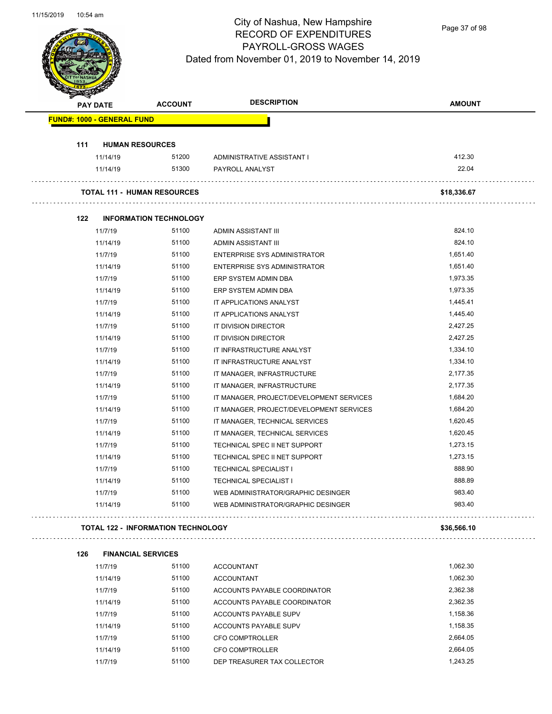

Page 37 of 98

| <b>PAY DATE</b>                   |                           | <b>ACCOUNT</b>                            | <b>DESCRIPTION</b>                       | <b>AMOUNT</b> |
|-----------------------------------|---------------------------|-------------------------------------------|------------------------------------------|---------------|
| <b>FUND#: 1000 - GENERAL FUND</b> |                           |                                           |                                          |               |
| 111                               | <b>HUMAN RESOURCES</b>    |                                           |                                          |               |
|                                   | 11/14/19                  | 51200                                     | ADMINISTRATIVE ASSISTANT I               | 412.30        |
|                                   | 11/14/19                  | 51300                                     | PAYROLL ANALYST                          | 22.04         |
|                                   |                           | <b>TOTAL 111 - HUMAN RESOURCES</b>        |                                          | \$18,336.67   |
| 122                               |                           | <b>INFORMATION TECHNOLOGY</b>             |                                          |               |
|                                   | 11/7/19                   | 51100                                     | ADMIN ASSISTANT III                      | 824.10        |
|                                   | 11/14/19                  | 51100                                     | ADMIN ASSISTANT III                      | 824.10        |
|                                   | 11/7/19                   | 51100                                     | ENTERPRISE SYS ADMINISTRATOR             | 1,651.40      |
|                                   | 11/14/19                  | 51100                                     | ENTERPRISE SYS ADMINISTRATOR             | 1,651.40      |
|                                   | 11/7/19                   | 51100                                     | ERP SYSTEM ADMIN DBA                     | 1,973.35      |
|                                   | 11/14/19                  | 51100                                     | ERP SYSTEM ADMIN DBA                     | 1,973.35      |
|                                   | 11/7/19                   | 51100                                     | IT APPLICATIONS ANALYST                  | 1,445.41      |
|                                   | 11/14/19                  | 51100                                     | IT APPLICATIONS ANALYST                  | 1,445.40      |
|                                   | 11/7/19                   | 51100                                     | IT DIVISION DIRECTOR                     | 2,427.25      |
|                                   | 11/14/19                  | 51100                                     | IT DIVISION DIRECTOR                     | 2,427.25      |
|                                   | 11/7/19                   | 51100                                     | IT INFRASTRUCTURE ANALYST                | 1,334.10      |
|                                   | 11/14/19                  | 51100                                     | IT INFRASTRUCTURE ANALYST                | 1,334.10      |
|                                   | 11/7/19                   | 51100                                     | IT MANAGER, INFRASTRUCTURE               | 2,177.35      |
|                                   | 11/14/19                  | 51100                                     | IT MANAGER, INFRASTRUCTURE               | 2,177.35      |
|                                   | 11/7/19                   | 51100                                     | IT MANAGER, PROJECT/DEVELOPMENT SERVICES | 1,684.20      |
|                                   | 11/14/19                  | 51100                                     | IT MANAGER, PROJECT/DEVELOPMENT SERVICES | 1,684.20      |
|                                   | 11/7/19                   | 51100                                     | IT MANAGER, TECHNICAL SERVICES           | 1,620.45      |
|                                   | 11/14/19                  | 51100                                     | IT MANAGER, TECHNICAL SERVICES           | 1,620.45      |
|                                   | 11/7/19                   | 51100                                     | TECHNICAL SPEC II NET SUPPORT            | 1,273.15      |
|                                   | 11/14/19                  | 51100                                     | TECHNICAL SPEC II NET SUPPORT            | 1,273.15      |
|                                   | 11/7/19                   | 51100                                     | <b>TECHNICAL SPECIALIST I</b>            | 888.90        |
|                                   | 11/14/19                  | 51100                                     | <b>TECHNICAL SPECIALIST I</b>            | 888.89        |
|                                   | 11/7/19                   | 51100                                     | WEB ADMINISTRATOR/GRAPHIC DESINGER       | 983.40        |
|                                   | 11/14/19                  | 51100                                     | WEB ADMINISTRATOR/GRAPHIC DESINGER       | 983.40        |
|                                   |                           | <b>TOTAL 122 - INFORMATION TECHNOLOGY</b> |                                          | \$36,566.10   |
| 126                               | <b>FINANCIAL SERVICES</b> |                                           |                                          |               |
|                                   | 11/7/19                   | 51100                                     | <b>ACCOUNTANT</b>                        | 1,062.30      |
|                                   | 11/14/19                  | 51100                                     | <b>ACCOUNTANT</b>                        | 1,062.30      |
|                                   | 11/7/19                   | 51100                                     | ACCOUNTS PAYABLE COORDINATOR             | 2,362.38      |
|                                   | 11/14/19                  | 51100                                     | ACCOUNTS PAYABLE COORDINATOR             | 2,362.35      |
|                                   | 11/7/19                   | 51100                                     | <b>ACCOUNTS PAYABLE SUPV</b>             | 1,158.36      |
|                                   | 11/14/19                  | 51100                                     | <b>ACCOUNTS PAYABLE SUPV</b>             | 1,158.35      |
|                                   | 11/7/19                   | 51100                                     | CFO COMPTROLLER                          | 2,664.05      |
|                                   | 11/14/19                  | 51100                                     | CFO COMPTROLLER                          | 2,664.05      |
|                                   | 11/7/19                   | 51100                                     | DEP TREASURER TAX COLLECTOR              | 1,243.25      |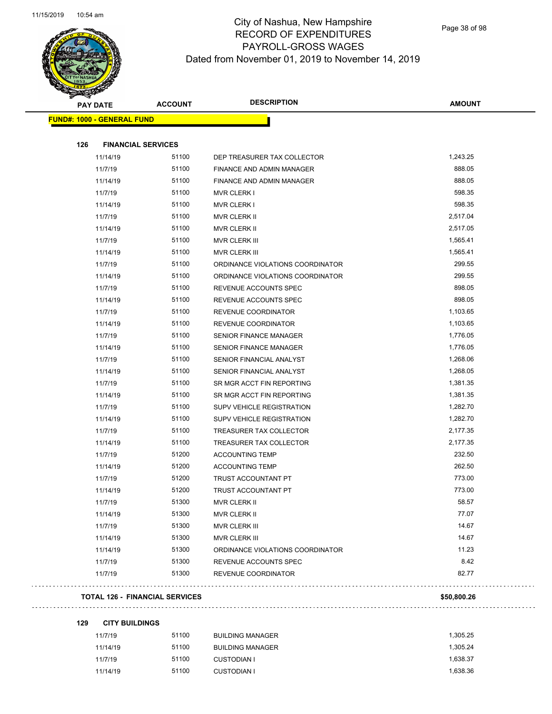

| <b>PAY DATE</b>                   |                           | <b>ACCOUNT</b> | <b>DESCRIPTION</b>               | <b>AMOUNT</b> |
|-----------------------------------|---------------------------|----------------|----------------------------------|---------------|
| <b>FUND#: 1000 - GENERAL FUND</b> |                           |                |                                  |               |
|                                   |                           |                |                                  |               |
| 126                               | <b>FINANCIAL SERVICES</b> |                |                                  |               |
|                                   | 11/14/19                  | 51100          | DEP TREASURER TAX COLLECTOR      | 1,243.25      |
|                                   | 11/7/19                   | 51100          | FINANCE AND ADMIN MANAGER        | 888.05        |
|                                   | 11/14/19                  | 51100          | FINANCE AND ADMIN MANAGER        | 888.05        |
|                                   | 11/7/19                   | 51100          | <b>MVR CLERK I</b>               | 598.35        |
|                                   | 11/14/19                  | 51100          | <b>MVR CLERK I</b>               | 598.35        |
|                                   | 11/7/19                   | 51100          | MVR CLERK II                     | 2,517.04      |
|                                   | 11/14/19                  | 51100          | MVR CLERK II                     | 2,517.05      |
|                                   | 11/7/19                   | 51100          | MVR CLERK III                    | 1,565.41      |
|                                   | 11/14/19                  | 51100          | MVR CLERK III                    | 1,565.41      |
|                                   | 11/7/19                   | 51100          | ORDINANCE VIOLATIONS COORDINATOR | 299.55        |
|                                   | 11/14/19                  | 51100          | ORDINANCE VIOLATIONS COORDINATOR | 299.55        |
|                                   | 11/7/19                   | 51100          | REVENUE ACCOUNTS SPEC            | 898.05        |
|                                   | 11/14/19                  | 51100          | REVENUE ACCOUNTS SPEC            | 898.05        |
|                                   | 11/7/19                   | 51100          | REVENUE COORDINATOR              | 1,103.65      |
|                                   | 11/14/19                  | 51100          | REVENUE COORDINATOR              | 1,103.65      |
|                                   | 11/7/19                   | 51100          | <b>SENIOR FINANCE MANAGER</b>    | 1,776.05      |
|                                   | 11/14/19                  | 51100          | <b>SENIOR FINANCE MANAGER</b>    | 1,776.05      |
|                                   | 11/7/19                   | 51100          | SENIOR FINANCIAL ANALYST         | 1,268.06      |
|                                   | 11/14/19                  | 51100          | SENIOR FINANCIAL ANALYST         | 1,268.05      |
|                                   | 11/7/19                   | 51100          | SR MGR ACCT FIN REPORTING        | 1,381.35      |
|                                   | 11/14/19                  | 51100          | SR MGR ACCT FIN REPORTING        | 1,381.35      |
|                                   | 11/7/19                   | 51100          | <b>SUPV VEHICLE REGISTRATION</b> | 1,282.70      |
|                                   | 11/14/19                  | 51100          | <b>SUPV VEHICLE REGISTRATION</b> | 1,282.70      |
|                                   | 11/7/19                   | 51100          | TREASURER TAX COLLECTOR          | 2,177.35      |
|                                   | 11/14/19                  | 51100          | TREASURER TAX COLLECTOR          | 2,177.35      |
|                                   | 11/7/19                   | 51200          | <b>ACCOUNTING TEMP</b>           | 232.50        |
|                                   | 11/14/19                  | 51200          | <b>ACCOUNTING TEMP</b>           | 262.50        |
|                                   | 11/7/19                   | 51200          | TRUST ACCOUNTANT PT              | 773.00        |
|                                   | 11/14/19                  | 51200          | TRUST ACCOUNTANT PT              | 773.00        |
|                                   | 11/7/19                   | 51300          | MVR CLERK II                     | 58.57         |
|                                   | 11/14/19                  | 51300          | MVR CLERK II                     | 77.07         |
|                                   | 11/7/19                   | 51300          | <b>MVR CLERK III</b>             | 14.67         |
|                                   | 11/14/19                  | 51300          | MVR CLERK III                    | 14.67         |
|                                   | 11/14/19                  | 51300          | ORDINANCE VIOLATIONS COORDINATOR | 11.23         |
|                                   | 11/7/19                   | 51300          | REVENUE ACCOUNTS SPEC            | 8.42          |
|                                   | 11/7/19                   | 51300          | REVENUE COORDINATOR              | 82.77         |
|                                   |                           |                |                                  |               |

#### **TOTAL 126 - FINANCIAL SERVICES \$50,800.26**

. . . . . . . . . . . . .

| <b>CITY BUILDINGS</b> | 129 |  |  |  |  |
|-----------------------|-----|--|--|--|--|
|-----------------------|-----|--|--|--|--|

| 11/7/19  | 51100 | <b>BUILDING MANAGER</b> | 1.305.25 |
|----------|-------|-------------------------|----------|
| 11/14/19 | 51100 | <b>BUILDING MANAGER</b> | 1.305.24 |
| 11/7/19  | 51100 | <b>CUSTODIAN I</b>      | 1.638.37 |
| 11/14/19 | 51100 | <b>CUSTODIAN I</b>      | 1.638.36 |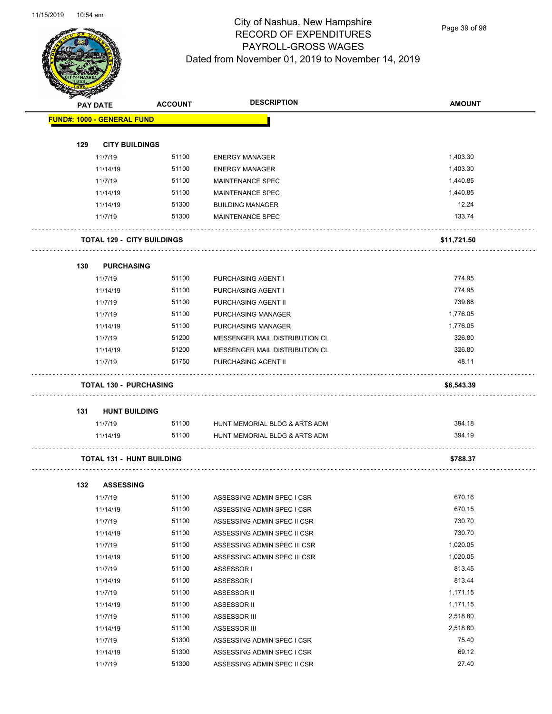

Page 39 of 98

| <b>STARBAN</b> |                                   |                                   |                                |               |
|----------------|-----------------------------------|-----------------------------------|--------------------------------|---------------|
|                | <b>PAY DATE</b>                   | <b>ACCOUNT</b>                    | <b>DESCRIPTION</b>             | <b>AMOUNT</b> |
|                | <b>FUND#: 1000 - GENERAL FUND</b> |                                   |                                |               |
| 129            | <b>CITY BUILDINGS</b>             |                                   |                                |               |
|                | 11/7/19                           | 51100                             | <b>ENERGY MANAGER</b>          | 1,403.30      |
|                | 11/14/19                          | 51100                             | <b>ENERGY MANAGER</b>          | 1,403.30      |
|                | 11/7/19                           | 51100                             | <b>MAINTENANCE SPEC</b>        | 1,440.85      |
|                | 11/14/19                          | 51100                             | <b>MAINTENANCE SPEC</b>        | 1,440.85      |
|                | 11/14/19                          | 51300                             | <b>BUILDING MANAGER</b>        | 12.24         |
|                | 11/7/19                           | 51300                             | <b>MAINTENANCE SPEC</b>        | 133.74        |
|                |                                   | <b>TOTAL 129 - CITY BUILDINGS</b> |                                | \$11,721.50   |
| 130            | <b>PURCHASING</b>                 |                                   |                                |               |
|                | 11/7/19                           | 51100                             | PURCHASING AGENT I             | 774.95        |
|                | 11/14/19                          | 51100                             | PURCHASING AGENT I             | 774.95        |
|                | 11/7/19                           | 51100                             | PURCHASING AGENT II            | 739.68        |
|                | 11/7/19                           | 51100                             | PURCHASING MANAGER             | 1,776.05      |
|                | 11/14/19                          | 51100                             | PURCHASING MANAGER             | 1,776.05      |
|                | 11/7/19                           | 51200                             | MESSENGER MAIL DISTRIBUTION CL | 326.80        |
|                | 11/14/19                          | 51200                             | MESSENGER MAIL DISTRIBUTION CL | 326.80        |
|                | 11/7/19                           | 51750                             | PURCHASING AGENT II            | 48.11         |
|                | <b>TOTAL 130 - PURCHASING</b>     |                                   |                                | \$6,543.39    |
| 131            | <b>HUNT BUILDING</b>              |                                   |                                |               |
|                | 11/7/19                           | 51100                             | HUNT MEMORIAL BLDG & ARTS ADM  | 394.18        |
|                | 11/14/19                          | 51100                             | HUNT MEMORIAL BLDG & ARTS ADM  | 394.19        |
|                | <b>TOTAL 131 - HUNT BUILDING</b>  |                                   |                                | \$788.37      |
| 132            | <b>ASSESSING</b>                  |                                   |                                |               |
|                | 11/7/19                           | 51100                             | ASSESSING ADMIN SPEC I CSR     | 670.16        |
|                | 11/14/19                          | 51100                             | ASSESSING ADMIN SPEC I CSR     | 670.15        |
|                | 11/7/19                           | 51100                             | ASSESSING ADMIN SPEC II CSR    | 730.70        |
|                | 11/14/19                          | 51100                             | ASSESSING ADMIN SPEC II CSR    | 730.70        |
|                | 11/7/19                           | 51100                             | ASSESSING ADMIN SPEC III CSR   | 1,020.05      |
|                | 11/14/19                          | 51100                             | ASSESSING ADMIN SPEC III CSR   | 1,020.05      |
|                | 11/7/19                           | 51100                             | ASSESSOR I                     | 813.45        |
|                | 11/14/19                          | 51100                             | ASSESSOR I                     | 813.44        |
|                | 11/7/19                           | 51100                             | ASSESSOR II                    | 1,171.15      |
|                | 11/14/19                          | 51100                             | ASSESSOR II                    | 1,171.15      |
|                | 11/7/19                           | 51100                             | ASSESSOR III                   | 2,518.80      |
|                | 11/14/19                          | 51100                             | ASSESSOR III                   | 2,518.80      |
|                | 11/7/19                           | 51300                             | ASSESSING ADMIN SPEC I CSR     | 75.40         |
|                | 11/14/19                          | 51300                             | ASSESSING ADMIN SPEC I CSR     | 69.12         |

11/7/19 51300 ASSESSING ADMIN SPEC II CSR 27.40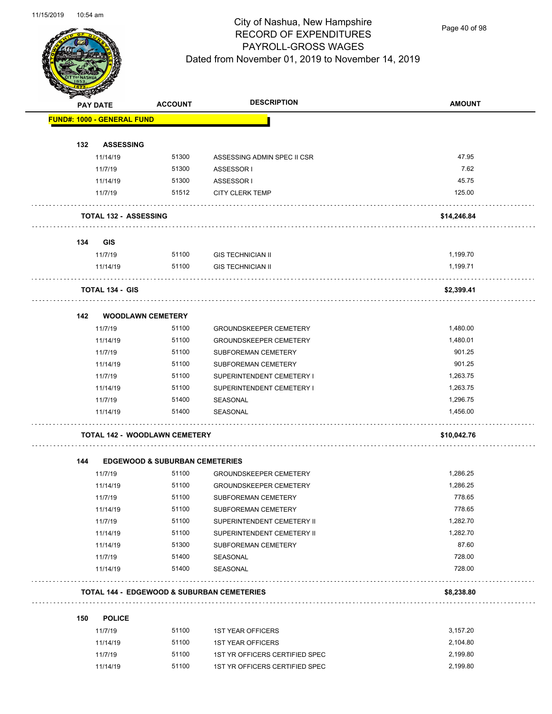

Page 40 of 98

|     | <b>PAY DATE</b>                      | <b>ACCOUNT</b>                            | <b>DESCRIPTION</b>                                    | <b>AMOUNT</b> |
|-----|--------------------------------------|-------------------------------------------|-------------------------------------------------------|---------------|
|     | <b>FUND#: 1000 - GENERAL FUND</b>    |                                           |                                                       |               |
|     |                                      |                                           |                                                       |               |
| 132 | <b>ASSESSING</b>                     | 51300                                     |                                                       | 47.95         |
|     | 11/14/19<br>11/7/19                  | 51300                                     | ASSESSING ADMIN SPEC II CSR<br>ASSESSOR I             | 7.62          |
|     | 11/14/19                             | 51300                                     | ASSESSOR I                                            | 45.75         |
|     | 11/7/19                              | 51512                                     | <b>CITY CLERK TEMP</b>                                | 125.00        |
|     |                                      |                                           |                                                       |               |
|     | <b>TOTAL 132 - ASSESSING</b>         |                                           |                                                       | \$14,246.84   |
| 134 | <b>GIS</b>                           |                                           |                                                       |               |
|     | 11/7/19                              | 51100                                     | <b>GIS TECHNICIAN II</b>                              | 1,199.70      |
|     | 11/14/19                             | 51100                                     | <b>GIS TECHNICIAN II</b>                              | 1,199.71      |
|     | <b>TOTAL 134 - GIS</b>               |                                           |                                                       | \$2,399.41    |
| 142 | <b>WOODLAWN CEMETERY</b>             |                                           |                                                       |               |
|     | 11/7/19                              | 51100                                     | <b>GROUNDSKEEPER CEMETERY</b>                         | 1,480.00      |
|     | 11/14/19                             | 51100                                     | <b>GROUNDSKEEPER CEMETERY</b>                         | 1,480.01      |
|     | 11/7/19                              | 51100                                     | SUBFOREMAN CEMETERY                                   | 901.25        |
|     | 11/14/19                             | 51100                                     | SUBFOREMAN CEMETERY                                   | 901.25        |
|     | 11/7/19                              | 51100                                     | SUPERINTENDENT CEMETERY I                             | 1,263.75      |
|     | 11/14/19                             | 51100                                     | SUPERINTENDENT CEMETERY I                             | 1,263.75      |
|     | 11/7/19                              | 51400                                     | SEASONAL                                              | 1,296.75      |
|     | 11/14/19                             | 51400                                     | SEASONAL                                              | 1,456.00      |
|     | <b>TOTAL 142 - WOODLAWN CEMETERY</b> |                                           |                                                       | \$10,042.76   |
| 144 |                                      | <b>EDGEWOOD &amp; SUBURBAN CEMETERIES</b> |                                                       |               |
|     | 11/7/19                              | 51100                                     | <b>GROUNDSKEEPER CEMETERY</b>                         | 1,286.25      |
|     | 11/14/19                             | 51100                                     | <b>GROUNDSKEEPER CEMETERY</b>                         | 1,286.25      |
|     | 11/7/19                              | 51100                                     | SUBFOREMAN CEMETERY                                   | 778.65        |
|     | 11/14/19                             | 51100                                     | SUBFOREMAN CEMETERY                                   | 778.65        |
|     | 11/7/19                              | 51100                                     | SUPERINTENDENT CEMETERY II                            | 1,282.70      |
|     | 11/14/19                             | 51100                                     | SUPERINTENDENT CEMETERY II                            | 1,282.70      |
|     | 11/14/19                             | 51300                                     | SUBFOREMAN CEMETERY                                   | 87.60         |
|     | 11/7/19                              | 51400                                     | SEASONAL                                              | 728.00        |
|     | 11/14/19                             | 51400                                     | SEASONAL                                              | 728.00        |
|     |                                      |                                           | <b>TOTAL 144 - EDGEWOOD &amp; SUBURBAN CEMETERIES</b> | \$8,238.80    |
|     |                                      |                                           |                                                       |               |
| 150 | <b>POLICE</b>                        |                                           |                                                       | 3,157.20      |
|     | 11/7/19                              | 51100                                     | <b>1ST YEAR OFFICERS</b>                              |               |
|     | 11/14/19                             | 51100                                     | <b>1ST YEAR OFFICERS</b>                              | 2,104.80      |
|     | 11/7/19                              | 51100                                     | 1ST YR OFFICERS CERTIFIED SPEC                        | 2,199.80      |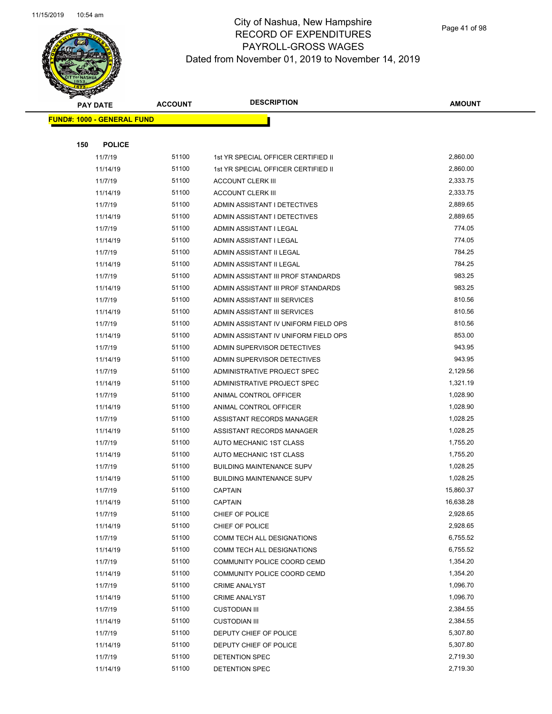

|     | <b>PAY DATE</b>                    | <b>ACCOUNT</b> | <b>DESCRIPTION</b>                   | <b>AMOUNT</b> |
|-----|------------------------------------|----------------|--------------------------------------|---------------|
|     | <u> FUND#: 1000 - GENERAL FUND</u> |                |                                      |               |
|     |                                    |                |                                      |               |
| 150 | <b>POLICE</b>                      |                |                                      |               |
|     | 11/7/19                            | 51100          | 1st YR SPECIAL OFFICER CERTIFIED II  | 2,860.00      |
|     | 11/14/19                           | 51100          | 1st YR SPECIAL OFFICER CERTIFIED II  | 2,860.00      |
|     | 11/7/19                            | 51100          | <b>ACCOUNT CLERK III</b>             | 2,333.75      |
|     | 11/14/19                           | 51100          | <b>ACCOUNT CLERK III</b>             | 2,333.75      |
|     | 11/7/19                            | 51100          | ADMIN ASSISTANT I DETECTIVES         | 2,889.65      |
|     | 11/14/19                           | 51100          | ADMIN ASSISTANT I DETECTIVES         | 2,889.65      |
|     | 11/7/19                            | 51100          | ADMIN ASSISTANT I LEGAL              | 774.05        |
|     | 11/14/19                           | 51100          | ADMIN ASSISTANT I LEGAL              | 774.05        |
|     | 11/7/19                            | 51100          | ADMIN ASSISTANT II LEGAL             | 784.25        |
|     | 11/14/19                           | 51100          | ADMIN ASSISTANT II LEGAL             | 784.25        |
|     | 11/7/19                            | 51100          | ADMIN ASSISTANT III PROF STANDARDS   | 983.25        |
|     | 11/14/19                           | 51100          | ADMIN ASSISTANT III PROF STANDARDS   | 983.25        |
|     | 11/7/19                            | 51100          | ADMIN ASSISTANT III SERVICES         | 810.56        |
|     | 11/14/19                           | 51100          | ADMIN ASSISTANT III SERVICES         | 810.56        |
|     | 11/7/19                            | 51100          | ADMIN ASSISTANT IV UNIFORM FIELD OPS | 810.56        |
|     | 11/14/19                           | 51100          | ADMIN ASSISTANT IV UNIFORM FIELD OPS | 853.00        |
|     | 11/7/19                            | 51100          | ADMIN SUPERVISOR DETECTIVES          | 943.95        |
|     | 11/14/19                           | 51100          | ADMIN SUPERVISOR DETECTIVES          | 943.95        |
|     | 11/7/19                            | 51100          | ADMINISTRATIVE PROJECT SPEC          | 2,129.56      |
|     | 11/14/19                           | 51100          | ADMINISTRATIVE PROJECT SPEC          | 1,321.19      |
|     | 11/7/19                            | 51100          | ANIMAL CONTROL OFFICER               | 1,028.90      |
|     | 11/14/19                           | 51100          | ANIMAL CONTROL OFFICER               | 1,028.90      |
|     | 11/7/19                            | 51100          | ASSISTANT RECORDS MANAGER            | 1,028.25      |
|     | 11/14/19                           | 51100          | ASSISTANT RECORDS MANAGER            | 1,028.25      |
|     | 11/7/19                            | 51100          | AUTO MECHANIC 1ST CLASS              | 1,755.20      |
|     | 11/14/19                           | 51100          | AUTO MECHANIC 1ST CLASS              | 1,755.20      |
|     | 11/7/19                            | 51100          | <b>BUILDING MAINTENANCE SUPV</b>     | 1,028.25      |
|     | 11/14/19                           | 51100          | <b>BUILDING MAINTENANCE SUPV</b>     | 1,028.25      |
|     | 11/7/19                            | 51100          | <b>CAPTAIN</b>                       | 15,860.37     |
|     | 11/14/19                           | 51100          | <b>CAPTAIN</b>                       | 16,638.28     |
|     | 11/7/19                            | 51100          | CHIEF OF POLICE                      | 2,928.65      |
|     | 11/14/19                           | 51100          | CHIEF OF POLICE                      | 2,928.65      |
|     | 11/7/19                            | 51100          | COMM TECH ALL DESIGNATIONS           | 6,755.52      |
|     | 11/14/19                           | 51100          | COMM TECH ALL DESIGNATIONS           | 6,755.52      |
|     | 11/7/19                            | 51100          | COMMUNITY POLICE COORD CEMD          | 1,354.20      |
|     | 11/14/19                           | 51100          | COMMUNITY POLICE COORD CEMD          | 1,354.20      |
|     | 11/7/19                            | 51100          | <b>CRIME ANALYST</b>                 | 1,096.70      |
|     | 11/14/19                           | 51100          | <b>CRIME ANALYST</b>                 | 1,096.70      |
|     | 11/7/19                            | 51100          | <b>CUSTODIAN III</b>                 | 2,384.55      |
|     | 11/14/19                           | 51100          | <b>CUSTODIAN III</b>                 | 2,384.55      |
|     | 11/7/19                            | 51100          | DEPUTY CHIEF OF POLICE               | 5,307.80      |
|     | 11/14/19                           | 51100          | DEPUTY CHIEF OF POLICE               | 5,307.80      |
|     | 11/7/19                            | 51100          | DETENTION SPEC                       | 2,719.30      |
|     | 11/14/19                           | 51100          | DETENTION SPEC                       | 2,719.30      |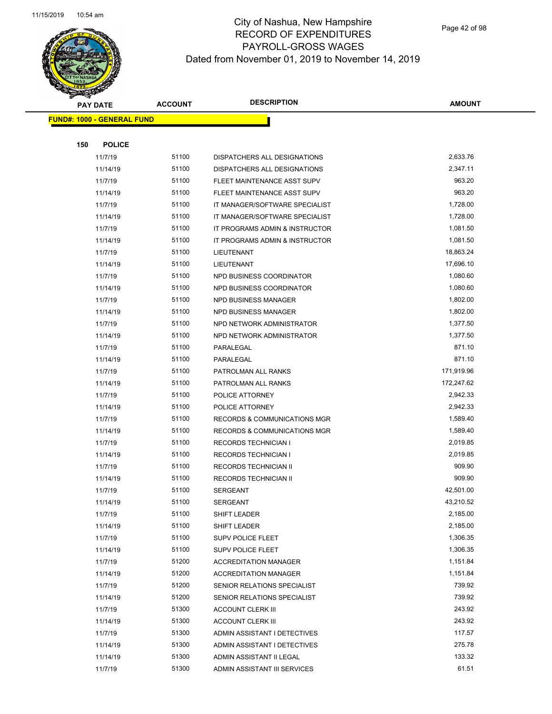

|     | <b>PAY DATE</b>                    | <b>ACCOUNT</b> | <b>DESCRIPTION</b>                      | AMOUNT     |
|-----|------------------------------------|----------------|-----------------------------------------|------------|
|     | <u> FUND#: 1000 - GENERAL FUND</u> |                |                                         |            |
|     |                                    |                |                                         |            |
| 150 | <b>POLICE</b>                      |                |                                         |            |
|     | 11/7/19                            | 51100          | DISPATCHERS ALL DESIGNATIONS            | 2,633.76   |
|     | 11/14/19                           | 51100          | DISPATCHERS ALL DESIGNATIONS            | 2,347.11   |
|     | 11/7/19                            | 51100          | FLEET MAINTENANCE ASST SUPV             | 963.20     |
|     | 11/14/19                           | 51100          | FLEET MAINTENANCE ASST SUPV             | 963.20     |
|     | 11/7/19                            | 51100          | IT MANAGER/SOFTWARE SPECIALIST          | 1,728.00   |
|     | 11/14/19                           | 51100          | IT MANAGER/SOFTWARE SPECIALIST          | 1,728.00   |
|     | 11/7/19                            | 51100          | IT PROGRAMS ADMIN & INSTRUCTOR          | 1,081.50   |
|     | 11/14/19                           | 51100          | IT PROGRAMS ADMIN & INSTRUCTOR          | 1,081.50   |
|     | 11/7/19                            | 51100          | LIEUTENANT                              | 18,863.24  |
|     | 11/14/19                           | 51100          | LIEUTENANT                              | 17,696.10  |
|     | 11/7/19                            | 51100          | NPD BUSINESS COORDINATOR                | 1,080.60   |
|     | 11/14/19                           | 51100          | NPD BUSINESS COORDINATOR                | 1,080.60   |
|     | 11/7/19                            | 51100          | <b>NPD BUSINESS MANAGER</b>             | 1,802.00   |
|     | 11/14/19                           | 51100          | NPD BUSINESS MANAGER                    | 1,802.00   |
|     | 11/7/19                            | 51100          | NPD NETWORK ADMINISTRATOR               | 1,377.50   |
|     | 11/14/19                           | 51100          | NPD NETWORK ADMINISTRATOR               | 1,377.50   |
|     | 11/7/19                            | 51100          | PARALEGAL                               | 871.10     |
|     | 11/14/19                           | 51100          | PARALEGAL                               | 871.10     |
|     | 11/7/19                            | 51100          | PATROLMAN ALL RANKS                     | 171,919.96 |
|     | 11/14/19                           | 51100          | PATROLMAN ALL RANKS                     | 172,247.62 |
|     | 11/7/19                            | 51100          | POLICE ATTORNEY                         | 2,942.33   |
|     | 11/14/19                           | 51100          | POLICE ATTORNEY                         | 2,942.33   |
|     | 11/7/19                            | 51100          | <b>RECORDS &amp; COMMUNICATIONS MGR</b> | 1,589.40   |
|     | 11/14/19                           | 51100          | <b>RECORDS &amp; COMMUNICATIONS MGR</b> | 1,589.40   |
|     | 11/7/19                            | 51100          | <b>RECORDS TECHNICIAN I</b>             | 2,019.85   |
|     | 11/14/19                           | 51100          | <b>RECORDS TECHNICIAN I</b>             | 2,019.85   |
|     | 11/7/19                            | 51100          | <b>RECORDS TECHNICIAN II</b>            | 909.90     |
|     | 11/14/19                           | 51100          | <b>RECORDS TECHNICIAN II</b>            | 909.90     |
|     | 11/7/19                            | 51100          | <b>SERGEANT</b>                         | 42,501.00  |
|     | 11/14/19                           | 51100          | <b>SERGEANT</b>                         | 43,210.52  |
|     | 11/7/19                            | 51100          | SHIFT LEADER                            | 2,185.00   |
|     | 11/14/19                           | 51100          | SHIFT LEADER                            | 2,185.00   |
|     | 11/7/19                            | 51100          | SUPV POLICE FLEET                       | 1,306.35   |
|     | 11/14/19                           | 51100          | <b>SUPV POLICE FLEET</b>                | 1,306.35   |
|     | 11/7/19                            | 51200          | <b>ACCREDITATION MANAGER</b>            | 1,151.84   |
|     | 11/14/19                           | 51200          | <b>ACCREDITATION MANAGER</b>            | 1,151.84   |
|     | 11/7/19                            | 51200          | SENIOR RELATIONS SPECIALIST             | 739.92     |
|     | 11/14/19                           | 51200          | SENIOR RELATIONS SPECIALIST             | 739.92     |
|     | 11/7/19                            | 51300          | <b>ACCOUNT CLERK III</b>                | 243.92     |
|     | 11/14/19                           | 51300          | <b>ACCOUNT CLERK III</b>                | 243.92     |
|     | 11/7/19                            | 51300          | ADMIN ASSISTANT I DETECTIVES            | 117.57     |
|     | 11/14/19                           | 51300          | ADMIN ASSISTANT I DETECTIVES            | 275.78     |
|     | 11/14/19                           | 51300          | ADMIN ASSISTANT II LEGAL                | 133.32     |
|     | 11/7/19                            | 51300          | ADMIN ASSISTANT III SERVICES            | 61.51      |
|     |                                    |                |                                         |            |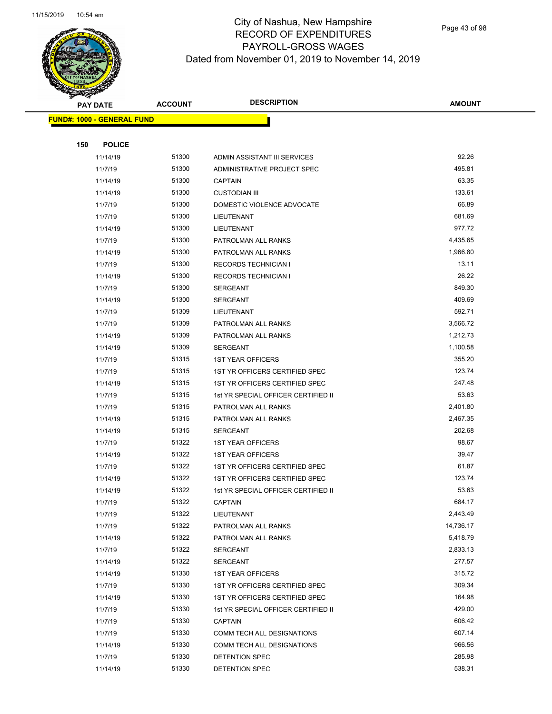

Page 43 of 98

|     | <b>PAY DATE</b>                   | <b>ACCOUNT</b> | <b>DESCRIPTION</b>                  | <b>AMOUNT</b>        |
|-----|-----------------------------------|----------------|-------------------------------------|----------------------|
|     | <b>FUND#: 1000 - GENERAL FUND</b> |                |                                     |                      |
|     |                                   |                |                                     |                      |
| 150 | <b>POLICE</b>                     |                |                                     |                      |
|     | 11/14/19                          | 51300          | ADMIN ASSISTANT III SERVICES        | 92.26                |
|     | 11/7/19                           | 51300          | ADMINISTRATIVE PROJECT SPEC         | 495.81               |
|     | 11/14/19                          | 51300          | <b>CAPTAIN</b>                      | 63.35                |
|     | 11/14/19                          | 51300          | <b>CUSTODIAN III</b>                | 133.61               |
|     | 11/7/19                           | 51300          | DOMESTIC VIOLENCE ADVOCATE          | 66.89                |
|     | 11/7/19                           | 51300          | LIEUTENANT                          | 681.69               |
|     | 11/14/19                          | 51300          | LIEUTENANT                          | 977.72               |
|     | 11/7/19                           | 51300          | PATROLMAN ALL RANKS                 | 4,435.65             |
|     | 11/14/19                          | 51300          | PATROLMAN ALL RANKS                 | 1,966.80             |
|     | 11/7/19                           | 51300          | <b>RECORDS TECHNICIAN I</b>         | 13.11                |
|     | 11/14/19                          | 51300          | <b>RECORDS TECHNICIAN I</b>         | 26.22                |
|     | 11/7/19                           | 51300          | <b>SERGEANT</b>                     | 849.30               |
|     | 11/14/19                          | 51300          | <b>SERGEANT</b>                     | 409.69               |
|     | 11/7/19                           | 51309          | LIEUTENANT                          | 592.71               |
|     | 11/7/19                           | 51309          | PATROLMAN ALL RANKS                 | 3,566.72             |
|     | 11/14/19                          | 51309          | PATROLMAN ALL RANKS                 | 1,212.73             |
|     | 11/14/19                          | 51309          | <b>SERGEANT</b>                     | 1,100.58             |
|     | 11/7/19                           | 51315          | <b>1ST YEAR OFFICERS</b>            | 355.20               |
|     | 11/7/19                           | 51315          | 1ST YR OFFICERS CERTIFIED SPEC      | 123.74               |
|     | 11/14/19                          | 51315          | 1ST YR OFFICERS CERTIFIED SPEC      | 247.48               |
|     | 11/7/19                           | 51315          | 1st YR SPECIAL OFFICER CERTIFIED II | 53.63                |
|     | 11/7/19                           | 51315          | PATROLMAN ALL RANKS                 | 2,401.80             |
|     | 11/14/19                          | 51315          | PATROLMAN ALL RANKS                 | 2,467.35             |
|     | 11/14/19                          | 51315          | <b>SERGEANT</b>                     | 202.68               |
|     | 11/7/19                           | 51322          | <b>1ST YEAR OFFICERS</b>            | 98.67                |
|     | 11/14/19                          | 51322          | <b>1ST YEAR OFFICERS</b>            | 39.47                |
|     | 11/7/19                           | 51322          | 1ST YR OFFICERS CERTIFIED SPEC      | 61.87                |
|     | 11/14/19                          | 51322          | 1ST YR OFFICERS CERTIFIED SPEC      | 123.74               |
|     | 11/14/19                          | 51322          | 1st YR SPECIAL OFFICER CERTIFIED II | 53.63                |
|     | 11/7/19                           | 51322          | CAPTAIN                             | 684.17               |
|     | 11/7/19                           | 51322          | LIEUTENANT                          | 2,443.49             |
|     | 11/7/19                           | 51322          | PATROLMAN ALL RANKS                 | 14,736.17            |
|     | 11/14/19                          | 51322<br>51322 | PATROLMAN ALL RANKS                 | 5,418.79<br>2,833.13 |
|     | 11/7/19<br>11/14/19               | 51322          | SERGEANT<br>SERGEANT                | 277.57               |
|     | 11/14/19                          | 51330          | <b>1ST YEAR OFFICERS</b>            | 315.72               |
|     | 11/7/19                           | 51330          | 1ST YR OFFICERS CERTIFIED SPEC      | 309.34               |
|     | 11/14/19                          | 51330          | 1ST YR OFFICERS CERTIFIED SPEC      | 164.98               |
|     | 11/7/19                           | 51330          | 1st YR SPECIAL OFFICER CERTIFIED II | 429.00               |
|     | 11/7/19                           | 51330          | CAPTAIN                             | 606.42               |
|     | 11/7/19                           | 51330          | COMM TECH ALL DESIGNATIONS          | 607.14               |
|     | 11/14/19                          | 51330          | COMM TECH ALL DESIGNATIONS          | 966.56               |
|     | 11/7/19                           | 51330          | DETENTION SPEC                      | 285.98               |
|     | 11/14/19                          | 51330          | DETENTION SPEC                      | 538.31               |
|     |                                   |                |                                     |                      |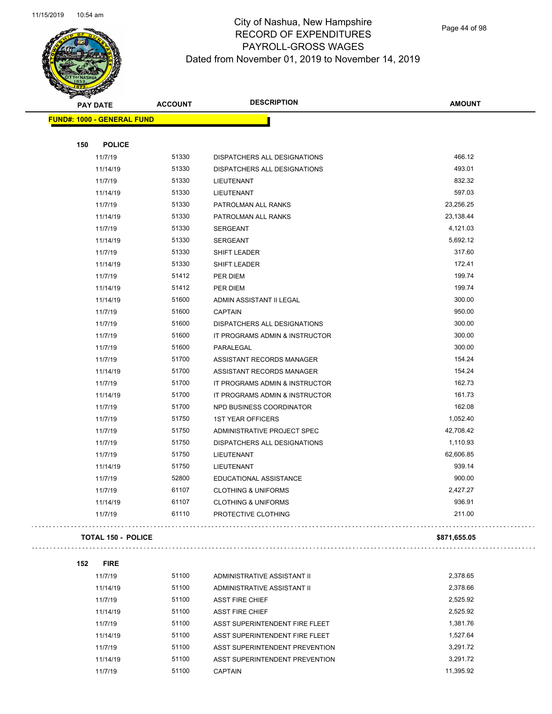

# City of Nashua, New Hampshire RECORD OF EXPENDITURES PAYROLL-GROSS WAGES Dated from November 01, 2019 to November 14, 2019

Page 44 of 98

| T<br>B.<br><b>PAY DATE</b>        | <b>ACCOUNT</b> | <b>DESCRIPTION</b>                                         | <b>AMOUNT</b>         |
|-----------------------------------|----------------|------------------------------------------------------------|-----------------------|
| <b>FUND#: 1000 - GENERAL FUND</b> |                |                                                            |                       |
|                                   |                |                                                            |                       |
| <b>POLICE</b><br>150              |                |                                                            |                       |
| 11/7/19                           | 51330<br>51330 | DISPATCHERS ALL DESIGNATIONS                               | 466.12<br>493.01      |
| 11/14/19                          |                | DISPATCHERS ALL DESIGNATIONS                               |                       |
| 11/7/19                           | 51330<br>51330 | LIEUTENANT                                                 | 832.32<br>597.03      |
| 11/14/19                          |                | LIEUTENANT                                                 |                       |
| 11/7/19                           | 51330          | PATROLMAN ALL RANKS                                        | 23,256.25             |
| 11/14/19                          | 51330<br>51330 | PATROLMAN ALL RANKS                                        | 23,138.44<br>4,121.03 |
| 11/7/19                           | 51330          | <b>SERGEANT</b>                                            | 5,692.12              |
| 11/14/19                          | 51330          | SERGEANT                                                   | 317.60                |
| 11/7/19                           | 51330          | SHIFT LEADER                                               | 172.41                |
| 11/14/19                          | 51412          | SHIFT LEADER                                               | 199.74                |
| 11/7/19                           | 51412          | PER DIEM                                                   | 199.74                |
| 11/14/19                          | 51600          | PER DIEM                                                   | 300.00                |
| 11/14/19<br>11/7/19               | 51600          | ADMIN ASSISTANT II LEGAL<br><b>CAPTAIN</b>                 | 950.00                |
|                                   | 51600          | <b>DISPATCHERS ALL DESIGNATIONS</b>                        | 300.00                |
| 11/7/19<br>11/7/19                | 51600          | IT PROGRAMS ADMIN & INSTRUCTOR                             | 300.00                |
|                                   | 51600          |                                                            | 300.00                |
| 11/7/19                           | 51700          | PARALEGAL                                                  | 154.24                |
| 11/7/19                           | 51700          | ASSISTANT RECORDS MANAGER                                  | 154.24                |
| 11/14/19                          | 51700          | ASSISTANT RECORDS MANAGER                                  | 162.73                |
| 11/7/19                           | 51700          | IT PROGRAMS ADMIN & INSTRUCTOR                             | 161.73                |
| 11/14/19                          | 51700          | IT PROGRAMS ADMIN & INSTRUCTOR<br>NPD BUSINESS COORDINATOR | 162.08                |
| 11/7/19                           | 51750          |                                                            | 1,052.40              |
| 11/7/19                           | 51750          | <b>1ST YEAR OFFICERS</b><br>ADMINISTRATIVE PROJECT SPEC    | 42,708.42             |
| 11/7/19                           | 51750          |                                                            | 1,110.93              |
| 11/7/19<br>11/7/19                | 51750          | DISPATCHERS ALL DESIGNATIONS                               | 62,606.85             |
|                                   | 51750          | LIEUTENANT                                                 | 939.14                |
| 11/14/19                          | 52800          | LIEUTENANT<br>EDUCATIONAL ASSISTANCE                       | 900.00                |
| 11/7/19<br>11/7/19                | 61107          | <b>CLOTHING &amp; UNIFORMS</b>                             | 2,427.27              |
|                                   | 61107          |                                                            | 936.91                |
| 11/14/19<br>11/7/19               | 61110          | <b>CLOTHING &amp; UNIFORMS</b><br>PROTECTIVE CLOTHING      | 211.00                |
|                                   |                |                                                            |                       |
| <b>TOTAL 150 - POLICE</b>         |                |                                                            | \$871,655.05          |
| 152<br><b>FIRE</b>                |                |                                                            |                       |
| 11/7/19                           | 51100          | ADMINISTRATIVE ASSISTANT II                                | 2,378.65              |
| 11/14/19                          | 51100          | ADMINISTRATIVE ASSISTANT II                                | 2,378.66              |
| 11/7/19                           | 51100          | <b>ASST FIRE CHIEF</b>                                     | 2,525.92              |
| 11/14/19                          | 51100          | <b>ASST FIRE CHIEF</b>                                     | 2,525.92              |
| 11/7/19                           | 51100          | ASST SUPERINTENDENT FIRE FLEET                             | 1,381.76              |
| 11/14/19                          | 51100          | ASST SUPERINTENDENT FIRE FLEET                             | 1,527.64              |
| 11/7/19                           | 51100          | ASST SUPERINTENDENT PREVENTION                             | 3,291.72              |
| 11/14/19                          | 51100          | ASST SUPERINTENDENT PREVENTION                             | 3,291.72              |
| 11/7/19                           | 51100          | <b>CAPTAIN</b>                                             | 11,395.92             |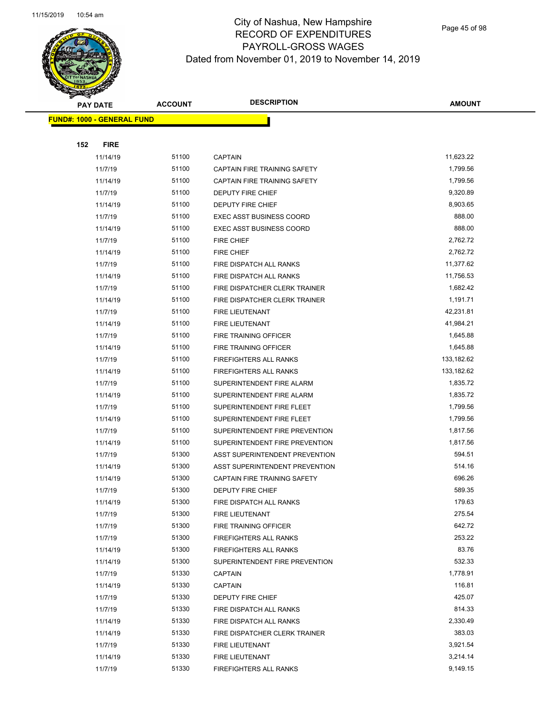

Page 45 of 98

| <b>PAY DATE</b> |                                   | <b>ACCOUNT</b> | <b>DESCRIPTION</b>              | <b>AMOUNT</b> |
|-----------------|-----------------------------------|----------------|---------------------------------|---------------|
|                 | <b>FUND#: 1000 - GENERAL FUND</b> |                |                                 |               |
|                 |                                   |                |                                 |               |
| 152             | <b>FIRE</b>                       |                |                                 |               |
|                 | 11/14/19                          | 51100          | <b>CAPTAIN</b>                  | 11,623.22     |
|                 | 11/7/19                           | 51100          | CAPTAIN FIRE TRAINING SAFETY    | 1,799.56      |
|                 | 11/14/19                          | 51100          | CAPTAIN FIRE TRAINING SAFETY    | 1,799.56      |
|                 | 11/7/19                           | 51100          | DEPUTY FIRE CHIEF               | 9,320.89      |
|                 | 11/14/19                          | 51100          | DEPUTY FIRE CHIEF               | 8,903.65      |
|                 | 11/7/19                           | 51100          | <b>EXEC ASST BUSINESS COORD</b> | 888.00        |
|                 | 11/14/19                          | 51100          | <b>EXEC ASST BUSINESS COORD</b> | 888.00        |
|                 | 11/7/19                           | 51100          | <b>FIRE CHIEF</b>               | 2,762.72      |
|                 | 11/14/19                          | 51100          | <b>FIRE CHIEF</b>               | 2,762.72      |
|                 | 11/7/19                           | 51100          | FIRE DISPATCH ALL RANKS         | 11,377.62     |
|                 | 11/14/19                          | 51100          | FIRE DISPATCH ALL RANKS         | 11,756.53     |
|                 | 11/7/19                           | 51100          | FIRE DISPATCHER CLERK TRAINER   | 1,682.42      |
|                 | 11/14/19                          | 51100          | FIRE DISPATCHER CLERK TRAINER   | 1,191.71      |
|                 | 11/7/19                           | 51100          | FIRE LIEUTENANT                 | 42,231.81     |
|                 | 11/14/19                          | 51100          | FIRE LIEUTENANT                 | 41,984.21     |
|                 | 11/7/19                           | 51100          | FIRE TRAINING OFFICER           | 1,645.88      |
|                 | 11/14/19                          | 51100          | FIRE TRAINING OFFICER           | 1,645.88      |
|                 | 11/7/19                           | 51100          | <b>FIREFIGHTERS ALL RANKS</b>   | 133,182.62    |
|                 | 11/14/19                          | 51100          | <b>FIREFIGHTERS ALL RANKS</b>   | 133,182.62    |
|                 | 11/7/19                           | 51100          | SUPERINTENDENT FIRE ALARM       | 1,835.72      |
|                 | 11/14/19                          | 51100          | SUPERINTENDENT FIRE ALARM       | 1,835.72      |
|                 | 11/7/19                           | 51100          | SUPERINTENDENT FIRE FLEET       | 1,799.56      |
|                 | 11/14/19                          | 51100          | SUPERINTENDENT FIRE FLEET       | 1,799.56      |
|                 | 11/7/19                           | 51100          | SUPERINTENDENT FIRE PREVENTION  | 1,817.56      |
|                 | 11/14/19                          | 51100          | SUPERINTENDENT FIRE PREVENTION  | 1,817.56      |
|                 | 11/7/19                           | 51300          | ASST SUPERINTENDENT PREVENTION  | 594.51        |
|                 | 11/14/19                          | 51300          | ASST SUPERINTENDENT PREVENTION  | 514.16        |
|                 | 11/14/19                          | 51300          | CAPTAIN FIRE TRAINING SAFETY    | 696.26        |
|                 | 11/7/19                           | 51300          | <b>DEPUTY FIRE CHIEF</b>        | 589.35        |
|                 | 11/14/19                          | 51300          | FIRE DISPATCH ALL RANKS         | 179.63        |
|                 | 11/7/19                           | 51300          | FIRE LIEUTENANT                 | 275.54        |
|                 | 11/7/19                           | 51300          | FIRE TRAINING OFFICER           | 642.72        |
|                 | 11/7/19                           | 51300          | <b>FIREFIGHTERS ALL RANKS</b>   | 253.22        |
|                 | 11/14/19                          | 51300          | FIREFIGHTERS ALL RANKS          | 83.76         |
|                 | 11/14/19                          | 51300          | SUPERINTENDENT FIRE PREVENTION  | 532.33        |
|                 | 11/7/19                           | 51330          | CAPTAIN                         | 1,778.91      |
|                 | 11/14/19                          | 51330          | CAPTAIN                         | 116.81        |
|                 | 11/7/19                           | 51330          | DEPUTY FIRE CHIEF               | 425.07        |
|                 | 11/7/19                           | 51330          | FIRE DISPATCH ALL RANKS         | 814.33        |
|                 | 11/14/19                          | 51330          | FIRE DISPATCH ALL RANKS         | 2,330.49      |
|                 | 11/14/19                          | 51330          | FIRE DISPATCHER CLERK TRAINER   | 383.03        |
|                 | 11/7/19                           | 51330          | FIRE LIEUTENANT                 | 3,921.54      |
|                 | 11/14/19                          | 51330          | FIRE LIEUTENANT                 | 3,214.14      |
|                 | 11/7/19                           | 51330          | FIREFIGHTERS ALL RANKS          | 9,149.15      |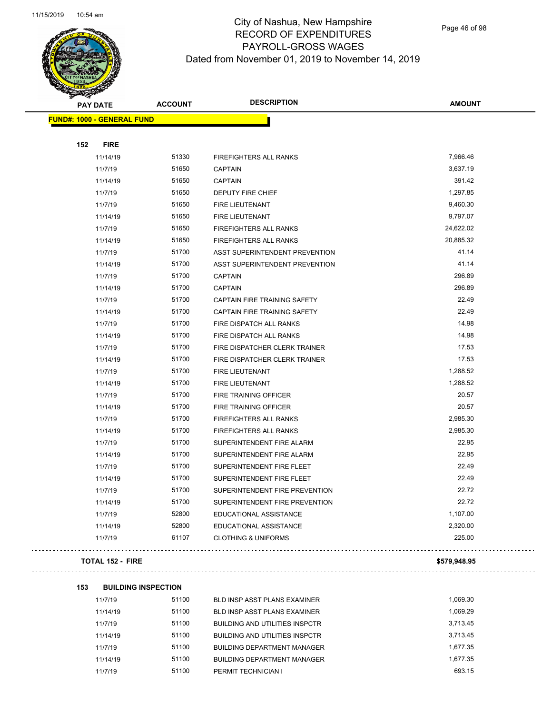

Page 46 of 98

| <b>PAY DATE</b>                   | <b>ACCOUNT</b> | <b>DESCRIPTION</b>             | AMOUNT    |
|-----------------------------------|----------------|--------------------------------|-----------|
| <b>FUND#: 1000 - GENERAL FUND</b> |                |                                |           |
|                                   |                |                                |           |
| <b>FIRE</b><br>152                |                |                                |           |
| 11/14/19                          | 51330          | FIREFIGHTERS ALL RANKS         | 7,966.46  |
| 11/7/19                           | 51650          | <b>CAPTAIN</b>                 | 3,637.19  |
| 11/14/19                          | 51650          | <b>CAPTAIN</b>                 | 391.42    |
| 11/7/19                           | 51650          | <b>DEPUTY FIRE CHIEF</b>       | 1,297.85  |
| 11/7/19                           | 51650          | <b>FIRE LIEUTENANT</b>         | 9,460.30  |
| 11/14/19                          | 51650          | FIRE LIEUTENANT                | 9,797.07  |
| 11/7/19                           | 51650          | FIREFIGHTERS ALL RANKS         | 24,622.02 |
| 11/14/19                          | 51650          | <b>FIREFIGHTERS ALL RANKS</b>  | 20,885.32 |
| 11/7/19                           | 51700          | ASST SUPERINTENDENT PREVENTION | 41.14     |
| 11/14/19                          | 51700          | ASST SUPERINTENDENT PREVENTION | 41.14     |
| 11/7/19                           | 51700          | <b>CAPTAIN</b>                 | 296.89    |
| 11/14/19                          | 51700          | <b>CAPTAIN</b>                 | 296.89    |
| 11/7/19                           | 51700          | CAPTAIN FIRE TRAINING SAFETY   | 22.49     |
| 11/14/19                          | 51700          | CAPTAIN FIRE TRAINING SAFETY   | 22.49     |
| 11/7/19                           | 51700          | FIRE DISPATCH ALL RANKS        | 14.98     |
| 11/14/19                          | 51700          | FIRE DISPATCH ALL RANKS        | 14.98     |
| 11/7/19                           | 51700          | FIRE DISPATCHER CLERK TRAINER  | 17.53     |
| 11/14/19                          | 51700          | FIRE DISPATCHER CLERK TRAINER  | 17.53     |
| 11/7/19                           | 51700          | <b>FIRE LIEUTENANT</b>         | 1,288.52  |
| 11/14/19                          | 51700          | <b>FIRE LIEUTENANT</b>         | 1,288.52  |
| 11/7/19                           | 51700          | FIRE TRAINING OFFICER          | 20.57     |
| 11/14/19                          | 51700          | FIRE TRAINING OFFICER          | 20.57     |
| 11/7/19                           | 51700          | FIREFIGHTERS ALL RANKS         | 2,985.30  |
| 11/14/19                          | 51700          | FIREFIGHTERS ALL RANKS         | 2,985.30  |
| 11/7/19                           | 51700          | SUPERINTENDENT FIRE ALARM      | 22.95     |
| 11/14/19                          | 51700          | SUPERINTENDENT FIRE ALARM      | 22.95     |
| 11/7/19                           | 51700          | SUPERINTENDENT FIRE FLEET      | 22.49     |
| 11/14/19                          | 51700          | SUPERINTENDENT FIRE FLEET      | 22.49     |
| 11/7/19                           | 51700          | SUPERINTENDENT FIRE PREVENTION | 22.72     |
| 11/14/19                          | 51700          | SUPERINTENDENT FIRE PREVENTION | 22.72     |
| 11/7/19                           | 52800          | EDUCATIONAL ASSISTANCE         | 1,107.00  |
| 11/14/19                          | 52800          | EDUCATIONAL ASSISTANCE         | 2,320.00  |
| 11/7/19                           | 61107          | <b>CLOTHING &amp; UNIFORMS</b> | 225.00    |
|                                   |                |                                |           |

#### **TOTAL 152 - FIRE \$579,948.95**

 $\Box$  .

#### **153 BUILDING INSPECTION**

| 11/7/19  | 51100 | BLD INSP ASST PLANS EXAMINER          | 1.069.30 |
|----------|-------|---------------------------------------|----------|
| 11/14/19 | 51100 | BLD INSP ASST PLANS EXAMINER          | 1.069.29 |
| 11/7/19  | 51100 | <b>BUILDING AND UTILITIES INSPCTR</b> | 3.713.45 |
| 11/14/19 | 51100 | <b>BUILDING AND UTILITIES INSPCTR</b> | 3.713.45 |
| 11/7/19  | 51100 | <b>BUILDING DEPARTMENT MANAGER</b>    | 1.677.35 |
| 11/14/19 | 51100 | <b>BUILDING DEPARTMENT MANAGER</b>    | 1.677.35 |
| 11/7/19  | 51100 | PERMIT TECHNICIAN I                   | 693.15   |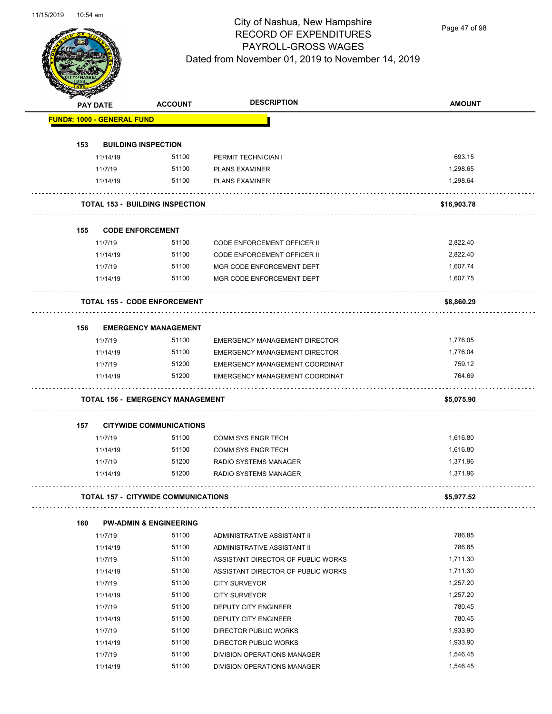Page 47 of 98

|     | <b>PAY DATE</b>                   | <b>ACCOUNT</b>                          | <b>DESCRIPTION</b>                   | <b>AMOUNT</b> |
|-----|-----------------------------------|-----------------------------------------|--------------------------------------|---------------|
|     | <b>FUND#: 1000 - GENERAL FUND</b> |                                         |                                      |               |
|     |                                   |                                         |                                      |               |
| 153 |                                   | <b>BUILDING INSPECTION</b>              |                                      |               |
|     | 11/14/19                          | 51100                                   | PERMIT TECHNICIAN I                  | 693.15        |
|     | 11/7/19                           | 51100                                   | <b>PLANS EXAMINER</b>                | 1,298.65      |
|     | 11/14/19                          | 51100                                   | <b>PLANS EXAMINER</b>                | 1,298.64      |
|     |                                   | <b>TOTAL 153 - BUILDING INSPECTION</b>  |                                      | \$16,903.78   |
| 155 |                                   | <b>CODE ENFORCEMENT</b>                 |                                      |               |
|     | 11/7/19                           | 51100                                   | <b>CODE ENFORCEMENT OFFICER II</b>   | 2,822.40      |
|     | 11/14/19                          | 51100                                   | CODE ENFORCEMENT OFFICER II          | 2,822.40      |
|     | 11/7/19                           | 51100                                   | MGR CODE ENFORCEMENT DEPT            | 1,607.74      |
|     | 11/14/19                          | 51100                                   | MGR CODE ENFORCEMENT DEPT            | 1,607.75      |
|     |                                   | <b>TOTAL 155 - CODE ENFORCEMENT</b>     |                                      | \$8,860.29    |
| 156 |                                   | <b>EMERGENCY MANAGEMENT</b>             |                                      |               |
|     | 11/7/19                           | 51100                                   | <b>EMERGENCY MANAGEMENT DIRECTOR</b> | 1,776.05      |
|     | 11/14/19                          | 51100                                   | <b>EMERGENCY MANAGEMENT DIRECTOR</b> | 1,776.04      |
|     | 11/7/19                           | 51200                                   | EMERGENCY MANAGEMENT COORDINAT       | 759.12        |
|     | 11/14/19                          | 51200                                   | EMERGENCY MANAGEMENT COORDINAT       | 764.69        |
|     |                                   | <b>TOTAL 156 - EMERGENCY MANAGEMENT</b> |                                      | \$5,075.90    |
| 157 |                                   | <b>CITYWIDE COMMUNICATIONS</b>          |                                      |               |
|     | 11/7/19                           | 51100                                   | <b>COMM SYS ENGR TECH</b>            | 1,616.80      |
|     | 11/14/19                          | 51100                                   | <b>COMM SYS ENGR TECH</b>            | 1,616.80      |
|     | 11/7/19                           | 51200                                   | RADIO SYSTEMS MANAGER                | 1,371.96      |
|     | 11/14/19                          | 51200                                   | <b>RADIO SYSTEMS MANAGER</b>         | 1,371.96      |
|     |                                   | TOTAL 157 -  CITYWIDE COMMUNICATIONS    |                                      | \$5,977.52    |
| 160 |                                   | <b>PW-ADMIN &amp; ENGINEERING</b>       |                                      |               |
|     | 11/7/19                           | 51100                                   | ADMINISTRATIVE ASSISTANT II          | 786.85        |
|     | 11/14/19                          | 51100                                   | ADMINISTRATIVE ASSISTANT II          | 786.85        |
|     | 11/7/19                           | 51100                                   | ASSISTANT DIRECTOR OF PUBLIC WORKS   | 1,711.30      |
|     | 11/14/19                          | 51100                                   | ASSISTANT DIRECTOR OF PUBLIC WORKS   | 1,711.30      |
|     |                                   | 51100                                   |                                      | 1,257.20      |
|     | 11/7/19                           |                                         | <b>CITY SURVEYOR</b>                 |               |
|     | 11/14/19                          | 51100                                   | <b>CITY SURVEYOR</b>                 | 1,257.20      |
|     | 11/7/19                           | 51100                                   | DEPUTY CITY ENGINEER                 | 780.45        |
|     | 11/14/19                          | 51100                                   | DEPUTY CITY ENGINEER                 | 780.45        |
|     | 11/7/19                           | 51100                                   | DIRECTOR PUBLIC WORKS                | 1,933.90      |
|     | 11/14/19                          | 51100                                   | DIRECTOR PUBLIC WORKS                | 1,933.90      |
|     | 11/7/19                           | 51100                                   | DIVISION OPERATIONS MANAGER          | 1,546.45      |
|     | 11/14/19                          | 51100                                   | DIVISION OPERATIONS MANAGER          | 1,546.45      |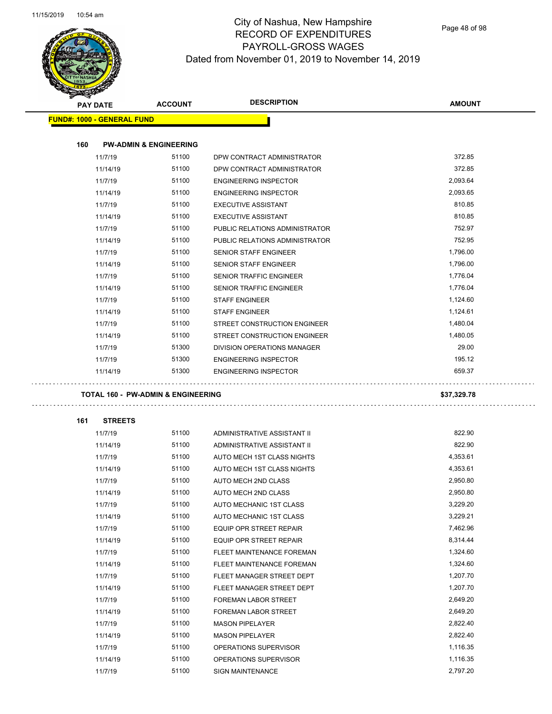

Page 48 of 98

|     | <b>PAY DATE</b>                   | <b>ACCOUNT</b>                                | <b>DESCRIPTION</b>                             | <b>AMOUNT</b>        |
|-----|-----------------------------------|-----------------------------------------------|------------------------------------------------|----------------------|
|     | <b>FUND#: 1000 - GENERAL FUND</b> |                                               |                                                |                      |
|     |                                   |                                               |                                                |                      |
| 160 |                                   | <b>PW-ADMIN &amp; ENGINEERING</b>             |                                                |                      |
|     | 11/7/19                           | 51100                                         | DPW CONTRACT ADMINISTRATOR                     | 372.85               |
|     | 11/14/19                          | 51100                                         | DPW CONTRACT ADMINISTRATOR                     | 372.85               |
|     | 11/7/19                           | 51100                                         | <b>ENGINEERING INSPECTOR</b>                   | 2,093.64             |
|     | 11/14/19                          | 51100                                         | <b>ENGINEERING INSPECTOR</b>                   | 2,093.65             |
|     | 11/7/19                           | 51100                                         | <b>EXECUTIVE ASSISTANT</b>                     | 810.85               |
|     | 11/14/19                          | 51100                                         | <b>EXECUTIVE ASSISTANT</b>                     | 810.85               |
|     | 11/7/19                           | 51100                                         | PUBLIC RELATIONS ADMINISTRATOR                 | 752.97               |
|     | 11/14/19                          | 51100                                         | PUBLIC RELATIONS ADMINISTRATOR                 | 752.95               |
|     | 11/7/19                           | 51100                                         | SENIOR STAFF ENGINEER                          | 1,796.00             |
|     | 11/14/19                          | 51100                                         | SENIOR STAFF ENGINEER                          | 1,796.00             |
|     | 11/7/19                           | 51100                                         | SENIOR TRAFFIC ENGINEER                        | 1,776.04             |
|     | 11/14/19                          | 51100                                         | SENIOR TRAFFIC ENGINEER                        | 1,776.04             |
|     | 11/7/19                           | 51100                                         | <b>STAFF ENGINEER</b>                          | 1,124.60             |
|     | 11/14/19                          | 51100                                         | <b>STAFF ENGINEER</b>                          | 1,124.61             |
|     | 11/7/19                           | 51100                                         | STREET CONSTRUCTION ENGINEER                   | 1,480.04             |
|     | 11/14/19                          | 51100                                         | STREET CONSTRUCTION ENGINEER                   | 1,480.05             |
|     | 11/7/19                           | 51300                                         | DIVISION OPERATIONS MANAGER                    | 29.00                |
|     | 11/7/19                           | 51300                                         | <b>ENGINEERING INSPECTOR</b>                   | 195.12               |
|     | 11/14/19                          | 51300                                         | <b>ENGINEERING INSPECTOR</b>                   | 659.37               |
|     |                                   |                                               |                                                |                      |
|     |                                   |                                               |                                                |                      |
|     |                                   | <b>TOTAL 160 - PW-ADMIN &amp; ENGINEERING</b> |                                                | \$37,329.78          |
| 161 | <b>STREETS</b>                    |                                               |                                                |                      |
|     | 11/7/19                           | 51100                                         | ADMINISTRATIVE ASSISTANT II                    | 822.90               |
|     | 11/14/19                          | 51100                                         | ADMINISTRATIVE ASSISTANT II                    | 822.90               |
|     | 11/7/19                           | 51100                                         | AUTO MECH 1ST CLASS NIGHTS                     | 4,353.61             |
|     | 11/14/19                          | 51100                                         | AUTO MECH 1ST CLASS NIGHTS                     | 4,353.61             |
|     | 11/7/19                           | 51100                                         | AUTO MECH 2ND CLASS                            | 2,950.80             |
|     | 11/14/19                          | 51100                                         | AUTO MECH 2ND CLASS                            | 2,950.80             |
|     | 11/7/19                           | 51100                                         | AUTO MECHANIC 1ST CLASS                        | 3,229.20             |
|     | 11/14/19                          | 51100                                         | AUTO MECHANIC 1ST CLASS                        | 3,229.21             |
|     | 11/7/19                           | 51100                                         | EQUIP OPR STREET REPAIR                        | 7,462.96             |
|     | 11/14/19                          | 51100                                         | EQUIP OPR STREET REPAIR                        | 8,314.44             |
|     | 11/7/19                           | 51100                                         | FLEET MAINTENANCE FOREMAN                      | 1,324.60             |
|     | 11/14/19                          | 51100                                         | FLEET MAINTENANCE FOREMAN                      | 1,324.60             |
|     | 11/7/19                           | 51100                                         | FLEET MANAGER STREET DEPT                      | 1,207.70             |
|     | 11/14/19                          | 51100                                         | FLEET MANAGER STREET DEPT                      | 1,207.70             |
|     | 11/7/19                           | 51100                                         | FOREMAN LABOR STREET                           | 2,649.20             |
|     | 11/14/19                          | 51100                                         | FOREMAN LABOR STREET                           | 2,649.20             |
|     | 11/7/19                           | 51100                                         | <b>MASON PIPELAYER</b>                         | 2,822.40             |
|     |                                   | 51100                                         |                                                | 2,822.40             |
|     | 11/14/19                          | 51100                                         | <b>MASON PIPELAYER</b>                         |                      |
|     | 11/7/19<br>11/14/19               | 51100                                         | OPERATIONS SUPERVISOR<br>OPERATIONS SUPERVISOR | 1,116.35<br>1,116.35 |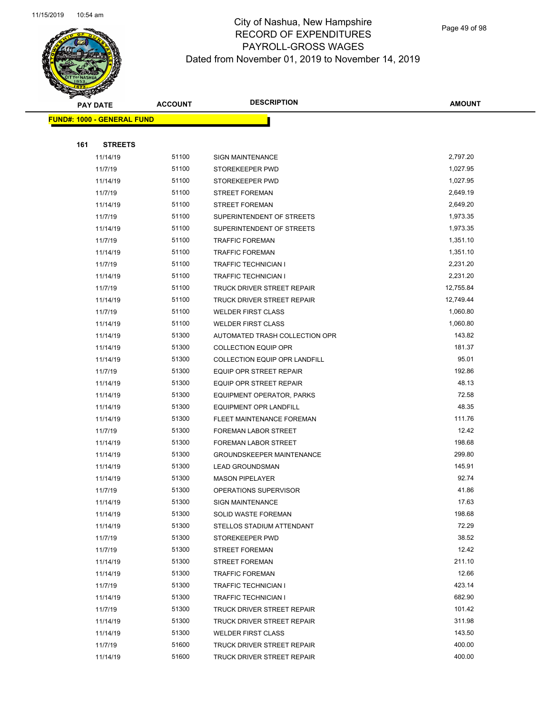

Page 49 of 98

|     | <b>PAY DATE</b>                   | <b>ACCOUNT</b> | <b>DESCRIPTION</b>                | <b>AMOUNT</b> |
|-----|-----------------------------------|----------------|-----------------------------------|---------------|
|     | <b>FUND#: 1000 - GENERAL FUND</b> |                |                                   |               |
|     |                                   |                |                                   |               |
| 161 | <b>STREETS</b>                    |                |                                   |               |
|     | 11/14/19                          | 51100          | <b>SIGN MAINTENANCE</b>           | 2,797.20      |
|     | 11/7/19                           | 51100          | STOREKEEPER PWD                   | 1,027.95      |
|     | 11/14/19                          | 51100          | STOREKEEPER PWD                   | 1,027.95      |
|     | 11/7/19                           | 51100          | <b>STREET FOREMAN</b>             | 2,649.19      |
|     | 11/14/19                          | 51100          | <b>STREET FOREMAN</b>             | 2,649.20      |
|     | 11/7/19                           | 51100          | SUPERINTENDENT OF STREETS         | 1,973.35      |
|     | 11/14/19                          | 51100          | SUPERINTENDENT OF STREETS         | 1,973.35      |
|     | 11/7/19                           | 51100          | <b>TRAFFIC FOREMAN</b>            | 1,351.10      |
|     | 11/14/19                          | 51100          | <b>TRAFFIC FOREMAN</b>            | 1,351.10      |
|     | 11/7/19                           | 51100          | <b>TRAFFIC TECHNICIAN I</b>       | 2,231.20      |
|     | 11/14/19                          | 51100          | <b>TRAFFIC TECHNICIAN I</b>       | 2,231.20      |
|     | 11/7/19                           | 51100          | TRUCK DRIVER STREET REPAIR        | 12,755.84     |
|     | 11/14/19                          | 51100          | <b>TRUCK DRIVER STREET REPAIR</b> | 12,749.44     |
|     | 11/7/19                           | 51100          | <b>WELDER FIRST CLASS</b>         | 1,060.80      |
|     | 11/14/19                          | 51100          | <b>WELDER FIRST CLASS</b>         | 1,060.80      |
|     | 11/14/19                          | 51300          | AUTOMATED TRASH COLLECTION OPR    | 143.82        |
|     | 11/14/19                          | 51300          | <b>COLLECTION EQUIP OPR</b>       | 181.37        |
|     | 11/14/19                          | 51300          | COLLECTION EQUIP OPR LANDFILL     | 95.01         |
|     | 11/7/19                           | 51300          | EQUIP OPR STREET REPAIR           | 192.86        |
|     | 11/14/19                          | 51300          | EQUIP OPR STREET REPAIR           | 48.13         |
|     | 11/14/19                          | 51300          | EQUIPMENT OPERATOR, PARKS         | 72.58         |
|     | 11/14/19                          | 51300          | EQUIPMENT OPR LANDFILL            | 48.35         |
|     | 11/14/19                          | 51300          | FLEET MAINTENANCE FOREMAN         | 111.76        |
|     | 11/7/19                           | 51300          | FOREMAN LABOR STREET              | 12.42         |
|     | 11/14/19                          | 51300          | FOREMAN LABOR STREET              | 198.68        |
|     | 11/14/19                          | 51300          | <b>GROUNDSKEEPER MAINTENANCE</b>  | 299.80        |
|     | 11/14/19                          | 51300          | <b>LEAD GROUNDSMAN</b>            | 145.91        |
|     | 11/14/19                          | 51300          | <b>MASON PIPELAYER</b>            | 92.74         |
|     | 11/7/19                           | 51300          | OPERATIONS SUPERVISOR             | 41.86         |
|     | 11/14/19                          | 51300          | SIGN MAINTENANCE                  | 17.63         |
|     | 11/14/19                          | 51300          | <b>SOLID WASTE FOREMAN</b>        | 198.68        |
|     | 11/14/19                          | 51300          | STELLOS STADIUM ATTENDANT         | 72.29         |
|     | 11/7/19                           | 51300          | STOREKEEPER PWD                   | 38.52         |
|     | 11/7/19                           | 51300          | <b>STREET FOREMAN</b>             | 12.42         |
|     | 11/14/19                          | 51300          | <b>STREET FOREMAN</b>             | 211.10        |
|     | 11/14/19                          | 51300          | <b>TRAFFIC FOREMAN</b>            | 12.66         |
|     | 11/7/19                           | 51300          | <b>TRAFFIC TECHNICIAN I</b>       | 423.14        |
|     | 11/14/19                          | 51300          | <b>TRAFFIC TECHNICIAN I</b>       | 682.90        |
|     | 11/7/19                           | 51300          | <b>TRUCK DRIVER STREET REPAIR</b> | 101.42        |
|     | 11/14/19                          | 51300          | TRUCK DRIVER STREET REPAIR        | 311.98        |
|     | 11/14/19                          | 51300          | <b>WELDER FIRST CLASS</b>         | 143.50        |
|     | 11/7/19                           | 51600          | TRUCK DRIVER STREET REPAIR        | 400.00        |
|     | 11/14/19                          | 51600          | TRUCK DRIVER STREET REPAIR        | 400.00        |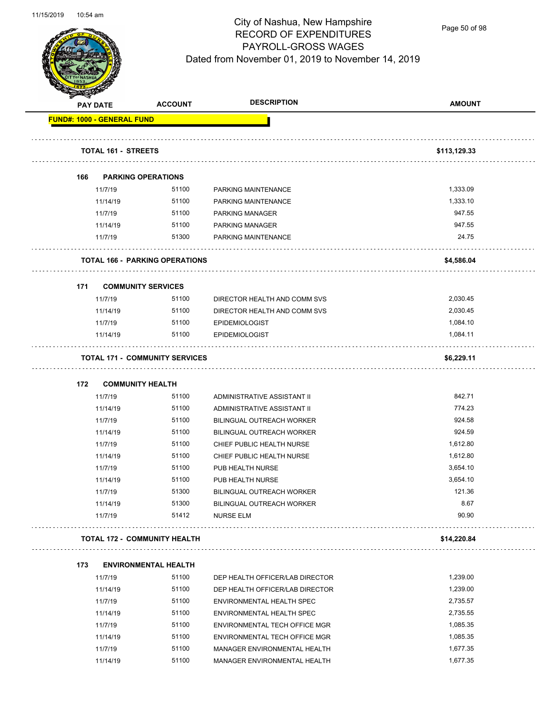

Page 50 of 98

| A.  | <b>PAY DATE</b>                   | <b>ACCOUNT</b>                        | <b>DESCRIPTION</b>                                     | <b>AMOUNT</b>        |
|-----|-----------------------------------|---------------------------------------|--------------------------------------------------------|----------------------|
|     | <b>FUND#: 1000 - GENERAL FUND</b> |                                       |                                                        |                      |
|     | <b>TOTAL 161 - STREETS</b>        |                                       |                                                        | \$113,129.33         |
| 166 |                                   | <b>PARKING OPERATIONS</b>             |                                                        |                      |
|     | 11/7/19                           | 51100                                 | PARKING MAINTENANCE                                    | 1,333.09             |
|     | 11/14/19                          | 51100                                 | PARKING MAINTENANCE                                    | 1,333.10             |
|     | 11/7/19                           | 51100                                 | PARKING MANAGER                                        | 947.55               |
|     | 11/14/19                          | 51100                                 | PARKING MANAGER                                        | 947.55               |
|     | 11/7/19                           | 51300                                 | PARKING MAINTENANCE                                    | 24.75                |
|     |                                   | <b>TOTAL 166 - PARKING OPERATIONS</b> |                                                        | \$4,586.04           |
|     |                                   |                                       |                                                        |                      |
| 171 |                                   | <b>COMMUNITY SERVICES</b>             |                                                        |                      |
|     | 11/7/19                           | 51100                                 | DIRECTOR HEALTH AND COMM SVS                           | 2,030.45             |
|     | 11/14/19                          | 51100                                 | DIRECTOR HEALTH AND COMM SVS                           | 2,030.45             |
|     | 11/7/19                           | 51100                                 | <b>EPIDEMIOLOGIST</b>                                  | 1,084.10             |
|     | 11/14/19                          | 51100                                 | <b>EPIDEMIOLOGIST</b>                                  | 1,084.11             |
|     |                                   | <b>TOTAL 171 - COMMUNITY SERVICES</b> |                                                        | \$6,229.11           |
|     |                                   |                                       |                                                        |                      |
| 172 |                                   | <b>COMMUNITY HEALTH</b><br>51100      |                                                        | 842.71               |
|     | 11/7/19                           | 51100                                 | ADMINISTRATIVE ASSISTANT II                            | 774.23               |
|     | 11/14/19                          | 51100                                 | ADMINISTRATIVE ASSISTANT II                            | 924.58               |
|     | 11/7/19                           | 51100                                 | <b>BILINGUAL OUTREACH WORKER</b>                       | 924.59               |
|     | 11/14/19                          | 51100                                 | BILINGUAL OUTREACH WORKER<br>CHIEF PUBLIC HEALTH NURSE |                      |
|     | 11/7/19                           |                                       |                                                        | 1,612.80             |
|     | 11/14/19                          | 51100                                 | CHIEF PUBLIC HEALTH NURSE                              | 1,612.80             |
|     | 11/7/19                           | 51100<br>51100                        | PUB HEALTH NURSE                                       | 3,654.10<br>3,654.10 |
|     | 11/14/19                          |                                       | PUB HEALTH NURSE                                       | 121.36               |
|     | 11/7/19                           | 51300                                 | BILINGUAL OUTREACH WORKER                              |                      |
|     | 11/14/19<br>11/7/19               | 51300<br>51412                        | BILINGUAL OUTREACH WORKER<br><b>NURSE ELM</b>          | 8.67<br>90.90        |
|     |                                   | <b>TOTAL 172 - COMMUNITY HEALTH</b>   |                                                        | \$14,220.84          |
|     |                                   |                                       |                                                        |                      |
| 173 | 11/7/19                           | <b>ENVIRONMENTAL HEALTH</b><br>51100  | DEP HEALTH OFFICER/LAB DIRECTOR                        | 1,239.00             |
|     | 11/14/19                          | 51100                                 | DEP HEALTH OFFICER/LAB DIRECTOR                        | 1,239.00             |
|     | 11/7/19                           | 51100                                 | ENVIRONMENTAL HEALTH SPEC                              | 2,735.57             |
|     | 11/14/19                          | 51100                                 | ENVIRONMENTAL HEALTH SPEC                              | 2,735.55             |
|     | 11/7/19                           | 51100                                 | ENVIRONMENTAL TECH OFFICE MGR                          | 1,085.35             |
|     | 11/14/19                          | 51100                                 | ENVIRONMENTAL TECH OFFICE MGR                          | 1,085.35             |
|     | 11/7/19                           | 51100                                 | MANAGER ENVIRONMENTAL HEALTH                           | 1,677.35             |
|     | 11/14/19                          | 51100                                 | MANAGER ENVIRONMENTAL HEALTH                           | 1,677.35             |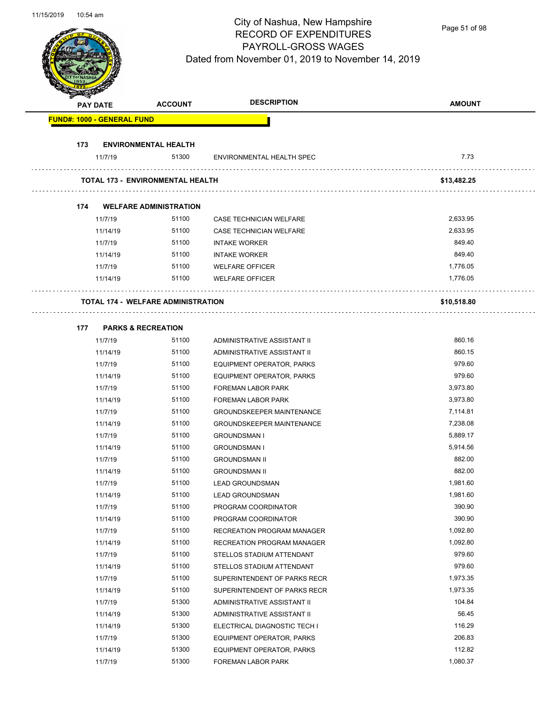Page 51 of 98

|     | <b>PAY DATE</b>                   | <b>ACCOUNT</b>                            | <b>DESCRIPTION</b>               | <b>AMOUNT</b> |
|-----|-----------------------------------|-------------------------------------------|----------------------------------|---------------|
|     | <b>FUND#: 1000 - GENERAL FUND</b> |                                           |                                  |               |
| 173 |                                   | <b>ENVIRONMENTAL HEALTH</b>               |                                  |               |
|     | 11/7/19                           | 51300                                     | ENVIRONMENTAL HEALTH SPEC        | 7.73          |
|     |                                   | <b>TOTAL 173 - ENVIRONMENTAL HEALTH</b>   |                                  | \$13,482.25   |
| 174 |                                   | <b>WELFARE ADMINISTRATION</b>             |                                  |               |
|     | 11/7/19                           | 51100                                     | CASE TECHNICIAN WELFARE          | 2,633.95      |
|     | 11/14/19                          | 51100                                     | CASE TECHNICIAN WELFARE          | 2,633.95      |
|     | 11/7/19                           | 51100                                     | <b>INTAKE WORKER</b>             | 849.40        |
|     | 11/14/19                          | 51100                                     | <b>INTAKE WORKER</b>             | 849.40        |
|     | 11/7/19                           | 51100                                     | <b>WELFARE OFFICER</b>           | 1,776.05      |
|     | 11/14/19                          | 51100                                     | <b>WELFARE OFFICER</b>           | 1,776.05      |
|     |                                   | <b>TOTAL 174 - WELFARE ADMINISTRATION</b> |                                  | \$10,518.80   |
| 177 | <b>PARKS &amp; RECREATION</b>     |                                           |                                  |               |
|     | 11/7/19                           | 51100                                     | ADMINISTRATIVE ASSISTANT II      | 860.16        |
|     | 11/14/19                          | 51100                                     | ADMINISTRATIVE ASSISTANT II      | 860.15        |
|     | 11/7/19                           | 51100                                     | EQUIPMENT OPERATOR, PARKS        | 979.60        |
|     | 11/14/19                          | 51100                                     | EQUIPMENT OPERATOR, PARKS        | 979.60        |
|     | 11/7/19                           | 51100                                     | <b>FOREMAN LABOR PARK</b>        | 3,973.80      |
|     | 11/14/19                          | 51100                                     | FOREMAN LABOR PARK               | 3,973.80      |
|     | 11/7/19                           | 51100                                     | <b>GROUNDSKEEPER MAINTENANCE</b> | 7,114.81      |
|     | 11/14/19                          | 51100                                     | <b>GROUNDSKEEPER MAINTENANCE</b> | 7,238.08      |
|     | 11/7/19                           | 51100                                     | <b>GROUNDSMAN I</b>              | 5,889.17      |
|     | 11/14/19                          | 51100                                     | <b>GROUNDSMAN I</b>              | 5,914.56      |
|     | 11/7/19                           | 51100                                     | <b>GROUNDSMAN II</b>             | 882.00        |
|     | 11/14/19                          | 51100                                     | <b>GROUNDSMAN II</b>             | 882.00        |
|     | 11/7/19                           | 51100                                     | <b>LEAD GROUNDSMAN</b>           | 1,981.60      |
|     | 11/14/19                          | 51100                                     | <b>LEAD GROUNDSMAN</b>           | 1,981.60      |
|     | 11/7/19                           | 51100                                     | PROGRAM COORDINATOR              | 390.90        |
|     | 11/14/19                          | 51100                                     | PROGRAM COORDINATOR              | 390.90        |
|     | 11/7/19                           | 51100                                     | RECREATION PROGRAM MANAGER       | 1,092.80      |
|     | 11/14/19                          | 51100                                     | RECREATION PROGRAM MANAGER       | 1,092.80      |
|     | 11/7/19                           | 51100                                     | STELLOS STADIUM ATTENDANT        | 979.60        |
|     | 11/14/19                          | 51100                                     | STELLOS STADIUM ATTENDANT        | 979.60        |
|     | 11/7/19                           | 51100                                     | SUPERINTENDENT OF PARKS RECR     | 1,973.35      |
|     | 11/14/19                          | 51100                                     | SUPERINTENDENT OF PARKS RECR     | 1,973.35      |
|     | 11/7/19                           | 51300                                     | ADMINISTRATIVE ASSISTANT II      | 104.84        |
|     | 11/14/19                          | 51300                                     | ADMINISTRATIVE ASSISTANT II      | 56.45         |
|     | 11/14/19                          | 51300                                     | ELECTRICAL DIAGNOSTIC TECH I     | 116.29        |
|     | 11/7/19                           | 51300                                     | EQUIPMENT OPERATOR, PARKS        | 206.83        |
|     | 11/14/19                          | 51300                                     | EQUIPMENT OPERATOR, PARKS        | 112.82        |
|     | 11/7/19                           | 51300                                     | FOREMAN LABOR PARK               | 1,080.37      |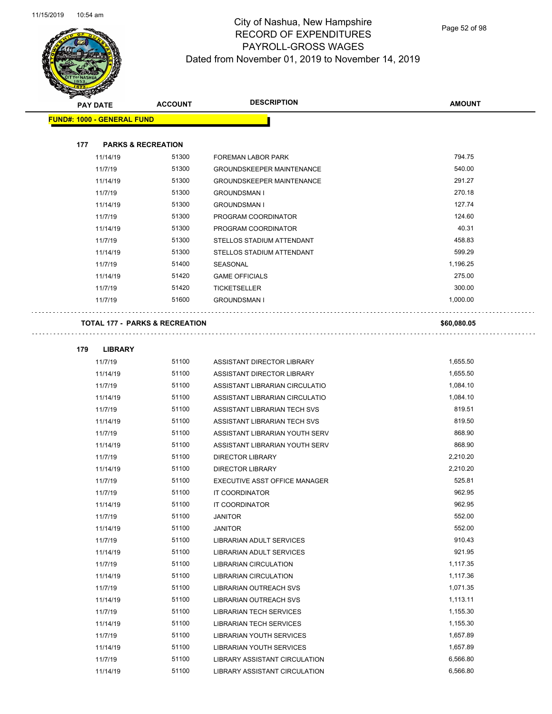

#### City of Nashua, New Hampshire RECORD OF EXPENDITURES PAYROLL-GROSS WAGES Dated from November 01, 2019 to November 14, 2019

Page 52 of 98

| $\overline{\mathscr{D}}$ | <b>PAY DATE</b>                   | <b>ACCOUNT</b>                            | <b>DESCRIPTION</b>               | <b>AMOUNT</b> |
|--------------------------|-----------------------------------|-------------------------------------------|----------------------------------|---------------|
|                          | <b>FUND#: 1000 - GENERAL FUND</b> |                                           |                                  |               |
| 177                      |                                   | <b>PARKS &amp; RECREATION</b>             |                                  |               |
|                          |                                   | 51300                                     |                                  | 794.75        |
|                          | 11/14/19                          |                                           | <b>FOREMAN LABOR PARK</b>        |               |
|                          | 11/7/19                           | 51300                                     | <b>GROUNDSKEEPER MAINTENANCE</b> | 540.00        |
|                          | 11/14/19                          | 51300                                     | <b>GROUNDSKEEPER MAINTENANCE</b> | 291.27        |
|                          | 11/7/19                           | 51300                                     | <b>GROUNDSMAN I</b>              | 270.18        |
|                          | 11/14/19                          | 51300                                     | <b>GROUNDSMAN I</b>              | 127.74        |
|                          | 11/7/19                           | 51300                                     | PROGRAM COORDINATOR              | 124.60        |
|                          | 11/14/19                          | 51300                                     | PROGRAM COORDINATOR              | 40.31         |
|                          | 11/7/19                           | 51300                                     | STELLOS STADIUM ATTENDANT        | 458.83        |
|                          | 11/14/19                          | 51300                                     | STELLOS STADIUM ATTENDANT        | 599.29        |
|                          | 11/7/19                           | 51400                                     | SEASONAL                         | 1,196.25      |
|                          | 11/14/19                          | 51420                                     | <b>GAME OFFICIALS</b>            | 275.00        |
|                          | 11/7/19                           | 51420                                     | <b>TICKETSELLER</b>              | 300.00        |
|                          | 11/7/19                           | 51600                                     | <b>GROUNDSMAN I</b>              | 1,000.00      |
|                          |                                   |                                           |                                  |               |
|                          |                                   | <b>TOTAL 177 - PARKS &amp; RECREATION</b> |                                  | \$60,080.05   |
| 179                      | <b>LIBRARY</b>                    |                                           |                                  |               |
|                          | 11/7/19                           | 51100                                     | ASSISTANT DIRECTOR LIBRARY       | 1,655.50      |

| 11/7/19  | 51100 | ASSISTANT DIRECTOR LIBRARY           | 1,655.50 |
|----------|-------|--------------------------------------|----------|
| 11/14/19 | 51100 | <b>ASSISTANT DIRECTOR LIBRARY</b>    | 1,655.50 |
| 11/7/19  | 51100 | ASSISTANT LIBRARIAN CIRCULATIO       | 1,084.10 |
| 11/14/19 | 51100 | ASSISTANT LIBRARIAN CIRCULATIO       | 1,084.10 |
| 11/7/19  | 51100 | ASSISTANT LIBRARIAN TECH SVS         | 819.51   |
| 11/14/19 | 51100 | ASSISTANT LIBRARIAN TECH SVS         | 819.50   |
| 11/7/19  | 51100 | ASSISTANT LIBRARIAN YOUTH SERV       | 868.90   |
| 11/14/19 | 51100 | ASSISTANT LIBRARIAN YOUTH SERV       | 868.90   |
| 11/7/19  | 51100 | <b>DIRECTOR LIBRARY</b>              | 2,210.20 |
| 11/14/19 | 51100 | <b>DIRECTOR LIBRARY</b>              | 2,210.20 |
| 11/7/19  | 51100 | EXECUTIVE ASST OFFICE MANAGER        | 525.81   |
| 11/7/19  | 51100 | <b>IT COORDINATOR</b>                | 962.95   |
| 11/14/19 | 51100 | <b>IT COORDINATOR</b>                | 962.95   |
| 11/7/19  | 51100 | <b>JANITOR</b>                       | 552.00   |
| 11/14/19 | 51100 | <b>JANITOR</b>                       | 552.00   |
| 11/7/19  | 51100 | <b>LIBRARIAN ADULT SERVICES</b>      | 910.43   |
| 11/14/19 | 51100 | <b>LIBRARIAN ADULT SERVICES</b>      | 921.95   |
| 11/7/19  | 51100 | <b>LIBRARIAN CIRCULATION</b>         | 1,117.35 |
| 11/14/19 | 51100 | <b>LIBRARIAN CIRCULATION</b>         | 1,117.36 |
| 11/7/19  | 51100 | <b>LIBRARIAN OUTREACH SVS</b>        | 1,071.35 |
| 11/14/19 | 51100 | <b>LIBRARIAN OUTREACH SVS</b>        | 1,113.11 |
| 11/7/19  | 51100 | <b>LIBRARIAN TECH SERVICES</b>       | 1,155.30 |
| 11/14/19 | 51100 | <b>LIBRARIAN TECH SERVICES</b>       | 1,155.30 |
| 11/7/19  | 51100 | <b>LIBRARIAN YOUTH SERVICES</b>      | 1,657.89 |
| 11/14/19 | 51100 | <b>LIBRARIAN YOUTH SERVICES</b>      | 1,657.89 |
| 11/7/19  | 51100 | <b>LIBRARY ASSISTANT CIRCULATION</b> | 6,566.80 |
| 11/14/19 | 51100 | <b>LIBRARY ASSISTANT CIRCULATION</b> | 6,566.80 |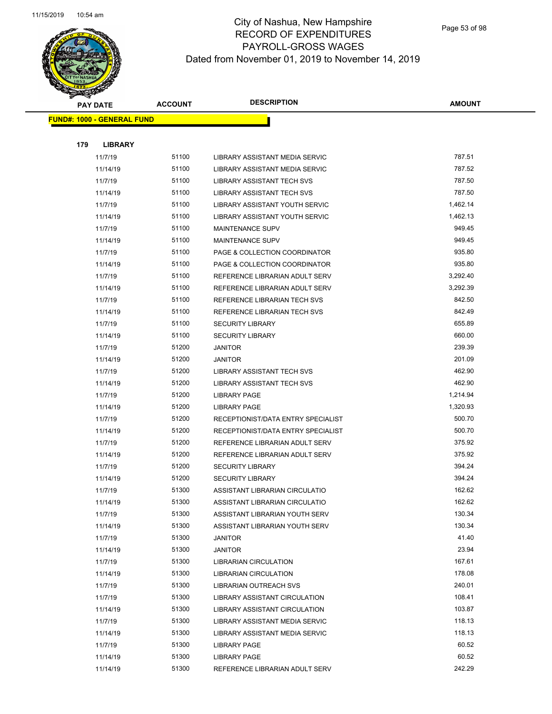

| <b>PAY DATE</b>                   | <b>ACCOUNT</b> | <b>DESCRIPTION</b>                    | <b>AMOUNT</b> |
|-----------------------------------|----------------|---------------------------------------|---------------|
| <b>FUND#: 1000 - GENERAL FUND</b> |                |                                       |               |
|                                   |                |                                       |               |
| 179<br><b>LIBRARY</b>             |                |                                       |               |
| 11/7/19                           | 51100          | LIBRARY ASSISTANT MEDIA SERVIC        | 787.51        |
| 11/14/19                          | 51100          | LIBRARY ASSISTANT MEDIA SERVIC        | 787.52        |
| 11/7/19                           | 51100          | LIBRARY ASSISTANT TECH SVS            | 787.50        |
| 11/14/19                          | 51100          | LIBRARY ASSISTANT TECH SVS            | 787.50        |
| 11/7/19                           | 51100          | LIBRARY ASSISTANT YOUTH SERVIC        | 1,462.14      |
| 11/14/19                          | 51100          | <b>LIBRARY ASSISTANT YOUTH SERVIC</b> | 1,462.13      |
| 11/7/19                           | 51100          | <b>MAINTENANCE SUPV</b>               | 949.45        |
| 11/14/19                          | 51100          | <b>MAINTENANCE SUPV</b>               | 949.45        |
| 11/7/19                           | 51100          | PAGE & COLLECTION COORDINATOR         | 935.80        |
| 11/14/19                          | 51100          | PAGE & COLLECTION COORDINATOR         | 935.80        |
| 11/7/19                           | 51100          | REFERENCE LIBRARIAN ADULT SERV        | 3,292.40      |
| 11/14/19                          | 51100          | REFERENCE LIBRARIAN ADULT SERV        | 3,292.39      |
| 11/7/19                           | 51100          | REFERENCE LIBRARIAN TECH SVS          | 842.50        |
| 11/14/19                          | 51100          | REFERENCE LIBRARIAN TECH SVS          | 842.49        |
| 11/7/19                           | 51100          | <b>SECURITY LIBRARY</b>               | 655.89        |
| 11/14/19                          | 51100          | <b>SECURITY LIBRARY</b>               | 660.00        |
| 11/7/19                           | 51200          | <b>JANITOR</b>                        | 239.39        |
| 11/14/19                          | 51200          | <b>JANITOR</b>                        | 201.09        |
| 11/7/19                           | 51200          | LIBRARY ASSISTANT TECH SVS            | 462.90        |
| 11/14/19                          | 51200          | LIBRARY ASSISTANT TECH SVS            | 462.90        |
| 11/7/19                           | 51200          | <b>LIBRARY PAGE</b>                   | 1,214.94      |
| 11/14/19                          | 51200          | <b>LIBRARY PAGE</b>                   | 1,320.93      |
| 11/7/19                           | 51200          | RECEPTIONIST/DATA ENTRY SPECIALIST    | 500.70        |
| 11/14/19                          | 51200          | RECEPTIONIST/DATA ENTRY SPECIALIST    | 500.70        |
| 11/7/19                           | 51200          | REFERENCE LIBRARIAN ADULT SERV        | 375.92        |
| 11/14/19                          | 51200          | REFERENCE LIBRARIAN ADULT SERV        | 375.92        |
| 11/7/19                           | 51200          | <b>SECURITY LIBRARY</b>               | 394.24        |
| 11/14/19                          | 51200          | <b>SECURITY LIBRARY</b>               | 394.24        |
| 11/7/19                           | 51300          | ASSISTANT LIBRARIAN CIRCULATIO        | 162.62        |
| 11/14/19                          | 51300          | ASSISTANT LIBRARIAN CIRCULATIO        | 162.62        |
| 11/7/19                           | 51300          | ASSISTANT LIBRARIAN YOUTH SERV        | 130.34        |
| 11/14/19                          | 51300          | ASSISTANT LIBRARIAN YOUTH SERV        | 130.34        |
| 11/7/19                           | 51300          | <b>JANITOR</b>                        | 41.40         |
| 11/14/19                          | 51300          | <b>JANITOR</b>                        | 23.94         |
| 11/7/19                           | 51300          | <b>LIBRARIAN CIRCULATION</b>          | 167.61        |
| 11/14/19                          | 51300          | <b>LIBRARIAN CIRCULATION</b>          | 178.08        |
| 11/7/19                           | 51300          | LIBRARIAN OUTREACH SVS                | 240.01        |
| 11/7/19                           | 51300          | LIBRARY ASSISTANT CIRCULATION         | 108.41        |
| 11/14/19                          | 51300          | LIBRARY ASSISTANT CIRCULATION         | 103.87        |
| 11/7/19                           | 51300          | LIBRARY ASSISTANT MEDIA SERVIC        | 118.13        |
| 11/14/19                          | 51300          | LIBRARY ASSISTANT MEDIA SERVIC        | 118.13        |
| 11/7/19                           | 51300          | <b>LIBRARY PAGE</b>                   | 60.52         |
| 11/14/19                          | 51300          | <b>LIBRARY PAGE</b>                   | 60.52         |
| 11/14/19                          | 51300          | REFERENCE LIBRARIAN ADULT SERV        | 242.29        |
|                                   |                |                                       |               |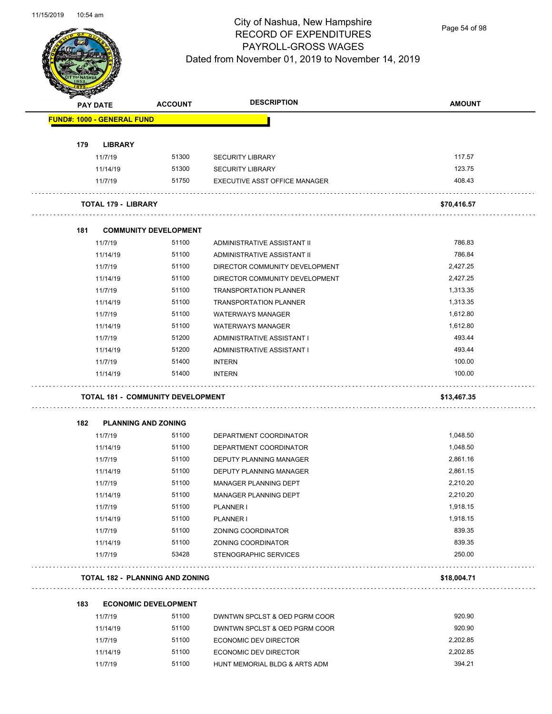

Page 54 of 98

|     | <b>PAY DATE</b>                   | <b>ACCOUNT</b>                         | <b>DESCRIPTION</b>                   | <b>AMOUNT</b> |
|-----|-----------------------------------|----------------------------------------|--------------------------------------|---------------|
|     | <b>FUND#: 1000 - GENERAL FUND</b> |                                        |                                      |               |
| 179 | <b>LIBRARY</b>                    |                                        |                                      |               |
|     | 11/7/19                           | 51300                                  | <b>SECURITY LIBRARY</b>              | 117.57        |
|     | 11/14/19                          | 51300                                  | <b>SECURITY LIBRARY</b>              | 123.75        |
|     | 11/7/19                           | 51750                                  | <b>EXECUTIVE ASST OFFICE MANAGER</b> | 408.43        |
|     | TOTAL 179 - LIBRARY               |                                        |                                      | \$70,416.57   |
| 181 |                                   | <b>COMMUNITY DEVELOPMENT</b>           |                                      |               |
|     | 11/7/19                           | 51100                                  | ADMINISTRATIVE ASSISTANT II          | 786.83        |
|     | 11/14/19                          | 51100                                  | ADMINISTRATIVE ASSISTANT II          | 786.84        |
|     | 11/7/19                           | 51100                                  | DIRECTOR COMMUNITY DEVELOPMENT       | 2,427.25      |
|     | 11/14/19                          | 51100                                  | DIRECTOR COMMUNITY DEVELOPMENT       | 2,427.25      |
|     | 11/7/19                           | 51100                                  | <b>TRANSPORTATION PLANNER</b>        | 1,313.35      |
|     | 11/14/19                          | 51100                                  | <b>TRANSPORTATION PLANNER</b>        | 1,313.35      |
|     | 11/7/19                           | 51100                                  | <b>WATERWAYS MANAGER</b>             | 1,612.80      |
|     | 11/14/19                          | 51100                                  | <b>WATERWAYS MANAGER</b>             | 1,612.80      |
|     | 11/7/19                           | 51200                                  | ADMINISTRATIVE ASSISTANT I           | 493.44        |
|     | 11/14/19                          | 51200                                  | ADMINISTRATIVE ASSISTANT I           | 493.44        |
|     | 11/7/19                           | 51400                                  | <b>INTERN</b>                        | 100.00        |
|     | 11/14/19                          | 51400                                  | <b>INTERN</b>                        | 100.00        |
|     |                                   | TOTAL 181 - COMMUNITY DEVELOPMENT      |                                      | \$13,467.35   |
| 182 |                                   | <b>PLANNING AND ZONING</b>             |                                      |               |
|     | 11/7/19                           | 51100                                  | DEPARTMENT COORDINATOR               | 1,048.50      |
|     | 11/14/19                          | 51100                                  | DEPARTMENT COORDINATOR               | 1,048.50      |
|     | 11/7/19                           | 51100                                  | DEPUTY PLANNING MANAGER              | 2,861.16      |
|     | 11/14/19                          | 51100                                  | <b>DEPUTY PLANNING MANAGER</b>       | 2,861.15      |
|     | 11/7/19                           | 51100                                  | <b>MANAGER PLANNING DEPT</b>         | 2,210.20      |
|     | 11/14/19                          | 51100                                  | MANAGER PLANNING DEPT                | 2,210.20      |
|     | 11/7/19                           | 51100                                  | <b>PLANNER I</b>                     | 1,918.15      |
|     | 11/14/19                          | 51100                                  | PLANNER I                            | 1,918.15      |
|     | 11/7/19                           | 51100                                  | ZONING COORDINATOR                   | 839.35        |
|     | 11/14/19                          | 51100                                  | ZONING COORDINATOR                   | 839.35        |
|     | 11/7/19                           | 53428                                  | STENOGRAPHIC SERVICES                | 250.00        |
|     |                                   | <b>TOTAL 182 - PLANNING AND ZONING</b> |                                      | \$18,004.71   |
| 183 |                                   | <b>ECONOMIC DEVELOPMENT</b>            |                                      |               |
|     | 11/7/19                           | 51100                                  | DWNTWN SPCLST & OED PGRM COOR        | 920.90        |
|     |                                   | AAAA                                   | 0.00007800000000                     | 00000         |

| 11/7/19  | 51100 | DWNTWN SPCLST & OED PGRM COOR | 920.90   |
|----------|-------|-------------------------------|----------|
| 11/14/19 | 51100 | DWNTWN SPCLST & OED PGRM COOR | 920.90   |
| 11/7/19  | 51100 | ECONOMIC DEV DIRECTOR         | 2.202.85 |
| 11/14/19 | 51100 | ECONOMIC DEV DIRECTOR         | 2.202.85 |
| 11/7/19  | 51100 | HUNT MEMORIAL BLDG & ARTS ADM | 394.21   |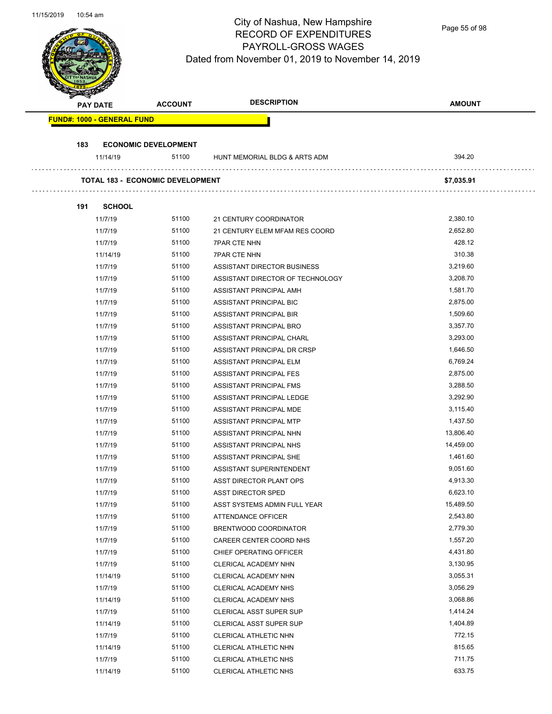Page 55 of 98

| PAY DATE                          | <b>ACCOUNT</b>                          | <b>DESCRIPTION</b>                               | <b>AMOUNT</b>        |
|-----------------------------------|-----------------------------------------|--------------------------------------------------|----------------------|
| <b>FUND#: 1000 - GENERAL FUND</b> |                                         |                                                  |                      |
| 183                               | <b>ECONOMIC DEVELOPMENT</b>             |                                                  |                      |
| 11/14/19                          | 51100                                   | HUNT MEMORIAL BLDG & ARTS ADM                    | 394.20               |
|                                   | <b>TOTAL 183 - ECONOMIC DEVELOPMENT</b> |                                                  | \$7,035.91           |
| 191<br><b>SCHOOL</b>              |                                         |                                                  |                      |
| 11/7/19                           | 51100                                   | 21 CENTURY COORDINATOR                           | 2,380.10             |
| 11/7/19                           | 51100                                   | 21 CENTURY ELEM MFAM RES COORD                   | 2,652.80             |
| 11/7/19                           | 51100                                   | <b>7PAR CTE NHN</b>                              | 428.12               |
| 11/14/19                          | 51100                                   | <b>7PAR CTE NHN</b>                              | 310.38               |
| 11/7/19                           | 51100                                   | ASSISTANT DIRECTOR BUSINESS                      | 3,219.60             |
| 11/7/19                           | 51100                                   | ASSISTANT DIRECTOR OF TECHNOLOGY                 | 3,208.70             |
| 11/7/19                           | 51100                                   | ASSISTANT PRINCIPAL AMH                          | 1,581.70             |
| 11/7/19                           | 51100                                   | ASSISTANT PRINCIPAL BIC                          | 2,875.00             |
| 11/7/19                           | 51100                                   | ASSISTANT PRINCIPAL BIR                          | 1,509.60             |
| 11/7/19                           | 51100                                   | ASSISTANT PRINCIPAL BRO                          | 3,357.70             |
| 11/7/19                           | 51100                                   | ASSISTANT PRINCIPAL CHARL                        | 3,293.00             |
| 11/7/19                           | 51100                                   | ASSISTANT PRINCIPAL DR CRSP                      | 1,646.50             |
| 11/7/19                           | 51100                                   | ASSISTANT PRINCIPAL ELM                          | 6,769.24             |
| 11/7/19                           | 51100                                   | ASSISTANT PRINCIPAL FES                          | 2,875.00             |
| 11/7/19                           | 51100                                   | ASSISTANT PRINCIPAL FMS                          | 3,288.50             |
| 11/7/19                           | 51100                                   | ASSISTANT PRINCIPAL LEDGE                        | 3,292.90             |
| 11/7/19                           | 51100                                   | ASSISTANT PRINCIPAL MDE                          | 3,115.40             |
| 11/7/19                           | 51100                                   | ASSISTANT PRINCIPAL MTP                          | 1,437.50             |
| 11/7/19                           | 51100                                   | ASSISTANT PRINCIPAL NHN                          | 13,806.40            |
| 11/7/19                           | 51100                                   | ASSISTANT PRINCIPAL NHS                          | 14,459.00            |
|                                   | 51100                                   |                                                  | 1,461.60             |
| 11/7/19                           | 51100                                   | ASSISTANT PRINCIPAL SHE                          | 9,051.60             |
| 11/7/19                           |                                         | ASSISTANT SUPERINTENDENT                         |                      |
| 11/7/19<br>11/7/19                | 51100<br>51100                          | ASST DIRECTOR PLANT OPS                          | 4,913.30<br>6,623.10 |
|                                   | 51100                                   | ASST DIRECTOR SPED                               | 15,489.50            |
| 11/7/19                           | 51100                                   | ASST SYSTEMS ADMIN FULL YEAR                     | 2,543.80             |
| 11/7/19                           | 51100                                   | ATTENDANCE OFFICER                               | 2,779.30             |
| 11/7/19                           | 51100                                   | BRENTWOOD COORDINATOR<br>CAREER CENTER COORD NHS | 1,557.20             |
| 11/7/19                           | 51100                                   |                                                  | 4,431.80             |
| 11/7/19                           | 51100                                   | CHIEF OPERATING OFFICER                          | 3,130.95             |
| 11/7/19                           |                                         | CLERICAL ACADEMY NHN                             | 3,055.31             |
| 11/14/19                          | 51100                                   | CLERICAL ACADEMY NHN                             |                      |
| 11/7/19                           | 51100                                   | CLERICAL ACADEMY NHS                             | 3,056.29             |
| 11/14/19                          | 51100                                   | CLERICAL ACADEMY NHS                             | 3,068.86             |
| 11/7/19                           | 51100                                   | <b>CLERICAL ASST SUPER SUP</b>                   | 1,414.24             |
| 11/14/19                          | 51100                                   | <b>CLERICAL ASST SUPER SUP</b>                   | 1,404.89             |
| 11/7/19                           | 51100                                   | CLERICAL ATHLETIC NHN                            | 772.15               |
| 11/14/19                          | 51100                                   | CLERICAL ATHLETIC NHN                            | 815.65               |
| 11/7/19                           | 51100                                   | CLERICAL ATHLETIC NHS                            | 711.75               |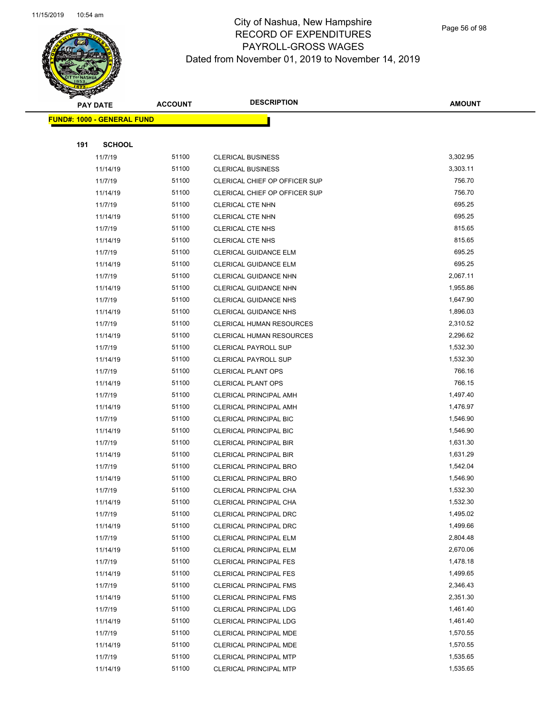

Page 56 of 98

|     | <b>PAY DATE</b>                    | <b>ACCOUNT</b> | <b>DESCRIPTION</b>              | <b>AMOUNT</b> |  |
|-----|------------------------------------|----------------|---------------------------------|---------------|--|
|     | <u> FUND#: 1000 - GENERAL FUND</u> |                |                                 |               |  |
|     |                                    |                |                                 |               |  |
| 191 | <b>SCHOOL</b>                      |                |                                 |               |  |
|     | 11/7/19                            | 51100          | <b>CLERICAL BUSINESS</b>        | 3,302.95      |  |
|     | 11/14/19                           | 51100          | <b>CLERICAL BUSINESS</b>        | 3,303.11      |  |
|     | 11/7/19                            | 51100          | CLERICAL CHIEF OP OFFICER SUP   | 756.70        |  |
|     | 11/14/19                           | 51100          | CLERICAL CHIEF OP OFFICER SUP   | 756.70        |  |
|     | 11/7/19                            | 51100          | CLERICAL CTE NHN                | 695.25        |  |
|     | 11/14/19                           | 51100          | <b>CLERICAL CTE NHN</b>         | 695.25        |  |
|     | 11/7/19                            | 51100          | <b>CLERICAL CTE NHS</b>         | 815.65        |  |
|     | 11/14/19                           | 51100          | <b>CLERICAL CTE NHS</b>         | 815.65        |  |
|     | 11/7/19                            | 51100          | CLERICAL GUIDANCE ELM           | 695.25        |  |
|     | 11/14/19                           | 51100          | <b>CLERICAL GUIDANCE ELM</b>    | 695.25        |  |
|     | 11/7/19                            | 51100          | CLERICAL GUIDANCE NHN           | 2,067.11      |  |
|     | 11/14/19                           | 51100          | <b>CLERICAL GUIDANCE NHN</b>    | 1,955.86      |  |
|     | 11/7/19                            | 51100          | <b>CLERICAL GUIDANCE NHS</b>    | 1,647.90      |  |
|     | 11/14/19                           | 51100          | <b>CLERICAL GUIDANCE NHS</b>    | 1,896.03      |  |
|     | 11/7/19                            | 51100          | <b>CLERICAL HUMAN RESOURCES</b> | 2,310.52      |  |
|     | 11/14/19                           | 51100          | <b>CLERICAL HUMAN RESOURCES</b> | 2,296.62      |  |
|     | 11/7/19                            | 51100          | <b>CLERICAL PAYROLL SUP</b>     | 1,532.30      |  |
|     | 11/14/19                           | 51100          | <b>CLERICAL PAYROLL SUP</b>     | 1,532.30      |  |
|     | 11/7/19                            | 51100          | <b>CLERICAL PLANT OPS</b>       | 766.16        |  |
|     | 11/14/19                           | 51100          | <b>CLERICAL PLANT OPS</b>       | 766.15        |  |
|     | 11/7/19                            | 51100          | CLERICAL PRINCIPAL AMH          | 1,497.40      |  |
|     | 11/14/19                           | 51100          | <b>CLERICAL PRINCIPAL AMH</b>   | 1,476.97      |  |
|     | 11/7/19                            | 51100          | <b>CLERICAL PRINCIPAL BIC</b>   | 1,546.90      |  |
|     | 11/14/19                           | 51100          | <b>CLERICAL PRINCIPAL BIC</b>   | 1,546.90      |  |
|     | 11/7/19                            | 51100          | <b>CLERICAL PRINCIPAL BIR</b>   | 1,631.30      |  |
|     | 11/14/19                           | 51100          | <b>CLERICAL PRINCIPAL BIR</b>   | 1,631.29      |  |
|     | 11/7/19                            | 51100          | <b>CLERICAL PRINCIPAL BRO</b>   | 1,542.04      |  |
|     | 11/14/19                           | 51100          | <b>CLERICAL PRINCIPAL BRO</b>   | 1,546.90      |  |
|     | 11/7/19                            | 51100          | CLERICAL PRINCIPAL CHA          | 1,532.30      |  |
|     | 11/14/19                           | 51100          | <b>CLERICAL PRINCIPAL CHA</b>   | 1,532.30      |  |
|     | 11/7/19                            | 51100          | CLERICAL PRINCIPAL DRC          | 1,495.02      |  |
|     | 11/14/19                           | 51100          | CLERICAL PRINCIPAL DRC          | 1,499.66      |  |
|     | 11/7/19                            | 51100          | <b>CLERICAL PRINCIPAL ELM</b>   | 2,804.48      |  |
|     | 11/14/19                           | 51100          | CLERICAL PRINCIPAL ELM          | 2,670.06      |  |
|     | 11/7/19                            | 51100          | <b>CLERICAL PRINCIPAL FES</b>   | 1,478.18      |  |
|     | 11/14/19                           | 51100          | <b>CLERICAL PRINCIPAL FES</b>   | 1,499.65      |  |
|     | 11/7/19                            | 51100          | <b>CLERICAL PRINCIPAL FMS</b>   | 2,346.43      |  |
|     | 11/14/19                           | 51100          | <b>CLERICAL PRINCIPAL FMS</b>   | 2,351.30      |  |
|     | 11/7/19                            | 51100          | CLERICAL PRINCIPAL LDG          | 1,461.40      |  |
|     | 11/14/19                           | 51100          | <b>CLERICAL PRINCIPAL LDG</b>   | 1,461.40      |  |
|     | 11/7/19                            | 51100          | CLERICAL PRINCIPAL MDE          | 1,570.55      |  |
|     | 11/14/19                           | 51100          | CLERICAL PRINCIPAL MDE          | 1,570.55      |  |
|     | 11/7/19                            | 51100          | <b>CLERICAL PRINCIPAL MTP</b>   | 1,535.65      |  |
|     | 11/14/19                           | 51100          | CLERICAL PRINCIPAL MTP          | 1,535.65      |  |
|     |                                    |                |                                 |               |  |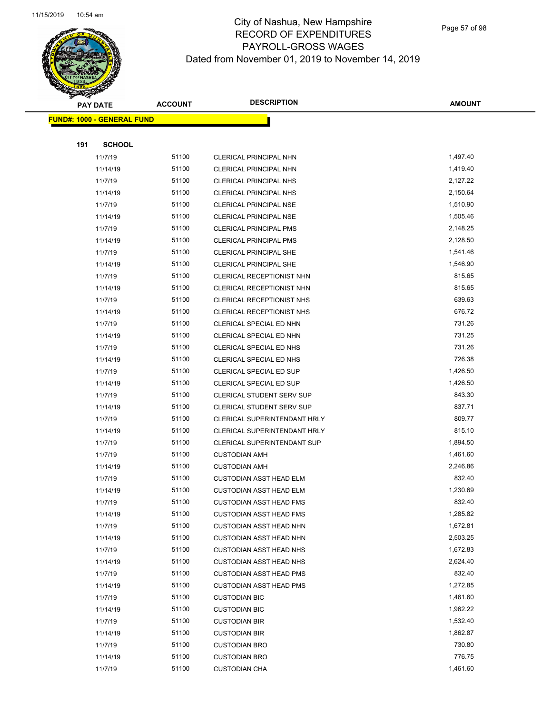

Page 57 of 98

|     | <b>PAY DATE</b>                    | <b>ACCOUNT</b> | <b>DESCRIPTION</b>               | <b>AMOUNT</b> |
|-----|------------------------------------|----------------|----------------------------------|---------------|
|     | <u> FUND#: 1000 - GENERAL FUND</u> |                |                                  |               |
|     |                                    |                |                                  |               |
| 191 | <b>SCHOOL</b>                      |                |                                  |               |
|     | 11/7/19                            | 51100          | CLERICAL PRINCIPAL NHN           | 1,497.40      |
|     | 11/14/19                           | 51100          | CLERICAL PRINCIPAL NHN           | 1,419.40      |
|     | 11/7/19                            | 51100          | <b>CLERICAL PRINCIPAL NHS</b>    | 2,127.22      |
|     | 11/14/19                           | 51100          | <b>CLERICAL PRINCIPAL NHS</b>    | 2,150.64      |
|     | 11/7/19                            | 51100          | <b>CLERICAL PRINCIPAL NSE</b>    | 1,510.90      |
|     | 11/14/19                           | 51100          | CLERICAL PRINCIPAL NSE           | 1,505.46      |
|     | 11/7/19                            | 51100          | <b>CLERICAL PRINCIPAL PMS</b>    | 2,148.25      |
|     | 11/14/19                           | 51100          | <b>CLERICAL PRINCIPAL PMS</b>    | 2,128.50      |
|     | 11/7/19                            | 51100          | CLERICAL PRINCIPAL SHE           | 1,541.46      |
|     | 11/14/19                           | 51100          | CLERICAL PRINCIPAL SHE           | 1,546.90      |
|     | 11/7/19                            | 51100          | CLERICAL RECEPTIONIST NHN        | 815.65        |
|     | 11/14/19                           | 51100          | CLERICAL RECEPTIONIST NHN        | 815.65        |
|     | 11/7/19                            | 51100          | CLERICAL RECEPTIONIST NHS        | 639.63        |
|     | 11/14/19                           | 51100          | CLERICAL RECEPTIONIST NHS        | 676.72        |
|     | 11/7/19                            | 51100          | CLERICAL SPECIAL ED NHN          | 731.26        |
|     | 11/14/19                           | 51100          | CLERICAL SPECIAL ED NHN          | 731.25        |
|     | 11/7/19                            | 51100          | CLERICAL SPECIAL ED NHS          | 731.26        |
|     | 11/14/19                           | 51100          | CLERICAL SPECIAL ED NHS          | 726.38        |
|     | 11/7/19                            | 51100          | CLERICAL SPECIAL ED SUP          | 1,426.50      |
|     | 11/14/19                           | 51100          | CLERICAL SPECIAL ED SUP          | 1,426.50      |
|     | 11/7/19                            | 51100          | CLERICAL STUDENT SERV SUP        | 843.30        |
|     | 11/14/19                           | 51100          | <b>CLERICAL STUDENT SERV SUP</b> | 837.71        |
|     | 11/7/19                            | 51100          | CLERICAL SUPERINTENDANT HRLY     | 809.77        |
|     | 11/14/19                           | 51100          | CLERICAL SUPERINTENDANT HRLY     | 815.10        |
|     | 11/7/19                            | 51100          | CLERICAL SUPERINTENDANT SUP      | 1,894.50      |
|     | 11/7/19                            | 51100          | <b>CUSTODIAN AMH</b>             | 1,461.60      |
|     | 11/14/19                           | 51100          | <b>CUSTODIAN AMH</b>             | 2,246.86      |
|     | 11/7/19                            | 51100          | <b>CUSTODIAN ASST HEAD ELM</b>   | 832.40        |
|     | 11/14/19                           | 51100          | <b>CUSTODIAN ASST HEAD ELM</b>   | 1,230.69      |
|     | 11/7/19                            | 51100          | <b>CUSTODIAN ASST HEAD FMS</b>   | 832.40        |
|     | 11/14/19                           | 51100          | <b>CUSTODIAN ASST HEAD FMS</b>   | 1,285.82      |
|     | 11/7/19                            | 51100          | <b>CUSTODIAN ASST HEAD NHN</b>   | 1,672.81      |
|     | 11/14/19                           | 51100          | <b>CUSTODIAN ASST HEAD NHN</b>   | 2,503.25      |
|     | 11/7/19                            | 51100          | <b>CUSTODIAN ASST HEAD NHS</b>   | 1,672.83      |
|     | 11/14/19                           | 51100          | <b>CUSTODIAN ASST HEAD NHS</b>   | 2,624.40      |
|     | 11/7/19                            | 51100          | <b>CUSTODIAN ASST HEAD PMS</b>   | 832.40        |
|     | 11/14/19                           | 51100          | <b>CUSTODIAN ASST HEAD PMS</b>   | 1,272.85      |
|     | 11/7/19                            | 51100          | <b>CUSTODIAN BIC</b>             | 1,461.60      |
|     | 11/14/19                           | 51100          | <b>CUSTODIAN BIC</b>             | 1,962.22      |
|     | 11/7/19                            | 51100          | <b>CUSTODIAN BIR</b>             | 1,532.40      |
|     | 11/14/19                           | 51100          | <b>CUSTODIAN BIR</b>             | 1,862.87      |
|     | 11/7/19                            | 51100          | <b>CUSTODIAN BRO</b>             | 730.80        |
|     | 11/14/19                           | 51100          | <b>CUSTODIAN BRO</b>             | 776.75        |
|     | 11/7/19                            | 51100          | <b>CUSTODIAN CHA</b>             | 1,461.60      |
|     |                                    |                |                                  |               |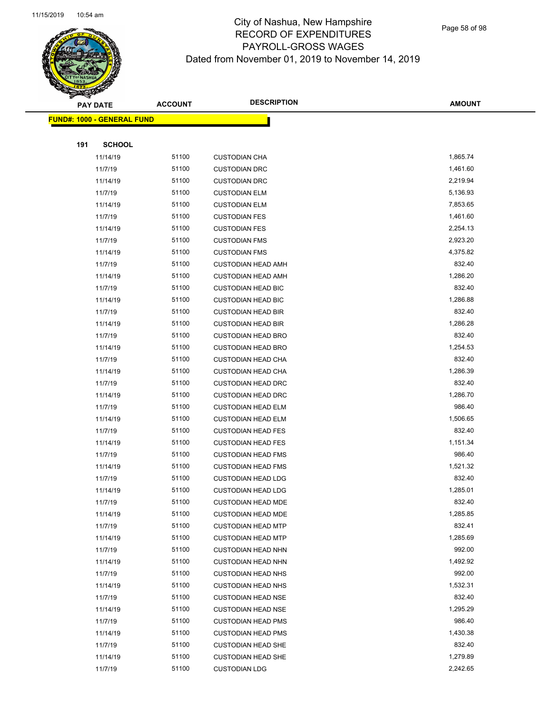

Page 58 of 98

|     | <b>PAY DATE</b>                    | <b>ACCOUNT</b> | <b>DESCRIPTION</b>        | <b>AMOUNT</b> |
|-----|------------------------------------|----------------|---------------------------|---------------|
|     | <u> FUND#: 1000 - GENERAL FUND</u> |                |                           |               |
|     |                                    |                |                           |               |
| 191 | <b>SCHOOL</b>                      |                |                           |               |
|     | 11/14/19                           | 51100          | <b>CUSTODIAN CHA</b>      | 1,865.74      |
|     | 11/7/19                            | 51100          | <b>CUSTODIAN DRC</b>      | 1,461.60      |
|     | 11/14/19                           | 51100          | <b>CUSTODIAN DRC</b>      | 2,219.94      |
|     | 11/7/19                            | 51100          | <b>CUSTODIAN ELM</b>      | 5,136.93      |
|     | 11/14/19                           | 51100          | <b>CUSTODIAN ELM</b>      | 7,853.65      |
|     | 11/7/19                            | 51100          | <b>CUSTODIAN FES</b>      | 1,461.60      |
|     | 11/14/19                           | 51100          | <b>CUSTODIAN FES</b>      | 2,254.13      |
|     | 11/7/19                            | 51100          | <b>CUSTODIAN FMS</b>      | 2,923.20      |
|     | 11/14/19                           | 51100          | <b>CUSTODIAN FMS</b>      | 4,375.82      |
|     | 11/7/19                            | 51100          | <b>CUSTODIAN HEAD AMH</b> | 832.40        |
|     | 11/14/19                           | 51100          | <b>CUSTODIAN HEAD AMH</b> | 1,286.20      |
|     | 11/7/19                            | 51100          | <b>CUSTODIAN HEAD BIC</b> | 832.40        |
|     | 11/14/19                           | 51100          | <b>CUSTODIAN HEAD BIC</b> | 1,286.88      |
|     | 11/7/19                            | 51100          | <b>CUSTODIAN HEAD BIR</b> | 832.40        |
|     | 11/14/19                           | 51100          | <b>CUSTODIAN HEAD BIR</b> | 1,286.28      |
|     | 11/7/19                            | 51100          | <b>CUSTODIAN HEAD BRO</b> | 832.40        |
|     | 11/14/19                           | 51100          | <b>CUSTODIAN HEAD BRO</b> | 1,254.53      |
|     | 11/7/19                            | 51100          | <b>CUSTODIAN HEAD CHA</b> | 832.40        |
|     | 11/14/19                           | 51100          | <b>CUSTODIAN HEAD CHA</b> | 1,286.39      |
|     | 11/7/19                            | 51100          | <b>CUSTODIAN HEAD DRC</b> | 832.40        |
|     | 11/14/19                           | 51100          | <b>CUSTODIAN HEAD DRC</b> | 1,286.70      |
|     | 11/7/19                            | 51100          | <b>CUSTODIAN HEAD ELM</b> | 986.40        |
|     | 11/14/19                           | 51100          | <b>CUSTODIAN HEAD ELM</b> | 1,506.65      |
|     | 11/7/19                            | 51100          | <b>CUSTODIAN HEAD FES</b> | 832.40        |
|     | 11/14/19                           | 51100          | <b>CUSTODIAN HEAD FES</b> | 1,151.34      |
|     | 11/7/19                            | 51100          | <b>CUSTODIAN HEAD FMS</b> | 986.40        |
|     | 11/14/19                           | 51100          | <b>CUSTODIAN HEAD FMS</b> | 1,521.32      |
|     | 11/7/19                            | 51100          | <b>CUSTODIAN HEAD LDG</b> | 832.40        |
|     | 11/14/19                           | 51100          | <b>CUSTODIAN HEAD LDG</b> | 1,285.01      |
|     | 11/7/19                            | 51100          | <b>CUSTODIAN HEAD MDE</b> | 832.40        |
|     | 11/14/19                           | 51100          | <b>CUSTODIAN HEAD MDE</b> | 1,285.85      |
|     | 11/7/19                            | 51100          | <b>CUSTODIAN HEAD MTP</b> | 832.41        |
|     | 11/14/19                           | 51100          | <b>CUSTODIAN HEAD MTP</b> | 1,285.69      |
|     | 11/7/19                            | 51100          | <b>CUSTODIAN HEAD NHN</b> | 992.00        |
|     | 11/14/19                           | 51100          | <b>CUSTODIAN HEAD NHN</b> | 1,492.92      |
|     | 11/7/19                            | 51100          | <b>CUSTODIAN HEAD NHS</b> | 992.00        |
|     | 11/14/19                           | 51100          | <b>CUSTODIAN HEAD NHS</b> | 1,532.31      |
|     | 11/7/19                            | 51100          | <b>CUSTODIAN HEAD NSE</b> | 832.40        |
|     | 11/14/19                           | 51100          | <b>CUSTODIAN HEAD NSE</b> | 1,295.29      |
|     | 11/7/19                            | 51100          | <b>CUSTODIAN HEAD PMS</b> | 986.40        |
|     | 11/14/19                           | 51100          | <b>CUSTODIAN HEAD PMS</b> | 1,430.38      |
|     | 11/7/19                            | 51100          | <b>CUSTODIAN HEAD SHE</b> | 832.40        |
|     | 11/14/19                           | 51100          | <b>CUSTODIAN HEAD SHE</b> | 1,279.89      |
|     | 11/7/19                            | 51100          | <b>CUSTODIAN LDG</b>      | 2,242.65      |
|     |                                    |                |                           |               |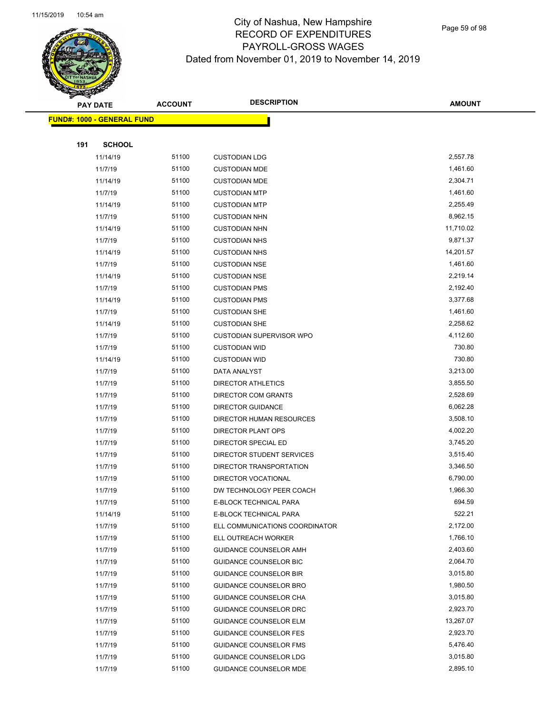

Page 59 of 98

|     | <b>PAY DATE</b>                    | <b>ACCOUNT</b> | <b>DESCRIPTION</b>              | <b>AMOUNT</b> |
|-----|------------------------------------|----------------|---------------------------------|---------------|
|     | <u> FUND#: 1000 - GENERAL FUND</u> |                |                                 |               |
|     |                                    |                |                                 |               |
| 191 | <b>SCHOOL</b>                      |                |                                 |               |
|     | 11/14/19                           | 51100          | <b>CUSTODIAN LDG</b>            | 2,557.78      |
|     | 11/7/19                            | 51100          | <b>CUSTODIAN MDE</b>            | 1,461.60      |
|     | 11/14/19                           | 51100          | <b>CUSTODIAN MDE</b>            | 2,304.71      |
|     | 11/7/19                            | 51100          | <b>CUSTODIAN MTP</b>            | 1,461.60      |
|     | 11/14/19                           | 51100          | <b>CUSTODIAN MTP</b>            | 2,255.49      |
|     | 11/7/19                            | 51100          | <b>CUSTODIAN NHN</b>            | 8,962.15      |
|     | 11/14/19                           | 51100          | <b>CUSTODIAN NHN</b>            | 11,710.02     |
|     | 11/7/19                            | 51100          | <b>CUSTODIAN NHS</b>            | 9,871.37      |
|     | 11/14/19                           | 51100          | <b>CUSTODIAN NHS</b>            | 14,201.57     |
|     | 11/7/19                            | 51100          | <b>CUSTODIAN NSE</b>            | 1,461.60      |
|     | 11/14/19                           | 51100          | <b>CUSTODIAN NSE</b>            | 2,219.14      |
|     | 11/7/19                            | 51100          | <b>CUSTODIAN PMS</b>            | 2,192.40      |
|     | 11/14/19                           | 51100          | <b>CUSTODIAN PMS</b>            | 3,377.68      |
|     | 11/7/19                            | 51100          | <b>CUSTODIAN SHE</b>            | 1,461.60      |
|     | 11/14/19                           | 51100          | <b>CUSTODIAN SHE</b>            | 2,258.62      |
|     | 11/7/19                            | 51100          | <b>CUSTODIAN SUPERVISOR WPO</b> | 4,112.60      |
|     | 11/7/19                            | 51100          | <b>CUSTODIAN WID</b>            | 730.80        |
|     | 11/14/19                           | 51100          | <b>CUSTODIAN WID</b>            | 730.80        |
|     | 11/7/19                            | 51100          | DATA ANALYST                    | 3,213.00      |
|     | 11/7/19                            | 51100          | <b>DIRECTOR ATHLETICS</b>       | 3,855.50      |
|     | 11/7/19                            | 51100          | DIRECTOR COM GRANTS             | 2,528.69      |
|     | 11/7/19                            | 51100          | <b>DIRECTOR GUIDANCE</b>        | 6,062.28      |
|     | 11/7/19                            | 51100          | DIRECTOR HUMAN RESOURCES        | 3,508.10      |
|     | 11/7/19                            | 51100          | DIRECTOR PLANT OPS              | 4,002.20      |
|     | 11/7/19                            | 51100          | DIRECTOR SPECIAL ED             | 3,745.20      |
|     | 11/7/19                            | 51100          | DIRECTOR STUDENT SERVICES       | 3,515.40      |
|     | 11/7/19                            | 51100          | DIRECTOR TRANSPORTATION         | 3,346.50      |
|     | 11/7/19                            | 51100          | <b>DIRECTOR VOCATIONAL</b>      | 6,790.00      |
|     | 11/7/19                            | 51100          | DW TECHNOLOGY PEER COACH        | 1,966.30      |
|     | 11/7/19                            | 51100          | E-BLOCK TECHNICAL PARA          | 694.59        |
|     | 11/14/19                           | 51100          | E-BLOCK TECHNICAL PARA          | 522.21        |
|     | 11/7/19                            | 51100          | ELL COMMUNICATIONS COORDINATOR  | 2,172.00      |
|     | 11/7/19                            | 51100          | ELL OUTREACH WORKER             | 1,766.10      |
|     | 11/7/19                            | 51100          | GUIDANCE COUNSELOR AMH          | 2,403.60      |
|     | 11/7/19                            | 51100          | <b>GUIDANCE COUNSELOR BIC</b>   | 2,064.70      |
|     | 11/7/19                            | 51100          | <b>GUIDANCE COUNSELOR BIR</b>   | 3,015.80      |
|     | 11/7/19                            | 51100          | GUIDANCE COUNSELOR BRO          | 1,980.50      |
|     | 11/7/19                            | 51100          | GUIDANCE COUNSELOR CHA          | 3,015.80      |
|     | 11/7/19                            | 51100          | GUIDANCE COUNSELOR DRC          | 2,923.70      |
|     | 11/7/19                            | 51100          | GUIDANCE COUNSELOR ELM          | 13,267.07     |
|     | 11/7/19                            | 51100          | <b>GUIDANCE COUNSELOR FES</b>   | 2,923.70      |
|     | 11/7/19                            | 51100          | <b>GUIDANCE COUNSELOR FMS</b>   | 5,476.40      |
|     | 11/7/19                            | 51100          | <b>GUIDANCE COUNSELOR LDG</b>   | 3,015.80      |
|     | 11/7/19                            | 51100          | <b>GUIDANCE COUNSELOR MDE</b>   | 2,895.10      |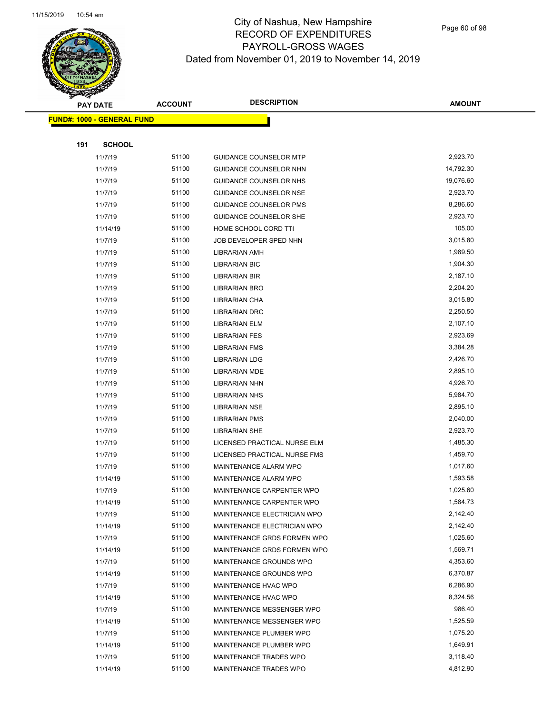

Page 60 of 98

|     | <b>PAY DATE</b>                   | <b>ACCOUNT</b> | <b>DESCRIPTION</b>            | <b>AMOUNT</b> |
|-----|-----------------------------------|----------------|-------------------------------|---------------|
|     | <b>FUND#: 1000 - GENERAL FUND</b> |                |                               |               |
|     |                                   |                |                               |               |
| 191 | <b>SCHOOL</b>                     |                |                               |               |
|     | 11/7/19                           | 51100          | <b>GUIDANCE COUNSELOR MTP</b> | 2,923.70      |
|     | 11/7/19                           | 51100          | GUIDANCE COUNSELOR NHN        | 14,792.30     |
|     | 11/7/19                           | 51100          | GUIDANCE COUNSELOR NHS        | 19,076.60     |
|     | 11/7/19                           | 51100          | <b>GUIDANCE COUNSELOR NSE</b> | 2,923.70      |
|     | 11/7/19                           | 51100          | GUIDANCE COUNSELOR PMS        | 8,286.60      |
|     | 11/7/19                           | 51100          | <b>GUIDANCE COUNSELOR SHE</b> | 2,923.70      |
|     | 11/14/19                          | 51100          | HOME SCHOOL CORD TTI          | 105.00        |
|     | 11/7/19                           | 51100          | JOB DEVELOPER SPED NHN        | 3,015.80      |
|     | 11/7/19                           | 51100          | LIBRARIAN AMH                 | 1,989.50      |
|     | 11/7/19                           | 51100          | <b>LIBRARIAN BIC</b>          | 1,904.30      |
|     | 11/7/19                           | 51100          | LIBRARIAN BIR                 | 2,187.10      |
|     | 11/7/19                           | 51100          | LIBRARIAN BRO                 | 2,204.20      |
|     | 11/7/19                           | 51100          | LIBRARIAN CHA                 | 3,015.80      |
|     | 11/7/19                           | 51100          | <b>LIBRARIAN DRC</b>          | 2,250.50      |
|     | 11/7/19                           | 51100          | LIBRARIAN ELM                 | 2,107.10      |
|     | 11/7/19                           | 51100          | <b>LIBRARIAN FES</b>          | 2,923.69      |
|     | 11/7/19                           | 51100          | <b>LIBRARIAN FMS</b>          | 3,384.28      |
|     | 11/7/19                           | 51100          | <b>LIBRARIAN LDG</b>          | 2,426.70      |
|     | 11/7/19                           | 51100          | LIBRARIAN MDE                 | 2,895.10      |
|     | 11/7/19                           | 51100          | LIBRARIAN NHN                 | 4,926.70      |
|     | 11/7/19                           | 51100          | <b>LIBRARIAN NHS</b>          | 5,984.70      |
|     | 11/7/19                           | 51100          | <b>LIBRARIAN NSE</b>          | 2,895.10      |
|     | 11/7/19                           | 51100          | <b>LIBRARIAN PMS</b>          | 2,040.00      |
|     | 11/7/19                           | 51100          | LIBRARIAN SHE                 | 2,923.70      |
|     | 11/7/19                           | 51100          | LICENSED PRACTICAL NURSE ELM  | 1,485.30      |
|     | 11/7/19                           | 51100          | LICENSED PRACTICAL NURSE FMS  | 1,459.70      |
|     | 11/7/19                           | 51100          | <b>MAINTENANCE ALARM WPO</b>  | 1,017.60      |
|     | 11/14/19                          | 51100          | MAINTENANCE ALARM WPO         | 1,593.58      |
|     | 11/7/19                           | 51100          | MAINTENANCE CARPENTER WPO     | 1,025.60      |
|     | 11/14/19                          | 51100          | MAINTENANCE CARPENTER WPO     | 1,584.73      |
|     | 11/7/19                           | 51100          | MAINTENANCE ELECTRICIAN WPO   | 2,142.40      |
|     | 11/14/19                          | 51100          | MAINTENANCE ELECTRICIAN WPO   | 2,142.40      |
|     | 11/7/19                           | 51100          | MAINTENANCE GRDS FORMEN WPO   | 1,025.60      |
|     | 11/14/19                          | 51100          | MAINTENANCE GRDS FORMEN WPO   | 1,569.71      |
|     | 11/7/19                           | 51100          | MAINTENANCE GROUNDS WPO       | 4,353.60      |
|     | 11/14/19                          | 51100          | MAINTENANCE GROUNDS WPO       | 6,370.87      |
|     | 11/7/19                           | 51100          | MAINTENANCE HVAC WPO          | 6,286.90      |
|     | 11/14/19                          | 51100          | MAINTENANCE HVAC WPO          | 8,324.56      |
|     | 11/7/19                           | 51100          | MAINTENANCE MESSENGER WPO     | 986.40        |
|     | 11/14/19                          | 51100          | MAINTENANCE MESSENGER WPO     | 1,525.59      |
|     | 11/7/19                           | 51100          | MAINTENANCE PLUMBER WPO       | 1,075.20      |
|     | 11/14/19                          | 51100          | MAINTENANCE PLUMBER WPO       | 1,649.91      |
|     | 11/7/19                           | 51100          | MAINTENANCE TRADES WPO        | 3,118.40      |
|     | 11/14/19                          | 51100          | MAINTENANCE TRADES WPO        | 4,812.90      |
|     |                                   |                |                               |               |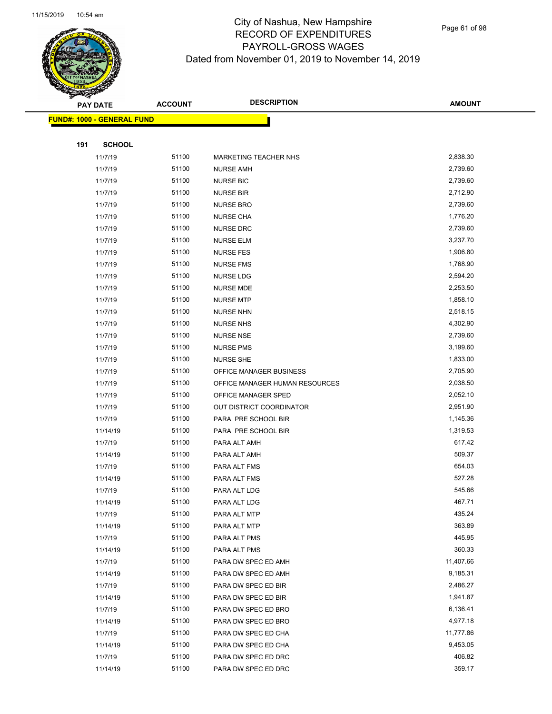

Page 61 of 98

|     | <b>PAY DATE</b>                   | <b>ACCOUNT</b> | <b>DESCRIPTION</b>             | <b>AMOUNT</b> |
|-----|-----------------------------------|----------------|--------------------------------|---------------|
|     | <b>FUND#: 1000 - GENERAL FUND</b> |                |                                |               |
|     |                                   |                |                                |               |
| 191 | <b>SCHOOL</b>                     |                |                                |               |
|     | 11/7/19                           | 51100          | <b>MARKETING TEACHER NHS</b>   | 2,838.30      |
|     | 11/7/19                           | 51100          | <b>NURSE AMH</b>               | 2,739.60      |
|     | 11/7/19                           | 51100          | <b>NURSE BIC</b>               | 2,739.60      |
|     | 11/7/19                           | 51100          | <b>NURSE BIR</b>               | 2,712.90      |
|     | 11/7/19                           | 51100          | <b>NURSE BRO</b>               | 2,739.60      |
|     | 11/7/19                           | 51100          | <b>NURSE CHA</b>               | 1,776.20      |
|     | 11/7/19                           | 51100          | <b>NURSE DRC</b>               | 2,739.60      |
|     | 11/7/19                           | 51100          | <b>NURSE ELM</b>               | 3,237.70      |
|     | 11/7/19                           | 51100          | <b>NURSE FES</b>               | 1,906.80      |
|     | 11/7/19                           | 51100          | <b>NURSE FMS</b>               | 1,768.90      |
|     | 11/7/19                           | 51100          | <b>NURSE LDG</b>               | 2,594.20      |
|     | 11/7/19                           | 51100          | <b>NURSE MDE</b>               | 2,253.50      |
|     | 11/7/19                           | 51100          | <b>NURSE MTP</b>               | 1,858.10      |
|     | 11/7/19                           | 51100          | <b>NURSE NHN</b>               | 2,518.15      |
|     | 11/7/19                           | 51100          | <b>NURSE NHS</b>               | 4,302.90      |
|     | 11/7/19                           | 51100          | <b>NURSE NSE</b>               | 2,739.60      |
|     | 11/7/19                           | 51100          | <b>NURSE PMS</b>               | 3,199.60      |
|     | 11/7/19                           | 51100          | <b>NURSE SHE</b>               | 1,833.00      |
|     | 11/7/19                           | 51100          | OFFICE MANAGER BUSINESS        | 2,705.90      |
|     | 11/7/19                           | 51100          | OFFICE MANAGER HUMAN RESOURCES | 2,038.50      |
|     | 11/7/19                           | 51100          | OFFICE MANAGER SPED            | 2,052.10      |
|     | 11/7/19                           | 51100          | OUT DISTRICT COORDINATOR       | 2,951.90      |
|     | 11/7/19                           | 51100          | PARA PRE SCHOOL BIR            | 1,145.36      |
|     | 11/14/19                          | 51100          | PARA PRE SCHOOL BIR            | 1,319.53      |
|     | 11/7/19                           | 51100          | PARA ALT AMH                   | 617.42        |
|     | 11/14/19                          | 51100          | PARA ALT AMH                   | 509.37        |
|     | 11/7/19                           | 51100          | PARA ALT FMS                   | 654.03        |
|     | 11/14/19                          | 51100          | PARA ALT FMS                   | 527.28        |
|     | 11/7/19                           | 51100          | PARA ALT LDG                   | 545.66        |
|     | 11/14/19                          | 51100          | PARA ALT LDG                   | 467.71        |
|     | 11/7/19                           | 51100          | PARA ALT MTP                   | 435.24        |
|     | 11/14/19                          | 51100          | PARA ALT MTP                   | 363.89        |
|     | 11/7/19                           | 51100          | PARA ALT PMS                   | 445.95        |
|     | 11/14/19                          | 51100          | PARA ALT PMS                   | 360.33        |
|     | 11/7/19                           | 51100          | PARA DW SPEC ED AMH            | 11,407.66     |
|     | 11/14/19                          | 51100          | PARA DW SPEC ED AMH            | 9,185.31      |
|     | 11/7/19                           | 51100          | PARA DW SPEC ED BIR            | 2,486.27      |
|     | 11/14/19                          | 51100          | PARA DW SPEC ED BIR            | 1,941.87      |
|     | 11/7/19                           | 51100          | PARA DW SPEC ED BRO            | 6,136.41      |
|     | 11/14/19                          | 51100          | PARA DW SPEC ED BRO            | 4,977.18      |
|     | 11/7/19                           | 51100          | PARA DW SPEC ED CHA            | 11,777.86     |
|     | 11/14/19                          | 51100          | PARA DW SPEC ED CHA            | 9,453.05      |
|     | 11/7/19                           | 51100          | PARA DW SPEC ED DRC            | 406.82        |
|     | 11/14/19                          | 51100          | PARA DW SPEC ED DRC            | 359.17        |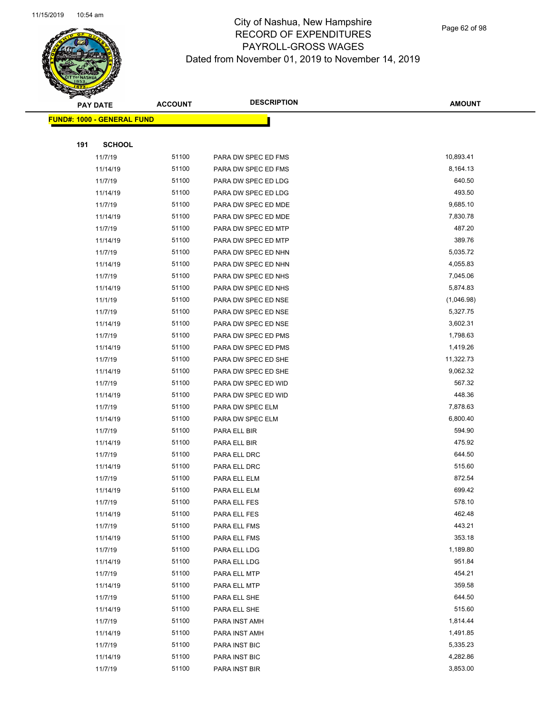

Page 62 of 98

|     | <b>PAY DATE</b>                    | <b>ACCOUNT</b> | <b>DESCRIPTION</b>  | <b>AMOUNT</b> |
|-----|------------------------------------|----------------|---------------------|---------------|
|     | <u> FUND#: 1000 - GENERAL FUND</u> |                |                     |               |
|     |                                    |                |                     |               |
| 191 | <b>SCHOOL</b>                      |                |                     |               |
|     | 11/7/19                            | 51100          | PARA DW SPEC ED FMS | 10,893.41     |
|     | 11/14/19                           | 51100          | PARA DW SPEC ED FMS | 8,164.13      |
|     | 11/7/19                            | 51100          | PARA DW SPEC ED LDG | 640.50        |
|     | 11/14/19                           | 51100          | PARA DW SPEC ED LDG | 493.50        |
|     | 11/7/19                            | 51100          | PARA DW SPEC ED MDE | 9,685.10      |
|     | 11/14/19                           | 51100          | PARA DW SPEC ED MDE | 7,830.78      |
|     | 11/7/19                            | 51100          | PARA DW SPEC ED MTP | 487.20        |
|     | 11/14/19                           | 51100          | PARA DW SPEC ED MTP | 389.76        |
|     | 11/7/19                            | 51100          | PARA DW SPEC ED NHN | 5,035.72      |
|     | 11/14/19                           | 51100          | PARA DW SPEC ED NHN | 4,055.83      |
|     | 11/7/19                            | 51100          | PARA DW SPEC ED NHS | 7,045.06      |
|     | 11/14/19                           | 51100          | PARA DW SPEC ED NHS | 5,874.83      |
|     | 11/1/19                            | 51100          | PARA DW SPEC ED NSE | (1,046.98)    |
|     | 11/7/19                            | 51100          | PARA DW SPEC ED NSE | 5,327.75      |
|     | 11/14/19                           | 51100          | PARA DW SPEC ED NSE | 3,602.31      |
|     | 11/7/19                            | 51100          | PARA DW SPEC ED PMS | 1,798.63      |
|     | 11/14/19                           | 51100          | PARA DW SPEC ED PMS | 1,419.26      |
|     | 11/7/19                            | 51100          | PARA DW SPEC ED SHE | 11,322.73     |
|     | 11/14/19                           | 51100          | PARA DW SPEC ED SHE | 9,062.32      |
|     | 11/7/19                            | 51100          | PARA DW SPEC ED WID | 567.32        |
|     | 11/14/19                           | 51100          | PARA DW SPEC ED WID | 448.36        |
|     | 11/7/19                            | 51100          | PARA DW SPEC ELM    | 7,878.63      |
|     | 11/14/19                           | 51100          | PARA DW SPEC ELM    | 6,800.40      |
|     | 11/7/19                            | 51100          | PARA ELL BIR        | 594.90        |
|     | 11/14/19                           | 51100          | PARA ELL BIR        | 475.92        |
|     | 11/7/19                            | 51100          | PARA ELL DRC        | 644.50        |
|     | 11/14/19                           | 51100          | PARA ELL DRC        | 515.60        |
|     | 11/7/19                            | 51100          | PARA ELL ELM        | 872.54        |
|     | 11/14/19                           | 51100          | PARA ELL ELM        | 699.42        |
|     | 11/7/19                            | 51100          | PARA ELL FES        | 578.10        |
|     | 11/14/19                           | 51100          | PARA ELL FES        | 462.48        |
|     | 11/7/19                            | 51100          | PARA ELL FMS        | 443.21        |
|     | 11/14/19                           | 51100          | PARA ELL FMS        | 353.18        |
|     | 11/7/19                            | 51100          | PARA ELL LDG        | 1,189.80      |
|     | 11/14/19                           | 51100          | PARA ELL LDG        | 951.84        |
|     | 11/7/19                            | 51100          | PARA ELL MTP        | 454.21        |
|     | 11/14/19                           | 51100          | PARA ELL MTP        | 359.58        |
|     | 11/7/19                            | 51100          | PARA ELL SHE        | 644.50        |
|     | 11/14/19                           | 51100          | PARA ELL SHE        | 515.60        |
|     | 11/7/19                            | 51100          | PARA INST AMH       | 1,814.44      |
|     | 11/14/19                           | 51100          | PARA INST AMH       | 1,491.85      |
|     | 11/7/19                            | 51100          | PARA INST BIC       | 5,335.23      |
|     | 11/14/19                           | 51100          | PARA INST BIC       | 4,282.86      |
|     | 11/7/19                            | 51100          | PARA INST BIR       | 3,853.00      |
|     |                                    |                |                     |               |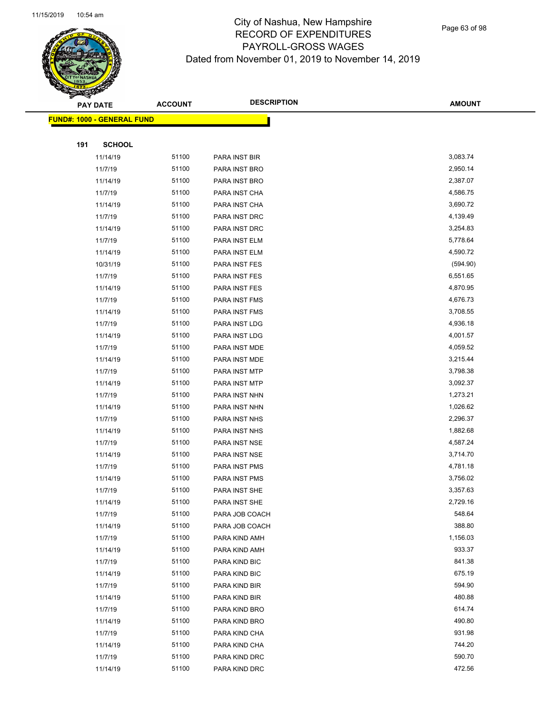

Page 63 of 98

| <b>PAY DATE</b> |                                    | <b>DESCRIPTION</b><br><b>ACCOUNT</b> |                | <b>AMOUNT</b> |
|-----------------|------------------------------------|--------------------------------------|----------------|---------------|
|                 | <u> FUND#: 1000 - GENERAL FUND</u> |                                      |                |               |
|                 |                                    |                                      |                |               |
| 191             | <b>SCHOOL</b>                      |                                      |                |               |
|                 | 11/14/19                           | 51100                                | PARA INST BIR  | 3,083.74      |
|                 | 11/7/19                            | 51100                                | PARA INST BRO  | 2,950.14      |
|                 | 11/14/19                           | 51100                                | PARA INST BRO  | 2,387.07      |
|                 | 11/7/19                            | 51100                                | PARA INST CHA  | 4,586.75      |
|                 | 11/14/19                           | 51100                                | PARA INST CHA  | 3,690.72      |
|                 | 11/7/19                            | 51100                                | PARA INST DRC  | 4,139.49      |
|                 | 11/14/19                           | 51100                                | PARA INST DRC  | 3,254.83      |
|                 | 11/7/19                            | 51100                                | PARA INST ELM  | 5,778.64      |
|                 | 11/14/19                           | 51100                                | PARA INST ELM  | 4,590.72      |
|                 | 10/31/19                           | 51100                                | PARA INST FES  | (594.90)      |
|                 | 11/7/19                            | 51100                                | PARA INST FES  | 6,551.65      |
|                 | 11/14/19                           | 51100                                | PARA INST FES  | 4,870.95      |
|                 | 11/7/19                            | 51100                                | PARA INST FMS  | 4,676.73      |
|                 | 11/14/19                           | 51100                                | PARA INST FMS  | 3,708.55      |
|                 | 11/7/19                            | 51100                                | PARA INST LDG  | 4,936.18      |
|                 | 11/14/19                           | 51100                                | PARA INST LDG  | 4,001.57      |
|                 | 11/7/19                            | 51100                                | PARA INST MDE  | 4,059.52      |
|                 | 11/14/19                           | 51100                                | PARA INST MDE  | 3,215.44      |
|                 | 11/7/19                            | 51100                                | PARA INST MTP  | 3,798.38      |
|                 | 11/14/19                           | 51100                                | PARA INST MTP  | 3,092.37      |
|                 | 11/7/19                            | 51100                                | PARA INST NHN  | 1,273.21      |
|                 | 11/14/19                           | 51100                                | PARA INST NHN  | 1,026.62      |
|                 | 11/7/19                            | 51100                                | PARA INST NHS  | 2,296.37      |
|                 | 11/14/19                           | 51100                                | PARA INST NHS  | 1,882.68      |
|                 | 11/7/19                            | 51100                                | PARA INST NSE  | 4,587.24      |
|                 | 11/14/19                           | 51100                                | PARA INST NSE  | 3,714.70      |
|                 | 11/7/19                            | 51100                                | PARA INST PMS  | 4,781.18      |
|                 | 11/14/19                           | 51100                                | PARA INST PMS  | 3,756.02      |
|                 | 11/7/19                            | 51100                                | PARA INST SHE  | 3,357.63      |
|                 | 11/14/19                           | 51100                                | PARA INST SHE  | 2,729.16      |
|                 | 11/7/19                            | 51100                                | PARA JOB COACH | 548.64        |
|                 | 11/14/19                           | 51100                                | PARA JOB COACH | 388.80        |
|                 | 11/7/19                            | 51100                                | PARA KIND AMH  | 1,156.03      |
|                 | 11/14/19                           | 51100                                | PARA KIND AMH  | 933.37        |
|                 | 11/7/19                            | 51100                                | PARA KIND BIC  | 841.38        |
|                 | 11/14/19                           | 51100                                | PARA KIND BIC  | 675.19        |
|                 | 11/7/19                            | 51100                                | PARA KIND BIR  | 594.90        |
|                 | 11/14/19                           | 51100                                | PARA KIND BIR  | 480.88        |
|                 | 11/7/19                            | 51100                                | PARA KIND BRO  | 614.74        |
|                 | 11/14/19                           | 51100                                | PARA KIND BRO  | 490.80        |
|                 | 11/7/19                            | 51100                                | PARA KIND CHA  | 931.98        |
|                 | 11/14/19                           | 51100                                | PARA KIND CHA  | 744.20        |
|                 | 11/7/19                            | 51100                                | PARA KIND DRC  | 590.70        |
|                 | 11/14/19                           | 51100                                | PARA KIND DRC  | 472.56        |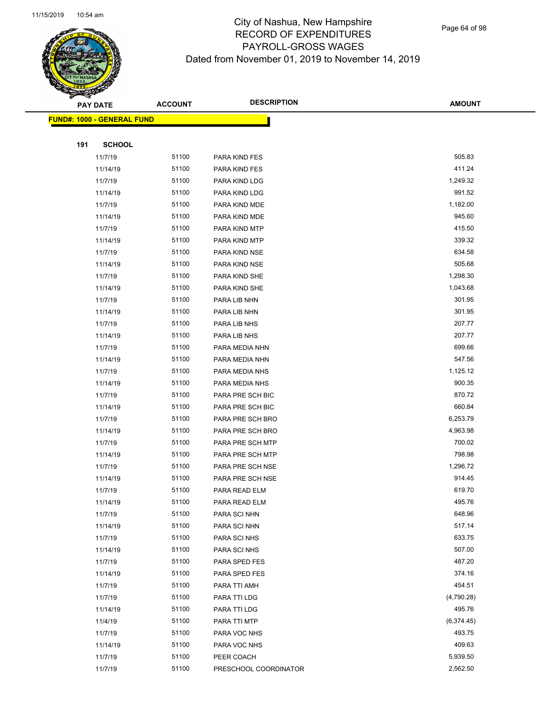

Page 64 of 98

| <b>PAY DATE</b>                    | <b>ACCOUNT</b> | <b>DESCRIPTION</b>    | <b>AMOUNT</b> |
|------------------------------------|----------------|-----------------------|---------------|
| <u> FUND#: 1000 - GENERAL FUND</u> |                |                       |               |
|                                    |                |                       |               |
| <b>SCHOOL</b><br>191               |                |                       |               |
| 11/7/19                            | 51100          | PARA KIND FES         | 505.83        |
| 11/14/19                           | 51100          | <b>PARA KIND FES</b>  | 411.24        |
| 11/7/19                            | 51100          | PARA KIND LDG         | 1,249.32      |
| 11/14/19                           | 51100          | PARA KIND LDG         | 991.52        |
| 11/7/19                            | 51100          | PARA KIND MDE         | 1,182.00      |
| 11/14/19                           | 51100          | PARA KIND MDE         | 945.60        |
| 11/7/19                            | 51100          | PARA KIND MTP         | 415.50        |
| 11/14/19                           | 51100          | PARA KIND MTP         | 339.32        |
| 11/7/19                            | 51100          | PARA KIND NSE         | 634.58        |
| 11/14/19                           | 51100          | PARA KIND NSE         | 505.68        |
| 11/7/19                            | 51100          | PARA KIND SHE         | 1,298.30      |
| 11/14/19                           | 51100          | PARA KIND SHE         | 1,043.68      |
| 11/7/19                            | 51100          | PARA LIB NHN          | 301.95        |
| 11/14/19                           | 51100          | PARA LIB NHN          | 301.95        |
| 11/7/19                            | 51100          | PARA LIB NHS          | 207.77        |
| 11/14/19                           | 51100          | PARA LIB NHS          | 207.77        |
| 11/7/19                            | 51100          | PARA MEDIA NHN        | 699.66        |
| 11/14/19                           | 51100          | PARA MEDIA NHN        | 547.56        |
| 11/7/19                            | 51100          | PARA MEDIA NHS        | 1,125.12      |
| 11/14/19                           | 51100          | PARA MEDIA NHS        | 900.35        |
| 11/7/19                            | 51100          | PARA PRE SCH BIC      | 870.72        |
| 11/14/19                           | 51100          | PARA PRE SCH BIC      | 660.84        |
| 11/7/19                            | 51100          | PARA PRE SCH BRO      | 6,253.79      |
| 11/14/19                           | 51100          | PARA PRE SCH BRO      | 4,963.98      |
| 11/7/19                            | 51100          | PARA PRE SCH MTP      | 700.02        |
| 11/14/19                           | 51100          | PARA PRE SCH MTP      | 798.98        |
| 11/7/19                            | 51100          | PARA PRE SCH NSE      | 1,296.72      |
| 11/14/19                           | 51100          | PARA PRE SCH NSE      | 914.45        |
| 11/7/19                            | 51100          | PARA READ ELM         | 619.70        |
| 11/14/19                           | 51100          | PARA READ ELM         | 495.76        |
| 11/7/19                            | 51100          | PARA SCI NHN          | 648.96        |
| 11/14/19                           | 51100          | PARA SCI NHN          | 517.14        |
| 11/7/19                            | 51100          | PARA SCI NHS          | 633.75        |
| 11/14/19                           | 51100          | PARA SCI NHS          | 507.00        |
| 11/7/19                            | 51100          | PARA SPED FES         | 487.20        |
| 11/14/19                           | 51100          | PARA SPED FES         | 374.16        |
| 11/7/19                            | 51100          | PARA TTI AMH          | 454.51        |
| 11/7/19                            | 51100          | PARA TTI LDG          | (4,790.28)    |
| 11/14/19                           | 51100          | PARA TTI LDG          | 495.76        |
| 11/4/19                            | 51100          | PARA TTI MTP          | (6,374.45)    |
| 11/7/19                            | 51100          | PARA VOC NHS          | 493.75        |
| 11/14/19                           | 51100          | PARA VOC NHS          | 409.63        |
| 11/7/19                            | 51100          | PEER COACH            | 5,939.50      |
| 11/7/19                            | 51100          | PRESCHOOL COORDINATOR | 2,562.50      |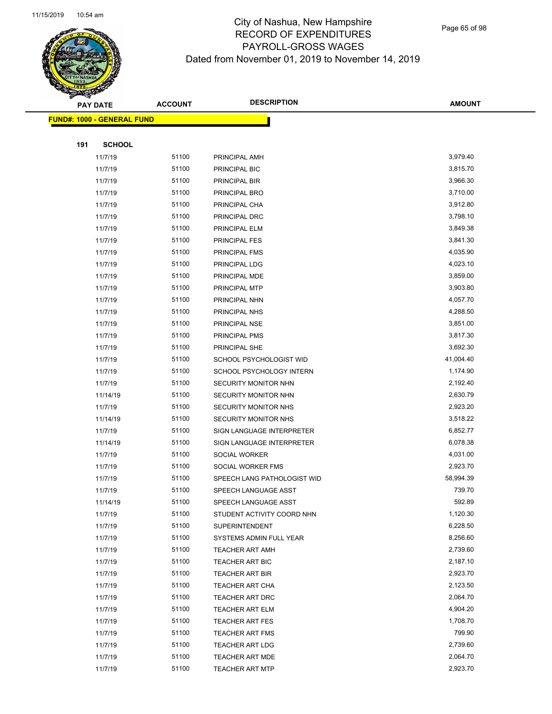

Page 65 of 98

|     | <b>PAY DATE</b>                    | <b>ACCOUNT</b> | <b>DESCRIPTION</b>          | <b>AMOUNT</b> |
|-----|------------------------------------|----------------|-----------------------------|---------------|
|     | <u> FUND#: 1000 - GENERAL FUND</u> |                |                             |               |
|     |                                    |                |                             |               |
| 191 | <b>SCHOOL</b>                      |                |                             |               |
|     | 11/7/19                            | 51100          | PRINCIPAL AMH               | 3,979.40      |
|     | 11/7/19                            | 51100          | PRINCIPAL BIC               | 3,815.70      |
|     | 11/7/19                            | 51100          | PRINCIPAL BIR               | 3,966.30      |
|     | 11/7/19                            | 51100          | PRINCIPAL BRO               | 3,710.00      |
|     | 11/7/19                            | 51100          | PRINCIPAL CHA               | 3,912.80      |
|     | 11/7/19                            | 51100          | PRINCIPAL DRC               | 3,798.10      |
|     | 11/7/19                            | 51100          | PRINCIPAL ELM               | 3,849.38      |
|     | 11/7/19                            | 51100          | <b>PRINCIPAL FES</b>        | 3,841.30      |
|     | 11/7/19                            | 51100          | PRINCIPAL FMS               | 4,035.90      |
|     | 11/7/19                            | 51100          | PRINCIPAL LDG               | 4,023.10      |
|     | 11/7/19                            | 51100          | PRINCIPAL MDE               | 3,859.00      |
|     | 11/7/19                            | 51100          | <b>PRINCIPAL MTP</b>        | 3,903.80      |
|     | 11/7/19                            | 51100          | PRINCIPAL NHN               | 4,057.70      |
|     | 11/7/19                            | 51100          | PRINCIPAL NHS               | 4,288.50      |
|     | 11/7/19                            | 51100          | PRINCIPAL NSE               | 3,851.00      |
|     | 11/7/19                            | 51100          | PRINCIPAL PMS               | 3,817.30      |
|     | 11/7/19                            | 51100          | PRINCIPAL SHE               | 3,692.30      |
|     | 11/7/19                            | 51100          | SCHOOL PSYCHOLOGIST WID     | 41,004.40     |
|     | 11/7/19                            | 51100          | SCHOOL PSYCHOLOGY INTERN    | 1,174.90      |
|     | 11/7/19                            | 51100          | SECURITY MONITOR NHN        | 2,192.40      |
|     | 11/14/19                           | 51100          | SECURITY MONITOR NHN        | 2,630.79      |
|     | 11/7/19                            | 51100          | SECURITY MONITOR NHS        | 2,923.20      |
|     | 11/14/19                           | 51100          | SECURITY MONITOR NHS        | 3,518.22      |
|     | 11/7/19                            | 51100          | SIGN LANGUAGE INTERPRETER   | 6,852.77      |
|     | 11/14/19                           | 51100          | SIGN LANGUAGE INTERPRETER   | 6,078.38      |
|     | 11/7/19                            | 51100          | <b>SOCIAL WORKER</b>        | 4,031.00      |
|     | 11/7/19                            | 51100          | SOCIAL WORKER FMS           | 2,923.70      |
|     | 11/7/19                            | 51100          | SPEECH LANG PATHOLOGIST WID | 58,994.39     |
|     | 11/7/19                            | 51100          | SPEECH LANGUAGE ASST        | 739.70        |
|     | 11/14/19                           | 51100          | SPEECH LANGUAGE ASST        | 592.89        |
|     | 11/7/19                            | 51100          | STUDENT ACTIVITY COORD NHN  | 1,120.30      |
|     | 11/7/19                            | 51100          | <b>SUPERINTENDENT</b>       | 6,228.50      |
|     | 11/7/19                            | 51100          | SYSTEMS ADMIN FULL YEAR     | 8,256.60      |
|     | 11/7/19                            | 51100          | <b>TEACHER ART AMH</b>      | 2,739.60      |
|     | 11/7/19                            | 51100          | TEACHER ART BIC             | 2,187.10      |
|     | 11/7/19                            | 51100          | <b>TEACHER ART BIR</b>      | 2,923.70      |
|     | 11/7/19                            | 51100          | <b>TEACHER ART CHA</b>      | 2,123.50      |
|     | 11/7/19                            | 51100          | TEACHER ART DRC             | 2,064.70      |
|     | 11/7/19                            | 51100          | TEACHER ART ELM             | 4,904.20      |
|     | 11/7/19                            | 51100          | <b>TEACHER ART FES</b>      | 1,708.70      |
|     | 11/7/19                            | 51100          | <b>TEACHER ART FMS</b>      | 799.90        |
|     | 11/7/19                            | 51100          | <b>TEACHER ART LDG</b>      | 2,739.60      |
|     | 11/7/19                            | 51100          | <b>TEACHER ART MDE</b>      | 2,064.70      |
|     | 11/7/19                            | 51100          | <b>TEACHER ART MTP</b>      | 2,923.70      |
|     |                                    |                |                             |               |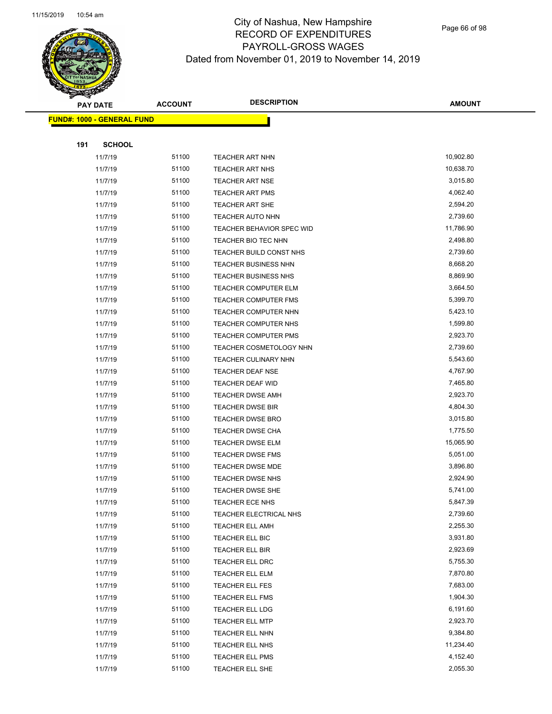

Page 66 of 98

|     | <b>PAY DATE</b>                   | <b>ACCOUNT</b> | <b>DESCRIPTION</b>               | <b>AMOUNT</b> |
|-----|-----------------------------------|----------------|----------------------------------|---------------|
|     | <b>FUND#: 1000 - GENERAL FUND</b> |                |                                  |               |
|     |                                   |                |                                  |               |
| 191 | <b>SCHOOL</b>                     |                |                                  |               |
|     | 11/7/19                           | 51100          | <b>TEACHER ART NHN</b>           | 10,902.80     |
|     | 11/7/19                           | 51100          | <b>TEACHER ART NHS</b>           | 10,638.70     |
|     | 11/7/19                           | 51100          | <b>TEACHER ART NSE</b>           | 3,015.80      |
|     | 11/7/19                           | 51100          | <b>TEACHER ART PMS</b>           | 4,062.40      |
|     | 11/7/19                           | 51100          | TEACHER ART SHE                  | 2,594.20      |
|     | 11/7/19                           | 51100          | <b>TEACHER AUTO NHN</b>          | 2,739.60      |
|     | 11/7/19                           | 51100          | <b>TEACHER BEHAVIOR SPEC WID</b> | 11,786.90     |
|     | 11/7/19                           | 51100          | TEACHER BIO TEC NHN              | 2,498.80      |
|     | 11/7/19                           | 51100          | TEACHER BUILD CONST NHS          | 2,739.60      |
|     | 11/7/19                           | 51100          | <b>TEACHER BUSINESS NHN</b>      | 8,668.20      |
|     | 11/7/19                           | 51100          | TEACHER BUSINESS NHS             | 8,869.90      |
|     | 11/7/19                           | 51100          | <b>TEACHER COMPUTER ELM</b>      | 3,664.50      |
|     | 11/7/19                           | 51100          | TEACHER COMPUTER FMS             | 5,399.70      |
|     | 11/7/19                           | 51100          | TEACHER COMPUTER NHN             | 5,423.10      |
|     | 11/7/19                           | 51100          | TEACHER COMPUTER NHS             | 1,599.80      |
|     | 11/7/19                           | 51100          | TEACHER COMPUTER PMS             | 2,923.70      |
|     | 11/7/19                           | 51100          | <b>TEACHER COSMETOLOGY NHN</b>   | 2,739.60      |
|     | 11/7/19                           | 51100          | <b>TEACHER CULINARY NHN</b>      | 5,543.60      |
|     | 11/7/19                           | 51100          | <b>TEACHER DEAF NSE</b>          | 4,767.90      |
|     | 11/7/19                           | 51100          | TEACHER DEAF WID                 | 7,465.80      |
|     | 11/7/19                           | 51100          | <b>TEACHER DWSE AMH</b>          | 2,923.70      |
|     | 11/7/19                           | 51100          | <b>TEACHER DWSE BIR</b>          | 4,804.30      |
|     | 11/7/19                           | 51100          | <b>TEACHER DWSE BRO</b>          | 3,015.80      |
|     | 11/7/19                           | 51100          | <b>TEACHER DWSE CHA</b>          | 1,775.50      |
|     | 11/7/19                           | 51100          | <b>TEACHER DWSE ELM</b>          | 15,065.90     |
|     | 11/7/19                           | 51100          | TEACHER DWSE FMS                 | 5,051.00      |
|     | 11/7/19                           | 51100          | <b>TEACHER DWSE MDE</b>          | 3,896.80      |
|     | 11/7/19                           | 51100          | <b>TEACHER DWSE NHS</b>          | 2,924.90      |
|     | 11/7/19                           | 51100          | TEACHER DWSE SHE                 | 5,741.00      |
|     | 11/7/19                           | 51100          | <b>TEACHER ECE NHS</b>           | 5,847.39      |
|     | 11/7/19                           | 51100          | TEACHER ELECTRICAL NHS           | 2,739.60      |
|     | 11/7/19                           | 51100          | <b>TEACHER ELL AMH</b>           | 2,255.30      |
|     | 11/7/19                           | 51100          | TEACHER ELL BIC                  | 3,931.80      |
|     | 11/7/19                           | 51100          | TEACHER ELL BIR                  | 2,923.69      |
|     | 11/7/19                           | 51100          | TEACHER ELL DRC                  | 5,755.30      |
|     | 11/7/19                           | 51100          | TEACHER ELL ELM                  | 7,870.80      |
|     | 11/7/19                           | 51100          | TEACHER ELL FES                  | 7,683.00      |
|     | 11/7/19                           | 51100          | TEACHER ELL FMS                  | 1,904.30      |
|     | 11/7/19                           | 51100          | TEACHER ELL LDG                  | 6,191.60      |
|     | 11/7/19                           | 51100          | <b>TEACHER ELL MTP</b>           | 2,923.70      |
|     | 11/7/19                           | 51100          | TEACHER ELL NHN                  | 9,384.80      |
|     | 11/7/19                           | 51100          | TEACHER ELL NHS                  | 11,234.40     |
|     | 11/7/19                           | 51100          | TEACHER ELL PMS                  | 4,152.40      |
|     | 11/7/19                           | 51100          | TEACHER ELL SHE                  | 2,055.30      |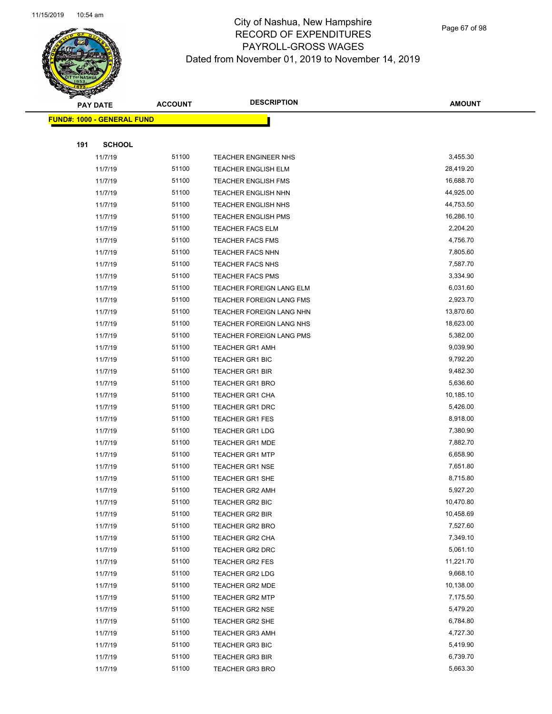

Page 67 of 98

|     | <b>PAY DATE</b>                   | <b>ACCOUNT</b> | <b>DESCRIPTION</b>         | <b>AMOUNT</b> |
|-----|-----------------------------------|----------------|----------------------------|---------------|
|     | <b>FUND#: 1000 - GENERAL FUND</b> |                |                            |               |
|     |                                   |                |                            |               |
| 191 | <b>SCHOOL</b>                     |                |                            |               |
|     | 11/7/19                           | 51100          | TEACHER ENGINEER NHS       | 3,455.30      |
|     | 11/7/19                           | 51100          | <b>TEACHER ENGLISH ELM</b> | 28,419.20     |
|     | 11/7/19                           | 51100          | <b>TEACHER ENGLISH FMS</b> | 16,688.70     |
|     | 11/7/19                           | 51100          | <b>TEACHER ENGLISH NHN</b> | 44,925.00     |
|     | 11/7/19                           | 51100          | <b>TEACHER ENGLISH NHS</b> | 44,753.50     |
|     | 11/7/19                           | 51100          | <b>TEACHER ENGLISH PMS</b> | 16,286.10     |
|     | 11/7/19                           | 51100          | <b>TEACHER FACS ELM</b>    | 2,204.20      |
|     | 11/7/19                           | 51100          | <b>TEACHER FACS FMS</b>    | 4,756.70      |
|     | 11/7/19                           | 51100          | <b>TEACHER FACS NHN</b>    | 7,805.60      |
|     | 11/7/19                           | 51100          | <b>TEACHER FACS NHS</b>    | 7,587.70      |
|     | 11/7/19                           | 51100          | <b>TEACHER FACS PMS</b>    | 3,334.90      |
|     | 11/7/19                           | 51100          | TEACHER FOREIGN LANG ELM   | 6,031.60      |
|     | 11/7/19                           | 51100          | TEACHER FOREIGN LANG FMS   | 2,923.70      |
|     | 11/7/19                           | 51100          | TEACHER FOREIGN LANG NHN   | 13,870.60     |
|     | 11/7/19                           | 51100          | TEACHER FOREIGN LANG NHS   | 18,623.00     |
|     | 11/7/19                           | 51100          | TEACHER FOREIGN LANG PMS   | 5,382.00      |
|     | 11/7/19                           | 51100          | <b>TEACHER GR1 AMH</b>     | 9,039.90      |
|     | 11/7/19                           | 51100          | <b>TEACHER GR1 BIC</b>     | 9,792.20      |
|     | 11/7/19                           | 51100          | <b>TEACHER GR1 BIR</b>     | 9,482.30      |
|     | 11/7/19                           | 51100          | <b>TEACHER GR1 BRO</b>     | 5,636.60      |
|     | 11/7/19                           | 51100          | <b>TEACHER GR1 CHA</b>     | 10,185.10     |
|     | 11/7/19                           | 51100          | TEACHER GR1 DRC            | 5,426.00      |
|     | 11/7/19                           | 51100          | <b>TEACHER GR1 FES</b>     | 8,918.00      |
|     | 11/7/19                           | 51100          | <b>TEACHER GR1 LDG</b>     | 7,380.90      |
|     | 11/7/19                           | 51100          | TEACHER GR1 MDE            | 7,882.70      |
|     | 11/7/19                           | 51100          | <b>TEACHER GR1 MTP</b>     | 6,658.90      |
|     | 11/7/19                           | 51100          | <b>TEACHER GR1 NSE</b>     | 7,651.80      |
|     | 11/7/19                           | 51100          | <b>TEACHER GR1 SHE</b>     | 8,715.80      |
|     | 11/7/19                           | 51100          | TEACHER GR2 AMH            | 5,927.20      |
|     | 11/7/19                           | 51100          | TEACHER GR2 BIC            | 10,470.80     |
|     | 11/7/19                           | 51100          | <b>TEACHER GR2 BIR</b>     | 10,458.69     |
|     | 11/7/19                           | 51100          | TEACHER GR2 BRO            | 7,527.60      |
|     | 11/7/19                           | 51100          | TEACHER GR2 CHA            | 7,349.10      |
|     | 11/7/19                           | 51100          | TEACHER GR2 DRC            | 5,061.10      |
|     | 11/7/19                           | 51100          | TEACHER GR2 FES            | 11,221.70     |
|     | 11/7/19                           | 51100          | TEACHER GR2 LDG            | 9,668.10      |
|     | 11/7/19                           | 51100          | TEACHER GR2 MDE            | 10,138.00     |
|     | 11/7/19                           | 51100          | <b>TEACHER GR2 MTP</b>     | 7,175.50      |
|     | 11/7/19                           | 51100          | <b>TEACHER GR2 NSE</b>     | 5,479.20      |
|     | 11/7/19                           | 51100          | <b>TEACHER GR2 SHE</b>     | 6,784.80      |
|     | 11/7/19                           | 51100          | <b>TEACHER GR3 AMH</b>     | 4,727.30      |
|     | 11/7/19                           | 51100          | <b>TEACHER GR3 BIC</b>     | 5,419.90      |
|     | 11/7/19                           | 51100          | <b>TEACHER GR3 BIR</b>     | 6,739.70      |
|     | 11/7/19                           | 51100          | <b>TEACHER GR3 BRO</b>     | 5,663.30      |
|     |                                   |                |                            |               |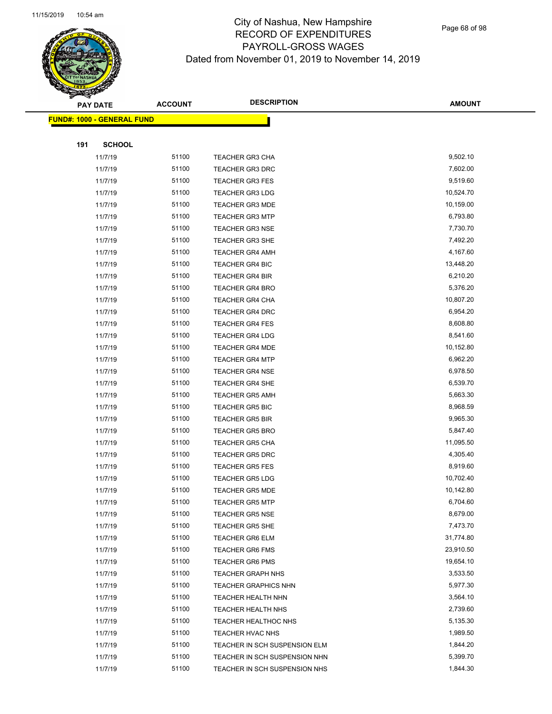

Page 68 of 98

|                                    | <b>PAY DATE</b> | <b>ACCOUNT</b> | <b>DESCRIPTION</b>            | <b>AMOUNT</b> |
|------------------------------------|-----------------|----------------|-------------------------------|---------------|
| <u> FUND#: 1000 - GENERAL FUND</u> |                 |                |                               |               |
|                                    |                 |                |                               |               |
| 191                                | <b>SCHOOL</b>   |                |                               |               |
|                                    | 11/7/19         | 51100          | <b>TEACHER GR3 CHA</b>        | 9,502.10      |
|                                    | 11/7/19         | 51100          | <b>TEACHER GR3 DRC</b>        | 7,602.00      |
|                                    | 11/7/19         | 51100          | <b>TEACHER GR3 FES</b>        | 9,519.60      |
|                                    | 11/7/19         | 51100          | <b>TEACHER GR3 LDG</b>        | 10,524.70     |
|                                    | 11/7/19         | 51100          | <b>TEACHER GR3 MDE</b>        | 10,159.00     |
|                                    | 11/7/19         | 51100          | <b>TEACHER GR3 MTP</b>        | 6,793.80      |
|                                    | 11/7/19         | 51100          | <b>TEACHER GR3 NSE</b>        | 7,730.70      |
|                                    | 11/7/19         | 51100          | <b>TEACHER GR3 SHE</b>        | 7,492.20      |
|                                    | 11/7/19         | 51100          | <b>TEACHER GR4 AMH</b>        | 4,167.60      |
|                                    | 11/7/19         | 51100          | TEACHER GR4 BIC               | 13,448.20     |
|                                    | 11/7/19         | 51100          | <b>TEACHER GR4 BIR</b>        | 6,210.20      |
|                                    | 11/7/19         | 51100          | <b>TEACHER GR4 BRO</b>        | 5,376.20      |
|                                    | 11/7/19         | 51100          | <b>TEACHER GR4 CHA</b>        | 10,807.20     |
|                                    | 11/7/19         | 51100          | <b>TEACHER GR4 DRC</b>        | 6,954.20      |
|                                    | 11/7/19         | 51100          | <b>TEACHER GR4 FES</b>        | 8,608.80      |
|                                    | 11/7/19         | 51100          | <b>TEACHER GR4 LDG</b>        | 8,541.60      |
|                                    | 11/7/19         | 51100          | <b>TEACHER GR4 MDE</b>        | 10,152.80     |
|                                    | 11/7/19         | 51100          | <b>TEACHER GR4 MTP</b>        | 6,962.20      |
|                                    | 11/7/19         | 51100          | <b>TEACHER GR4 NSE</b>        | 6,978.50      |
|                                    | 11/7/19         | 51100          | <b>TEACHER GR4 SHE</b>        | 6,539.70      |
|                                    | 11/7/19         | 51100          | <b>TEACHER GR5 AMH</b>        | 5,663.30      |
|                                    | 11/7/19         | 51100          | <b>TEACHER GR5 BIC</b>        | 8,968.59      |
|                                    | 11/7/19         | 51100          | <b>TEACHER GR5 BIR</b>        | 9,965.30      |
|                                    | 11/7/19         | 51100          | <b>TEACHER GR5 BRO</b>        | 5,847.40      |
|                                    | 11/7/19         | 51100          | <b>TEACHER GR5 CHA</b>        | 11,095.50     |
|                                    | 11/7/19         | 51100          | <b>TEACHER GR5 DRC</b>        | 4,305.40      |
|                                    | 11/7/19         | 51100          | <b>TEACHER GR5 FES</b>        | 8,919.60      |
|                                    | 11/7/19         | 51100          | <b>TEACHER GR5 LDG</b>        | 10,702.40     |
|                                    | 11/7/19         | 51100          | <b>TEACHER GR5 MDE</b>        | 10,142.80     |
|                                    | 11/7/19         | 51100          | <b>TEACHER GR5 MTP</b>        | 6,704.60      |
|                                    | 11/7/19         | 51100          | <b>TEACHER GR5 NSE</b>        | 8,679.00      |
|                                    | 11/7/19         | 51100          | <b>TEACHER GR5 SHE</b>        | 7,473.70      |
|                                    | 11/7/19         | 51100          | <b>TEACHER GR6 ELM</b>        | 31,774.80     |
|                                    | 11/7/19         | 51100          | <b>TEACHER GR6 FMS</b>        | 23,910.50     |
|                                    | 11/7/19         | 51100          | <b>TEACHER GR6 PMS</b>        | 19,654.10     |
|                                    | 11/7/19         | 51100          | <b>TEACHER GRAPH NHS</b>      | 3,533.50      |
|                                    | 11/7/19         | 51100          | <b>TEACHER GRAPHICS NHN</b>   | 5,977.30      |
|                                    | 11/7/19         | 51100          | TEACHER HEALTH NHN            | 3,564.10      |
|                                    | 11/7/19         | 51100          | TEACHER HEALTH NHS            | 2,739.60      |
|                                    | 11/7/19         | 51100          | TEACHER HEALTHOC NHS          | 5,135.30      |
|                                    | 11/7/19         | 51100          | TEACHER HVAC NHS              | 1,989.50      |
|                                    | 11/7/19         | 51100          | TEACHER IN SCH SUSPENSION ELM | 1,844.20      |
|                                    | 11/7/19         | 51100          | TEACHER IN SCH SUSPENSION NHN | 5,399.70      |
|                                    | 11/7/19         | 51100          | TEACHER IN SCH SUSPENSION NHS | 1,844.30      |
|                                    |                 |                |                               |               |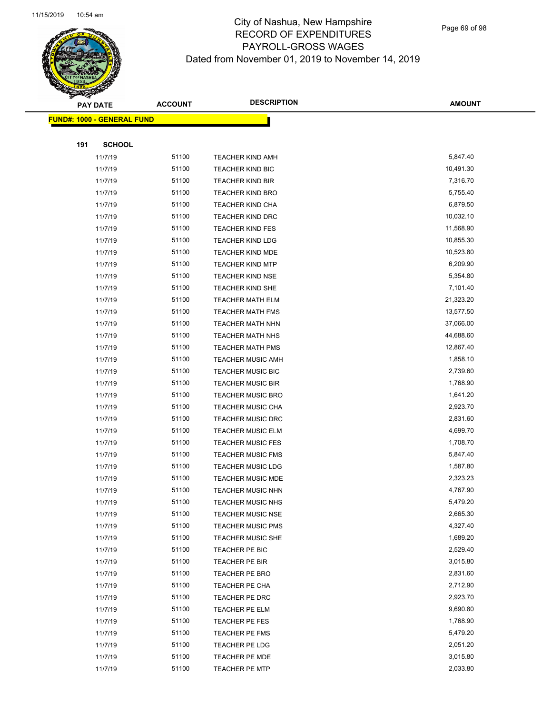

Page 69 of 98

| <b>PAY DATE</b>                    | <b>ACCOUNT</b> | <b>DESCRIPTION</b>       | <b>AMOUNT</b> |
|------------------------------------|----------------|--------------------------|---------------|
| <u> FUND#: 1000 - GENERAL FUND</u> |                |                          |               |
|                                    |                |                          |               |
| 191<br><b>SCHOOL</b>               |                |                          |               |
| 11/7/19                            | 51100          | <b>TEACHER KIND AMH</b>  | 5,847.40      |
| 11/7/19                            | 51100          | <b>TEACHER KIND BIC</b>  | 10,491.30     |
| 11/7/19                            | 51100          | <b>TEACHER KIND BIR</b>  | 7,316.70      |
| 11/7/19                            | 51100          | <b>TEACHER KIND BRO</b>  | 5,755.40      |
| 11/7/19                            | 51100          | <b>TEACHER KIND CHA</b>  | 6,879.50      |
| 11/7/19                            | 51100          | <b>TEACHER KIND DRC</b>  | 10,032.10     |
| 11/7/19                            | 51100          | <b>TEACHER KIND FES</b>  | 11,568.90     |
| 11/7/19                            | 51100          | <b>TEACHER KIND LDG</b>  | 10,855.30     |
| 11/7/19                            | 51100          | <b>TEACHER KIND MDE</b>  | 10,523.80     |
| 11/7/19                            | 51100          | <b>TEACHER KIND MTP</b>  | 6,209.90      |
| 11/7/19                            | 51100          | <b>TEACHER KIND NSE</b>  | 5,354.80      |
| 11/7/19                            | 51100          | TEACHER KIND SHE         | 7,101.40      |
| 11/7/19                            | 51100          | <b>TEACHER MATH ELM</b>  | 21,323.20     |
| 11/7/19                            | 51100          | <b>TEACHER MATH FMS</b>  | 13,577.50     |
| 11/7/19                            | 51100          | <b>TEACHER MATH NHN</b>  | 37,066.00     |
| 11/7/19                            | 51100          | TEACHER MATH NHS         | 44,688.60     |
| 11/7/19                            | 51100          | <b>TEACHER MATH PMS</b>  | 12,867.40     |
| 11/7/19                            | 51100          | <b>TEACHER MUSIC AMH</b> | 1,858.10      |
| 11/7/19                            | 51100          | <b>TEACHER MUSIC BIC</b> | 2,739.60      |
| 11/7/19                            | 51100          | <b>TEACHER MUSIC BIR</b> | 1,768.90      |
| 11/7/19                            | 51100          | <b>TEACHER MUSIC BRO</b> | 1,641.20      |
| 11/7/19                            | 51100          | <b>TEACHER MUSIC CHA</b> | 2,923.70      |
| 11/7/19                            | 51100          | <b>TEACHER MUSIC DRC</b> | 2,831.60      |
| 11/7/19                            | 51100          | <b>TEACHER MUSIC ELM</b> | 4,699.70      |
| 11/7/19                            | 51100          | <b>TEACHER MUSIC FES</b> | 1,708.70      |
| 11/7/19                            | 51100          | <b>TEACHER MUSIC FMS</b> | 5,847.40      |
| 11/7/19                            | 51100          | <b>TEACHER MUSIC LDG</b> | 1,587.80      |
| 11/7/19                            | 51100          | <b>TEACHER MUSIC MDE</b> | 2,323.23      |
| 11/7/19                            | 51100          | TEACHER MUSIC NHN        | 4,767.90      |
| 11/7/19                            | 51100          | <b>TEACHER MUSIC NHS</b> | 5,479.20      |
| 11/7/19                            | 51100          | <b>TEACHER MUSIC NSE</b> | 2,665.30      |
| 11/7/19                            | 51100          | <b>TEACHER MUSIC PMS</b> | 4,327.40      |
| 11/7/19                            | 51100          | <b>TEACHER MUSIC SHE</b> | 1,689.20      |
| 11/7/19                            | 51100          | TEACHER PE BIC           | 2,529.40      |
| 11/7/19                            | 51100          | <b>TEACHER PE BIR</b>    | 3,015.80      |
| 11/7/19                            | 51100          | TEACHER PE BRO           | 2,831.60      |
| 11/7/19                            | 51100          | TEACHER PE CHA           | 2,712.90      |
| 11/7/19                            | 51100          | TEACHER PE DRC           | 2,923.70      |
| 11/7/19                            | 51100          | TEACHER PE ELM           | 9,690.80      |
| 11/7/19                            | 51100          | TEACHER PE FES           | 1,768.90      |
| 11/7/19                            | 51100          | TEACHER PE FMS           | 5,479.20      |
| 11/7/19                            | 51100          | TEACHER PE LDG           | 2,051.20      |
| 11/7/19                            | 51100          | <b>TEACHER PE MDE</b>    | 3,015.80      |
| 11/7/19                            | 51100          | <b>TEACHER PE MTP</b>    | 2,033.80      |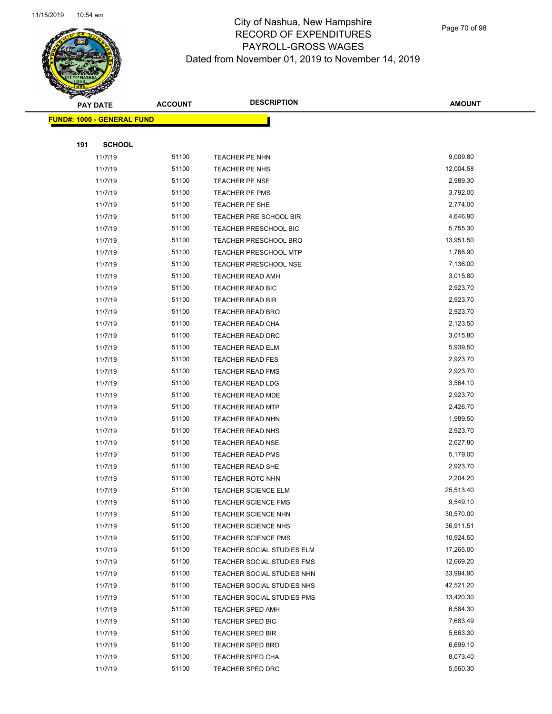

Page 70 of 98

|     | <b>PAY DATE</b>                   | <b>ACCOUNT</b> | <b>DESCRIPTION</b>           | <b>AMOUNT</b> |
|-----|-----------------------------------|----------------|------------------------------|---------------|
|     | <b>FUND#: 1000 - GENERAL FUND</b> |                |                              |               |
|     |                                   |                |                              |               |
| 191 | <b>SCHOOL</b>                     |                |                              |               |
|     | 11/7/19                           | 51100          | TEACHER PE NHN               | 9,009.80      |
|     | 11/7/19                           | 51100          | TEACHER PE NHS               | 12,004.58     |
|     | 11/7/19                           | 51100          | <b>TEACHER PE NSE</b>        | 2,989.30      |
|     | 11/7/19                           | 51100          | TEACHER PE PMS               | 3,792.00      |
|     | 11/7/19                           | 51100          | TEACHER PE SHE               | 2,774.00      |
|     | 11/7/19                           | 51100          | TEACHER PRE SCHOOL BIR       | 4,646.90      |
|     | 11/7/19                           | 51100          | TEACHER PRESCHOOL BIC        | 5,755.30      |
|     | 11/7/19                           | 51100          | <b>TEACHER PRESCHOOL BRO</b> | 13,951.50     |
|     | 11/7/19                           | 51100          | <b>TEACHER PRESCHOOL MTP</b> | 1,768.90      |
|     | 11/7/19                           | 51100          | <b>TEACHER PRESCHOOL NSE</b> | 7,136.00      |
|     | 11/7/19                           | 51100          | TEACHER READ AMH             | 3,015.80      |
|     | 11/7/19                           | 51100          | TEACHER READ BIC             | 2,923.70      |
|     | 11/7/19                           | 51100          | TEACHER READ BIR             | 2,923.70      |
|     | 11/7/19                           | 51100          | <b>TEACHER READ BRO</b>      | 2,923.70      |
|     | 11/7/19                           | 51100          | <b>TEACHER READ CHA</b>      | 2,123.50      |
|     | 11/7/19                           | 51100          | TEACHER READ DRC             | 3,015.80      |
|     | 11/7/19                           | 51100          | <b>TEACHER READ ELM</b>      | 5,939.50      |
|     | 11/7/19                           | 51100          | <b>TEACHER READ FES</b>      | 2,923.70      |
|     | 11/7/19                           | 51100          | <b>TEACHER READ FMS</b>      | 2,923.70      |
|     | 11/7/19                           | 51100          | <b>TEACHER READ LDG</b>      | 3,564.10      |
|     | 11/7/19                           | 51100          | TEACHER READ MDE             | 2,923.70      |
|     | 11/7/19                           | 51100          | <b>TEACHER READ MTP</b>      | 2,426.70      |
|     | 11/7/19                           | 51100          | TEACHER READ NHN             | 1,989.50      |
|     | 11/7/19                           | 51100          | <b>TEACHER READ NHS</b>      | 2,923.70      |
|     | 11/7/19                           | 51100          | <b>TEACHER READ NSE</b>      | 2,627.80      |
|     | 11/7/19                           | 51100          | <b>TEACHER READ PMS</b>      | 5,179.00      |
|     | 11/7/19                           | 51100          | TEACHER READ SHE             | 2,923.70      |
|     | 11/7/19                           | 51100          | <b>TEACHER ROTC NHN</b>      | 2,204.20      |
|     | 11/7/19                           | 51100          | <b>TEACHER SCIENCE ELM</b>   | 25,513.40     |
|     | 11/7/19                           | 51100          | <b>TEACHER SCIENCE FMS</b>   | 9,549.10      |
|     | 11/7/19                           | 51100          | <b>TEACHER SCIENCE NHN</b>   | 30,570.00     |
|     | 11/7/19                           | 51100          | <b>TEACHER SCIENCE NHS</b>   | 36,911.51     |
|     | 11/7/19                           | 51100          | <b>TEACHER SCIENCE PMS</b>   | 10,924.50     |
|     | 11/7/19                           | 51100          | TEACHER SOCIAL STUDIES ELM   | 17,265.00     |
|     | 11/7/19                           | 51100          | TEACHER SOCIAL STUDIES FMS   | 12,669.20     |
|     | 11/7/19                           | 51100          | TEACHER SOCIAL STUDIES NHN   | 33,994.90     |
|     | 11/7/19                           | 51100          | TEACHER SOCIAL STUDIES NHS   | 42,521.20     |
|     | 11/7/19                           | 51100          | TEACHER SOCIAL STUDIES PMS   | 13,420.30     |
|     | 11/7/19                           | 51100          | TEACHER SPED AMH             | 6,584.30      |
|     | 11/7/19                           | 51100          | TEACHER SPED BIC             | 7,683.49      |
|     | 11/7/19                           | 51100          | <b>TEACHER SPED BIR</b>      | 5,663.30      |
|     | 11/7/19                           | 51100          | <b>TEACHER SPED BRO</b>      | 6,699.10      |
|     | 11/7/19                           | 51100          | <b>TEACHER SPED CHA</b>      | 8,073.40      |
|     | 11/7/19                           | 51100          | TEACHER SPED DRC             | 5,560.30      |
|     |                                   |                |                              |               |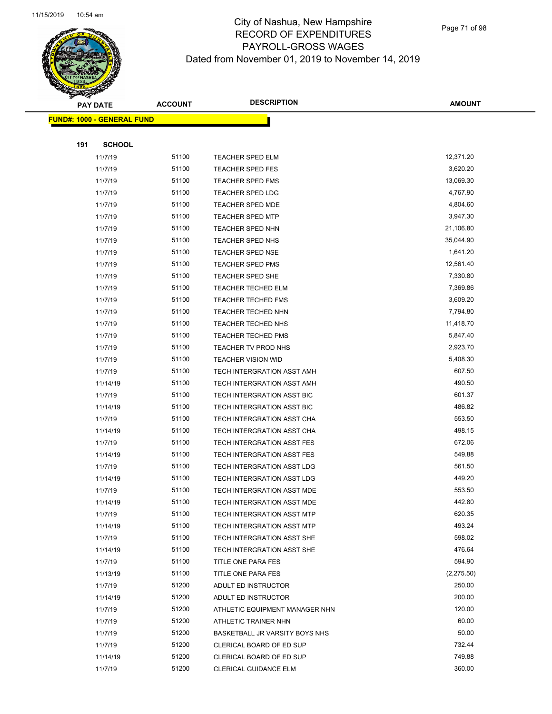

Page 71 of 98

|     | <b>PAY DATE</b>                    | <b>ACCOUNT</b> | <b>DESCRIPTION</b>             | <b>AMOUNT</b> |
|-----|------------------------------------|----------------|--------------------------------|---------------|
|     | <u> FUND#: 1000 - GENERAL FUND</u> |                |                                |               |
|     |                                    |                |                                |               |
| 191 | <b>SCHOOL</b>                      |                |                                |               |
|     | 11/7/19                            | 51100          | <b>TEACHER SPED ELM</b>        | 12,371.20     |
|     | 11/7/19                            | 51100          | <b>TEACHER SPED FES</b>        | 3,620.20      |
|     | 11/7/19                            | 51100          | <b>TEACHER SPED FMS</b>        | 13,069.30     |
|     | 11/7/19                            | 51100          | <b>TEACHER SPED LDG</b>        | 4,767.90      |
|     | 11/7/19                            | 51100          | <b>TEACHER SPED MDE</b>        | 4,804.60      |
|     | 11/7/19                            | 51100          | <b>TEACHER SPED MTP</b>        | 3,947.30      |
|     | 11/7/19                            | 51100          | TEACHER SPED NHN               | 21,106.80     |
|     | 11/7/19                            | 51100          | <b>TEACHER SPED NHS</b>        | 35,044.90     |
|     | 11/7/19                            | 51100          | <b>TEACHER SPED NSE</b>        | 1,641.20      |
|     | 11/7/19                            | 51100          | <b>TEACHER SPED PMS</b>        | 12,561.40     |
|     | 11/7/19                            | 51100          | <b>TEACHER SPED SHE</b>        | 7,330.80      |
|     | 11/7/19                            | 51100          | <b>TEACHER TECHED ELM</b>      | 7,369.86      |
|     | 11/7/19                            | 51100          | <b>TEACHER TECHED FMS</b>      | 3,609.20      |
|     | 11/7/19                            | 51100          | TEACHER TECHED NHN             | 7,794.80      |
|     | 11/7/19                            | 51100          | <b>TEACHER TECHED NHS</b>      | 11,418.70     |
|     | 11/7/19                            | 51100          | <b>TEACHER TECHED PMS</b>      | 5,847.40      |
|     | 11/7/19                            | 51100          | TEACHER TV PROD NHS            | 2,923.70      |
|     | 11/7/19                            | 51100          | <b>TEACHER VISION WID</b>      | 5,408.30      |
|     | 11/7/19                            | 51100          | TECH INTERGRATION ASST AMH     | 607.50        |
|     | 11/14/19                           | 51100          | TECH INTERGRATION ASST AMH     | 490.50        |
|     | 11/7/19                            | 51100          | TECH INTERGRATION ASST BIC     | 601.37        |
|     | 11/14/19                           | 51100          | TECH INTERGRATION ASST BIC     | 486.82        |
|     | 11/7/19                            | 51100          | TECH INTERGRATION ASST CHA     | 553.50        |
|     | 11/14/19                           | 51100          | TECH INTERGRATION ASST CHA     | 498.15        |
|     | 11/7/19                            | 51100          | TECH INTERGRATION ASST FES     | 672.06        |
|     | 11/14/19                           | 51100          | TECH INTERGRATION ASST FES     | 549.88        |
|     | 11/7/19                            | 51100          | TECH INTERGRATION ASST LDG     | 561.50        |
|     | 11/14/19                           | 51100          | TECH INTERGRATION ASST LDG     | 449.20        |
|     | 11/7/19                            | 51100          | TECH INTERGRATION ASST MDE     | 553.50        |
|     | 11/14/19                           | 51100          | TECH INTERGRATION ASST MDE     | 442.80        |
|     | 11/7/19                            | 51100          | TECH INTERGRATION ASST MTP     | 620.35        |
|     | 11/14/19                           | 51100          | TECH INTERGRATION ASST MTP     | 493.24        |
|     | 11/7/19                            | 51100          | TECH INTERGRATION ASST SHE     | 598.02        |
|     | 11/14/19                           | 51100          | TECH INTERGRATION ASST SHE     | 476.64        |
|     | 11/7/19                            | 51100          | TITLE ONE PARA FES             | 594.90        |
|     | 11/13/19                           | 51100          | TITLE ONE PARA FES             | (2,275.50)    |
|     | 11/7/19                            | 51200          | ADULT ED INSTRUCTOR            | 250.00        |
|     | 11/14/19                           | 51200          | ADULT ED INSTRUCTOR            | 200.00        |
|     | 11/7/19                            | 51200          | ATHLETIC EQUIPMENT MANAGER NHN | 120.00        |
|     | 11/7/19                            | 51200          | ATHLETIC TRAINER NHN           | 60.00         |
|     | 11/7/19                            | 51200          | BASKETBALL JR VARSITY BOYS NHS | 50.00         |
|     | 11/7/19                            | 51200          | CLERICAL BOARD OF ED SUP       | 732.44        |
|     | 11/14/19                           | 51200          | CLERICAL BOARD OF ED SUP       | 749.88        |
|     | 11/7/19                            | 51200          | <b>CLERICAL GUIDANCE ELM</b>   | 360.00        |
|     |                                    |                |                                |               |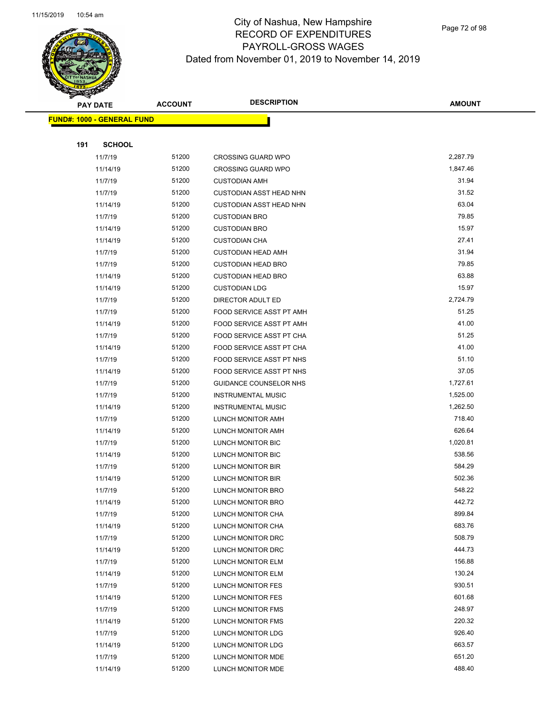

Page 72 of 98

|     | <b>PAY DATE</b>                   | <b>ACCOUNT</b> | <b>DESCRIPTION</b>                     | <b>AMOUNT</b>    |
|-----|-----------------------------------|----------------|----------------------------------------|------------------|
|     | <b>FUND#: 1000 - GENERAL FUND</b> |                |                                        |                  |
|     |                                   |                |                                        |                  |
| 191 | <b>SCHOOL</b>                     |                |                                        |                  |
|     | 11/7/19                           | 51200          | <b>CROSSING GUARD WPO</b>              | 2,287.79         |
|     | 11/14/19                          | 51200          | <b>CROSSING GUARD WPO</b>              | 1,847.46         |
|     | 11/7/19                           | 51200          | <b>CUSTODIAN AMH</b>                   | 31.94            |
|     | 11/7/19                           | 51200          | <b>CUSTODIAN ASST HEAD NHN</b>         | 31.52            |
|     | 11/14/19                          | 51200          | <b>CUSTODIAN ASST HEAD NHN</b>         | 63.04            |
|     | 11/7/19                           | 51200          | <b>CUSTODIAN BRO</b>                   | 79.85            |
|     | 11/14/19                          | 51200          | <b>CUSTODIAN BRO</b>                   | 15.97            |
|     | 11/14/19                          | 51200          | <b>CUSTODIAN CHA</b>                   | 27.41            |
|     | 11/7/19                           | 51200          | <b>CUSTODIAN HEAD AMH</b>              | 31.94            |
|     | 11/7/19                           | 51200          | <b>CUSTODIAN HEAD BRO</b>              | 79.85            |
|     | 11/14/19                          | 51200          | <b>CUSTODIAN HEAD BRO</b>              | 63.88            |
|     | 11/14/19                          | 51200          | <b>CUSTODIAN LDG</b>                   | 15.97            |
|     | 11/7/19                           | 51200          | DIRECTOR ADULT ED                      | 2,724.79         |
|     | 11/7/19                           | 51200          | FOOD SERVICE ASST PT AMH               | 51.25            |
|     | 11/14/19                          | 51200          | FOOD SERVICE ASST PT AMH               | 41.00            |
|     | 11/7/19                           | 51200          | FOOD SERVICE ASST PT CHA               | 51.25            |
|     | 11/14/19                          | 51200          | FOOD SERVICE ASST PT CHA               | 41.00            |
|     | 11/7/19                           | 51200          | FOOD SERVICE ASST PT NHS               | 51.10            |
|     | 11/14/19                          | 51200          | FOOD SERVICE ASST PT NHS               | 37.05            |
|     | 11/7/19                           | 51200          | GUIDANCE COUNSELOR NHS                 | 1,727.61         |
|     | 11/7/19                           | 51200          | <b>INSTRUMENTAL MUSIC</b>              | 1,525.00         |
|     | 11/14/19                          | 51200          | <b>INSTRUMENTAL MUSIC</b>              | 1,262.50         |
|     | 11/7/19                           | 51200          | LUNCH MONITOR AMH                      | 718.40           |
|     | 11/14/19                          | 51200          | LUNCH MONITOR AMH                      | 626.64           |
|     | 11/7/19                           | 51200          | LUNCH MONITOR BIC                      | 1,020.81         |
|     | 11/14/19                          | 51200          | LUNCH MONITOR BIC                      | 538.56           |
|     | 11/7/19                           | 51200          | LUNCH MONITOR BIR                      | 584.29           |
|     | 11/14/19                          | 51200          | LUNCH MONITOR BIR                      | 502.36           |
|     | 11/7/19                           | 51200          | LUNCH MONITOR BRO                      | 548.22<br>442.72 |
|     | 11/14/19<br>11/7/19               | 51200<br>51200 | LUNCH MONITOR BRO                      | 899.84           |
|     | 11/14/19                          | 51200          | LUNCH MONITOR CHA<br>LUNCH MONITOR CHA | 683.76           |
|     | 11/7/19                           | 51200          | LUNCH MONITOR DRC                      | 508.79           |
|     | 11/14/19                          | 51200          | LUNCH MONITOR DRC                      | 444.73           |
|     | 11/7/19                           | 51200          | LUNCH MONITOR ELM                      | 156.88           |
|     | 11/14/19                          | 51200          | LUNCH MONITOR ELM                      | 130.24           |
|     | 11/7/19                           | 51200          | LUNCH MONITOR FES                      | 930.51           |
|     | 11/14/19                          | 51200          | LUNCH MONITOR FES                      | 601.68           |
|     | 11/7/19                           | 51200          | LUNCH MONITOR FMS                      | 248.97           |
|     | 11/14/19                          | 51200          | LUNCH MONITOR FMS                      | 220.32           |
|     | 11/7/19                           | 51200          | LUNCH MONITOR LDG                      | 926.40           |
|     | 11/14/19                          | 51200          | LUNCH MONITOR LDG                      | 663.57           |
|     | 11/7/19                           | 51200          | LUNCH MONITOR MDE                      | 651.20           |
|     | 11/14/19                          | 51200          | LUNCH MONITOR MDE                      | 488.40           |
|     |                                   |                |                                        |                  |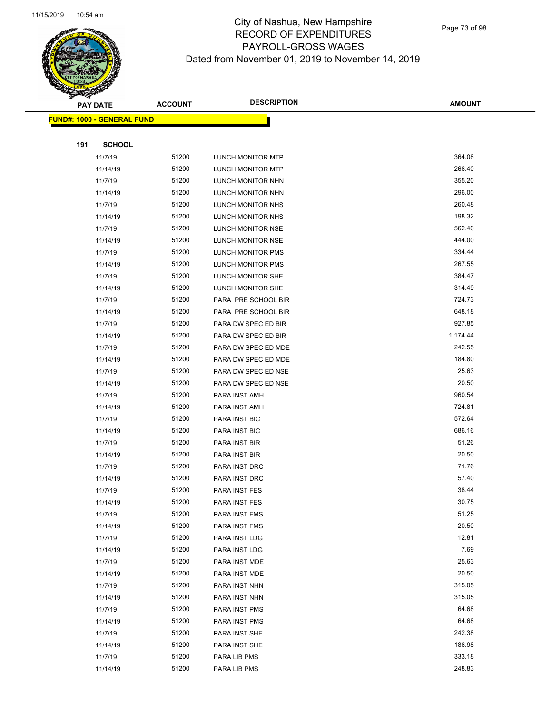

Page 73 of 98

| ॼ   | <b>PAY DATE</b>                   | <b>ACCOUNT</b> | <b>DESCRIPTION</b>  | <b>AMOUNT</b> |
|-----|-----------------------------------|----------------|---------------------|---------------|
|     | <b>FUND#: 1000 - GENERAL FUND</b> |                |                     |               |
|     |                                   |                |                     |               |
| 191 | <b>SCHOOL</b>                     |                |                     |               |
|     | 11/7/19                           | 51200          | LUNCH MONITOR MTP   | 364.08        |
|     | 11/14/19                          | 51200          | LUNCH MONITOR MTP   | 266.40        |
|     | 11/7/19                           | 51200          | LUNCH MONITOR NHN   | 355.20        |
|     | 11/14/19                          | 51200          | LUNCH MONITOR NHN   | 296.00        |
|     | 11/7/19                           | 51200          | LUNCH MONITOR NHS   | 260.48        |
|     | 11/14/19                          | 51200          | LUNCH MONITOR NHS   | 198.32        |
|     | 11/7/19                           | 51200          | LUNCH MONITOR NSE   | 562.40        |
|     | 11/14/19                          | 51200          | LUNCH MONITOR NSE   | 444.00        |
|     | 11/7/19                           | 51200          | LUNCH MONITOR PMS   | 334.44        |
|     | 11/14/19                          | 51200          | LUNCH MONITOR PMS   | 267.55        |
|     | 11/7/19                           | 51200          | LUNCH MONITOR SHE   | 384.47        |
|     | 11/14/19                          | 51200          | LUNCH MONITOR SHE   | 314.49        |
|     | 11/7/19                           | 51200          | PARA PRE SCHOOL BIR | 724.73        |
|     | 11/14/19                          | 51200          | PARA PRE SCHOOL BIR | 648.18        |
|     | 11/7/19                           | 51200          | PARA DW SPEC ED BIR | 927.85        |
|     | 11/14/19                          | 51200          | PARA DW SPEC ED BIR | 1,174.44      |
|     | 11/7/19                           | 51200          | PARA DW SPEC ED MDE | 242.55        |
|     | 11/14/19                          | 51200          | PARA DW SPEC ED MDE | 184.80        |
|     | 11/7/19                           | 51200          | PARA DW SPEC ED NSE | 25.63         |
|     | 11/14/19                          | 51200          | PARA DW SPEC ED NSE | 20.50         |
|     | 11/7/19                           | 51200          | PARA INST AMH       | 960.54        |
|     | 11/14/19                          | 51200          | PARA INST AMH       | 724.81        |
|     | 11/7/19                           | 51200          | PARA INST BIC       | 572.64        |
|     | 11/14/19                          | 51200          | PARA INST BIC       | 686.16        |
|     | 11/7/19                           | 51200          | PARA INST BIR       | 51.26         |
|     | 11/14/19                          | 51200          | PARA INST BIR       | 20.50         |
|     | 11/7/19                           | 51200          | PARA INST DRC       | 71.76         |
|     | 11/14/19                          | 51200          | PARA INST DRC       | 57.40         |
|     | 11/7/19                           | 51200          | PARA INST FES       | 38.44         |
|     | 11/14/19                          | 51200          | PARA INST FES       | 30.75         |
|     | 11/7/19                           | 51200          | PARA INST FMS       | 51.25         |
|     | 11/14/19                          | 51200          | PARA INST FMS       | 20.50         |
|     | 11/7/19                           | 51200          | PARA INST LDG       | 12.81         |
|     | 11/14/19                          | 51200          | PARA INST LDG       | 7.69          |
|     | 11/7/19                           | 51200          | PARA INST MDE       | 25.63         |
|     | 11/14/19                          | 51200          | PARA INST MDE       | 20.50         |
|     | 11/7/19                           | 51200          | PARA INST NHN       | 315.05        |
|     | 11/14/19                          | 51200          | PARA INST NHN       | 315.05        |
|     | 11/7/19                           | 51200          | PARA INST PMS       | 64.68         |
|     | 11/14/19                          | 51200          | PARA INST PMS       | 64.68         |
|     | 11/7/19                           | 51200          | PARA INST SHE       | 242.38        |
|     | 11/14/19                          | 51200          | PARA INST SHE       | 186.98        |
|     | 11/7/19                           | 51200          | PARA LIB PMS        | 333.18        |
|     | 11/14/19                          | 51200          | PARA LIB PMS        | 248.83        |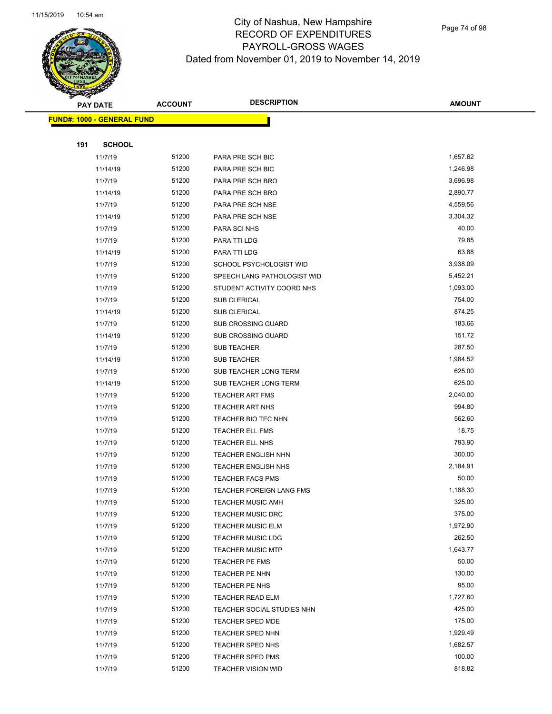

Page 74 of 98

|     | <b>PAY DATE</b>                   | <b>ACCOUNT</b> | <b>DESCRIPTION</b>              | <b>AMOUNT</b> |
|-----|-----------------------------------|----------------|---------------------------------|---------------|
|     | <b>FUND#: 1000 - GENERAL FUND</b> |                |                                 |               |
|     |                                   |                |                                 |               |
| 191 | <b>SCHOOL</b>                     |                |                                 |               |
|     | 11/7/19                           | 51200          | PARA PRE SCH BIC                | 1,657.62      |
|     | 11/14/19                          | 51200          | PARA PRE SCH BIC                | 1,246.98      |
|     | 11/7/19                           | 51200          | PARA PRE SCH BRO                | 3,696.98      |
|     | 11/14/19                          | 51200          | PARA PRE SCH BRO                | 2,890.77      |
|     | 11/7/19                           | 51200          | PARA PRE SCH NSE                | 4,559.56      |
|     | 11/14/19                          | 51200          | PARA PRE SCH NSE                | 3,304.32      |
|     | 11/7/19                           | 51200          | PARA SCI NHS                    | 40.00         |
|     | 11/7/19                           | 51200          | PARA TTI LDG                    | 79.85         |
|     | 11/14/19                          | 51200          | PARA TTI LDG                    | 63.88         |
|     | 11/7/19                           | 51200          | SCHOOL PSYCHOLOGIST WID         | 3,938.09      |
|     | 11/7/19                           | 51200          | SPEECH LANG PATHOLOGIST WID     | 5,452.21      |
|     | 11/7/19                           | 51200          | STUDENT ACTIVITY COORD NHS      | 1,093.00      |
|     | 11/7/19                           | 51200          | <b>SUB CLERICAL</b>             | 754.00        |
|     | 11/14/19                          | 51200          | <b>SUB CLERICAL</b>             | 874.25        |
|     | 11/7/19                           | 51200          | <b>SUB CROSSING GUARD</b>       | 183.66        |
|     | 11/14/19                          | 51200          | <b>SUB CROSSING GUARD</b>       | 151.72        |
|     | 11/7/19                           | 51200          | <b>SUB TEACHER</b>              | 287.50        |
|     | 11/14/19                          | 51200          | <b>SUB TEACHER</b>              | 1,984.52      |
|     | 11/7/19                           | 51200          | SUB TEACHER LONG TERM           | 625.00        |
|     | 11/14/19                          | 51200          | SUB TEACHER LONG TERM           | 625.00        |
|     | 11/7/19                           | 51200          | <b>TEACHER ART FMS</b>          | 2,040.00      |
|     | 11/7/19                           | 51200          | <b>TEACHER ART NHS</b>          | 994.80        |
|     | 11/7/19                           | 51200          | TEACHER BIO TEC NHN             | 562.60        |
|     | 11/7/19                           | 51200          | <b>TEACHER ELL FMS</b>          | 18.75         |
|     | 11/7/19                           | 51200          | TEACHER ELL NHS                 | 793.90        |
|     | 11/7/19                           | 51200          | <b>TEACHER ENGLISH NHN</b>      | 300.00        |
|     | 11/7/19                           | 51200          | <b>TEACHER ENGLISH NHS</b>      | 2,184.91      |
|     | 11/7/19                           | 51200          | <b>TEACHER FACS PMS</b>         | 50.00         |
|     | 11/7/19                           | 51200          | <b>TEACHER FOREIGN LANG FMS</b> | 1,188.30      |
|     | 11/7/19                           | 51200          | TEACHER MUSIC AMH               | 325.00        |
|     | 11/7/19                           | 51200          | <b>TEACHER MUSIC DRC</b>        | 375.00        |
|     | 11/7/19                           | 51200          | <b>TEACHER MUSIC ELM</b>        | 1,972.90      |
|     | 11/7/19                           | 51200          | <b>TEACHER MUSIC LDG</b>        | 262.50        |
|     | 11/7/19                           | 51200          | <b>TEACHER MUSIC MTP</b>        | 1,643.77      |
|     | 11/7/19                           | 51200          | TEACHER PE FMS                  | 50.00         |
|     | 11/7/19                           | 51200          | TEACHER PE NHN                  | 130.00        |
|     | 11/7/19                           | 51200          | TEACHER PE NHS                  | 95.00         |
|     | 11/7/19                           | 51200          | TEACHER READ ELM                | 1,727.60      |
|     | 11/7/19                           | 51200          | TEACHER SOCIAL STUDIES NHN      | 425.00        |
|     | 11/7/19                           | 51200          | <b>TEACHER SPED MDE</b>         | 175.00        |
|     | 11/7/19                           | 51200          | <b>TEACHER SPED NHN</b>         | 1,929.49      |
|     | 11/7/19                           | 51200          | <b>TEACHER SPED NHS</b>         | 1,682.57      |
|     | 11/7/19                           | 51200          | <b>TEACHER SPED PMS</b>         | 100.00        |
|     | 11/7/19                           | 51200          | <b>TEACHER VISION WID</b>       | 818.82        |
|     |                                   |                |                                 |               |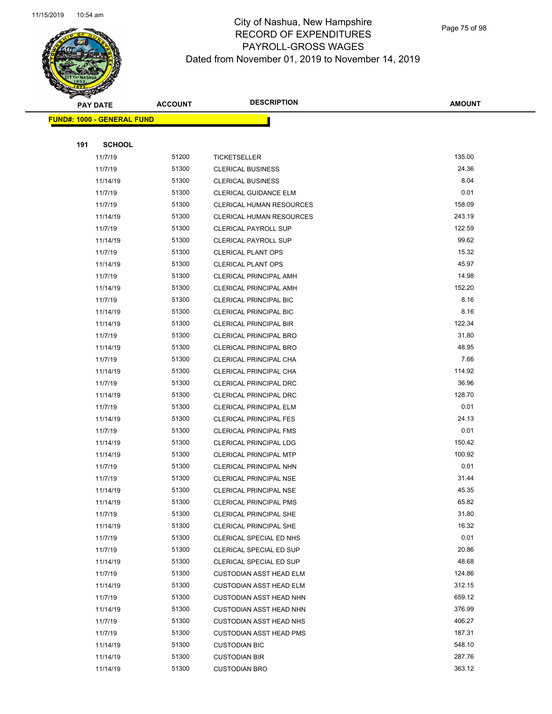

Page 75 of 98

|     | <b>PAY DATE</b>                   | <b>ACCOUNT</b> | <b>DESCRIPTION</b>              | <b>AMOUNT</b>    |
|-----|-----------------------------------|----------------|---------------------------------|------------------|
|     | <b>FUND#: 1000 - GENERAL FUND</b> |                |                                 |                  |
|     |                                   |                |                                 |                  |
| 191 | <b>SCHOOL</b>                     |                |                                 |                  |
|     | 11/7/19                           | 51200          | <b>TICKETSELLER</b>             | 135.00           |
|     | 11/7/19                           | 51300          | <b>CLERICAL BUSINESS</b>        | 24.36            |
|     | 11/14/19                          | 51300          | <b>CLERICAL BUSINESS</b>        | 8.04             |
|     | 11/7/19                           | 51300          | <b>CLERICAL GUIDANCE ELM</b>    | 0.01             |
|     | 11/7/19                           | 51300          | <b>CLERICAL HUMAN RESOURCES</b> | 158.09           |
|     | 11/14/19                          | 51300          | <b>CLERICAL HUMAN RESOURCES</b> | 243.19           |
|     | 11/7/19                           | 51300          | <b>CLERICAL PAYROLL SUP</b>     | 122.59           |
|     | 11/14/19                          | 51300          | <b>CLERICAL PAYROLL SUP</b>     | 99.62            |
|     | 11/7/19                           | 51300          | <b>CLERICAL PLANT OPS</b>       | 15.32            |
|     | 11/14/19                          | 51300          | <b>CLERICAL PLANT OPS</b>       | 45.97            |
|     | 11/7/19                           | 51300          | CLERICAL PRINCIPAL AMH          | 14.98            |
|     | 11/14/19                          | 51300          | <b>CLERICAL PRINCIPAL AMH</b>   | 152.20           |
|     | 11/7/19                           | 51300          | <b>CLERICAL PRINCIPAL BIC</b>   | 8.16             |
|     | 11/14/19                          | 51300          | <b>CLERICAL PRINCIPAL BIC</b>   | 8.16             |
|     | 11/14/19                          | 51300          | <b>CLERICAL PRINCIPAL BIR</b>   | 122.34           |
|     | 11/7/19                           | 51300          | <b>CLERICAL PRINCIPAL BRO</b>   | 31.80            |
|     | 11/14/19                          | 51300          | <b>CLERICAL PRINCIPAL BRO</b>   | 48.95            |
|     | 11/7/19                           | 51300          | CLERICAL PRINCIPAL CHA          | 7.66             |
|     | 11/14/19                          | 51300          | CLERICAL PRINCIPAL CHA          | 114.92           |
|     | 11/7/19                           | 51300          | CLERICAL PRINCIPAL DRC          | 36.96            |
|     | 11/14/19                          | 51300          | CLERICAL PRINCIPAL DRC          | 128.70           |
|     | 11/7/19                           | 51300          | <b>CLERICAL PRINCIPAL ELM</b>   | 0.01             |
|     | 11/14/19                          | 51300          | <b>CLERICAL PRINCIPAL FES</b>   | 24.13            |
|     | 11/7/19                           | 51300          | <b>CLERICAL PRINCIPAL FMS</b>   | 0.01             |
|     | 11/14/19                          | 51300          | CLERICAL PRINCIPAL LDG          | 150.42           |
|     | 11/14/19                          | 51300          | CLERICAL PRINCIPAL MTP          | 100.92           |
|     | 11/7/19                           | 51300          | CLERICAL PRINCIPAL NHN          | 0.01             |
|     | 11/7/19                           | 51300          | CLERICAL PRINCIPAL NSE          | 31.44            |
|     | 11/14/19                          | 51300          | CLERICAL PRINCIPAL NSE          | 45.35            |
|     | 11/14/19                          | 51300          | <b>CLERICAL PRINCIPAL PMS</b>   | 65.82            |
|     | 11/7/19                           | 51300          | CLERICAL PRINCIPAL SHE          | 31.80            |
|     | 11/14/19                          | 51300          | CLERICAL PRINCIPAL SHE          | 16.32            |
|     | 11/7/19                           | 51300          | CLERICAL SPECIAL ED NHS         | 0.01             |
|     | 11/7/19                           | 51300          | CLERICAL SPECIAL ED SUP         | 20.86            |
|     | 11/14/19                          | 51300          | CLERICAL SPECIAL ED SUP         | 48.68            |
|     | 11/7/19                           | 51300          | <b>CUSTODIAN ASST HEAD ELM</b>  | 124.86           |
|     | 11/14/19                          | 51300          | <b>CUSTODIAN ASST HEAD ELM</b>  | 312.15           |
|     | 11/7/19                           | 51300          | <b>CUSTODIAN ASST HEAD NHN</b>  | 659.12           |
|     | 11/14/19                          | 51300          | <b>CUSTODIAN ASST HEAD NHN</b>  | 376.99<br>406.27 |
|     | 11/7/19                           | 51300<br>51300 | <b>CUSTODIAN ASST HEAD NHS</b>  | 187.31           |
|     | 11/7/19                           | 51300          | <b>CUSTODIAN ASST HEAD PMS</b>  | 548.10           |
|     | 11/14/19                          |                | <b>CUSTODIAN BIC</b>            |                  |
|     | 11/14/19                          | 51300          | <b>CUSTODIAN BIR</b>            | 287.76<br>363.12 |
|     | 11/14/19                          | 51300          | <b>CUSTODIAN BRO</b>            |                  |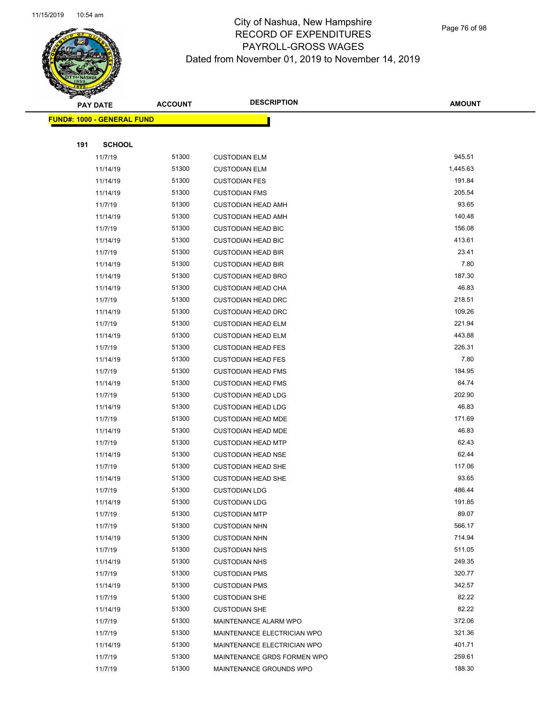

Page 76 of 98

|     | <b>PAY DATE</b>                    | <b>ACCOUNT</b> | <b>DESCRIPTION</b>          | <b>AMOUNT</b> |
|-----|------------------------------------|----------------|-----------------------------|---------------|
|     | <u> FUND#: 1000 - GENERAL FUND</u> |                |                             |               |
|     |                                    |                |                             |               |
| 191 | <b>SCHOOL</b>                      |                |                             |               |
|     | 11/7/19                            | 51300          | <b>CUSTODIAN ELM</b>        | 945.51        |
|     | 11/14/19                           | 51300          | <b>CUSTODIAN ELM</b>        | 1,445.63      |
|     | 11/14/19                           | 51300          | <b>CUSTODIAN FES</b>        | 191.84        |
|     | 11/14/19                           | 51300          | <b>CUSTODIAN FMS</b>        | 205.54        |
|     | 11/7/19                            | 51300          | <b>CUSTODIAN HEAD AMH</b>   | 93.65         |
|     | 11/14/19                           | 51300          | <b>CUSTODIAN HEAD AMH</b>   | 140.48        |
|     | 11/7/19                            | 51300          | <b>CUSTODIAN HEAD BIC</b>   | 156.08        |
|     | 11/14/19                           | 51300          | <b>CUSTODIAN HEAD BIC</b>   | 413.61        |
|     | 11/7/19                            | 51300          | <b>CUSTODIAN HEAD BIR</b>   | 23.41         |
|     | 11/14/19                           | 51300          | <b>CUSTODIAN HEAD BIR</b>   | 7.80          |
|     | 11/14/19                           | 51300          | <b>CUSTODIAN HEAD BRO</b>   | 187.30        |
|     | 11/14/19                           | 51300          | <b>CUSTODIAN HEAD CHA</b>   | 46.83         |
|     | 11/7/19                            | 51300          | <b>CUSTODIAN HEAD DRC</b>   | 218.51        |
|     | 11/14/19                           | 51300          | <b>CUSTODIAN HEAD DRC</b>   | 109.26        |
|     | 11/7/19                            | 51300          | <b>CUSTODIAN HEAD ELM</b>   | 221.94        |
|     | 11/14/19                           | 51300          | <b>CUSTODIAN HEAD ELM</b>   | 443.88        |
|     | 11/7/19                            | 51300          | <b>CUSTODIAN HEAD FES</b>   | 226.31        |
|     | 11/14/19                           | 51300          | <b>CUSTODIAN HEAD FES</b>   | 7.80          |
|     | 11/7/19                            | 51300          | <b>CUSTODIAN HEAD FMS</b>   | 184.95        |
|     | 11/14/19                           | 51300          | <b>CUSTODIAN HEAD FMS</b>   | 64.74         |
|     | 11/7/19                            | 51300          | <b>CUSTODIAN HEAD LDG</b>   | 202.90        |
|     | 11/14/19                           | 51300          | <b>CUSTODIAN HEAD LDG</b>   | 46.83         |
|     | 11/7/19                            | 51300          | <b>CUSTODIAN HEAD MDE</b>   | 171.69        |
|     | 11/14/19                           | 51300          | <b>CUSTODIAN HEAD MDE</b>   | 46.83         |
|     | 11/7/19                            | 51300          | <b>CUSTODIAN HEAD MTP</b>   | 62.43         |
|     | 11/14/19                           | 51300          | <b>CUSTODIAN HEAD NSE</b>   | 62.44         |
|     | 11/7/19                            | 51300          | <b>CUSTODIAN HEAD SHE</b>   | 117.06        |
|     | 11/14/19                           | 51300          | <b>CUSTODIAN HEAD SHE</b>   | 93.65         |
|     | 11/7/19                            | 51300          | <b>CUSTODIAN LDG</b>        | 486.44        |
|     | 11/14/19                           | 51300          | <b>CUSTODIAN LDG</b>        | 191.85        |
|     | 11/7/19                            | 51300          | <b>CUSTODIAN MTP</b>        | 89.07         |
|     | 11/7/19                            | 51300          | <b>CUSTODIAN NHN</b>        | 566.17        |
|     | 11/14/19                           | 51300          | <b>CUSTODIAN NHN</b>        | 714.94        |
|     | 11/7/19                            | 51300          | <b>CUSTODIAN NHS</b>        | 511.05        |
|     | 11/14/19                           | 51300          | <b>CUSTODIAN NHS</b>        | 249.35        |
|     | 11/7/19                            | 51300          | <b>CUSTODIAN PMS</b>        | 320.77        |
|     | 11/14/19                           | 51300          | <b>CUSTODIAN PMS</b>        | 342.57        |
|     | 11/7/19                            | 51300          | <b>CUSTODIAN SHE</b>        | 82.22         |
|     | 11/14/19                           | 51300          | <b>CUSTODIAN SHE</b>        | 82.22         |
|     | 11/7/19                            | 51300          | MAINTENANCE ALARM WPO       | 372.06        |
|     | 11/7/19                            | 51300          | MAINTENANCE ELECTRICIAN WPO | 321.36        |
|     | 11/14/19                           | 51300          | MAINTENANCE ELECTRICIAN WPO | 401.71        |
|     | 11/7/19                            | 51300          | MAINTENANCE GRDS FORMEN WPO | 259.61        |
|     | 11/7/19                            | 51300          | MAINTENANCE GROUNDS WPO     | 188.30        |
|     |                                    |                |                             |               |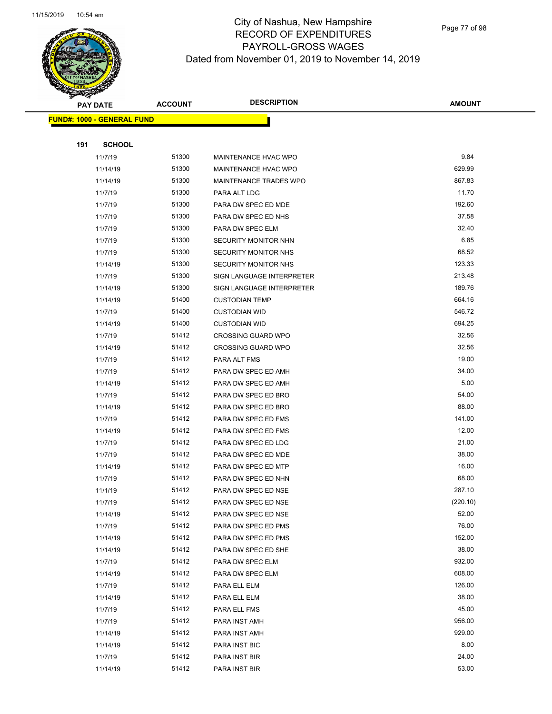

Page 77 of 98

|     | <b>PAY DATE</b>                   | <b>ACCOUNT</b> | <b>DESCRIPTION</b>          | <b>AMOUNT</b> |
|-----|-----------------------------------|----------------|-----------------------------|---------------|
|     | <b>FUND#: 1000 - GENERAL FUND</b> |                |                             |               |
|     |                                   |                |                             |               |
| 191 | <b>SCHOOL</b>                     |                |                             |               |
|     | 11/7/19                           | 51300          | MAINTENANCE HVAC WPO        | 9.84          |
|     | 11/14/19                          | 51300          | MAINTENANCE HVAC WPO        | 629.99        |
|     | 11/14/19                          | 51300          | MAINTENANCE TRADES WPO      | 867.83        |
|     | 11/7/19                           | 51300          | PARA ALT LDG                | 11.70         |
|     | 11/7/19                           | 51300          | PARA DW SPEC ED MDE         | 192.60        |
|     | 11/7/19                           | 51300          | PARA DW SPEC ED NHS         | 37.58         |
|     | 11/7/19                           | 51300          | PARA DW SPEC ELM            | 32.40         |
|     | 11/7/19                           | 51300          | <b>SECURITY MONITOR NHN</b> | 6.85          |
|     | 11/7/19                           | 51300          | SECURITY MONITOR NHS        | 68.52         |
|     | 11/14/19                          | 51300          | <b>SECURITY MONITOR NHS</b> | 123.33        |
|     | 11/7/19                           | 51300          | SIGN LANGUAGE INTERPRETER   | 213.48        |
|     | 11/14/19                          | 51300          | SIGN LANGUAGE INTERPRETER   | 189.76        |
|     | 11/14/19                          | 51400          | <b>CUSTODIAN TEMP</b>       | 664.16        |
|     | 11/7/19                           | 51400          | <b>CUSTODIAN WID</b>        | 546.72        |
|     | 11/14/19                          | 51400          | <b>CUSTODIAN WID</b>        | 694.25        |
|     | 11/7/19                           | 51412          | <b>CROSSING GUARD WPO</b>   | 32.56         |
|     | 11/14/19                          | 51412          | <b>CROSSING GUARD WPO</b>   | 32.56         |
|     | 11/7/19                           | 51412          | PARA ALT FMS                | 19.00         |
|     | 11/7/19                           | 51412          | PARA DW SPEC ED AMH         | 34.00         |
|     | 11/14/19                          | 51412          | PARA DW SPEC ED AMH         | 5.00          |
|     | 11/7/19                           | 51412          | PARA DW SPEC ED BRO         | 54.00         |
|     | 11/14/19                          | 51412          | PARA DW SPEC ED BRO         | 88.00         |
|     | 11/7/19                           | 51412          | PARA DW SPEC ED FMS         | 141.00        |
|     | 11/14/19                          | 51412          | PARA DW SPEC ED FMS         | 12.00         |
|     | 11/7/19                           | 51412          | PARA DW SPEC ED LDG         | 21.00         |
|     | 11/7/19                           | 51412          | PARA DW SPEC ED MDE         | 38.00         |
|     | 11/14/19                          | 51412          | PARA DW SPEC ED MTP         | 16.00         |
|     | 11/7/19                           | 51412          | PARA DW SPEC ED NHN         | 68.00         |
|     | 11/1/19                           | 51412          | PARA DW SPEC ED NSE         | 287.10        |
|     | 11/7/19                           | 51412          | PARA DW SPEC ED NSE         | (220.10)      |
|     | 11/14/19                          | 51412          | PARA DW SPEC ED NSE         | 52.00         |
|     | 11/7/19                           | 51412          | PARA DW SPEC ED PMS         | 76.00         |
|     | 11/14/19                          | 51412          | PARA DW SPEC ED PMS         | 152.00        |
|     | 11/14/19                          | 51412          | PARA DW SPEC ED SHE         | 38.00         |
|     | 11/7/19                           | 51412          | PARA DW SPEC ELM            | 932.00        |
|     | 11/14/19                          | 51412          | PARA DW SPEC ELM            | 608.00        |
|     | 11/7/19                           | 51412          | PARA ELL ELM                | 126.00        |
|     | 11/14/19                          | 51412          | PARA ELL ELM                | 38.00         |
|     | 11/7/19                           | 51412          | PARA ELL FMS                | 45.00         |
|     | 11/7/19                           | 51412          | PARA INST AMH               | 956.00        |
|     | 11/14/19                          | 51412          | PARA INST AMH               | 929.00        |
|     | 11/14/19                          | 51412          | PARA INST BIC               | 8.00          |
|     | 11/7/19                           | 51412          | PARA INST BIR               | 24.00         |
|     | 11/14/19                          | 51412          | PARA INST BIR               | 53.00         |
|     |                                   |                |                             |               |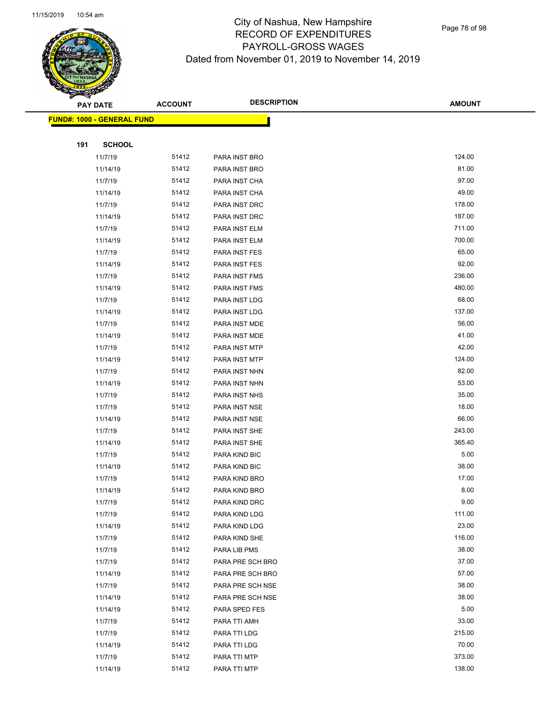

Page 78 of 98

| ॼ   | <b>PAY DATE</b>                   | <b>ACCOUNT</b> | <b>DESCRIPTION</b> | <b>AMOUNT</b> |
|-----|-----------------------------------|----------------|--------------------|---------------|
|     | <b>FUND#: 1000 - GENERAL FUND</b> |                |                    |               |
|     |                                   |                |                    |               |
| 191 | <b>SCHOOL</b>                     |                |                    |               |
|     | 11/7/19                           | 51412          | PARA INST BRO      | 124.00        |
|     | 11/14/19                          | 51412          | PARA INST BRO      | 81.00         |
|     | 11/7/19                           | 51412          | PARA INST CHA      | 97.00         |
|     | 11/14/19                          | 51412          | PARA INST CHA      | 49.00         |
|     | 11/7/19                           | 51412          | PARA INST DRC      | 178.00        |
|     | 11/14/19                          | 51412          | PARA INST DRC      | 187.00        |
|     | 11/7/19                           | 51412          | PARA INST ELM      | 711.00        |
|     | 11/14/19                          | 51412          | PARA INST ELM      | 700.00        |
|     | 11/7/19                           | 51412          | PARA INST FES      | 65.00         |
|     | 11/14/19                          | 51412          | PARA INST FES      | 92.00         |
|     | 11/7/19                           | 51412          | PARA INST FMS      | 236.00        |
|     | 11/14/19                          | 51412          | PARA INST FMS      | 480.00        |
|     | 11/7/19                           | 51412          | PARA INST LDG      | 68.00         |
|     | 11/14/19                          | 51412          | PARA INST LDG      | 137.00        |
|     | 11/7/19                           | 51412          | PARA INST MDE      | 56.00         |
|     | 11/14/19                          | 51412          | PARA INST MDE      | 41.00         |
|     | 11/7/19                           | 51412          | PARA INST MTP      | 42.00         |
|     | 11/14/19                          | 51412          | PARA INST MTP      | 124.00        |
|     | 11/7/19                           | 51412          | PARA INST NHN      | 82.00         |
|     | 11/14/19                          | 51412          | PARA INST NHN      | 53.00         |
|     | 11/7/19                           | 51412          | PARA INST NHS      | 35.00         |
|     | 11/7/19                           | 51412          | PARA INST NSE      | 18.00         |
|     | 11/14/19                          | 51412          | PARA INST NSE      | 66.00         |
|     | 11/7/19                           | 51412          | PARA INST SHE      | 243.00        |
|     | 11/14/19                          | 51412          | PARA INST SHE      | 365.40        |
|     | 11/7/19                           | 51412          | PARA KIND BIC      | 5.00          |
|     | 11/14/19                          | 51412          | PARA KIND BIC      | 38.00         |
|     | 11/7/19                           | 51412          | PARA KIND BRO      | 17.00         |
|     | 11/14/19                          | 51412          | PARA KIND BRO      | 8.00          |
|     | 11/7/19                           | 51412          | PARA KIND DRC      | 9.00          |
|     | 11/7/19                           | 51412          | PARA KIND LDG      | 111.00        |
|     | 11/14/19                          | 51412          | PARA KIND LDG      | 23.00         |
|     | 11/7/19                           | 51412          | PARA KIND SHE      | 116.00        |
|     | 11/7/19                           | 51412          | PARA LIB PMS       | 38.00         |
|     | 11/7/19                           | 51412          | PARA PRE SCH BRO   | 37.00         |
|     | 11/14/19                          | 51412          | PARA PRE SCH BRO   | 57.00         |
|     | 11/7/19                           | 51412          | PARA PRE SCH NSE   | 38.00         |
|     | 11/14/19                          | 51412          | PARA PRE SCH NSE   | 38.00         |
|     | 11/14/19                          | 51412          | PARA SPED FES      | 5.00          |
|     | 11/7/19                           | 51412          | PARA TTI AMH       | 33.00         |
|     | 11/7/19                           | 51412          | PARA TTI LDG       | 215.00        |
|     | 11/14/19                          | 51412          | PARA TTI LDG       | 70.00         |
|     | 11/7/19                           | 51412          | PARA TTI MTP       | 373.00        |
|     | 11/14/19                          | 51412          | PARA TTI MTP       | 138.00        |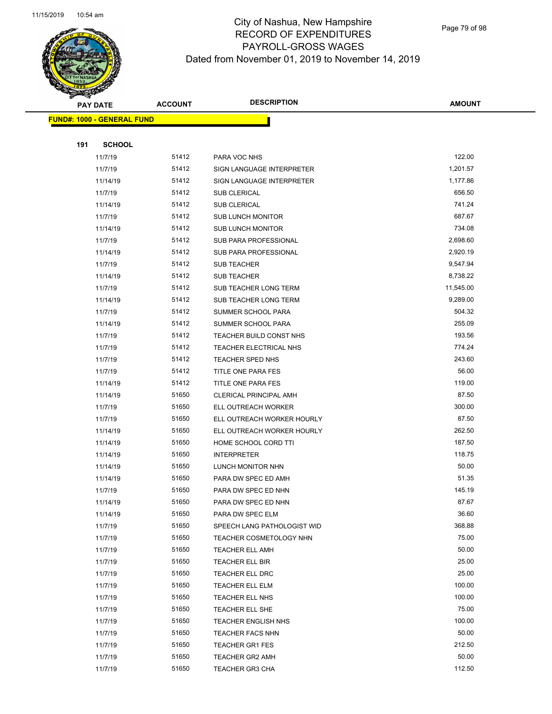

Page 79 of 98

|     | <b>PAY DATE</b>                   | <b>ACCOUNT</b> | <b>DESCRIPTION</b>                                     | <b>AMOUNT</b>   |
|-----|-----------------------------------|----------------|--------------------------------------------------------|-----------------|
|     | <b>FUND#: 1000 - GENERAL FUND</b> |                |                                                        |                 |
|     |                                   |                |                                                        |                 |
| 191 | <b>SCHOOL</b>                     |                |                                                        |                 |
|     | 11/7/19                           | 51412          | PARA VOC NHS                                           | 122.00          |
|     | 11/7/19                           | 51412          | SIGN LANGUAGE INTERPRETER                              | 1,201.57        |
|     | 11/14/19                          | 51412          | SIGN LANGUAGE INTERPRETER                              | 1,177.86        |
|     | 11/7/19                           | 51412          | <b>SUB CLERICAL</b>                                    | 656.50          |
|     | 11/14/19                          | 51412          | <b>SUB CLERICAL</b>                                    | 741.24          |
|     | 11/7/19                           | 51412          | SUB LUNCH MONITOR                                      | 687.67          |
|     | 11/14/19                          | 51412          | <b>SUB LUNCH MONITOR</b>                               | 734.08          |
|     | 11/7/19                           | 51412          | SUB PARA PROFESSIONAL                                  | 2,698.60        |
|     | 11/14/19                          | 51412          | SUB PARA PROFESSIONAL                                  | 2,920.19        |
|     | 11/7/19                           | 51412          | <b>SUB TEACHER</b>                                     | 9,547.94        |
|     | 11/14/19                          | 51412          | <b>SUB TEACHER</b>                                     | 8,738.22        |
|     | 11/7/19                           | 51412          | SUB TEACHER LONG TERM                                  | 11,545.00       |
|     | 11/14/19                          | 51412          | SUB TEACHER LONG TERM                                  | 9,289.00        |
|     | 11/7/19                           | 51412          | SUMMER SCHOOL PARA                                     | 504.32          |
|     | 11/14/19                          | 51412          | SUMMER SCHOOL PARA                                     | 255.09          |
|     | 11/7/19                           | 51412          | TEACHER BUILD CONST NHS                                | 193.56          |
|     | 11/7/19                           | 51412          | TEACHER ELECTRICAL NHS                                 | 774.24          |
|     | 11/7/19                           | 51412          | <b>TEACHER SPED NHS</b>                                | 243.60          |
|     | 11/7/19                           | 51412          | TITLE ONE PARA FES                                     | 56.00           |
|     | 11/14/19                          | 51412          | TITLE ONE PARA FES                                     | 119.00          |
|     | 11/14/19                          | 51650          | CLERICAL PRINCIPAL AMH                                 | 87.50           |
|     | 11/7/19                           | 51650          | ELL OUTREACH WORKER                                    | 300.00          |
|     | 11/7/19                           | 51650          | ELL OUTREACH WORKER HOURLY                             | 87.50           |
|     | 11/14/19                          | 51650          | ELL OUTREACH WORKER HOURLY                             | 262.50          |
|     | 11/14/19                          | 51650          | HOME SCHOOL CORD TTI                                   | 187.50          |
|     | 11/14/19                          | 51650          | <b>INTERPRETER</b>                                     | 118.75          |
|     | 11/14/19                          | 51650          | LUNCH MONITOR NHN                                      | 50.00           |
|     | 11/14/19                          | 51650          | PARA DW SPEC ED AMH                                    | 51.35           |
|     | 11/7/19                           | 51650          | PARA DW SPEC ED NHN                                    | 145.19          |
|     | 11/14/19                          | 51650          | PARA DW SPEC ED NHN                                    | 87.67           |
|     | 11/14/19                          | 51650<br>51650 | PARA DW SPEC ELM                                       | 36.60<br>368.88 |
|     | 11/7/19<br>11/7/19                | 51650          | SPEECH LANG PATHOLOGIST WID<br>TEACHER COSMETOLOGY NHN | 75.00           |
|     | 11/7/19                           | 51650          | <b>TEACHER ELL AMH</b>                                 | 50.00           |
|     | 11/7/19                           | 51650          | TEACHER ELL BIR                                        | 25.00           |
|     | 11/7/19                           | 51650          | TEACHER ELL DRC                                        | 25.00           |
|     | 11/7/19                           | 51650          | TEACHER ELL ELM                                        | 100.00          |
|     | 11/7/19                           | 51650          | TEACHER ELL NHS                                        | 100.00          |
|     | 11/7/19                           | 51650          | TEACHER ELL SHE                                        | 75.00           |
|     | 11/7/19                           | 51650          | <b>TEACHER ENGLISH NHS</b>                             | 100.00          |
|     | 11/7/19                           | 51650          | <b>TEACHER FACS NHN</b>                                | 50.00           |
|     | 11/7/19                           | 51650          | <b>TEACHER GR1 FES</b>                                 | 212.50          |
|     | 11/7/19                           | 51650          | <b>TEACHER GR2 AMH</b>                                 | 50.00           |
|     | 11/7/19                           | 51650          | <b>TEACHER GR3 CHA</b>                                 | 112.50          |
|     |                                   |                |                                                        |                 |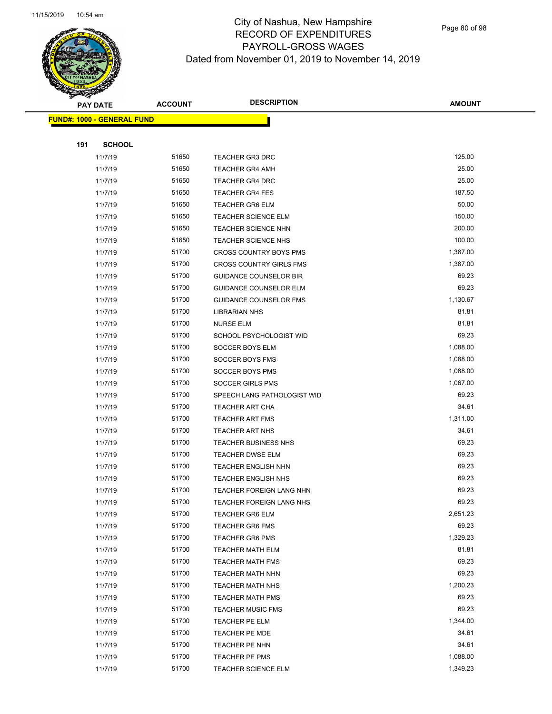

Page 80 of 98

| <b>PAY DATE</b> |                                   | <b>ACCOUNT</b> | <b>DESCRIPTION</b>              | <b>AMOUNT</b> |
|-----------------|-----------------------------------|----------------|---------------------------------|---------------|
|                 | <b>FUND#: 1000 - GENERAL FUND</b> |                |                                 |               |
|                 |                                   |                |                                 |               |
| 191             | <b>SCHOOL</b>                     |                |                                 |               |
|                 | 11/7/19                           | 51650          | <b>TEACHER GR3 DRC</b>          | 125.00        |
|                 | 11/7/19                           | 51650          | <b>TEACHER GR4 AMH</b>          | 25.00         |
|                 | 11/7/19                           | 51650          | <b>TEACHER GR4 DRC</b>          | 25.00         |
|                 | 11/7/19                           | 51650          | <b>TEACHER GR4 FES</b>          | 187.50        |
|                 | 11/7/19                           | 51650          | <b>TEACHER GR6 ELM</b>          | 50.00         |
|                 | 11/7/19                           | 51650          | <b>TEACHER SCIENCE ELM</b>      | 150.00        |
|                 | 11/7/19                           | 51650          | <b>TEACHER SCIENCE NHN</b>      | 200.00        |
|                 | 11/7/19                           | 51650          | TEACHER SCIENCE NHS             | 100.00        |
|                 | 11/7/19                           | 51700          | <b>CROSS COUNTRY BOYS PMS</b>   | 1,387.00      |
|                 | 11/7/19                           | 51700          | <b>CROSS COUNTRY GIRLS FMS</b>  | 1,387.00      |
|                 | 11/7/19                           | 51700          | <b>GUIDANCE COUNSELOR BIR</b>   | 69.23         |
|                 | 11/7/19                           | 51700          | <b>GUIDANCE COUNSELOR ELM</b>   | 69.23         |
|                 | 11/7/19                           | 51700          | <b>GUIDANCE COUNSELOR FMS</b>   | 1,130.67      |
|                 | 11/7/19                           | 51700          | <b>LIBRARIAN NHS</b>            | 81.81         |
|                 | 11/7/19                           | 51700          | <b>NURSE ELM</b>                | 81.81         |
|                 | 11/7/19                           | 51700          | SCHOOL PSYCHOLOGIST WID         | 69.23         |
|                 | 11/7/19                           | 51700          | SOCCER BOYS ELM                 | 1,088.00      |
|                 | 11/7/19                           | 51700          | SOCCER BOYS FMS                 | 1,088.00      |
|                 | 11/7/19                           | 51700          | SOCCER BOYS PMS                 | 1,088.00      |
|                 | 11/7/19                           | 51700          | <b>SOCCER GIRLS PMS</b>         | 1,067.00      |
|                 | 11/7/19                           | 51700          | SPEECH LANG PATHOLOGIST WID     | 69.23         |
|                 | 11/7/19                           | 51700          | <b>TEACHER ART CHA</b>          | 34.61         |
|                 | 11/7/19                           | 51700          | <b>TEACHER ART FMS</b>          | 1,311.00      |
|                 | 11/7/19                           | 51700          | <b>TEACHER ART NHS</b>          | 34.61         |
|                 | 11/7/19                           | 51700          | <b>TEACHER BUSINESS NHS</b>     | 69.23         |
|                 | 11/7/19                           | 51700          | <b>TEACHER DWSE ELM</b>         | 69.23         |
|                 | 11/7/19                           | 51700          | <b>TEACHER ENGLISH NHN</b>      | 69.23         |
|                 | 11/7/19                           | 51700          | <b>TEACHER ENGLISH NHS</b>      | 69.23         |
|                 | 11/7/19                           | 51700          | TEACHER FOREIGN LANG NHN        | 69.23         |
|                 | 11/7/19                           | 51700          | <b>TEACHER FOREIGN LANG NHS</b> | 69.23         |
|                 | 11/7/19                           | 51700          | <b>TEACHER GR6 ELM</b>          | 2,651.23      |
|                 | 11/7/19                           | 51700          | <b>TEACHER GR6 FMS</b>          | 69.23         |
|                 | 11/7/19                           | 51700          | <b>TEACHER GR6 PMS</b>          | 1,329.23      |
|                 | 11/7/19                           | 51700          | <b>TEACHER MATH ELM</b>         | 81.81         |
|                 | 11/7/19                           | 51700          | <b>TEACHER MATH FMS</b>         | 69.23         |
|                 | 11/7/19                           | 51700          | <b>TEACHER MATH NHN</b>         | 69.23         |
|                 | 11/7/19                           | 51700          | <b>TEACHER MATH NHS</b>         | 1,200.23      |
|                 | 11/7/19                           | 51700          | <b>TEACHER MATH PMS</b>         | 69.23         |
|                 | 11/7/19                           | 51700          | <b>TEACHER MUSIC FMS</b>        | 69.23         |
|                 | 11/7/19                           | 51700          | TEACHER PE ELM                  | 1,344.00      |
|                 | 11/7/19                           | 51700          | TEACHER PE MDE                  | 34.61         |
|                 | 11/7/19                           | 51700          | TEACHER PE NHN                  | 34.61         |
|                 | 11/7/19                           | 51700          | TEACHER PE PMS                  | 1,088.00      |
|                 | 11/7/19                           | 51700          | <b>TEACHER SCIENCE ELM</b>      | 1,349.23      |
|                 |                                   |                |                                 |               |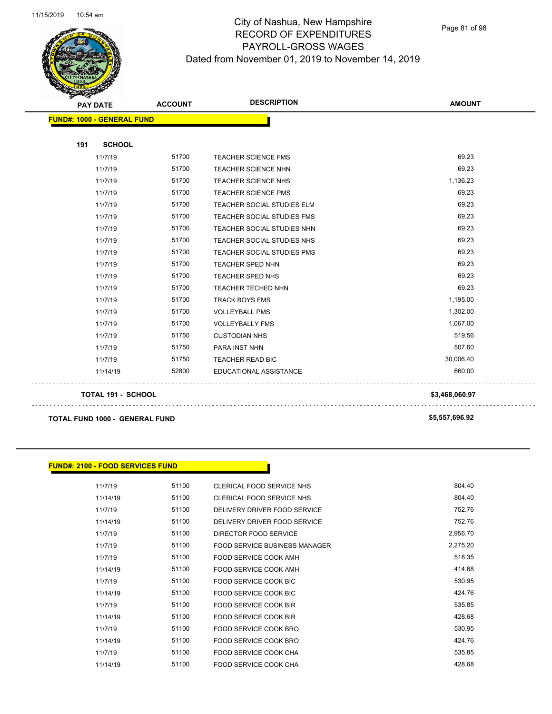

Page 81 of 98

| <b>PAY DATE</b>                   | <b>ACCOUNT</b> | <b>DESCRIPTION</b>                | <b>AMOUNT</b> |
|-----------------------------------|----------------|-----------------------------------|---------------|
| <b>FUND#: 1000 - GENERAL FUND</b> |                |                                   |               |
| <b>SCHOOL</b><br>191              |                |                                   |               |
| 11/7/19                           | 51700          | TEACHER SCIENCE FMS               | 69.23         |
| 11/7/19                           | 51700          | <b>TEACHER SCIENCE NHN</b>        | 69.23         |
| 11/7/19                           | 51700          | <b>TEACHER SCIENCE NHS</b>        | 1,136.23      |
| 11/7/19                           | 51700          | TEACHER SCIENCE PMS               | 69.23         |
| 11/7/19                           | 51700          | <b>TEACHER SOCIAL STUDIES ELM</b> | 69.23         |
| 11/7/19                           | 51700          | <b>TEACHER SOCIAL STUDIES FMS</b> | 69.23         |
| 11/7/19                           | 51700          | <b>TEACHER SOCIAL STUDIES NHN</b> | 69.23         |
| 11/7/19                           | 51700          | <b>TEACHER SOCIAL STUDIES NHS</b> | 69.23         |
| 11/7/19                           | 51700          | <b>TEACHER SOCIAL STUDIES PMS</b> | 69.23         |
| 11/7/19                           | 51700          | <b>TEACHER SPED NHN</b>           | 69.23         |
| 11/7/19                           | 51700          | TEACHER SPED NHS                  | 69.23         |
| 11/7/19                           | 51700          | <b>TEACHER TECHED NHN</b>         | 69.23         |
| 11/7/19                           | 51700          | <b>TRACK BOYS FMS</b>             | 1,195.00      |
| 11/7/19                           | 51700          | <b>VOLLEYBALL PMS</b>             | 1,302.00      |
| 11/7/19                           | 51700          | <b>VOLLEYBALLY FMS</b>            | 1,067.00      |
| 11/7/19                           | 51750          | <b>CUSTODIAN NHS</b>              | 519.56        |
| 11/7/19                           | 51750          | PARA INST NHN                     | 507.60        |
| 11/7/19                           | 51750          | TEACHER READ BIC                  | 30,006.40     |
| 11/14/19                          | 52800          | EDUCATIONAL ASSISTANCE            | 660.00        |

**TOTAL 191 - SCHOOL \$3,468,060.97**

**TOTAL FUND 1000 - GENERAL FUND \$5,557,696.92** 

#### **FUND#: 2100 - FOOD SERVICES FUND**

11/7/19 51100 CLERICAL FOOD SERVICE NHS 604.40 11/14/19 51100 CLERICAL FOOD SERVICE NHS 804.40 11/7/19 51100 DELIVERY DRIVER FOOD SERVICE 752.76 11/14/19 51100 DELIVERY DRIVER FOOD SERVICE 752.76 11/7/19 51100 DIRECTOR FOOD SERVICE 2,956.70 11/7/19 51100 FOOD SERVICE BUSINESS MANAGER 2,275.20 11/7/19 51100 FOOD SERVICE COOK AMH 11/14/19 51100 FOOD SERVICE COOK AMH 414.68 11/7/19 51100 FOOD SERVICE COOK BIC 530.95 11/14/19 51100 FOOD SERVICE COOK BIC 424.76 11/7/19 51100 FOOD SERVICE COOK BIR 535.85 11/14/19 51100 FOOD SERVICE COOK BIR 428.68 11/7/19 51100 FOOD SERVICE COOK BRO 530.95 11/14/19 51100 FOOD SERVICE COOK BRO 424.76 11/7/19 51100 FOOD SERVICE COOK CHA 535.85 11/14/19 51100 FOOD SERVICE COOK CHA 428.68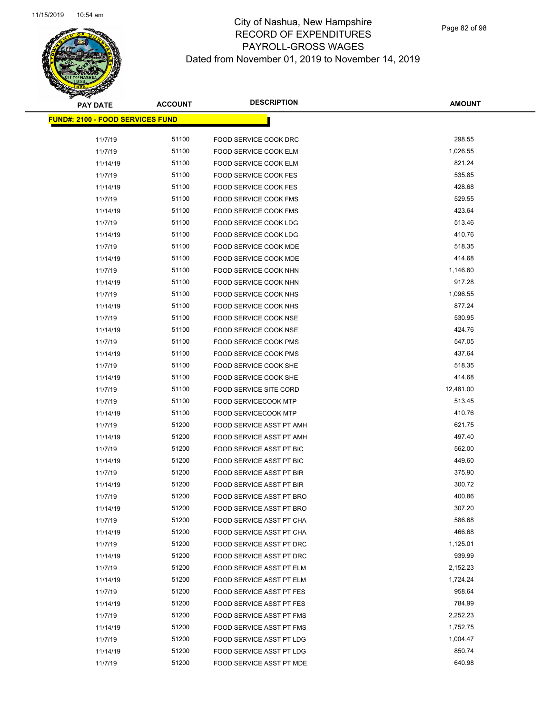Page 82 of 98

| <b>PAY DATE</b>                          | <b>ACCOUNT</b> | <b>DESCRIPTION</b>                                         | <b>AMOUNT</b>      |
|------------------------------------------|----------------|------------------------------------------------------------|--------------------|
| <u> FUND#: 2100 - FOOD SERVICES FUND</u> |                |                                                            |                    |
|                                          |                |                                                            | 298.55             |
| 11/7/19                                  | 51100<br>51100 | FOOD SERVICE COOK DRC                                      |                    |
| 11/7/19                                  |                | FOOD SERVICE COOK ELM                                      | 1,026.55<br>821.24 |
| 11/14/19                                 | 51100<br>51100 | FOOD SERVICE COOK ELM                                      | 535.85             |
| 11/7/19                                  | 51100          | <b>FOOD SERVICE COOK FES</b>                               | 428.68             |
| 11/14/19<br>11/7/19                      | 51100          | <b>FOOD SERVICE COOK FES</b>                               | 529.55             |
|                                          |                | FOOD SERVICE COOK FMS                                      |                    |
| 11/14/19                                 | 51100          | FOOD SERVICE COOK FMS                                      | 423.64<br>513.46   |
| 11/7/19                                  | 51100<br>51100 | FOOD SERVICE COOK LDG                                      | 410.76             |
| 11/14/19                                 |                | FOOD SERVICE COOK LDG                                      |                    |
| 11/7/19                                  | 51100          | <b>FOOD SERVICE COOK MDE</b>                               | 518.35             |
| 11/14/19                                 | 51100          | <b>FOOD SERVICE COOK MDE</b>                               | 414.68             |
| 11/7/19                                  | 51100          | FOOD SERVICE COOK NHN                                      | 1,146.60           |
| 11/14/19                                 | 51100          | FOOD SERVICE COOK NHN                                      | 917.28             |
| 11/7/19                                  | 51100          | FOOD SERVICE COOK NHS                                      | 1,096.55           |
| 11/14/19                                 | 51100          | FOOD SERVICE COOK NHS                                      | 877.24             |
| 11/7/19                                  | 51100          | <b>FOOD SERVICE COOK NSE</b>                               | 530.95             |
| 11/14/19                                 | 51100          | <b>FOOD SERVICE COOK NSE</b>                               | 424.76             |
| 11/7/19                                  | 51100<br>51100 | FOOD SERVICE COOK PMS                                      | 547.05<br>437.64   |
| 11/14/19                                 | 51100          | FOOD SERVICE COOK PMS                                      | 518.35             |
| 11/7/19                                  | 51100          | FOOD SERVICE COOK SHE                                      | 414.68             |
| 11/14/19                                 | 51100          | FOOD SERVICE COOK SHE                                      | 12,481.00          |
| 11/7/19                                  | 51100          | FOOD SERVICE SITE CORD                                     | 513.45             |
| 11/7/19                                  | 51100          | <b>FOOD SERVICECOOK MTP</b><br><b>FOOD SERVICECOOK MTP</b> | 410.76             |
| 11/14/19<br>11/7/19                      | 51200          | FOOD SERVICE ASST PT AMH                                   | 621.75             |
| 11/14/19                                 | 51200          | FOOD SERVICE ASST PT AMH                                   | 497.40             |
| 11/7/19                                  | 51200          | FOOD SERVICE ASST PT BIC                                   | 562.00             |
| 11/14/19                                 | 51200          | FOOD SERVICE ASST PT BIC                                   | 449.60             |
| 11/7/19                                  | 51200          | FOOD SERVICE ASST PT BIR                                   | 375.90             |
| 11/14/19                                 | 51200          | FOOD SERVICE ASST PT BIR                                   | 300.72             |
| 11/7/19                                  | 51200          | <b>FOOD SERVICE ASST PT BRO</b>                            | 400.86             |
| 11/14/19                                 | 51200          | FOOD SERVICE ASST PT BRO                                   | 307.20             |
| 11/7/19                                  | 51200          | FOOD SERVICE ASST PT CHA                                   | 586.68             |
| 11/14/19                                 | 51200          | FOOD SERVICE ASST PT CHA                                   | 466.68             |
| 11/7/19                                  | 51200          | FOOD SERVICE ASST PT DRC                                   | 1,125.01           |
| 11/14/19                                 | 51200          | FOOD SERVICE ASST PT DRC                                   | 939.99             |
| 11/7/19                                  | 51200          | FOOD SERVICE ASST PT ELM                                   | 2,152.23           |
| 11/14/19                                 | 51200          | FOOD SERVICE ASST PT ELM                                   | 1,724.24           |
| 11/7/19                                  | 51200          | FOOD SERVICE ASST PT FES                                   | 958.64             |
| 11/14/19                                 | 51200          | FOOD SERVICE ASST PT FES                                   | 784.99             |
| 11/7/19                                  | 51200          | <b>FOOD SERVICE ASST PT FMS</b>                            | 2,252.23           |
| 11/14/19                                 | 51200          | FOOD SERVICE ASST PT FMS                                   | 1,752.75           |
| 11/7/19                                  | 51200          | FOOD SERVICE ASST PT LDG                                   | 1,004.47           |
| 11/14/19                                 | 51200          | FOOD SERVICE ASST PT LDG                                   | 850.74             |
| 11/7/19                                  | 51200          | FOOD SERVICE ASST PT MDE                                   | 640.98             |
|                                          |                |                                                            |                    |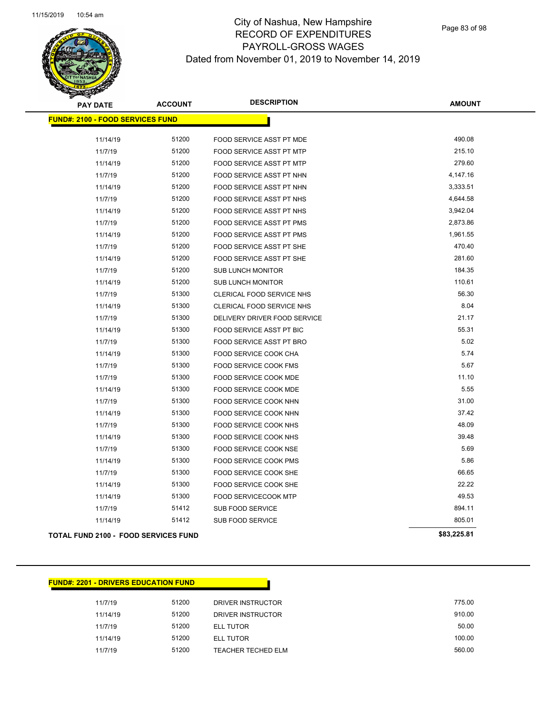

Page 83 of 98

| <b>PAY DATE</b>                             | <b>ACCOUNT</b> | <b>DESCRIPTION</b>              | <b>AMOUNT</b> |
|---------------------------------------------|----------------|---------------------------------|---------------|
| <b>FUND#: 2100 - FOOD SERVICES FUND</b>     |                |                                 |               |
|                                             |                |                                 |               |
| 11/14/19                                    | 51200          | FOOD SERVICE ASST PT MDE        | 490.08        |
| 11/7/19                                     | 51200          | FOOD SERVICE ASST PT MTP        | 215.10        |
| 11/14/19                                    | 51200          | FOOD SERVICE ASST PT MTP        | 279.60        |
| 11/7/19                                     | 51200          | FOOD SERVICE ASST PT NHN        | 4,147.16      |
| 11/14/19                                    | 51200          | FOOD SERVICE ASST PT NHN        | 3,333.51      |
| 11/7/19                                     | 51200          | FOOD SERVICE ASST PT NHS        | 4,644.58      |
| 11/14/19                                    | 51200          | FOOD SERVICE ASST PT NHS        | 3,942.04      |
| 11/7/19                                     | 51200          | <b>FOOD SERVICE ASST PT PMS</b> | 2,873.86      |
| 11/14/19                                    | 51200          | <b>FOOD SERVICE ASST PT PMS</b> | 1,961.55      |
| 11/7/19                                     | 51200          | FOOD SERVICE ASST PT SHE        | 470.40        |
| 11/14/19                                    | 51200          | FOOD SERVICE ASST PT SHE        | 281.60        |
| 11/7/19                                     | 51200          | <b>SUB LUNCH MONITOR</b>        | 184.35        |
| 11/14/19                                    | 51200          | <b>SUB LUNCH MONITOR</b>        | 110.61        |
| 11/7/19                                     | 51300          | CLERICAL FOOD SERVICE NHS       | 56.30         |
| 11/14/19                                    | 51300          | CLERICAL FOOD SERVICE NHS       | 8.04          |
| 11/7/19                                     | 51300          | DELIVERY DRIVER FOOD SERVICE    | 21.17         |
| 11/14/19                                    | 51300          | FOOD SERVICE ASST PT BIC        | 55.31         |
| 11/7/19                                     | 51300          | FOOD SERVICE ASST PT BRO        | 5.02          |
| 11/14/19                                    | 51300          | FOOD SERVICE COOK CHA           | 5.74          |
| 11/7/19                                     | 51300          | FOOD SERVICE COOK FMS           | 5.67          |
| 11/7/19                                     | 51300          | FOOD SERVICE COOK MDE           | 11.10         |
| 11/14/19                                    | 51300          | FOOD SERVICE COOK MDE           | 5.55          |
| 11/7/19                                     | 51300          | FOOD SERVICE COOK NHN           | 31.00         |
| 11/14/19                                    | 51300          | FOOD SERVICE COOK NHN           | 37.42         |
| 11/7/19                                     | 51300          | FOOD SERVICE COOK NHS           | 48.09         |
| 11/14/19                                    | 51300          | FOOD SERVICE COOK NHS           | 39.48         |
| 11/7/19                                     | 51300          | <b>FOOD SERVICE COOK NSE</b>    | 5.69          |
| 11/14/19                                    | 51300          | FOOD SERVICE COOK PMS           | 5.86          |
| 11/7/19                                     | 51300          | FOOD SERVICE COOK SHE           | 66.65         |
| 11/14/19                                    | 51300          | FOOD SERVICE COOK SHE           | 22.22         |
| 11/14/19                                    | 51300          | FOOD SERVICECOOK MTP            | 49.53         |
| 11/7/19                                     | 51412          | SUB FOOD SERVICE                | 894.11        |
| 11/14/19                                    | 51412          | SUB FOOD SERVICE                | 805.01        |
| <b>TOTAL FUND 2100 - FOOD SERVICES FUND</b> |                |                                 | \$83,225.81   |

11/7/19 51200 DRIVER INSTRUCTOR 775.00 11/14/19 51200 DRIVER INSTRUCTOR 910.00 11/7/19 51200 ELL TUTOR 50.00 11/14/19 51200 ELL TUTOR 100.00 11/7/19 51200 TEACHER TECHED ELM 560.00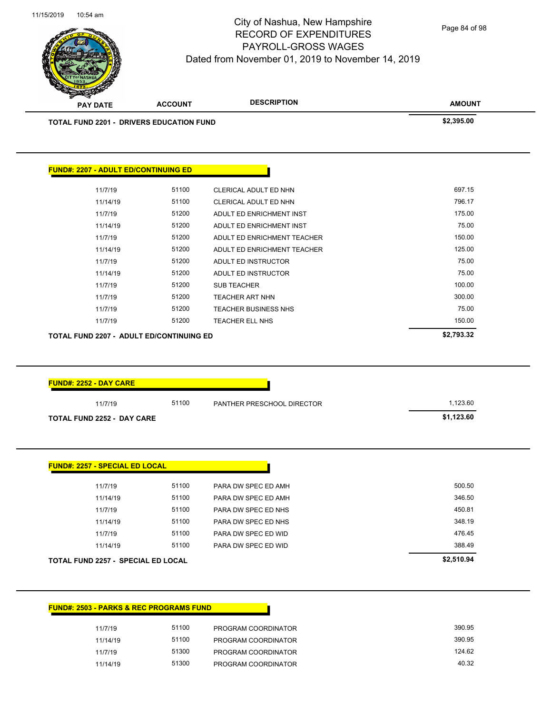

Page 84 of 98

|                                                 | <b>ACCOUNT</b> |                             | <b>AMOUNT</b> |
|-------------------------------------------------|----------------|-----------------------------|---------------|
| <b>TOTAL FUND 2201 - DRIVERS EDUCATION FUND</b> |                |                             | \$2,395.00    |
| <b>FUND#: 2207 - ADULT ED/CONTINUING ED</b>     |                |                             |               |
| 11/7/19                                         | 51100          | CLERICAL ADULT ED NHN       | 697.15        |
| 11/14/19                                        | 51100          | CLERICAL ADULT ED NHN       | 796.17        |
| 11/7/19                                         | 51200          | ADULT ED ENRICHMENT INST    | 175.00        |
| 11/14/19                                        | 51200          | ADULT ED ENRICHMENT INST    | 75.00         |
| 11/7/19                                         | 51200          | ADULT ED ENRICHMENT TEACHER | 150.00        |
| 11/14/19                                        | 51200          | ADULT ED ENRICHMENT TEACHER | 125.00        |
| 11/7/19                                         | 51200          | ADULT ED INSTRUCTOR         | 75.00         |
| 11/14/19                                        | 51200          | ADULT ED INSTRUCTOR         | 75.00         |
| 11/7/19                                         | 51200          | <b>SUB TEACHER</b>          | 100.00        |
| 11/7/19                                         | 51200          | <b>TEACHER ART NHN</b>      | 300.00        |
|                                                 |                | <b>TEACHER BUSINESS NHS</b> | 75.00         |
| 11/7/19                                         | 51200          |                             |               |
| 11/7/19                                         | 51200          | TEACHER ELL NHS             | 150.00        |
| <b>TOTAL FUND 2207 - ADULT ED/CONTINUING ED</b> |                |                             | \$2,793.32    |
| <b>FUND#: 2252 - DAY CARE</b>                   |                |                             |               |
| 11/7/19                                         | 51100          | PANTHER PRESCHOOL DIRECTOR  | 1,123.60      |
| <b>TOTAL FUND 2252 - DAY CARE</b>               |                |                             | \$1,123.60    |
| <b>FUND#: 2257 - SPECIAL ED LOCAL</b>           |                |                             |               |
| 11/7/19                                         | 51100          | PARA DW SPEC ED AMH         | 500.50        |
| 11/14/19                                        | 51100          | PARA DW SPEC ED AMH         | 346.50        |
| 11/7/19                                         | 51100          | PARA DW SPEC ED NHS         | 450.81        |
| 11/14/19                                        | 51100          | PARA DW SPEC ED NHS         | 348.19        |
| 11/7/19                                         | 51100          | PARA DW SPEC ED WID         | 476.45        |
| 11/14/19                                        | 51100          | PARA DW SPEC ED WID         | 388.49        |

|          | <b>FUND#: 2503 - PARKS &amp; REC PROGRAMS FUND</b> |                     |
|----------|----------------------------------------------------|---------------------|
| 11/7/19  | 51100                                              | PROGRAM COORDINATOR |
| 11/14/19 | 51100                                              | PROGRAM COORDINATOR |
| 11/7/19  | 51300                                              | PROGRAM COORDINATOR |
| 11/14/19 | 51300                                              | PROGRAM COORDINATOR |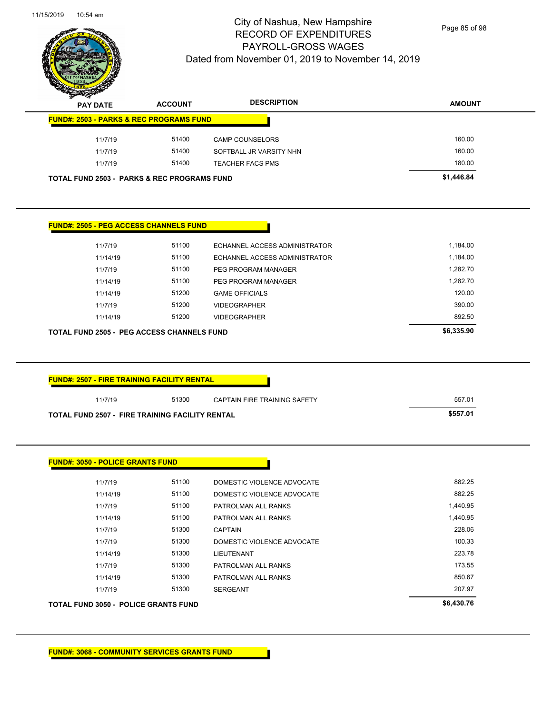$\overline{\phantom{0}}$ 



#### City of Nashua, New Hampshire RECORD OF EXPENDITURES PAYROLL-GROSS WAGES Dated from November 01, 2019 to November 14, 2019

Page 85 of 98

| <b>PAY DATE</b>                                                                                                                                                                                                         | <b>ACCOUNT</b> | <b>DESCRIPTION</b>            | <b>AMOUNT</b> |
|-------------------------------------------------------------------------------------------------------------------------------------------------------------------------------------------------------------------------|----------------|-------------------------------|---------------|
| <b>FUND#: 2503 - PARKS &amp; REC PROGRAMS FUND</b>                                                                                                                                                                      |                |                               |               |
| 11/7/19                                                                                                                                                                                                                 | 51400          | <b>CAMP COUNSELORS</b>        | 160.00        |
| 11/7/19                                                                                                                                                                                                                 | 51400          | SOFTBALL JR VARSITY NHN       | 160.00        |
| 11/7/19                                                                                                                                                                                                                 | 51400          | <b>TEACHER FACS PMS</b>       | 180.00        |
| <b>TOTAL FUND 2503 - PARKS &amp; REC PROGRAMS FUND</b>                                                                                                                                                                  |                |                               | \$1,446.84    |
|                                                                                                                                                                                                                         |                |                               |               |
| <b>FUND#: 2505 - PEG ACCESS CHANNELS FUND</b>                                                                                                                                                                           |                |                               |               |
| 11/7/19                                                                                                                                                                                                                 | 51100          | ECHANNEL ACCESS ADMINISTRATOR | 1,184.00      |
| 11/14/19                                                                                                                                                                                                                | 51100          | ECHANNEL ACCESS ADMINISTRATOR | 1,184.00      |
| 11/7/19                                                                                                                                                                                                                 | 51100          | PEG PROGRAM MANAGER           | 1,282.70      |
| 11/14/19                                                                                                                                                                                                                | 51100          | <b>PEG PROGRAM MANAGER</b>    | 1.282.70      |
| 11/14/19                                                                                                                                                                                                                | 51200          | <b>GAME OFFICIALS</b>         | 120.00        |
| 11/7/19                                                                                                                                                                                                                 | 51200          | <b>VIDEOGRAPHER</b>           | 390.00        |
| 11/14/19                                                                                                                                                                                                                | 51200          | <b>VIDEOGRAPHER</b>           | 892.50        |
|                                                                                                                                                                                                                         |                |                               | \$6,335.90    |
|                                                                                                                                                                                                                         |                |                               |               |
| 11/7/19                                                                                                                                                                                                                 | 51300          | CAPTAIN FIRE TRAINING SAFETY  | 557.01        |
|                                                                                                                                                                                                                         |                |                               | \$557.01      |
|                                                                                                                                                                                                                         |                |                               |               |
| <b>TOTAL FUND 2505 - PEG ACCESS CHANNELS FUND</b><br><b>FUND#: 2507 - FIRE TRAINING FACILITY RENTAL</b><br><b>TOTAL FUND 2507 - FIRE TRAINING FACILITY RENTAL</b><br><b>FUND#: 3050 - POLICE GRANTS FUND</b><br>11/7/19 | 51100          | DOMESTIC VIOLENCE ADVOCATE    | 882.25        |
| 11/14/19                                                                                                                                                                                                                | 51100          | DOMESTIC VIOLENCE ADVOCATE    | 882.25        |
| 11/7/19                                                                                                                                                                                                                 | 51100          | PATROLMAN ALL RANKS           | 1,440.95      |
| 11/14/19                                                                                                                                                                                                                | 51100          | PATROLMAN ALL RANKS           | 1,440.95      |
| 11/7/19                                                                                                                                                                                                                 | 51300          | <b>CAPTAIN</b>                | 228.06        |
| 11/7/19                                                                                                                                                                                                                 | 51300          | DOMESTIC VIOLENCE ADVOCATE    | 100.33        |
| 11/14/19                                                                                                                                                                                                                | 51300          | LIEUTENANT                    | 223.78        |
| 11/7/19                                                                                                                                                                                                                 | 51300          | PATROLMAN ALL RANKS           | 173.55        |
| 11/14/19                                                                                                                                                                                                                | 51300          | PATROLMAN ALL RANKS           | 850.67        |
| 11/7/19                                                                                                                                                                                                                 | 51300          | SERGEANT                      | 207.97        |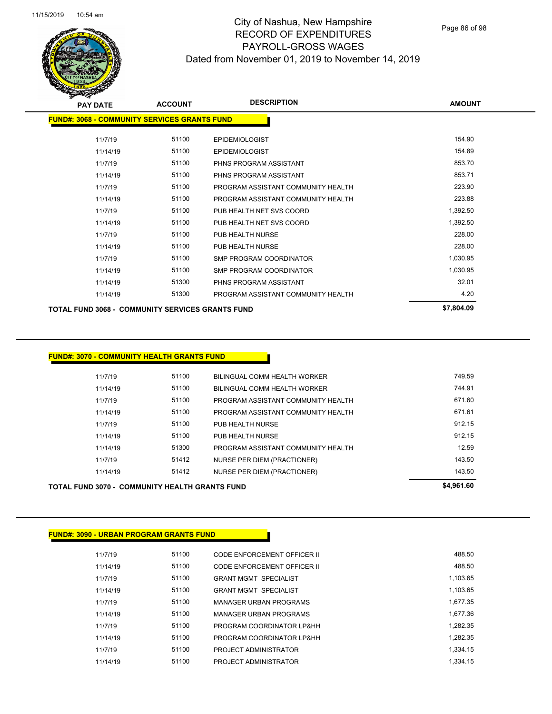Page 86 of 98

| <b>ACCOUNT</b><br><b>PAY DATE</b>                   |       | <b>DESCRIPTION</b>                 | <b>AMOUNT</b> |
|-----------------------------------------------------|-------|------------------------------------|---------------|
| <b>FUND#: 3068 - COMMUNITY SERVICES GRANTS FUND</b> |       |                                    |               |
| 11/7/19                                             | 51100 | <b>EPIDEMIOLOGIST</b>              | 154.90        |
| 11/14/19                                            | 51100 | <b>EPIDEMIOLOGIST</b>              | 154.89        |
| 11/7/19                                             | 51100 | PHNS PROGRAM ASSISTANT             | 853.70        |
| 11/14/19                                            | 51100 | PHNS PROGRAM ASSISTANT             | 853.71        |
| 11/7/19                                             | 51100 | PROGRAM ASSISTANT COMMUNITY HEALTH | 223.90        |
| 11/14/19                                            | 51100 | PROGRAM ASSISTANT COMMUNITY HEALTH | 223.88        |
| 11/7/19                                             | 51100 | PUB HEALTH NET SVS COORD           | 1,392.50      |
| 11/14/19                                            | 51100 | PUB HEALTH NET SVS COORD           | 1,392.50      |
| 11/7/19                                             | 51100 | PUB HEALTH NURSE                   | 228.00        |
| 11/14/19                                            | 51100 | PUB HEALTH NURSE                   | 228.00        |
| 11/7/19                                             | 51100 | <b>SMP PROGRAM COORDINATOR</b>     | 1,030.95      |
| 11/14/19                                            | 51100 | <b>SMP PROGRAM COORDINATOR</b>     | 1,030.95      |
| 11/14/19                                            | 51300 | PHNS PROGRAM ASSISTANT             | 32.01         |
| 11/14/19                                            | 51300 | PROGRAM ASSISTANT COMMUNITY HEALTH | 4.20          |
| TOTAL FUND 3068 - COMMUNITY SERVICES GRANTS FUND    |       |                                    | \$7,804.09    |

#### **FUND#: 3070 - COMMUNITY HEALTH GRANTS FUND**

| <b>TOTAL FUND 3070 - COMMUNITY HEALTH GRANTS FUND</b> |       |                                    | \$4,961.60 |
|-------------------------------------------------------|-------|------------------------------------|------------|
| 11/14/19                                              | 51412 | NURSE PER DIEM (PRACTIONER)        | 143.50     |
| 11/7/19                                               | 51412 | NURSE PER DIEM (PRACTIONER)        | 143.50     |
| 11/14/19                                              | 51300 | PROGRAM ASSISTANT COMMUNITY HEALTH | 12.59      |
| 11/14/19                                              | 51100 | PUB HEALTH NURSE                   | 912.15     |
| 11/7/19                                               | 51100 | PUB HEALTH NURSE                   | 912.15     |
| 11/14/19                                              | 51100 | PROGRAM ASSISTANT COMMUNITY HEALTH | 671.61     |
| 11/7/19                                               | 51100 | PROGRAM ASSISTANT COMMUNITY HEALTH | 671.60     |
| 11/14/19                                              | 51100 | BILINGUAL COMM HEALTH WORKER       | 744.91     |
| 11/7/19                                               | 51100 | BILINGUAL COMM HEALTH WORKER       | 749.59     |
|                                                       |       |                                    |            |

#### **FUND#: 3090 - URBAN PROGRAM GRANTS FUND**

| 11/7/19  | 51100 | CODE ENFORCEMENT OFFICER II  | 488.50   |
|----------|-------|------------------------------|----------|
| 11/14/19 | 51100 | CODE ENFORCEMENT OFFICER II  | 488.50   |
| 11/7/19  | 51100 | <b>GRANT MGMT SPECIALIST</b> | 1.103.65 |
| 11/14/19 | 51100 | <b>GRANT MGMT SPECIALIST</b> | 1.103.65 |
| 11/7/19  | 51100 | MANAGER URBAN PROGRAMS       | 1.677.35 |
| 11/14/19 | 51100 | MANAGER URBAN PROGRAMS       | 1.677.36 |
| 11/7/19  | 51100 | PROGRAM COORDINATOR LP&HH    | 1.282.35 |
| 11/14/19 | 51100 | PROGRAM COORDINATOR LP&HH    | 1.282.35 |
| 11/7/19  | 51100 | PROJECT ADMINISTRATOR        | 1.334.15 |
| 11/14/19 | 51100 | PROJECT ADMINISTRATOR        | 1.334.15 |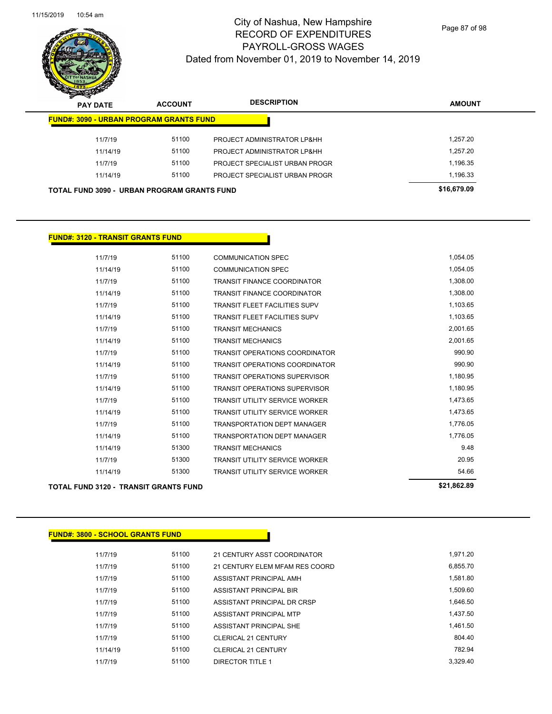

| <b>PAY DATE</b> | <b>ACCOUNT</b>                                     | <b>DESCRIPTION</b>             | <b>AMOUNT</b> |
|-----------------|----------------------------------------------------|--------------------------------|---------------|
|                 | <b>FUND#: 3090 - URBAN PROGRAM GRANTS FUND</b>     |                                |               |
| 11/7/19         | 51100                                              | PROJECT ADMINISTRATOR LP&HH    | 1.257.20      |
| 11/14/19        | 51100                                              | PROJECT ADMINISTRATOR LP&HH    | 1.257.20      |
| 11/7/19         | 51100                                              | PROJECT SPECIALIST URBAN PROGR | 1,196.35      |
| 11/14/19        | 51100                                              | PROJECT SPECIALIST URBAN PROGR | 1,196.33      |
|                 | <b>TOTAL FUND 3090 - URBAN PROGRAM GRANTS FUND</b> |                                | \$16,679.09   |

#### **FUND#: 3120 - TRANSIT GRANTS FUND**

| <b>TOTAL FUND 3120 - TRANSIT GRANTS FUND</b> |       |                                       | \$21,862.89 |
|----------------------------------------------|-------|---------------------------------------|-------------|
| 11/14/19                                     | 51300 | <b>TRANSIT UTILITY SERVICE WORKER</b> | 54.66       |
| 11/7/19                                      | 51300 | <b>TRANSIT UTILITY SERVICE WORKER</b> | 20.95       |
| 11/14/19                                     | 51300 | <b>TRANSIT MECHANICS</b>              | 9.48        |
| 11/14/19                                     | 51100 | <b>TRANSPORTATION DEPT MANAGER</b>    | 1,776.05    |
| 11/7/19                                      | 51100 | <b>TRANSPORTATION DEPT MANAGER</b>    | 1,776.05    |
| 11/14/19                                     | 51100 | <b>TRANSIT UTILITY SERVICE WORKER</b> | 1,473.65    |
| 11/7/19                                      | 51100 | <b>TRANSIT UTILITY SERVICE WORKER</b> | 1,473.65    |
| 11/14/19                                     | 51100 | <b>TRANSIT OPERATIONS SUPERVISOR</b>  | 1,180.95    |
| 11/7/19                                      | 51100 | <b>TRANSIT OPERATIONS SUPERVISOR</b>  | 1,180.95    |
| 11/14/19                                     | 51100 | <b>TRANSIT OPERATIONS COORDINATOR</b> | 990.90      |
| 11/7/19                                      | 51100 | <b>TRANSIT OPERATIONS COORDINATOR</b> | 990.90      |
| 11/14/19                                     | 51100 | <b>TRANSIT MECHANICS</b>              | 2,001.65    |
| 11/7/19                                      | 51100 | <b>TRANSIT MECHANICS</b>              | 2,001.65    |
| 11/14/19                                     | 51100 | TRANSIT FLEET FACILITIES SUPV         | 1,103.65    |
| 11/7/19                                      | 51100 | <b>TRANSIT FLEET FACILITIES SUPV</b>  | 1,103.65    |
| 11/14/19                                     | 51100 | <b>TRANSIT FINANCE COORDINATOR</b>    | 1,308.00    |
| 11/7/19                                      | 51100 | <b>TRANSIT FINANCE COORDINATOR</b>    | 1,308.00    |
| 11/14/19                                     | 51100 | <b>COMMUNICATION SPEC</b>             | 1,054.05    |
| 11/7/19                                      | 51100 | <b>COMMUNICATION SPEC</b>             | 1,054.05    |

#### **FUND#: 3800 - SCHOOL GRANTS FUND**

| 11/7/19  | 51100 | 21 CENTURY ASST COORDINATOR    | 1.971.20 |
|----------|-------|--------------------------------|----------|
| 11/7/19  | 51100 | 21 CENTURY ELEM MFAM RES COORD | 6,855.70 |
| 11/7/19  | 51100 | ASSISTANT PRINCIPAL AMH        | 1.581.80 |
| 11/7/19  | 51100 | ASSISTANT PRINCIPAL BIR        | 1.509.60 |
| 11/7/19  | 51100 | ASSISTANT PRINCIPAL DR CRSP    | 1.646.50 |
| 11/7/19  | 51100 | ASSISTANT PRINCIPAL MTP        | 1.437.50 |
| 11/7/19  | 51100 | ASSISTANT PRINCIPAL SHE        | 1.461.50 |
| 11/7/19  | 51100 | CLERICAL 21 CENTURY            | 804.40   |
| 11/14/19 | 51100 | CLERICAL 21 CENTURY            | 782.94   |
| 11/7/19  | 51100 | <b>DIRECTOR TITLE 1</b>        | 3.329.40 |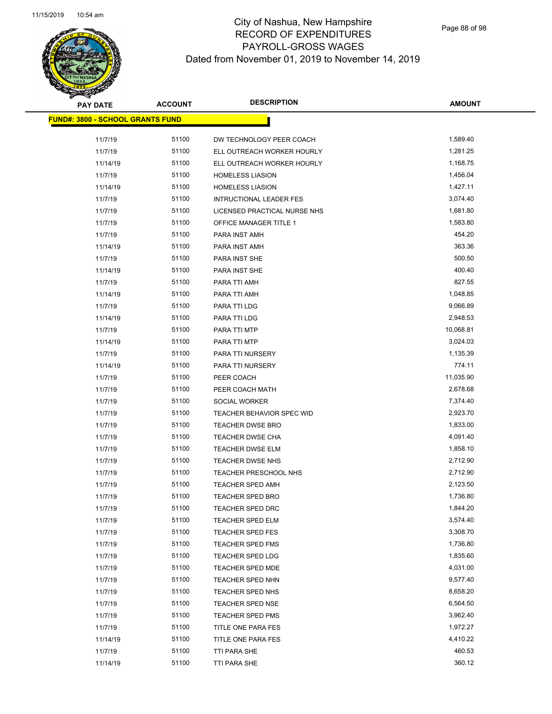| <b>PAY DATE</b>                          | <b>ACCOUNT</b> | <b>DESCRIPTION</b>           | <b>AMOUNT</b> |
|------------------------------------------|----------------|------------------------------|---------------|
| <u> FUND#: 3800 - SCHOOL GRANTS FUND</u> |                |                              |               |
| 11/7/19                                  | 51100          | DW TECHNOLOGY PEER COACH     | 1,589.40      |
| 11/7/19                                  | 51100          | ELL OUTREACH WORKER HOURLY   | 1,281.25      |
| 11/14/19                                 | 51100          | ELL OUTREACH WORKER HOURLY   | 1,168.75      |
| 11/7/19                                  | 51100          | <b>HOMELESS LIASION</b>      | 1,456.04      |
| 11/14/19                                 | 51100          | <b>HOMELESS LIASION</b>      | 1,427.11      |
| 11/7/19                                  | 51100          | INTRUCTIONAL LEADER FES      | 3,074.40      |
| 11/7/19                                  | 51100          | LICENSED PRACTICAL NURSE NHS | 1,681.80      |
| 11/7/19                                  | 51100          | OFFICE MANAGER TITLE 1       | 1,583.80      |
| 11/7/19                                  | 51100          | PARA INST AMH                | 454.20        |
| 11/14/19                                 | 51100          | PARA INST AMH                | 363.36        |
| 11/7/19                                  | 51100          | PARA INST SHE                | 500.50        |
|                                          | 51100          |                              | 400.40        |
| 11/14/19                                 | 51100          | PARA INST SHE                | 827.55        |
| 11/7/19                                  | 51100          | PARA TTI AMH                 | 1,048.85      |
| 11/14/19                                 |                | PARA TTI AMH                 | 9,066.89      |
| 11/7/19                                  | 51100          | PARA TTI LDG                 |               |
| 11/14/19                                 | 51100          | PARA TTI LDG                 | 2,948.53      |
| 11/7/19                                  | 51100          | PARA TTI MTP                 | 10,068.81     |
| 11/14/19                                 | 51100          | PARA TTI MTP                 | 3,024.03      |
| 11/7/19                                  | 51100          | PARA TTI NURSERY             | 1,135.39      |
| 11/14/19                                 | 51100          | PARA TTI NURSERY             | 774.11        |
| 11/7/19                                  | 51100          | PEER COACH                   | 11,035.90     |
| 11/7/19                                  | 51100          | PEER COACH MATH              | 2,678.68      |
| 11/7/19                                  | 51100          | SOCIAL WORKER                | 7,374.40      |
| 11/7/19                                  | 51100          | TEACHER BEHAVIOR SPEC WID    | 2,923.70      |
| 11/7/19                                  | 51100          | <b>TEACHER DWSE BRO</b>      | 1,833.00      |
| 11/7/19                                  | 51100          | <b>TEACHER DWSE CHA</b>      | 4,091.40      |
| 11/7/19                                  | 51100          | <b>TEACHER DWSE ELM</b>      | 1,858.10      |
| 11/7/19                                  | 51100          | TEACHER DWSE NHS             | 2,712.90      |
| 11/7/19                                  | 51100          | TEACHER PRESCHOOL NHS        | 2,712.90      |
| 11/7/19                                  | 51100          | <b>TEACHER SPED AMH</b>      | 2,123.50      |
| 11/7/19                                  | 51100          | TEACHER SPED BRO             | 1,736.80      |
| 11/7/19                                  | 51100          | TEACHER SPED DRC             | 1,844.20      |
| 11/7/19                                  | 51100          | TEACHER SPED ELM             | 3,574.40      |
| 11/7/19                                  | 51100          | TEACHER SPED FES             | 3,308.70      |
| 11/7/19                                  | 51100          | TEACHER SPED FMS             | 1,736.80      |
| 11/7/19                                  | 51100          | TEACHER SPED LDG             | 1,835.60      |
| 11/7/19                                  | 51100          | <b>TEACHER SPED MDE</b>      | 4,031.00      |
| 11/7/19                                  | 51100          | TEACHER SPED NHN             | 9,577.40      |
| 11/7/19                                  | 51100          | TEACHER SPED NHS             | 8,658.20      |
| 11/7/19                                  | 51100          | TEACHER SPED NSE             | 6,564.50      |
| 11/7/19                                  | 51100          | TEACHER SPED PMS             | 3,962.40      |
| 11/7/19                                  | 51100          | TITLE ONE PARA FES           | 1,972.27      |
| 11/14/19                                 | 51100          | TITLE ONE PARA FES           | 4,410.22      |
| 11/7/19                                  | 51100          | TTI PARA SHE                 | 460.53        |
| 11/14/19                                 | 51100          | TTI PARA SHE                 | 360.12        |
|                                          |                |                              |               |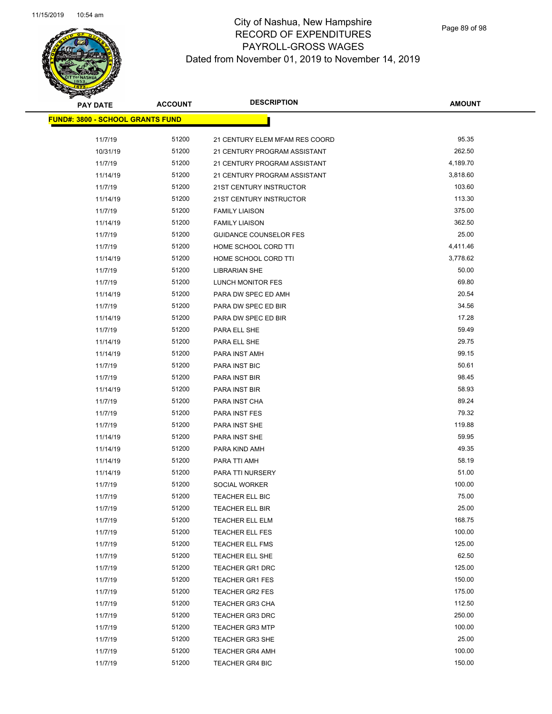

| <b>PAY DATE</b>                         | <b>ACCOUNT</b> | <b>DESCRIPTION</b>             | <b>AMOUNT</b> |
|-----------------------------------------|----------------|--------------------------------|---------------|
| <b>FUND#: 3800 - SCHOOL GRANTS FUND</b> |                |                                |               |
| 11/7/19                                 | 51200          | 21 CENTURY ELEM MFAM RES COORD | 95.35         |
| 10/31/19                                | 51200          | 21 CENTURY PROGRAM ASSISTANT   | 262.50        |
| 11/7/19                                 | 51200          | 21 CENTURY PROGRAM ASSISTANT   | 4,189.70      |
| 11/14/19                                | 51200          | 21 CENTURY PROGRAM ASSISTANT   | 3,818.60      |
| 11/7/19                                 | 51200          | 21ST CENTURY INSTRUCTOR        | 103.60        |
| 11/14/19                                | 51200          | 21ST CENTURY INSTRUCTOR        | 113.30        |
| 11/7/19                                 | 51200          | <b>FAMILY LIAISON</b>          | 375.00        |
| 11/14/19                                | 51200          | <b>FAMILY LIAISON</b>          | 362.50        |
| 11/7/19                                 | 51200          | <b>GUIDANCE COUNSELOR FES</b>  | 25.00         |
| 11/7/19                                 | 51200          | HOME SCHOOL CORD TTI           | 4,411.46      |
| 11/14/19                                | 51200          | HOME SCHOOL CORD TTI           | 3,778.62      |
| 11/7/19                                 | 51200          | <b>LIBRARIAN SHE</b>           | 50.00         |
| 11/7/19                                 | 51200          | LUNCH MONITOR FES              | 69.80         |
| 11/14/19                                | 51200          | PARA DW SPEC ED AMH            | 20.54         |
| 11/7/19                                 | 51200          | PARA DW SPEC ED BIR            | 34.56         |
| 11/14/19                                | 51200          | PARA DW SPEC ED BIR            | 17.28         |
| 11/7/19                                 | 51200          | PARA ELL SHE                   | 59.49         |
| 11/14/19                                | 51200          | PARA ELL SHE                   | 29.75         |
| 11/14/19                                | 51200          | PARA INST AMH                  | 99.15         |
| 11/7/19                                 | 51200          | PARA INST BIC                  | 50.61         |
| 11/7/19                                 | 51200          | PARA INST BIR                  | 98.45         |
| 11/14/19                                | 51200          | PARA INST BIR                  | 58.93         |
| 11/7/19                                 | 51200          | PARA INST CHA                  | 89.24         |
| 11/7/19                                 | 51200          | PARA INST FES                  | 79.32         |
| 11/7/19                                 | 51200          | PARA INST SHE                  | 119.88        |
| 11/14/19                                | 51200          | PARA INST SHE                  | 59.95         |
| 11/14/19                                | 51200          | PARA KIND AMH                  | 49.35         |
| 11/14/19                                | 51200          | PARA TTI AMH                   | 58.19         |
| 11/14/19                                | 51200          | PARA TTI NURSERY               | 51.00         |
| 11/7/19                                 | 51200          | SOCIAL WORKER                  | 100.00        |
| 11/7/19                                 | 51200          | TEACHER ELL BIC                | 75.00         |
| 11/7/19                                 | 51200          | TEACHER ELL BIR                | 25.00         |
| 11/7/19                                 | 51200          | <b>TEACHER ELL ELM</b>         | 168.75        |
| 11/7/19                                 | 51200          | TEACHER ELL FES                | 100.00        |
| 11/7/19                                 | 51200          | TEACHER ELL FMS                | 125.00        |
| 11/7/19                                 | 51200          | TEACHER ELL SHE                | 62.50         |
| 11/7/19                                 | 51200          | TEACHER GR1 DRC                | 125.00        |
| 11/7/19                                 | 51200          | <b>TEACHER GR1 FES</b>         | 150.00        |
| 11/7/19                                 | 51200          | TEACHER GR2 FES                | 175.00        |
| 11/7/19                                 | 51200          | <b>TEACHER GR3 CHA</b>         | 112.50        |
| 11/7/19                                 | 51200          | <b>TEACHER GR3 DRC</b>         | 250.00        |
| 11/7/19                                 | 51200          | <b>TEACHER GR3 MTP</b>         | 100.00        |
| 11/7/19                                 | 51200          | <b>TEACHER GR3 SHE</b>         | 25.00         |
| 11/7/19                                 | 51200          | <b>TEACHER GR4 AMH</b>         | 100.00        |
| 11/7/19                                 | 51200          | <b>TEACHER GR4 BIC</b>         | 150.00        |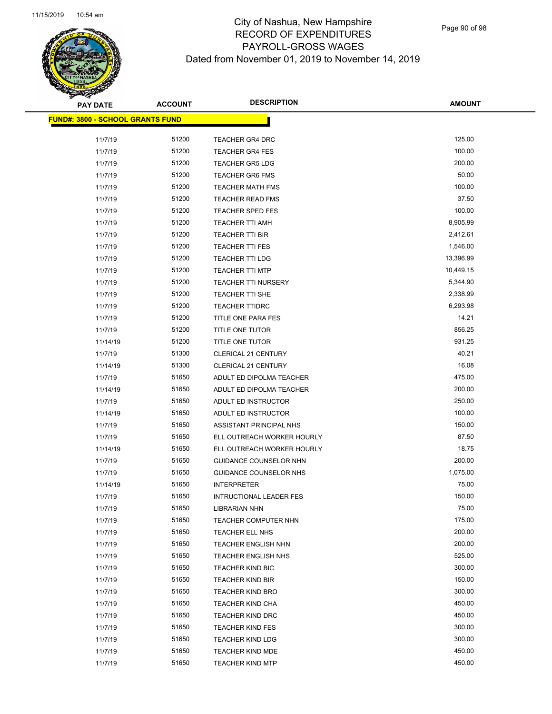| <b>PAY DATE</b>                          | <b>ACCOUNT</b> | <b>DESCRIPTION</b>         | <b>AMOUNT</b>    |
|------------------------------------------|----------------|----------------------------|------------------|
| <u> FUND#: 3800 - SCHOOL GRANTS FUND</u> |                |                            |                  |
|                                          |                |                            |                  |
| 11/7/19                                  | 51200          | <b>TEACHER GR4 DRC</b>     | 125.00<br>100.00 |
| 11/7/19                                  | 51200          | <b>TEACHER GR4 FES</b>     | 200.00           |
| 11/7/19                                  | 51200          | <b>TEACHER GR5 LDG</b>     |                  |
| 11/7/19                                  | 51200          | <b>TEACHER GR6 FMS</b>     | 50.00            |
| 11/7/19                                  | 51200          | <b>TEACHER MATH FMS</b>    | 100.00           |
| 11/7/19                                  | 51200          | <b>TEACHER READ FMS</b>    | 37.50            |
| 11/7/19                                  | 51200          | <b>TEACHER SPED FES</b>    | 100.00           |
| 11/7/19                                  | 51200          | <b>TEACHER TTI AMH</b>     | 8,905.99         |
| 11/7/19                                  | 51200          | <b>TEACHER TTI BIR</b>     | 2,412.61         |
| 11/7/19                                  | 51200          | <b>TEACHER TTI FES</b>     | 1,546.00         |
| 11/7/19                                  | 51200          | <b>TEACHER TTI LDG</b>     | 13,396.99        |
| 11/7/19                                  | 51200          | <b>TEACHER TTI MTP</b>     | 10,449.15        |
| 11/7/19                                  | 51200          | <b>TEACHER TTI NURSERY</b> | 5,344.90         |
| 11/7/19                                  | 51200          | TEACHER TTI SHE            | 2,338.99         |
| 11/7/19                                  | 51200          | <b>TEACHER TTIDRC</b>      | 6,293.98         |
| 11/7/19                                  | 51200          | TITLE ONE PARA FES         | 14.21            |
| 11/7/19                                  | 51200          | TITLE ONE TUTOR            | 856.25           |
| 11/14/19                                 | 51200          | TITLE ONE TUTOR            | 931.25           |
| 11/7/19                                  | 51300          | <b>CLERICAL 21 CENTURY</b> | 40.21            |
| 11/14/19                                 | 51300          | <b>CLERICAL 21 CENTURY</b> | 16.08            |
| 11/7/19                                  | 51650          | ADULT ED DIPOLMA TEACHER   | 475.00           |
| 11/14/19                                 | 51650          | ADULT ED DIPOLMA TEACHER   | 200.00           |
| 11/7/19                                  | 51650          | ADULT ED INSTRUCTOR        | 250.00           |
| 11/14/19                                 | 51650          | ADULT ED INSTRUCTOR        | 100.00           |
| 11/7/19                                  | 51650          | ASSISTANT PRINCIPAL NHS    | 150.00           |
| 11/7/19                                  | 51650          | ELL OUTREACH WORKER HOURLY | 87.50            |
| 11/14/19                                 | 51650          | ELL OUTREACH WORKER HOURLY | 18.75            |
| 11/7/19                                  | 51650          | GUIDANCE COUNSELOR NHN     | 200.00           |
| 11/7/19                                  | 51650          | GUIDANCE COUNSELOR NHS     | 1,075.00         |
| 11/14/19                                 | 51650          | <b>INTERPRETER</b>         | 75.00            |
| 11/7/19                                  | 51650          | INTRUCTIONAL LEADER FES    | 150.00           |
| 11/7/19                                  | 51650          | <b>LIBRARIAN NHN</b>       | 75.00            |
| 11/7/19                                  | 51650          | TEACHER COMPUTER NHN       | 175.00           |
| 11/7/19                                  | 51650          | TEACHER ELL NHS            | 200.00           |
| 11/7/19                                  | 51650          | TEACHER ENGLISH NHN        | 200.00           |
| 11/7/19                                  | 51650          | <b>TEACHER ENGLISH NHS</b> | 525.00           |
| 11/7/19                                  | 51650          | <b>TEACHER KIND BIC</b>    | 300.00           |
| 11/7/19                                  | 51650          | <b>TEACHER KIND BIR</b>    | 150.00           |
| 11/7/19                                  | 51650          | TEACHER KIND BRO           | 300.00           |
| 11/7/19                                  | 51650          | <b>TEACHER KIND CHA</b>    | 450.00           |
| 11/7/19                                  | 51650          | <b>TEACHER KIND DRC</b>    | 450.00           |
| 11/7/19                                  | 51650          | <b>TEACHER KIND FES</b>    | 300.00           |
| 11/7/19                                  | 51650          | <b>TEACHER KIND LDG</b>    | 300.00           |
| 11/7/19                                  | 51650          | <b>TEACHER KIND MDE</b>    | 450.00           |
| 11/7/19                                  | 51650          | <b>TEACHER KIND MTP</b>    | 450.00           |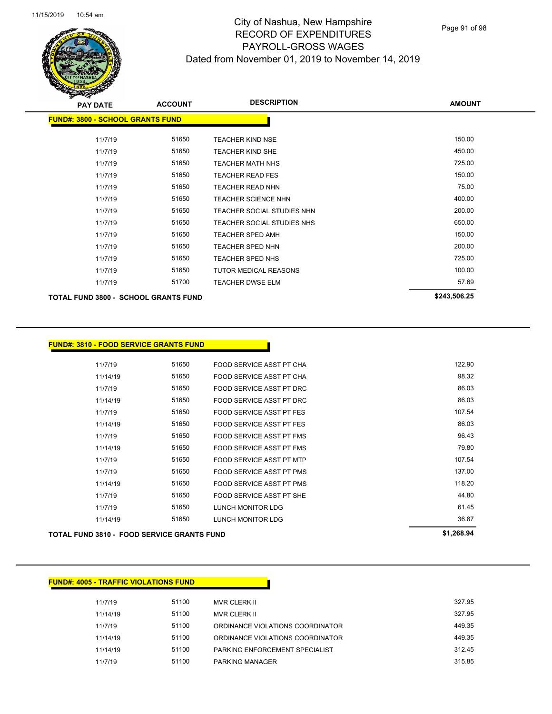

| <b>PAY DATE</b>                         | <b>ACCOUNT</b> | <b>DESCRIPTION</b>           | <b>AMOUNT</b> |
|-----------------------------------------|----------------|------------------------------|---------------|
| <b>FUND#: 3800 - SCHOOL GRANTS FUND</b> |                |                              |               |
| 11/7/19                                 | 51650          | <b>TEACHER KIND NSE</b>      | 150.00        |
| 11/7/19                                 | 51650          | TEACHER KIND SHE             | 450.00        |
| 11/7/19                                 | 51650          | <b>TEACHER MATH NHS</b>      | 725.00        |
| 11/7/19                                 | 51650          | <b>TEACHER READ FES</b>      | 150.00        |
| 11/7/19                                 | 51650          | TEACHER READ NHN             | 75.00         |
| 11/7/19                                 | 51650          | <b>TEACHER SCIENCE NHN</b>   | 400.00        |
| 11/7/19                                 | 51650          | TEACHER SOCIAL STUDIES NHN   | 200.00        |
| 11/7/19                                 | 51650          | TEACHER SOCIAL STUDIES NHS   | 650.00        |
| 11/7/19                                 | 51650          | TEACHER SPED AMH             | 150.00        |
| 11/7/19                                 | 51650          | <b>TEACHER SPED NHN</b>      | 200.00        |
| 11/7/19                                 | 51650          | <b>TEACHER SPED NHS</b>      | 725.00        |
| 11/7/19                                 | 51650          | <b>TUTOR MEDICAL REASONS</b> | 100.00        |
| 11/7/19                                 | 51700          | <b>TEACHER DWSE ELM</b>      | 57.69         |
| TOTAL FUND 3800 - SCHOOL GRANTS FUND    |                |                              | \$243,506.25  |

#### **FUND#: 3810 - FOOD SERVICE GRANTS FUND**

| 11/7/19  | 51650 | FOOD SERVICE ASST PT CHA | 122.90 |
|----------|-------|--------------------------|--------|
| 11/14/19 | 51650 | FOOD SERVICE ASST PT CHA | 98.32  |
| 11/7/19  | 51650 | FOOD SERVICE ASST PT DRC | 86.03  |
| 11/14/19 | 51650 | FOOD SERVICE ASST PT DRC | 86.03  |
| 11/7/19  | 51650 | FOOD SERVICE ASST PT FES | 107.54 |
| 11/14/19 | 51650 | FOOD SERVICE ASST PT FES | 86.03  |
| 11/7/19  | 51650 | FOOD SERVICE ASST PT FMS | 96.43  |
| 11/14/19 | 51650 | FOOD SERVICE ASST PT FMS | 79.80  |
| 11/7/19  | 51650 | FOOD SERVICE ASST PT MTP | 107.54 |
| 11/7/19  | 51650 | FOOD SERVICE ASST PT PMS | 137.00 |
| 11/14/19 | 51650 | FOOD SERVICE ASST PT PMS | 118.20 |
| 11/7/19  | 51650 | FOOD SERVICE ASST PT SHE | 44.80  |
| 11/7/19  | 51650 | LUNCH MONITOR LDG        | 61.45  |
| 11/14/19 | 51650 | LUNCH MONITOR LDG        | 36.87  |
|          |       |                          |        |

**TOTAL FUND 3810 - FOOD SERVICE GRANTS FUND \$1,268.94** 

| <b>FUND#: 4005 - TRAFFIC VIOLATIONS FUND</b> |       |                                  |        |
|----------------------------------------------|-------|----------------------------------|--------|
| 11/7/19                                      | 51100 | <b>MVR CLERK II</b>              | 327.95 |
| 11/14/19                                     | 51100 | <b>MVR CLERK II</b>              | 327.95 |
| 11/7/19                                      | 51100 | ORDINANCE VIOLATIONS COORDINATOR | 449.35 |
| 11/14/19                                     | 51100 | ORDINANCE VIOLATIONS COORDINATOR | 449.35 |
| 11/14/19                                     | 51100 | PARKING ENFORCEMENT SPECIALIST   | 312.45 |
| 11/7/19                                      | 51100 | <b>PARKING MANAGER</b>           | 315.85 |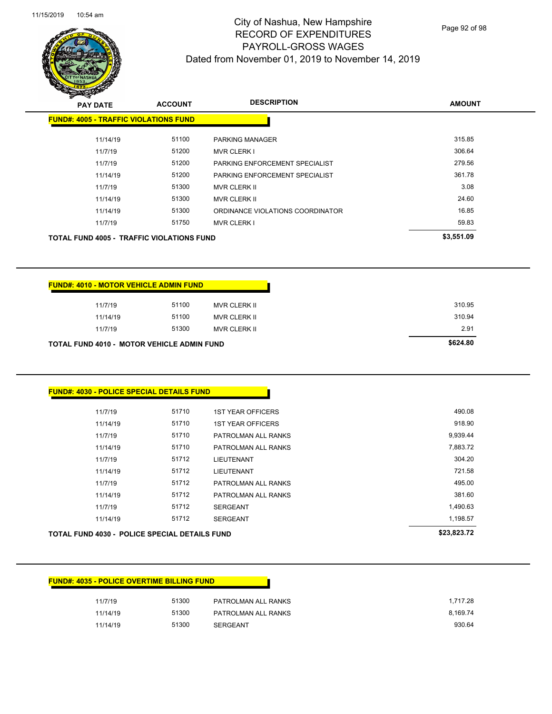

Page 92 of 98

| <b>PAY DATE</b>                                  | <b>ACCOUNT</b> | <b>DESCRIPTION</b>               | <b>AMOUNT</b> |
|--------------------------------------------------|----------------|----------------------------------|---------------|
| <b>FUND#: 4005 - TRAFFIC VIOLATIONS FUND</b>     |                |                                  |               |
| 11/14/19                                         | 51100          | <b>PARKING MANAGER</b>           | 315.85        |
| 11/7/19                                          | 51200          | <b>MVR CLERK I</b>               | 306.64        |
| 11/7/19                                          | 51200          | PARKING ENFORCEMENT SPECIALIST   | 279.56        |
| 11/14/19                                         | 51200          | PARKING ENFORCEMENT SPECIALIST   | 361.78        |
| 11/7/19                                          | 51300          | <b>MVR CLERK II</b>              | 3.08          |
| 11/14/19                                         | 51300          | <b>MVR CLERK II</b>              | 24.60         |
| 11/14/19                                         | 51300          | ORDINANCE VIOLATIONS COORDINATOR | 16.85         |
| 11/7/19                                          | 51750          | <b>MVR CLERK I</b>               | 59.83         |
| <b>TOTAL FUND 4005 - TRAFFIC VIOLATIONS FUND</b> |                |                                  | \$3,551.09    |
|                                                  |                |                                  |               |

| <b>FUND#: 4010 - MOTOR VEHICLE ADMIN FUND</b>     |       |                     |
|---------------------------------------------------|-------|---------------------|
| 11/7/19                                           | 51100 | MVR CLERK II        |
| 11/14/19                                          | 51100 | MVR CLERK II        |
| 11/7/19                                           | 51300 | <b>MVR CLERK II</b> |
| <b>TOTAL FUND 4010 - MOTOR VEHICLE ADMIN FUND</b> |       |                     |

| 490.08      | <b>1ST YEAR OFFICERS</b> | 51710 | 11/7/19                                              |
|-------------|--------------------------|-------|------------------------------------------------------|
| 918.90      | <b>1ST YEAR OFFICERS</b> | 51710 | 11/14/19                                             |
| 9,939.44    | PATROLMAN ALL RANKS      | 51710 | 11/7/19                                              |
| 7,883.72    | PATROLMAN ALL RANKS      | 51710 | 11/14/19                                             |
| 304.20      | <b>LIEUTENANT</b>        | 51712 | 11/7/19                                              |
| 721.58      | <b>LIEUTENANT</b>        | 51712 | 11/14/19                                             |
| 495.00      | PATROLMAN ALL RANKS      | 51712 | 11/7/19                                              |
| 381.60      | PATROLMAN ALL RANKS      | 51712 | 11/14/19                                             |
| 1,490.63    | <b>SERGEANT</b>          | 51712 | 11/7/19                                              |
| 1,198.57    | <b>SERGEANT</b>          | 51712 | 11/14/19                                             |
| \$23,823.72 |                          |       | <b>TOTAL FUND 4030 - POLICE SPECIAL DETAILS FUND</b> |

|          |       | <b>FUND#: 4035 - POLICE OVERTIME BILLING FUND</b> |          |
|----------|-------|---------------------------------------------------|----------|
| 11/7/19  | 51300 | PATROLMAN ALL RANKS                               | 1,717.28 |
| 11/14/19 | 51300 | PATROLMAN ALL RANKS                               | 8,169.74 |
| 11/14/19 | 51300 | <b>SERGEANT</b>                                   | 930.64   |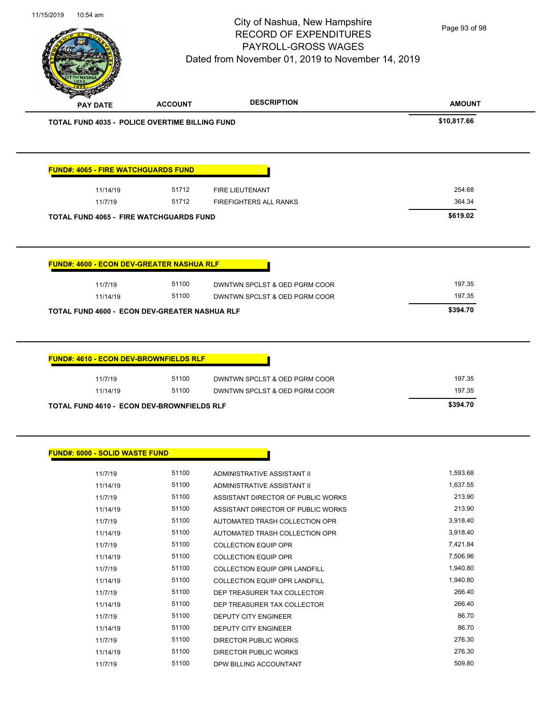Page 93 of 98

| <b>PAY DATE</b>                                                             | <b>ACCOUNT</b> | <b>DESCRIPTION</b>                                             | <b>AMOUNT</b>                |
|-----------------------------------------------------------------------------|----------------|----------------------------------------------------------------|------------------------------|
| <b>TOTAL FUND 4035 - POLICE OVERTIME BILLING FUND</b>                       |                |                                                                | \$10,817.66                  |
| <b>FUND#: 4065 - FIRE WATCHGUARDS FUND</b>                                  |                |                                                                |                              |
| 11/14/19                                                                    | 51712          | <b>FIRE LIEUTENANT</b>                                         | 254.68                       |
| 11/7/19                                                                     | 51712          | <b>FIREFIGHTERS ALL RANKS</b>                                  | 364.34                       |
| <b>TOTAL FUND 4065 - FIRE WATCHGUARDS FUND</b>                              |                | \$619.02                                                       |                              |
| 11/7/19<br>11/14/19<br><b>TOTAL FUND 4600 - ECON DEV-GREATER NASHUA RLF</b> | 51100<br>51100 | DWNTWN SPCLST & OED PGRM COOR<br>DWNTWN SPCLST & OED PGRM COOR | 197.35<br>197.35<br>\$394.70 |
| <b>FUND#: 4610 - ECON DEV-BROWNFIELDS RLF</b>                               |                |                                                                |                              |
| 11/7/19                                                                     | 51100          | DWNTWN SPCLST & OED PGRM COOR                                  | 197.35                       |
|                                                                             | 51100          | DWNTWN SPCLST & OED PGRM COOR                                  | 197.35                       |
| 11/14/19                                                                    |                |                                                                |                              |

|  |  |  | <b>FUND#: 6000 - SOLID WASTE FUND</b> |
|--|--|--|---------------------------------------|
|--|--|--|---------------------------------------|

| 11/7/19  | 51100 | ADMINISTRATIVE ASSISTANT II          | 1,593.68 |
|----------|-------|--------------------------------------|----------|
| 11/14/19 | 51100 | ADMINISTRATIVE ASSISTANT II          | 1,637.55 |
| 11/7/19  | 51100 | ASSISTANT DIRECTOR OF PUBLIC WORKS   | 213.90   |
| 11/14/19 | 51100 | ASSISTANT DIRECTOR OF PUBLIC WORKS   | 213.90   |
| 11/7/19  | 51100 | AUTOMATED TRASH COLLECTION OPR       | 3,918.40 |
| 11/14/19 | 51100 | AUTOMATED TRASH COLLECTION OPR       | 3,918.40 |
| 11/7/19  | 51100 | <b>COLLECTION EQUIP OPR</b>          | 7,421.84 |
| 11/14/19 | 51100 | <b>COLLECTION EQUIP OPR</b>          | 7,506.96 |
| 11/7/19  | 51100 | COLLECTION EQUIP OPR LANDFILL        | 1,940.80 |
| 11/14/19 | 51100 | <b>COLLECTION EQUIP OPR LANDFILL</b> | 1,940.80 |
| 11/7/19  | 51100 | DEP TREASURER TAX COLLECTOR          | 266.40   |
| 11/14/19 | 51100 | DEP TREASURER TAX COLLECTOR          | 266.40   |
| 11/7/19  | 51100 | <b>DEPUTY CITY ENGINEER</b>          | 86.70    |
| 11/14/19 | 51100 | <b>DEPUTY CITY ENGINEER</b>          | 86.70    |
| 11/7/19  | 51100 | DIRECTOR PUBLIC WORKS                | 276.30   |
| 11/14/19 | 51100 | <b>DIRECTOR PUBLIC WORKS</b>         | 276.30   |
| 11/7/19  | 51100 | DPW BILLING ACCOUNTANT               | 509.80   |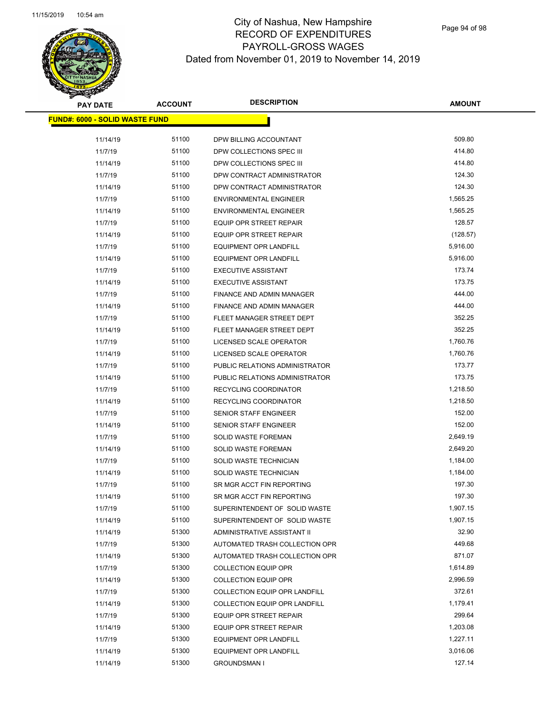# **PAY DATE ACCOUNT DESCRIPTION**

# City of Nashua, New Hampshire RECORD OF EXPENDITURES PAYROLL-GROSS WAGES Dated from November 01, 2019 to November 14, 2019

 $\overline{\phantom{0}}$ 

| <b>PAY DATE</b>                        | <b>ACCOUNT</b> | <b>DESCRIPTION</b>             | <b>AMOUNT</b> |
|----------------------------------------|----------------|--------------------------------|---------------|
| <u> FUND#: 6000 - SOLID WASTE FUND</u> |                |                                |               |
|                                        |                |                                |               |
| 11/14/19                               | 51100          | DPW BILLING ACCOUNTANT         | 509.80        |
| 11/7/19                                | 51100          | DPW COLLECTIONS SPEC III       | 414.80        |
| 11/14/19                               | 51100          | DPW COLLECTIONS SPEC III       | 414.80        |
| 11/7/19                                | 51100          | DPW CONTRACT ADMINISTRATOR     | 124.30        |
| 11/14/19                               | 51100          | DPW CONTRACT ADMINISTRATOR     | 124.30        |
| 11/7/19                                | 51100          | <b>ENVIRONMENTAL ENGINEER</b>  | 1,565.25      |
| 11/14/19                               | 51100          | <b>ENVIRONMENTAL ENGINEER</b>  | 1,565.25      |
| 11/7/19                                | 51100          | <b>EQUIP OPR STREET REPAIR</b> | 128.57        |
| 11/14/19                               | 51100          | EQUIP OPR STREET REPAIR        | (128.57)      |
| 11/7/19                                | 51100          | <b>EQUIPMENT OPR LANDFILL</b>  | 5,916.00      |
| 11/14/19                               | 51100          | <b>EQUIPMENT OPR LANDFILL</b>  | 5,916.00      |
| 11/7/19                                | 51100          | <b>EXECUTIVE ASSISTANT</b>     | 173.74        |
| 11/14/19                               | 51100          | <b>EXECUTIVE ASSISTANT</b>     | 173.75        |
| 11/7/19                                | 51100          | FINANCE AND ADMIN MANAGER      | 444.00        |
| 11/14/19                               | 51100          | FINANCE AND ADMIN MANAGER      | 444.00        |
| 11/7/19                                | 51100          | FLEET MANAGER STREET DEPT      | 352.25        |
| 11/14/19                               | 51100          | FLEET MANAGER STREET DEPT      | 352.25        |
| 11/7/19                                | 51100          | LICENSED SCALE OPERATOR        | 1,760.76      |
| 11/14/19                               | 51100          | LICENSED SCALE OPERATOR        | 1,760.76      |
| 11/7/19                                | 51100          | PUBLIC RELATIONS ADMINISTRATOR | 173.77        |
| 11/14/19                               | 51100          | PUBLIC RELATIONS ADMINISTRATOR | 173.75        |
| 11/7/19                                | 51100          | RECYCLING COORDINATOR          | 1,218.50      |
| 11/14/19                               | 51100          | RECYCLING COORDINATOR          | 1,218.50      |
| 11/7/19                                | 51100          | SENIOR STAFF ENGINEER          | 152.00        |
| 11/14/19                               | 51100          | <b>SENIOR STAFF ENGINEER</b>   | 152.00        |
| 11/7/19                                | 51100          | <b>SOLID WASTE FOREMAN</b>     | 2,649.19      |
| 11/14/19                               | 51100          | <b>SOLID WASTE FOREMAN</b>     | 2,649.20      |
| 11/7/19                                | 51100          | SOLID WASTE TECHNICIAN         | 1,184.00      |
| 11/14/19                               | 51100          | SOLID WASTE TECHNICIAN         | 1,184.00      |
| 11/7/19                                | 51100          | SR MGR ACCT FIN REPORTING      | 197.30        |
| 11/14/19                               | 51100          | SR MGR ACCT FIN REPORTING      | 197.30        |
| 11/7/19                                | 51100          | SUPERINTENDENT OF SOLID WASTE  | 1,907.15      |
| 11/14/19                               | 51100          | SUPERINTENDENT OF SOLID WASTE  | 1,907.15      |
| 11/14/19                               | 51300          | ADMINISTRATIVE ASSISTANT II    | 32.90         |
| 11/7/19                                | 51300          | AUTOMATED TRASH COLLECTION OPR | 449.68        |
| 11/14/19                               | 51300          | AUTOMATED TRASH COLLECTION OPR | 871.07        |
| 11/7/19                                | 51300          | <b>COLLECTION EQUIP OPR</b>    | 1,614.89      |
| 11/14/19                               | 51300          | <b>COLLECTION EQUIP OPR</b>    | 2,996.59      |
| 11/7/19                                | 51300          | COLLECTION EQUIP OPR LANDFILL  | 372.61        |
| 11/14/19                               | 51300          | COLLECTION EQUIP OPR LANDFILL  | 1,179.41      |
| 11/7/19                                | 51300          | <b>EQUIP OPR STREET REPAIR</b> | 299.64        |
| 11/14/19                               | 51300          | EQUIP OPR STREET REPAIR        | 1,203.08      |
| 11/7/19                                | 51300          | <b>EQUIPMENT OPR LANDFILL</b>  | 1,227.11      |
| 11/14/19                               | 51300          | <b>EQUIPMENT OPR LANDFILL</b>  | 3,016.06      |
| 11/14/19                               | 51300          | <b>GROUNDSMAN I</b>            | 127.14        |
|                                        |                |                                |               |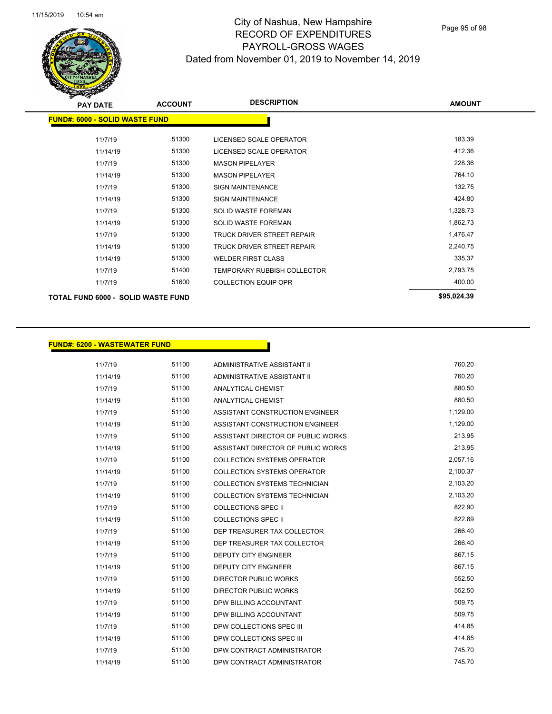

| <b>PAY DATE</b>                           | <b>ACCOUNT</b> | <b>DESCRIPTION</b>                 | <b>AMOUNT</b> |
|-------------------------------------------|----------------|------------------------------------|---------------|
| <b>FUND#: 6000 - SOLID WASTE FUND</b>     |                |                                    |               |
| 11/7/19                                   | 51300          | LICENSED SCALE OPERATOR            | 183.39        |
| 11/14/19                                  | 51300          | LICENSED SCALE OPERATOR            | 412.36        |
| 11/7/19                                   | 51300          | <b>MASON PIPELAYER</b>             | 228.36        |
| 11/14/19                                  | 51300          | <b>MASON PIPELAYER</b>             | 764.10        |
| 11/7/19                                   | 51300          | <b>SIGN MAINTENANCE</b>            | 132.75        |
| 11/14/19                                  | 51300          | <b>SIGN MAINTENANCE</b>            | 424.80        |
| 11/7/19                                   | 51300          | <b>SOLID WASTE FOREMAN</b>         | 1,328.73      |
| 11/14/19                                  | 51300          | <b>SOLID WASTE FOREMAN</b>         | 1,862.73      |
| 11/7/19                                   | 51300          | TRUCK DRIVER STREET REPAIR         | 1,476.47      |
| 11/14/19                                  | 51300          | TRUCK DRIVER STREET REPAIR         | 2,240.75      |
| 11/14/19                                  | 51300          | <b>WELDER FIRST CLASS</b>          | 335.37        |
| 11/7/19                                   | 51400          | <b>TEMPORARY RUBBISH COLLECTOR</b> | 2,793.75      |
| 11/7/19                                   | 51600          | <b>COLLECTION EQUIP OPR</b>        | 400.00        |
| <b>TOTAL FUND 6000 - SOLID WASTE FUND</b> |                |                                    | \$95,024.39   |

#### **FUND#: 6200 - WASTEWATER FUND**

11/7/19 51100 ADMINISTRATIVE ASSISTANT II 760.20 11/14/19 51100 ADMINISTRATIVE ASSISTANT II 760.20 11/7/19 51100 ANALYTICAL CHEMIST 880.50 11/14/19 51100 ANALYTICAL CHEMIST 880.50 11/7/19 51100 ASSISTANT CONSTRUCTION ENGINEER 1,129.00 11/14/19 51100 ASSISTANT CONSTRUCTION ENGINEER 1,129.00 11/7/19 51100 ASSISTANT DIRECTOR OF PUBLIC WORKS 213.95 11/14/19 51100 ASSISTANT DIRECTOR OF PUBLIC WORKS 213.95 11/7/19 51100 COLLECTION SYSTEMS OPERATOR 2,057.16 11/14/19 51100 COLLECTION SYSTEMS OPERATOR 2,100.37 11/7/19 51100 COLLECTION SYSTEMS TECHNICIAN 2,103.20 11/14/19 51100 COLLECTION SYSTEMS TECHNICIAN 2,103.20 11/7/19 51100 COLLECTIONS SPEC II 822.90 11/14/19 51100 COLLECTIONS SPEC II 822.89 11/7/19 51100 DEP TREASURER TAX COLLECTOR 266.40 11/14/19 51100 DEP TREASURER TAX COLLECTOR 266.40 11/7/19 51100 DEPUTY CITY ENGINEER 867.15 11/14/19 51100 DEPUTY CITY ENGINEER 867.15 11/7/19 51100 DIRECTOR PUBLIC WORKS 552.50 11/14/19 552.50 **51100** DIRECTOR PUBLIC WORKS 11/7/19 51100 DPW BILLING ACCOUNTANT 509.75 11/14/19 51100 DPW BILLING ACCOUNTANT 509.75 11/7/19 51100 DPW COLLECTIONS SPEC III 414.85 11/14/19 51100 DPW COLLECTIONS SPEC III 414.85 11/7/19 51100 DPW CONTRACT ADMINISTRATOR 745.70 11/14/19 51100 DPW CONTRACT ADMINISTRATOR 745.70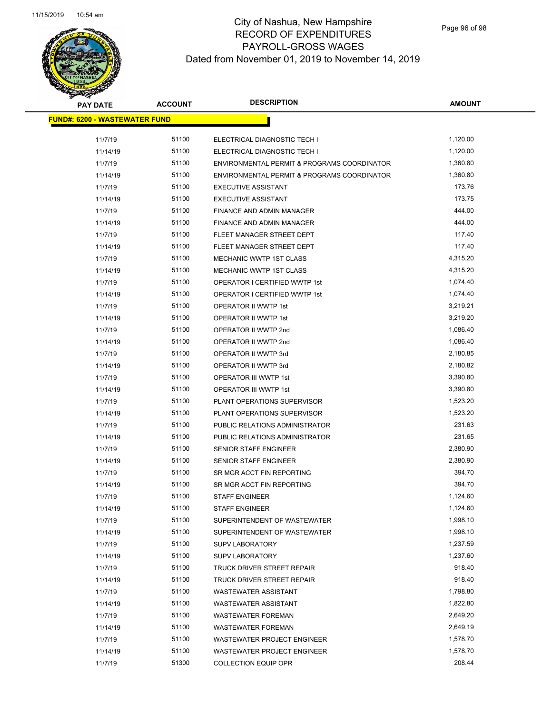| <b>PAY DATE</b>                      | <b>ACCOUNT</b> | <b>DESCRIPTION</b>                          | <b>AMOUNT</b> |
|--------------------------------------|----------------|---------------------------------------------|---------------|
| <b>FUND#: 6200 - WASTEWATER FUND</b> |                |                                             |               |
| 11/7/19                              | 51100          | ELECTRICAL DIAGNOSTIC TECH I                | 1,120.00      |
| 11/14/19                             | 51100          | ELECTRICAL DIAGNOSTIC TECH I                | 1,120.00      |
| 11/7/19                              | 51100          | ENVIRONMENTAL PERMIT & PROGRAMS COORDINATOR | 1,360.80      |
| 11/14/19                             | 51100          | ENVIRONMENTAL PERMIT & PROGRAMS COORDINATOR | 1,360.80      |
| 11/7/19                              | 51100          | <b>EXECUTIVE ASSISTANT</b>                  | 173.76        |
| 11/14/19                             | 51100          | <b>EXECUTIVE ASSISTANT</b>                  | 173.75        |
| 11/7/19                              | 51100          | FINANCE AND ADMIN MANAGER                   | 444.00        |
| 11/14/19                             | 51100          | FINANCE AND ADMIN MANAGER                   | 444.00        |
| 11/7/19                              | 51100          | FLEET MANAGER STREET DEPT                   | 117.40        |
| 11/14/19                             | 51100          | FLEET MANAGER STREET DEPT                   | 117.40        |
| 11/7/19                              | 51100          | MECHANIC WWTP 1ST CLASS                     | 4,315.20      |
| 11/14/19                             | 51100          | MECHANIC WWTP 1ST CLASS                     | 4,315.20      |
| 11/7/19                              | 51100          | OPERATOR I CERTIFIED WWTP 1st               | 1,074.40      |
| 11/14/19                             | 51100          | OPERATOR I CERTIFIED WWTP 1st               | 1,074.40      |
| 11/7/19                              | 51100          | OPERATOR II WWTP 1st                        | 3,219.21      |
| 11/14/19                             | 51100          | OPERATOR II WWTP 1st                        | 3,219.20      |
| 11/7/19                              | 51100          | OPERATOR II WWTP 2nd                        | 1,086.40      |
| 11/14/19                             | 51100          | OPERATOR II WWTP 2nd                        | 1,086.40      |
| 11/7/19                              | 51100          | OPERATOR II WWTP 3rd                        | 2,180.85      |
| 11/14/19                             | 51100          | OPERATOR II WWTP 3rd                        | 2,180.82      |
| 11/7/19                              | 51100          | OPERATOR III WWTP 1st                       | 3,390.80      |
| 11/14/19                             | 51100          | OPERATOR III WWTP 1st                       | 3,390.80      |
| 11/7/19                              | 51100          | PLANT OPERATIONS SUPERVISOR                 | 1,523.20      |
| 11/14/19                             | 51100          | PLANT OPERATIONS SUPERVISOR                 | 1,523.20      |
| 11/7/19                              | 51100          | PUBLIC RELATIONS ADMINISTRATOR              | 231.63        |
| 11/14/19                             | 51100          | PUBLIC RELATIONS ADMINISTRATOR              | 231.65        |
| 11/7/19                              | 51100          | SENIOR STAFF ENGINEER                       | 2,380.90      |
| 11/14/19                             | 51100          | <b>SENIOR STAFF ENGINEER</b>                | 2,380.90      |
| 11/7/19                              | 51100          | SR MGR ACCT FIN REPORTING                   | 394.70        |
| 11/14/19                             | 51100          | SR MGR ACCT FIN REPORTING                   | 394.70        |
| 11/7/19                              | 51100          | <b>STAFF ENGINEER</b>                       | 1,124.60      |
| 11/14/19                             | 51100          | <b>STAFF ENGINEER</b>                       | 1,124.60      |
| 11/7/19                              | 51100          | SUPERINTENDENT OF WASTEWATER                | 1,998.10      |
| 11/14/19                             | 51100          | SUPERINTENDENT OF WASTEWATER                | 1,998.10      |
| 11/7/19                              | 51100          | <b>SUPV LABORATORY</b>                      | 1,237.59      |
| 11/14/19                             | 51100          | <b>SUPV LABORATORY</b>                      | 1,237.60      |
| 11/7/19                              | 51100          | TRUCK DRIVER STREET REPAIR                  | 918.40        |
| 11/14/19                             | 51100          | TRUCK DRIVER STREET REPAIR                  | 918.40        |
| 11/7/19                              | 51100          | <b>WASTEWATER ASSISTANT</b>                 | 1,798.80      |
| 11/14/19                             | 51100          | <b>WASTEWATER ASSISTANT</b>                 | 1,822.80      |
| 11/7/19                              | 51100          | <b>WASTEWATER FOREMAN</b>                   | 2,649.20      |
| 11/14/19                             | 51100          | <b>WASTEWATER FOREMAN</b>                   | 2,649.19      |
| 11/7/19                              | 51100          | WASTEWATER PROJECT ENGINEER                 | 1,578.70      |
| 11/14/19                             | 51100          | WASTEWATER PROJECT ENGINEER                 | 1,578.70      |
| 11/7/19                              | 51300          | <b>COLLECTION EQUIP OPR</b>                 | 208.44        |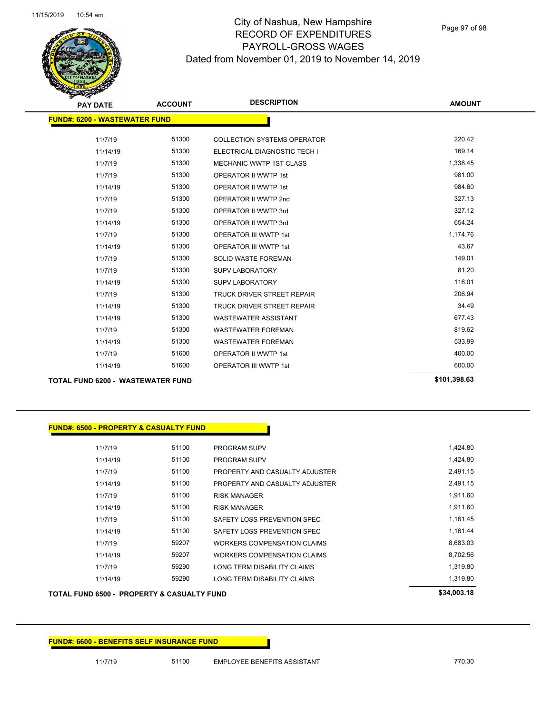Page 97 of 98

| <b>PAY DATE</b>                          | <b>ACCOUNT</b> | <b>DESCRIPTION</b>                 | <b>AMOUNT</b> |
|------------------------------------------|----------------|------------------------------------|---------------|
| <b>FUND#: 6200 - WASTEWATER FUND</b>     |                |                                    |               |
|                                          |                |                                    |               |
| 11/7/19                                  | 51300          | <b>COLLECTION SYSTEMS OPERATOR</b> | 220.42        |
| 11/14/19                                 | 51300          | ELECTRICAL DIAGNOSTIC TECH I       | 169.14        |
| 11/7/19                                  | 51300          | <b>MECHANIC WWTP 1ST CLASS</b>     | 1,338.45      |
| 11/7/19                                  | 51300          | <b>OPERATOR II WWTP 1st</b>        | 981.00        |
| 11/14/19                                 | 51300          | <b>OPERATOR II WWTP 1st</b>        | 984.60        |
| 11/7/19                                  | 51300          | OPERATOR II WWTP 2nd               | 327.13        |
| 11/7/19                                  | 51300          | OPERATOR II WWTP 3rd               | 327.12        |
| 11/14/19                                 | 51300          | OPERATOR II WWTP 3rd               | 654.24        |
| 11/7/19                                  | 51300          | <b>OPERATOR III WWTP 1st</b>       | 1,174.76      |
| 11/14/19                                 | 51300          | <b>OPERATOR III WWTP 1st</b>       | 43.67         |
| 11/7/19                                  | 51300          | <b>SOLID WASTE FOREMAN</b>         | 149.01        |
| 11/7/19                                  | 51300          | <b>SUPV LABORATORY</b>             | 81.20         |
| 11/14/19                                 | 51300          | <b>SUPV LABORATORY</b>             | 116.01        |
| 11/7/19                                  | 51300          | <b>TRUCK DRIVER STREET REPAIR</b>  | 206.94        |
| 11/14/19                                 | 51300          | <b>TRUCK DRIVER STREET REPAIR</b>  | 34.49         |
| 11/14/19                                 | 51300          | <b>WASTEWATER ASSISTANT</b>        | 677.43        |
| 11/7/19                                  | 51300          | <b>WASTEWATER FOREMAN</b>          | 819.62        |
| 11/14/19                                 | 51300          | <b>WASTEWATER FOREMAN</b>          | 533.99        |
| 11/7/19                                  | 51600          | <b>OPERATOR II WWTP 1st</b>        | 400.00        |
| 11/14/19                                 | 51600          | <b>OPERATOR III WWTP 1st</b>       | 600.00        |
| <b>TOTAL FUND 6200 - WASTEWATER FUND</b> |                |                                    | \$101,398.63  |

|          | <b>FUND#: 6500 - PROPERTY &amp; CASUALTY FUND</b> |                             |                                    |  |
|----------|---------------------------------------------------|-----------------------------|------------------------------------|--|
| 11/7/19  | 51100                                             | <b>PROGRAM SUPV</b>         |                                    |  |
| 11/14/19 | 51100                                             | <b>PROGRAM SUPV</b>         |                                    |  |
| 11/7/19  | 51100                                             |                             | PROPERTY AND CASUALTY ADJUSTER     |  |
| 11/14/19 | 51100                                             |                             | PROPERTY AND CASUALTY ADJUSTER     |  |
| 11/7/19  | 51100                                             | <b>RISK MANAGER</b>         |                                    |  |
| 11/14/19 | 51100                                             | <b>RISK MANAGER</b>         |                                    |  |
| 11/7/19  | 51100                                             | SAFETY LOSS PREVENTION SPEC |                                    |  |
| 11/14/19 | 51100                                             | SAFETY LOSS PREVENTION SPEC |                                    |  |
| 11/7/19  | 59207                                             |                             | WORKERS COMPENSATION CLAIMS        |  |
| 11/14/19 | 59207                                             |                             | <b>WORKERS COMPENSATION CLAIMS</b> |  |
| 11/7/19  | 59290                                             | LONG TERM DISABILITY CLAIMS |                                    |  |
|          |                                                   |                             |                                    |  |

# 11/14/19 59290 LONG TERM DISABILITY CLAIMS 1,319.80 TOTAL FUND 6500 - PROPERTY & CASUALTY FUND **\$34,003.18** \$34,003.18

**FUND#: 6600 - BENEFITS SELF INSURANCE FUND**